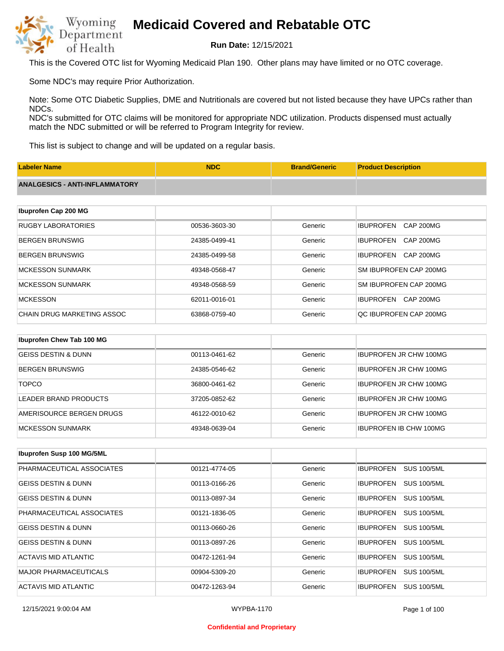

**Run Date:** 12/15/2021

This is the Covered OTC list for Wyoming Medicaid Plan 190. Other plans may have limited or no OTC coverage.

Some NDC's may require Prior Authorization.

Note: Some OTC Diabetic Supplies, DME and Nutritionals are covered but not listed because they have UPCs rather than NDCs.

NDC's submitted for OTC claims will be monitored for appropriate NDC utilization. Products dispensed must actually match the NDC submitted or will be referred to Program Integrity for review.

This list is subject to change and will be updated on a regular basis.

| <b>Labeler Name</b>                   | <b>NDC</b>    | <b>Brand/Generic</b> | <b>Product Description</b>           |
|---------------------------------------|---------------|----------------------|--------------------------------------|
| <b>ANALGESICS - ANTI-INFLAMMATORY</b> |               |                      |                                      |
|                                       |               |                      |                                      |
| Ibuprofen Cap 200 MG                  |               |                      |                                      |
| <b>RUGBY LABORATORIES</b>             | 00536-3603-30 | Generic              | <b>IBUPROFEN</b><br><b>CAP 200MG</b> |
| <b>BERGEN BRUNSWIG</b>                | 24385-0499-41 | Generic              | <b>IBUPROFEN</b><br><b>CAP 200MG</b> |
| <b>BERGEN BRUNSWIG</b>                | 24385-0499-58 | Generic              | <b>IBUPROFEN</b><br><b>CAP 200MG</b> |
| <b>MCKESSON SUNMARK</b>               | 49348-0568-47 | Generic              | SM IBUPROFEN CAP 200MG               |
| <b>MCKESSON SUNMARK</b>               | 49348-0568-59 | Generic              | SM IBUPROFEN CAP 200MG               |
| <b>MCKESSON</b>                       | 62011-0016-01 | Generic              | CAP 200MG<br><b>IBUPROFEN</b>        |
| <b>CHAIN DRUG MARKETING ASSOC</b>     | 63868-0759-40 | Generic              | QC IBUPROFEN CAP 200MG               |
|                                       |               |                      |                                      |
| Ibuprofen Chew Tab 100 MG             |               |                      |                                      |
| <b>GEISS DESTIN &amp; DUNN</b>        | 00113-0461-62 | Generic              | <b>IBUPROFEN JR CHW 100MG</b>        |

| BERGEN BRUNSWIG          | 24385-0546-62 | Generic | <b>IBUPROFEN JR CHW 100MG</b> |
|--------------------------|---------------|---------|-------------------------------|
| <b>TOPCO</b>             | 36800-0461-62 | Generic | <b>IBUPROFEN JR CHW 100MG</b> |
| LEADER BRAND PRODUCTS    | 37205-0852-62 | Generic | <b>IBUPROFEN JR CHW 100MG</b> |
| AMERISOURCE BERGEN DRUGS | 46122-0010-62 | Generic | <b>IBUPROFEN JR CHW 100MG</b> |
| IMCKESSON SUNMARK        | 49348-0639-04 | Generic | <b>IBUPROFEN IB CHW 100MG</b> |

| Ibuprofen Susp 100 MG/5ML      |               |         |                                        |
|--------------------------------|---------------|---------|----------------------------------------|
| PHARMACEUTICAL ASSOCIATES      | 00121-4774-05 | Generic | <b>IBUPROFEN</b><br><b>SUS 100/5ML</b> |
| <b>GEISS DESTIN &amp; DUNN</b> | 00113-0166-26 | Generic | <b>SUS 100/5ML</b><br><b>IBUPROFEN</b> |
| <b>GEISS DESTIN &amp; DUNN</b> | 00113-0897-34 | Generic | <b>SUS 100/5ML</b><br><b>IBUPROFEN</b> |
| PHARMACEUTICAL ASSOCIATES      | 00121-1836-05 | Generic | <b>SUS 100/5ML</b><br><b>IBUPROFEN</b> |
| <b>GEISS DESTIN &amp; DUNN</b> | 00113-0660-26 | Generic | <b>SUS 100/5ML</b><br><b>IBUPROFEN</b> |
| <b>GEISS DESTIN &amp; DUNN</b> | 00113-0897-26 | Generic | <b>SUS 100/5ML</b><br><b>IBUPROFEN</b> |
| ACTAVIS MID ATLANTIC           | 00472-1261-94 | Generic | <b>SUS 100/5ML</b><br><b>IBUPROFEN</b> |
| <b>MAJOR PHARMACEUTICALS</b>   | 00904-5309-20 | Generic | <b>SUS 100/5ML</b><br><b>IBUPROFEN</b> |
| ACTAVIS MID ATLANTIC           | 00472-1263-94 | Generic | <b>IBUPROFEN</b><br><b>SUS 100/5ML</b> |

#### **Confidential and Proprietary**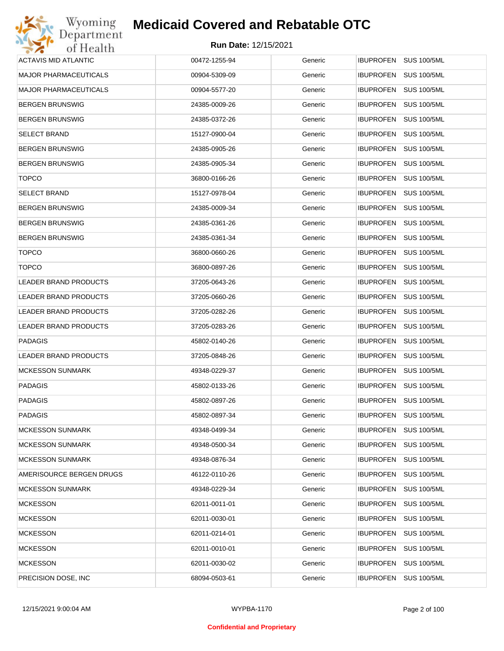| Wyoming                      | <b>Medicaid Covered and Rebatable OTC</b> |         |                                        |
|------------------------------|-------------------------------------------|---------|----------------------------------------|
| Department<br>of Health      | <b>Run Date: 12/15/2021</b>               |         |                                        |
| <b>ACTAVIS MID ATLANTIC</b>  | 00472-1255-94                             | Generic | <b>IBUPROFEN</b><br><b>SUS 100/5ML</b> |
| <b>MAJOR PHARMACEUTICALS</b> | 00904-5309-09                             | Generic | <b>IBUPROFEN</b><br><b>SUS 100/5ML</b> |
| <b>MAJOR PHARMACEUTICALS</b> | 00904-5577-20                             | Generic | <b>SUS 100/5ML</b><br><b>IBUPROFEN</b> |
| <b>BERGEN BRUNSWIG</b>       | 24385-0009-26                             | Generic | <b>IBUPROFEN</b><br><b>SUS 100/5ML</b> |
| <b>BERGEN BRUNSWIG</b>       | 24385-0372-26                             | Generic | <b>SUS 100/5ML</b><br><b>IBUPROFEN</b> |
| <b>SELECT BRAND</b>          | 15127-0900-04                             | Generic | <b>IBUPROFEN</b><br><b>SUS 100/5ML</b> |
| <b>BERGEN BRUNSWIG</b>       | 24385-0905-26                             | Generic | <b>SUS 100/5ML</b><br><b>IBUPROFEN</b> |
| <b>BERGEN BRUNSWIG</b>       | 24385-0905-34                             | Generic | <b>IBUPROFEN</b><br><b>SUS 100/5ML</b> |
| <b>TOPCO</b>                 | 36800-0166-26                             | Generic | <b>SUS 100/5ML</b><br><b>IBUPROFEN</b> |
| SELECT BRAND                 | 15127-0978-04                             | Generic | <b>IBUPROFEN</b><br><b>SUS 100/5ML</b> |
| <b>BERGEN BRUNSWIG</b>       | 24385-0009-34                             | Generic | <b>SUS 100/5ML</b><br><b>IBUPROFEN</b> |
| <b>BERGEN BRUNSWIG</b>       | 24385-0361-26                             | Generic | <b>IBUPROFEN</b><br><b>SUS 100/5ML</b> |
| <b>BERGEN BRUNSWIG</b>       | 24385-0361-34                             | Generic | <b>SUS 100/5ML</b><br><b>IBUPROFEN</b> |
| <b>TOPCO</b>                 | 36800-0660-26                             | Generic | <b>IBUPROFEN</b><br><b>SUS 100/5ML</b> |
| <b>TOPCO</b>                 | 36800-0897-26                             | Generic | <b>SUS 100/5ML</b><br><b>IBUPROFEN</b> |
| <b>LEADER BRAND PRODUCTS</b> | 37205-0643-26                             | Generic | <b>IBUPROFEN</b><br><b>SUS 100/5ML</b> |
| LEADER BRAND PRODUCTS        | 37205-0660-26                             | Generic | <b>SUS 100/5ML</b><br><b>IBUPROFEN</b> |
| LEADER BRAND PRODUCTS        | 37205-0282-26                             | Generic | <b>IBUPROFEN</b><br><b>SUS 100/5ML</b> |
| LEADER BRAND PRODUCTS        | 37205-0283-26                             | Generic | <b>SUS 100/5ML</b><br><b>IBUPROFEN</b> |
| <b>PADAGIS</b>               | 45802-0140-26                             | Generic | <b>IBUPROFEN</b><br><b>SUS 100/5ML</b> |
| LEADER BRAND PRODUCTS        | 37205-0848-26                             | Generic | <b>IBUPROFEN</b><br><b>SUS 100/5ML</b> |
| <b>MCKESSON SUNMARK</b>      | 49348-0229-37                             | Generic | IBUPROFEN SUS 100/5ML                  |
| <b>PADAGIS</b>               | 45802-0133-26                             | Generic | IBUPROFEN SUS 100/5ML                  |
| <b>PADAGIS</b>               | 45802-0897-26                             | Generic | <b>IBUPROFEN</b><br><b>SUS 100/5ML</b> |
| <b>PADAGIS</b>               | 45802-0897-34                             | Generic | <b>IBUPROFEN</b><br><b>SUS 100/5ML</b> |
| <b>MCKESSON SUNMARK</b>      | 49348-0499-34                             | Generic | <b>SUS 100/5ML</b><br><b>IBUPROFEN</b> |
| <b>MCKESSON SUNMARK</b>      | 49348-0500-34                             | Generic | <b>IBUPROFEN</b><br><b>SUS 100/5ML</b> |
| <b>MCKESSON SUNMARK</b>      | 49348-0876-34                             | Generic | <b>SUS 100/5ML</b><br><b>IBUPROFEN</b> |
| AMERISOURCE BERGEN DRUGS     | 46122-0110-26                             | Generic | <b>IBUPROFEN</b><br><b>SUS 100/5ML</b> |
| <b>MCKESSON SUNMARK</b>      | 49348-0229-34                             | Generic | <b>IBUPROFEN</b><br><b>SUS 100/5ML</b> |
| <b>MCKESSON</b>              | 62011-0011-01                             | Generic | <b>IBUPROFEN</b><br><b>SUS 100/5ML</b> |
| <b>MCKESSON</b>              | 62011-0030-01                             | Generic | <b>IBUPROFEN</b><br><b>SUS 100/5ML</b> |
| <b>MCKESSON</b>              | 62011-0214-01                             | Generic | <b>IBUPROFEN</b><br><b>SUS 100/5ML</b> |
| <b>MCKESSON</b>              | 62011-0010-01                             | Generic | <b>IBUPROFEN</b><br><b>SUS 100/5ML</b> |
| <b>MCKESSON</b>              | 62011-0030-02                             | Generic | <b>SUS 100/5ML</b><br><b>IBUPROFEN</b> |
| PRECISION DOSE, INC.         | 68094-0503-61                             | Generic | <b>SUS 100/5ML</b><br><b>IBUPROFEN</b> |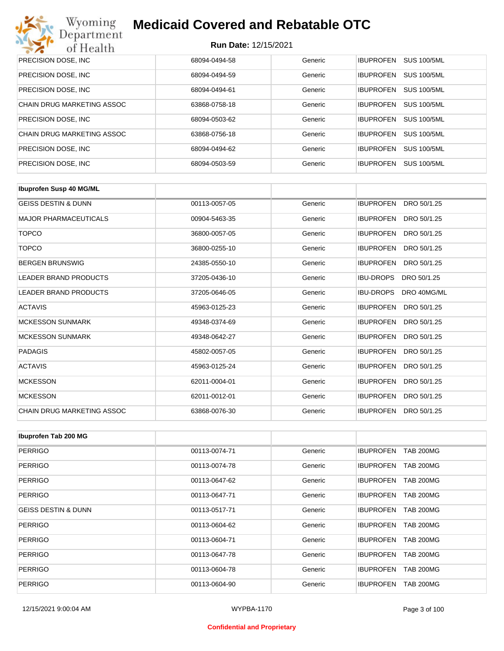

| PRECISION DOSE, INC.              | 68094-0494-58 | Generic | <b>IBUPROFEN</b><br><b>SUS 100/5ML</b> |
|-----------------------------------|---------------|---------|----------------------------------------|
| PRECISION DOSE, INC.              | 68094-0494-59 | Generic | <b>IBUPROFEN</b><br><b>SUS 100/5ML</b> |
| PRECISION DOSE, INC.              | 68094-0494-61 | Generic | <b>SUS 100/5ML</b><br><b>IBUPROFEN</b> |
| <b>CHAIN DRUG MARKETING ASSOC</b> | 63868-0758-18 | Generic | <b>SUS 100/5ML</b><br><b>IBUPROFEN</b> |
| PRECISION DOSE, INC.              | 68094-0503-62 | Generic | <b>SUS 100/5ML</b><br><b>IBUPROFEN</b> |
| CHAIN DRUG MARKETING ASSOC        | 63868-0756-18 | Generic | <b>SUS 100/5ML</b><br><b>IBUPROFEN</b> |
| PRECISION DOSE, INC.              | 68094-0494-62 | Generic | <b>SUS 100/5ML</b><br><b>IBUPROFEN</b> |
| <b>PRECISION DOSE, INC.</b>       | 68094-0503-59 | Generic | <b>IBUPROFEN</b><br><b>SUS 100/5ML</b> |

| <b>Ibuprofen Susp 40 MG/ML</b> |               |         |                                 |
|--------------------------------|---------------|---------|---------------------------------|
| <b>GEISS DESTIN &amp; DUNN</b> | 00113-0057-05 | Generic | DRO 50/1.25<br><b>IBUPROFEN</b> |
| <b>MAJOR PHARMACEUTICALS</b>   | 00904-5463-35 | Generic | <b>IBUPROFEN</b><br>DRO 50/1.25 |
| <b>TOPCO</b>                   | 36800-0057-05 | Generic | <b>IBUPROFEN</b><br>DRO 50/1.25 |
| <b>TOPCO</b>                   | 36800-0255-10 | Generic | <b>IBUPROFEN</b><br>DRO 50/1.25 |
| <b>BERGEN BRUNSWIG</b>         | 24385-0550-10 | Generic | <b>IBUPROFEN</b><br>DRO 50/1.25 |
| <b>LEADER BRAND PRODUCTS</b>   | 37205-0436-10 | Generic | <b>IBU-DROPS</b><br>DRO 50/1.25 |
| <b>LEADER BRAND PRODUCTS</b>   | 37205-0646-05 | Generic | <b>IBU-DROPS</b><br>DRO 40MG/ML |
| <b>ACTAVIS</b>                 | 45963-0125-23 | Generic | <b>IBUPROFEN</b><br>DRO 50/1.25 |
| <b>MCKESSON SUNMARK</b>        | 49348-0374-69 | Generic | <b>IBUPROFEN</b><br>DRO 50/1.25 |
| <b>MCKESSON SUNMARK</b>        | 49348-0642-27 | Generic | <b>IBUPROFEN</b><br>DRO 50/1.25 |
| <b>PADAGIS</b>                 | 45802-0057-05 | Generic | <b>IBUPROFEN</b><br>DRO 50/1.25 |
| <b>ACTAVIS</b>                 | 45963-0125-24 | Generic | <b>IBUPROFEN</b><br>DRO 50/1.25 |
| <b>MCKESSON</b>                | 62011-0004-01 | Generic | <b>IBUPROFEN</b><br>DRO 50/1.25 |
| <b>MCKESSON</b>                | 62011-0012-01 | Generic | <b>IBUPROFEN</b><br>DRO 50/1.25 |
| CHAIN DRUG MARKETING ASSOC     | 63868-0076-30 | Generic | <b>IBUPROFEN</b><br>DRO 50/1.25 |

| Ibuprofen Tab 200 MG           |               |         |                                      |
|--------------------------------|---------------|---------|--------------------------------------|
| <b>PERRIGO</b>                 | 00113-0074-71 | Generic | <b>IBUPROFEN</b><br><b>TAB 200MG</b> |
| PERRIGO                        | 00113-0074-78 | Generic | <b>IBUPROFEN</b><br><b>TAB 200MG</b> |
| <b>PERRIGO</b>                 | 00113-0647-62 | Generic | <b>TAB 200MG</b><br><b>IBUPROFEN</b> |
| <b>PERRIGO</b>                 | 00113-0647-71 | Generic | <b>TAB 200MG</b><br><b>IBUPROFEN</b> |
| <b>GEISS DESTIN &amp; DUNN</b> | 00113-0517-71 | Generic | <b>IBUPROFEN</b><br><b>TAB 200MG</b> |
| <b>PERRIGO</b>                 | 00113-0604-62 | Generic | <b>IBUPROFEN</b><br><b>TAB 200MG</b> |
| <b>PERRIGO</b>                 | 00113-0604-71 | Generic | <b>IBUPROFEN</b><br><b>TAB 200MG</b> |
| <b>PERRIGO</b>                 | 00113-0647-78 | Generic | <b>TAB 200MG</b><br><b>IBUPROFEN</b> |
| <b>PERRIGO</b>                 | 00113-0604-78 | Generic | <b>IBUPROFEN</b><br><b>TAB 200MG</b> |
| <b>PERRIGO</b>                 | 00113-0604-90 | Generic | <b>TAB 200MG</b><br><b>IBUPROFEN</b> |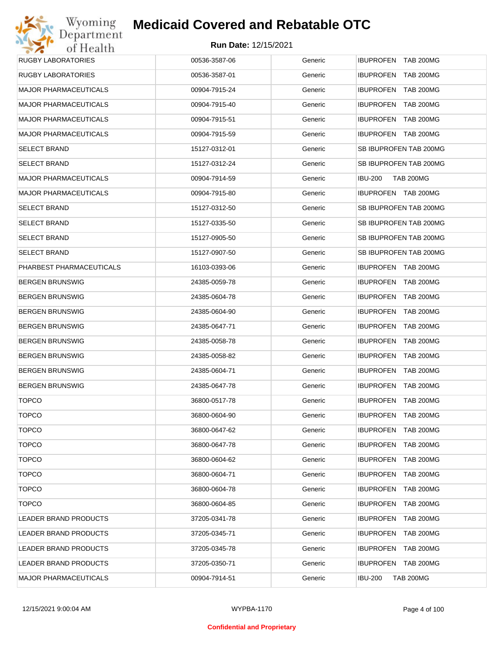| <b>RUGBY LABORATORIES</b>    | 00536-3587-06 | Generic | <b>IBUPROFEN TAB 200MG</b>           |
|------------------------------|---------------|---------|--------------------------------------|
| <b>RUGBY LABORATORIES</b>    | 00536-3587-01 | Generic | IBUPROFEN TAB 200MG                  |
| <b>MAJOR PHARMACEUTICALS</b> | 00904-7915-24 | Generic | <b>IBUPROFEN TAB 200MG</b>           |
| <b>MAJOR PHARMACEUTICALS</b> | 00904-7915-40 | Generic | IBUPROFEN TAB 200MG                  |
| <b>MAJOR PHARMACEUTICALS</b> | 00904-7915-51 | Generic | <b>IBUPROFEN TAB 200MG</b>           |
| <b>MAJOR PHARMACEUTICALS</b> | 00904-7915-59 | Generic | IBUPROFEN TAB 200MG                  |
| <b>SELECT BRAND</b>          | 15127-0312-01 | Generic | SB IBUPROFEN TAB 200MG               |
| <b>SELECT BRAND</b>          | 15127-0312-24 | Generic | SB IBUPROFEN TAB 200MG               |
| <b>MAJOR PHARMACEUTICALS</b> | 00904-7914-59 | Generic | <b>IBU-200</b><br><b>TAB 200MG</b>   |
| <b>MAJOR PHARMACEUTICALS</b> | 00904-7915-80 | Generic | IBUPROFEN TAB 200MG                  |
| <b>SELECT BRAND</b>          | 15127-0312-50 | Generic | SB IBUPROFEN TAB 200MG               |
| <b>SELECT BRAND</b>          | 15127-0335-50 | Generic | SB IBUPROFEN TAB 200MG               |
| <b>SELECT BRAND</b>          | 15127-0905-50 | Generic | SB IBUPROFEN TAB 200MG               |
| <b>SELECT BRAND</b>          | 15127-0907-50 | Generic | SB IBUPROFEN TAB 200MG               |
| PHARBEST PHARMACEUTICALS     | 16103-0393-06 | Generic | IBUPROFEN TAB 200MG                  |
| <b>BERGEN BRUNSWIG</b>       | 24385-0059-78 | Generic | IBUPROFEN TAB 200MG                  |
| <b>BERGEN BRUNSWIG</b>       | 24385-0604-78 | Generic | <b>IBUPROFEN TAB 200MG</b>           |
| <b>BERGEN BRUNSWIG</b>       | 24385-0604-90 | Generic | <b>IBUPROFEN</b><br>TAB 200MG        |
| <b>BERGEN BRUNSWIG</b>       | 24385-0647-71 | Generic | <b>IBUPROFEN TAB 200MG</b>           |
| <b>BERGEN BRUNSWIG</b>       | 24385-0058-78 | Generic | <b>IBUPROFEN</b><br><b>TAB 200MG</b> |
| <b>BERGEN BRUNSWIG</b>       | 24385-0058-82 | Generic | <b>IBUPROFEN TAB 200MG</b>           |
| <b>BERGEN BRUNSWIG</b>       | 24385-0604-71 | Generic | <b>IBUPROFEN</b><br>TAB 200MG        |
| <b>BERGEN BRUNSWIG</b>       | 24385-0647-78 | Generic | <b>IBUPROFEN TAB 200MG</b>           |
| <b>TOPCO</b>                 | 36800-0517-78 | Generic | <b>IBUPROFEN</b><br>TAB 200MG        |
| <b>TOPCO</b>                 | 36800-0604-90 | Generic | <b>IBUPROFEN TAB 200MG</b>           |
| <b>TOPCO</b>                 | 36800-0647-62 | Generic | IBUPROFEN TAB 200MG                  |
| <b>TOPCO</b>                 | 36800-0647-78 | Generic | <b>IBUPROFEN</b><br><b>TAB 200MG</b> |
| <b>TOPCO</b>                 | 36800-0604-62 | Generic | <b>IBUPROFEN</b><br>TAB 200MG        |
| <b>TOPCO</b>                 | 36800-0604-71 | Generic | <b>IBUPROFEN</b><br><b>TAB 200MG</b> |
| <b>TOPCO</b>                 | 36800-0604-78 | Generic | <b>IBUPROFEN</b><br>TAB 200MG        |
| <b>TOPCO</b>                 | 36800-0604-85 | Generic | <b>IBUPROFEN</b><br><b>TAB 200MG</b> |
| LEADER BRAND PRODUCTS        | 37205-0341-78 | Generic | <b>IBUPROFEN</b><br>TAB 200MG        |
| LEADER BRAND PRODUCTS        | 37205-0345-71 | Generic | <b>IBUPROFEN</b><br><b>TAB 200MG</b> |
| LEADER BRAND PRODUCTS        | 37205-0345-78 | Generic | <b>IBUPROFEN</b><br>TAB 200MG        |
| LEADER BRAND PRODUCTS        | 37205-0350-71 | Generic | IBUPROFEN TAB 200MG                  |
| <b>MAJOR PHARMACEUTICALS</b> | 00904-7914-51 | Generic | <b>IBU-200</b><br><b>TAB 200MG</b>   |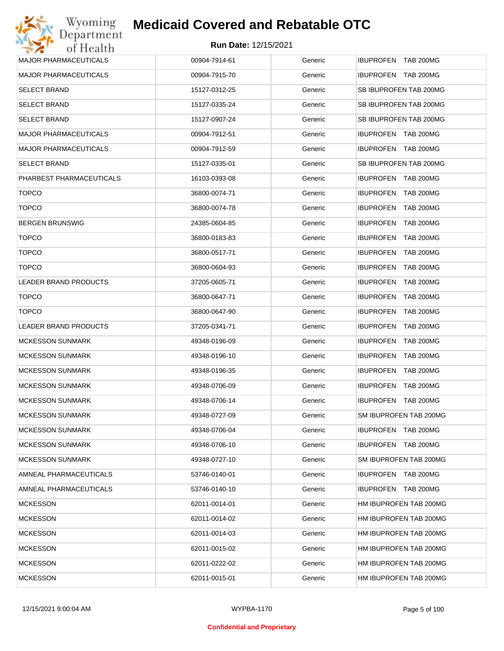

| <b>MAJOR PHARMACEUTICALS</b> | 00904-7914-61 | Generic | IBUPROFEN TAB 200MG    |
|------------------------------|---------------|---------|------------------------|
| <b>MAJOR PHARMACEUTICALS</b> | 00904-7915-70 | Generic | IBUPROFEN TAB 200MG    |
| <b>SELECT BRAND</b>          | 15127-0312-25 | Generic | SB IBUPROFEN TAB 200MG |
| <b>SELECT BRAND</b>          | 15127-0335-24 | Generic | SB IBUPROFEN TAB 200MG |
| <b>SELECT BRAND</b>          | 15127-0907-24 | Generic | SB IBUPROFEN TAB 200MG |
| <b>MAJOR PHARMACEUTICALS</b> | 00904-7912-51 | Generic | IBUPROFEN TAB 200MG    |
| <b>MAJOR PHARMACEUTICALS</b> | 00904-7912-59 | Generic | IBUPROFEN TAB 200MG    |
| <b>SELECT BRAND</b>          | 15127-0335-01 | Generic | SB IBUPROFEN TAB 200MG |
| PHARBEST PHARMACEUTICALS     | 16103-0393-08 | Generic | IBUPROFEN TAB 200MG    |
| <b>TOPCO</b>                 | 36800-0074-71 | Generic | IBUPROFEN TAB 200MG    |
| <b>TOPCO</b>                 | 36800-0074-78 | Generic | IBUPROFEN TAB 200MG    |
| <b>BERGEN BRUNSWIG</b>       | 24385-0604-85 | Generic | IBUPROFEN TAB 200MG    |
| <b>TOPCO</b>                 | 36800-0183-83 | Generic | IBUPROFEN TAB 200MG    |
| <b>TOPCO</b>                 | 36800-0517-71 | Generic | IBUPROFEN TAB 200MG    |
| <b>TOPCO</b>                 | 36800-0604-93 | Generic | IBUPROFEN TAB 200MG    |
| LEADER BRAND PRODUCTS        | 37205-0605-71 | Generic | IBUPROFEN TAB 200MG    |
| <b>TOPCO</b>                 | 36800-0647-71 | Generic | IBUPROFEN TAB 200MG    |
| <b>TOPCO</b>                 | 36800-0647-90 | Generic | IBUPROFEN TAB 200MG    |
| LEADER BRAND PRODUCTS        | 37205-0341-71 | Generic | IBUPROFEN TAB 200MG    |
| <b>MCKESSON SUNMARK</b>      | 49348-0196-09 | Generic | IBUPROFEN TAB 200MG    |
| <b>MCKESSON SUNMARK</b>      | 49348-0196-10 | Generic | IBUPROFEN TAB 200MG    |
| <b>MCKESSON SUNMARK</b>      | 49348-0196-35 | Generic | IBUPROFEN TAB 200MG    |
| <b>MCKESSON SUNMARK</b>      | 49348-0706-09 | Generic | IBUPROFEN TAB 200MG    |
| <b>MCKESSON SUNMARK</b>      | 49348-0706-14 | Generic | IBUPROFEN TAB 200MG    |
| <b>MCKESSON SUNMARK</b>      | 49348-0727-09 | Generic | SM IBUPROFEN TAB 200MG |
| <b>MCKESSON SUNMARK</b>      | 49348-0706-04 | Generic | IBUPROFEN TAB 200MG    |
| <b>MCKESSON SUNMARK</b>      | 49348-0706-10 | Generic | IBUPROFEN TAB 200MG    |
| <b>MCKESSON SUNMARK</b>      | 49348-0727-10 | Generic | SM IBUPROFEN TAB 200MG |
| AMNEAL PHARMACEUTICALS       | 53746-0140-01 | Generic | IBUPROFEN TAB 200MG    |
| AMNEAL PHARMACEUTICALS       | 53746-0140-10 | Generic | IBUPROFEN TAB 200MG    |
| <b>MCKESSON</b>              | 62011-0014-01 | Generic | HM IBUPROFEN TAB 200MG |
| <b>MCKESSON</b>              | 62011-0014-02 | Generic | HM IBUPROFEN TAB 200MG |
| <b>MCKESSON</b>              | 62011-0014-03 | Generic | HM IBUPROFEN TAB 200MG |
| <b>MCKESSON</b>              | 62011-0015-02 | Generic | HM IBUPROFEN TAB 200MG |
| <b>MCKESSON</b>              | 62011-0222-02 | Generic | HM IBUPROFEN TAB 200MG |
| <b>MCKESSON</b>              | 62011-0015-01 | Generic | HM IBUPROFEN TAB 200MG |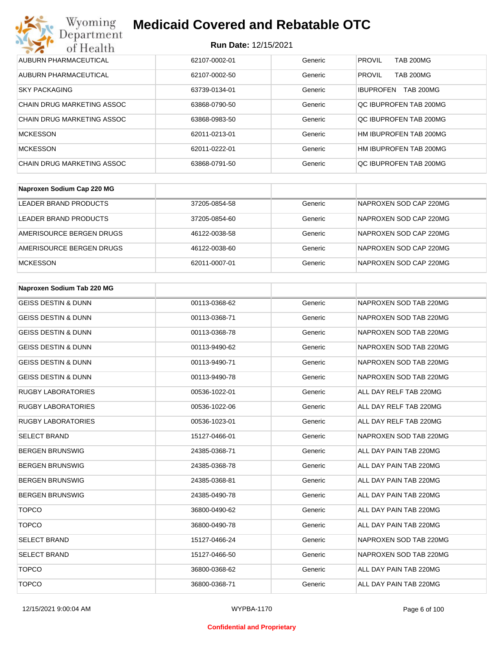| Wyoming<br><b>Medicaid Covered and Rebatable OTC</b><br>Department |                             |         |                                      |  |
|--------------------------------------------------------------------|-----------------------------|---------|--------------------------------------|--|
| of Health                                                          | <b>Run Date: 12/15/2021</b> |         |                                      |  |
| AUBURN PHARMACEUTICAL                                              | 62107-0002-01               | Generic | <b>PROVIL</b><br><b>TAB 200MG</b>    |  |
| AUBURN PHARMACEUTICAL                                              | 62107-0002-50               | Generic | <b>PROVIL</b><br><b>TAB 200MG</b>    |  |
| <b>SKY PACKAGING</b>                                               | 63739-0134-01               | Generic | <b>TAB 200MG</b><br><b>IBUPROFEN</b> |  |
| CHAIN DRUG MARKETING ASSOC                                         | 63868-0790-50               | Generic | OC IBUPROFEN TAB 200MG               |  |
| CHAIN DRUG MARKETING ASSOC                                         | 63868-0983-50               | Generic | QC IBUPROFEN TAB 200MG               |  |
| <b>MCKESSON</b>                                                    | 62011-0213-01               | Generic | HM IBUPROFEN TAB 200MG               |  |
| <b>MCKESSON</b>                                                    | 62011-0222-01               | Generic | HM IBUPROFEN TAB 200MG               |  |
| CHAIN DRUG MARKETING ASSOC                                         | 63868-0791-50               | Generic | OC IBUPROFEN TAB 200MG               |  |

| Naproxen Sodium Cap 220 MG |               |         |                        |
|----------------------------|---------------|---------|------------------------|
| LEADER BRAND PRODUCTS      | 37205-0854-58 | Generic | NAPROXEN SOD CAP 220MG |
| LEADER BRAND PRODUCTS      | 37205-0854-60 | Generic | NAPROXEN SOD CAP 220MG |
| AMERISOURCE BERGEN DRUGS   | 46122-0038-58 | Generic | NAPROXEN SOD CAP 220MG |
| AMERISOURCE BERGEN DRUGS   | 46122-0038-60 | Generic | NAPROXEN SOD CAP 220MG |
| <b>MCKESSON</b>            | 62011-0007-01 | Generic | NAPROXEN SOD CAP 220MG |

| Naproxen Sodium Tab 220 MG     |               |         |                        |
|--------------------------------|---------------|---------|------------------------|
| <b>GEISS DESTIN &amp; DUNN</b> | 00113-0368-62 | Generic | NAPROXEN SOD TAB 220MG |
| <b>GEISS DESTIN &amp; DUNN</b> | 00113-0368-71 | Generic | NAPROXEN SOD TAB 220MG |
| <b>GEISS DESTIN &amp; DUNN</b> | 00113-0368-78 | Generic | NAPROXEN SOD TAB 220MG |
| <b>GEISS DESTIN &amp; DUNN</b> | 00113-9490-62 | Generic | NAPROXEN SOD TAB 220MG |
| <b>GEISS DESTIN &amp; DUNN</b> | 00113-9490-71 | Generic | NAPROXEN SOD TAB 220MG |
| <b>GEISS DESTIN &amp; DUNN</b> | 00113-9490-78 | Generic | NAPROXEN SOD TAB 220MG |
| <b>RUGBY LABORATORIES</b>      | 00536-1022-01 | Generic | ALL DAY RELF TAB 220MG |
| <b>RUGBY LABORATORIES</b>      | 00536-1022-06 | Generic | ALL DAY RELF TAB 220MG |
| <b>RUGBY LABORATORIES</b>      | 00536-1023-01 | Generic | ALL DAY RELF TAB 220MG |
| <b>SELECT BRAND</b>            | 15127-0466-01 | Generic | NAPROXEN SOD TAB 220MG |
| <b>BERGEN BRUNSWIG</b>         | 24385-0368-71 | Generic | ALL DAY PAIN TAB 220MG |
| <b>BERGEN BRUNSWIG</b>         | 24385-0368-78 | Generic | ALL DAY PAIN TAB 220MG |
| <b>BERGEN BRUNSWIG</b>         | 24385-0368-81 | Generic | ALL DAY PAIN TAB 220MG |
| <b>BERGEN BRUNSWIG</b>         | 24385-0490-78 | Generic | ALL DAY PAIN TAB 220MG |
| <b>TOPCO</b>                   | 36800-0490-62 | Generic | ALL DAY PAIN TAB 220MG |
| <b>TOPCO</b>                   | 36800-0490-78 | Generic | ALL DAY PAIN TAB 220MG |
| <b>SELECT BRAND</b>            | 15127-0466-24 | Generic | NAPROXEN SOD TAB 220MG |
| <b>SELECT BRAND</b>            | 15127-0466-50 | Generic | NAPROXEN SOD TAB 220MG |
| <b>TOPCO</b>                   | 36800-0368-62 | Generic | ALL DAY PAIN TAB 220MG |
| <b>TOPCO</b>                   | 36800-0368-71 | Generic | ALL DAY PAIN TAB 220MG |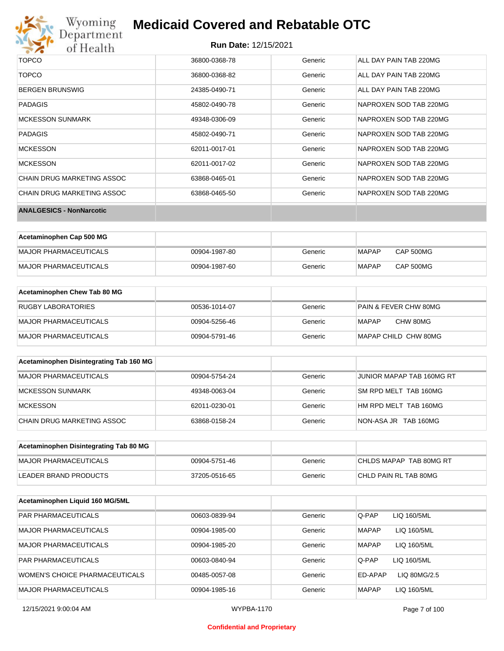

# Wyoming<br>Department<br>of Health

## **Medicaid Covered and Rebatable OTC**

| <b>TOPCO</b>                    | 36800-0368-78 | Generic | ALL DAY PAIN TAB 220MG |
|---------------------------------|---------------|---------|------------------------|
| <b>TOPCO</b>                    | 36800-0368-82 | Generic | ALL DAY PAIN TAB 220MG |
| <b>BERGEN BRUNSWIG</b>          | 24385-0490-71 | Generic | ALL DAY PAIN TAB 220MG |
| <b>PADAGIS</b>                  | 45802-0490-78 | Generic | NAPROXEN SOD TAB 220MG |
| <b>MCKESSON SUNMARK</b>         | 49348-0306-09 | Generic | NAPROXEN SOD TAB 220MG |
| PADAGIS                         | 45802-0490-71 | Generic | NAPROXEN SOD TAB 220MG |
| <b>MCKESSON</b>                 | 62011-0017-01 | Generic | NAPROXEN SOD TAB 220MG |
| <b>MCKESSON</b>                 | 62011-0017-02 | Generic | NAPROXEN SOD TAB 220MG |
| CHAIN DRUG MARKETING ASSOC      | 63868-0465-01 | Generic | NAPROXEN SOD TAB 220MG |
| CHAIN DRUG MARKETING ASSOC      | 63868-0465-50 | Generic | NAPROXEN SOD TAB 220MG |
| <b>ANALGESICS - NonNarcotic</b> |               |         |                        |

| Acetaminophen Cap 500 MG |               |         |              |                  |
|--------------------------|---------------|---------|--------------|------------------|
| MAJOR PHARMACEUTICALS    | 00904-1987-80 | Generic | <b>MAPAP</b> | <b>CAP 500MG</b> |
| MAJOR PHARMACEUTICALS    | 00904-1987-60 | Generic | <b>MAPAP</b> | CAP 500MG        |

| Acetaminophen Chew Tab 80 MG |               |         |                       |
|------------------------------|---------------|---------|-----------------------|
| RUGBY LABORATORIES           | 00536-1014-07 | Generic | PAIN & FEVER CHW 80MG |
| MAJOR PHARMACEUTICALS        | 00904-5256-46 | Generic | CHW 80MG<br>MAPAP     |
| MAJOR PHARMACEUTICALS        | 00904-5791-46 | Generic | MAPAP CHILD CHW 80MG  |

| Acetaminophen Disintegrating Tab 160 MG |               |         |                           |
|-----------------------------------------|---------------|---------|---------------------------|
| MAJOR PHARMACEUTICALS                   | 00904-5754-24 | Generic | JUNIOR MAPAP TAB 160MG RT |
| MCKESSON SUNMARK                        | 49348-0063-04 | Generic | SM RPD MELT TAB 160MG     |
| MCKESSON                                | 62011-0230-01 | Generic | HM RPD MELT TAB 160MG     |
| CHAIN DRUG MARKETING ASSOC              | 63868-0158-24 | Generic | NON-ASA JR TAB 160MG      |

| Acetaminophen Disintegrating Tab 80 MG |               |         |                         |
|----------------------------------------|---------------|---------|-------------------------|
| MAJOR PHARMACEUTICALS                  | 00904-5751-46 | Generic | CHLDS MAPAP TAB 80MG RT |
| LEADER BRAND PRODUCTS                  | 37205-0516-65 | Generic | CHLD PAIN RL TAB 80MG   |

| Acetaminophen Liquid 160 MG/5ML |               |         |                             |
|---------------------------------|---------------|---------|-----------------------------|
| <b>PAR PHARMACEUTICALS</b>      | 00603-0839-94 | Generic | Q-PAP<br>LIQ 160/5ML        |
| MAJOR PHARMACEUTICALS           | 00904-1985-00 | Generic | <b>MAPAP</b><br>LIQ 160/5ML |
| <b>MAJOR PHARMACEUTICALS</b>    | 00904-1985-20 | Generic | <b>MAPAP</b><br>LIQ 160/5ML |
| <b>PAR PHARMACEUTICALS</b>      | 00603-0840-94 | Generic | Q-PAP<br>LIQ 160/5ML        |
| WOMEN'S CHOICE PHARMACEUTICALS  | 00485-0057-08 | Generic | ED-APAP<br>LIQ 80MG/2.5     |
| <b>MAJOR PHARMACEUTICALS</b>    | 00904-1985-16 | Generic | <b>MAPAP</b><br>LIQ 160/5ML |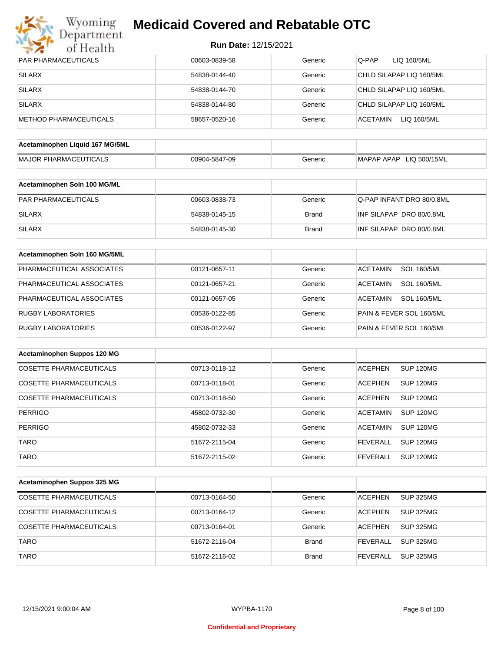

| <b>PAR PHARMACEUTICALS</b>      | 00603-0839-58 | Generic      | Q-PAP<br>LIQ 160/5ML                  |
|---------------------------------|---------------|--------------|---------------------------------------|
| <b>SILARX</b>                   | 54838-0144-40 | Generic      | CHLD SILAPAP LIQ 160/5ML              |
| <b>SILARX</b>                   | 54838-0144-70 | Generic      | CHLD SILAPAP LIQ 160/5ML              |
| <b>SILARX</b>                   | 54838-0144-80 | Generic      | CHLD SILAPAP LIQ 160/5ML              |
| <b>METHOD PHARMACEUTICALS</b>   | 58657-0520-16 | Generic      | <b>ACETAMIN</b><br>LIQ 160/5ML        |
|                                 |               |              |                                       |
| Acetaminophen Liquid 167 MG/5ML |               |              |                                       |
| <b>MAJOR PHARMACEUTICALS</b>    | 00904-5847-09 | Generic      | MAPAP APAP LIQ 500/15ML               |
| Acetaminophen Soln 100 MG/ML    |               |              |                                       |
| PAR PHARMACEUTICALS             | 00603-0838-73 | Generic      | Q-PAP INFANT DRO 80/0.8ML             |
|                                 |               |              |                                       |
| <b>SILARX</b>                   | 54838-0145-15 | <b>Brand</b> | INF SILAPAP DRO 80/0.8ML              |
| <b>SILARX</b>                   | 54838-0145-30 | <b>Brand</b> | INF SILAPAP DRO 80/0.8ML              |
| Acetaminophen Soln 160 MG/5ML   |               |              |                                       |
| PHARMACEUTICAL ASSOCIATES       | 00121-0657-11 | Generic      | <b>SOL 160/5ML</b><br><b>ACETAMIN</b> |
| PHARMACEUTICAL ASSOCIATES       | 00121-0657-21 | Generic      | <b>SOL 160/5ML</b><br><b>ACETAMIN</b> |
| PHARMACEUTICAL ASSOCIATES       | 00121-0657-05 | Generic      | <b>SOL 160/5ML</b><br><b>ACETAMIN</b> |
| <b>RUGBY LABORATORIES</b>       | 00536-0122-85 | Generic      | PAIN & FEVER SOL 160/5ML              |
| <b>RUGBY LABORATORIES</b>       | 00536-0122-97 | Generic      | PAIN & FEVER SOL 160/5ML              |
|                                 |               |              |                                       |
| Acetaminophen Suppos 120 MG     |               |              |                                       |
| <b>COSETTE PHARMACEUTICALS</b>  | 00713-0118-12 | Generic      | <b>ACEPHEN</b><br><b>SUP 120MG</b>    |
| COSETTE PHARMACEUTICALS         | 00713-0118-01 | Generic      | <b>ACEPHEN</b><br><b>SUP 120MG</b>    |
| COSETTE PHARMACEUTICALS         | 00713-0118-50 | Generic      | <b>ACEPHEN</b><br>SUP 120MG           |
| <b>PERRIGO</b>                  | 45802-0732-30 | Generic      | <b>ACETAMIN</b><br>SUP 120MG          |
| <b>PERRIGO</b>                  | 45802-0732-33 | Generic      | <b>ACETAMIN</b><br><b>SUP 120MG</b>   |
| <b>TARO</b>                     | 51672-2115-04 | Generic      | <b>FEVERALL</b><br><b>SUP 120MG</b>   |
| <b>TARO</b>                     | 51672-2115-02 | Generic      | <b>FEVERALL</b><br><b>SUP 120MG</b>   |
|                                 |               |              |                                       |
| Acetaminophen Suppos 325 MG     |               |              |                                       |
| <b>COSETTE PHARMACEUTICALS</b>  | 00713-0164-50 | Generic      | <b>SUP 325MG</b><br><b>ACEPHEN</b>    |
| COSETTE PHARMACEUTICALS         | 00713-0164-12 | Generic      | <b>SUP 325MG</b><br><b>ACEPHEN</b>    |
| COSETTE PHARMACEUTICALS         | 00713-0164-01 | Generic      | <b>ACEPHEN</b><br><b>SUP 325MG</b>    |
| <b>TARO</b>                     | 51672-2116-04 | <b>Brand</b> | <b>FEVERALL</b><br><b>SUP 325MG</b>   |
| <b>TARO</b>                     | 51672-2116-02 | <b>Brand</b> | <b>SUP 325MG</b><br><b>FEVERALL</b>   |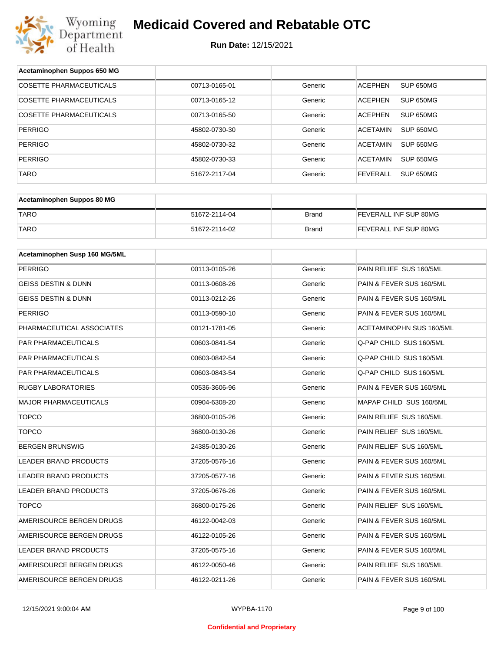

| Acetaminophen Suppos 650 MG    |               |              |                              |
|--------------------------------|---------------|--------------|------------------------------|
| <b>COSETTE PHARMACEUTICALS</b> | 00713-0165-01 | Generic      | SUP 650MG<br><b>ACEPHEN</b>  |
| COSETTE PHARMACEUTICALS        | 00713-0165-12 | Generic      | <b>ACEPHEN</b><br>SUP 650MG  |
| <b>COSETTE PHARMACEUTICALS</b> | 00713-0165-50 | Generic      | <b>ACEPHEN</b><br>SUP 650MG  |
| <b>PERRIGO</b>                 | 45802-0730-30 | Generic      | <b>ACETAMIN</b><br>SUP 650MG |
| <b>PERRIGO</b>                 | 45802-0730-32 | Generic      | <b>ACETAMIN</b><br>SUP 650MG |
| <b>PERRIGO</b>                 | 45802-0730-33 | Generic      | <b>ACETAMIN</b><br>SUP 650MG |
| TARO                           | 51672-2117-04 | Generic      | <b>FEVERALL</b><br>SUP 650MG |
|                                |               |              |                              |
| Acetaminophen Suppos 80 MG     |               |              |                              |
| <b>TARO</b>                    | 51672-2114-04 | <b>Brand</b> | FEVERALL INF SUP 80MG        |
| <b>TARO</b>                    | 51672-2114-02 | Brand        | FEVERALL INF SUP 80MG        |
|                                |               |              |                              |
| Acetaminophen Susp 160 MG/5ML  |               |              |                              |
| <b>PERRIGO</b>                 | 00113-0105-26 | Generic      | PAIN RELIEF SUS 160/5ML      |
| <b>GEISS DESTIN &amp; DUNN</b> | 00113-0608-26 | Generic      | PAIN & FEVER SUS 160/5ML     |
| GEISS DESTIN & DUNN            | 00113-0212-26 | Generic      | PAIN & FEVER SUS 160/5ML     |
| <b>PERRIGO</b>                 | 00113-0590-10 | Generic      | PAIN & FEVER SUS 160/5ML     |
| PHARMACEUTICAL ASSOCIATES      | 00121-1781-05 | Generic      | ACETAMINOPHN SUS 160/5ML     |
| PAR PHARMACEUTICALS            | 00603-0841-54 | Generic      | Q-PAP CHILD SUS 160/5ML      |
| PAR PHARMACEUTICALS            | 00603-0842-54 | Generic      | Q-PAP CHILD SUS 160/5ML      |
| PAR PHARMACEUTICALS            | 00603-0843-54 | Generic      | Q-PAP CHILD SUS 160/5ML      |
| RUGBY LABORATORIES             | 00536-3606-96 | Generic      | PAIN & FEVER SUS 160/5ML     |
| <b>MAJOR PHARMACEUTICALS</b>   | 00904-6308-20 | Generic      | MAPAP CHILD SUS 160/5ML      |
| <b>TOPCO</b>                   | 36800-0105-26 | Generic      | PAIN RELIEF SUS 160/5ML      |
| <b>TOPCO</b>                   | 36800-0130-26 | Generic      | PAIN RELIEF SUS 160/5ML      |
| <b>BERGEN BRUNSWIG</b>         | 24385-0130-26 | Generic      | PAIN RELIEF SUS 160/5ML      |
| LEADER BRAND PRODUCTS          | 37205-0576-16 | Generic      | PAIN & FEVER SUS 160/5ML     |
| LEADER BRAND PRODUCTS          | 37205-0577-16 | Generic      | PAIN & FEVER SUS 160/5ML     |
| <b>LEADER BRAND PRODUCTS</b>   | 37205-0676-26 | Generic      | PAIN & FEVER SUS 160/5ML     |
| <b>TOPCO</b>                   | 36800-0175-26 | Generic      | PAIN RELIEF SUS 160/5ML      |
| AMERISOURCE BERGEN DRUGS       | 46122-0042-03 | Generic      | PAIN & FEVER SUS 160/5ML     |
| AMERISOURCE BERGEN DRUGS       | 46122-0105-26 | Generic      | PAIN & FEVER SUS 160/5ML     |
| LEADER BRAND PRODUCTS          | 37205-0575-16 | Generic      | PAIN & FEVER SUS 160/5ML     |
| AMERISOURCE BERGEN DRUGS       | 46122-0050-46 | Generic      | PAIN RELIEF SUS 160/5ML      |
| AMERISOURCE BERGEN DRUGS       | 46122-0211-26 | Generic      | PAIN & FEVER SUS 160/5ML     |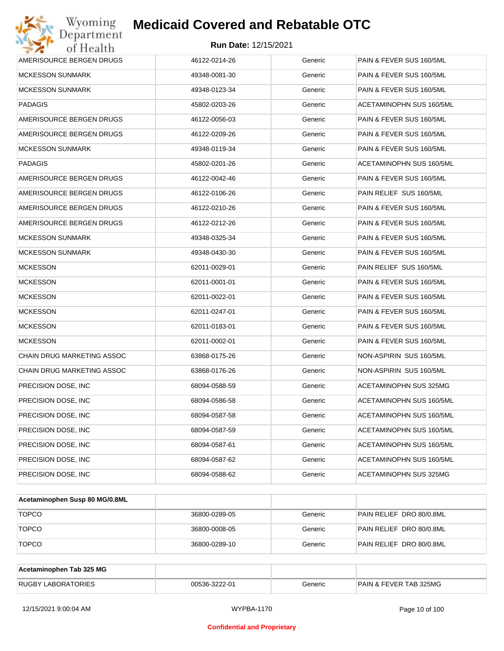

| AMERISOURCE BERGEN DRUGS          | 46122-0214-26 | Generic | PAIN & FEVER SUS 160/5ML |
|-----------------------------------|---------------|---------|--------------------------|
| <b>MCKESSON SUNMARK</b>           | 49348-0081-30 | Generic | PAIN & FEVER SUS 160/5ML |
| <b>MCKESSON SUNMARK</b>           | 49348-0123-34 | Generic | PAIN & FEVER SUS 160/5ML |
| <b>PADAGIS</b>                    | 45802-0203-26 | Generic | ACETAMINOPHN SUS 160/5ML |
| AMERISOURCE BERGEN DRUGS          | 46122-0056-03 | Generic | PAIN & FEVER SUS 160/5ML |
| AMERISOURCE BERGEN DRUGS          | 46122-0209-26 | Generic | PAIN & FEVER SUS 160/5ML |
| MCKESSON SUNMARK                  | 49348-0119-34 | Generic | PAIN & FEVER SUS 160/5ML |
| <b>PADAGIS</b>                    | 45802-0201-26 | Generic | ACETAMINOPHN SUS 160/5ML |
| AMERISOURCE BERGEN DRUGS          | 46122-0042-46 | Generic | PAIN & FEVER SUS 160/5ML |
| AMERISOURCE BERGEN DRUGS          | 46122-0106-26 | Generic | PAIN RELIEF SUS 160/5ML  |
| AMERISOURCE BERGEN DRUGS          | 46122-0210-26 | Generic | PAIN & FEVER SUS 160/5ML |
| AMERISOURCE BERGEN DRUGS          | 46122-0212-26 | Generic | PAIN & FEVER SUS 160/5ML |
| <b>MCKESSON SUNMARK</b>           | 49348-0325-34 | Generic | PAIN & FEVER SUS 160/5ML |
| <b>MCKESSON SUNMARK</b>           | 49348-0430-30 | Generic | PAIN & FEVER SUS 160/5ML |
| <b>MCKESSON</b>                   | 62011-0029-01 | Generic | PAIN RELIEF SUS 160/5ML  |
| <b>MCKESSON</b>                   | 62011-0001-01 | Generic | PAIN & FEVER SUS 160/5ML |
| <b>MCKESSON</b>                   | 62011-0022-01 | Generic | PAIN & FEVER SUS 160/5ML |
| <b>MCKESSON</b>                   | 62011-0247-01 | Generic | PAIN & FEVER SUS 160/5ML |
| <b>MCKESSON</b>                   | 62011-0183-01 | Generic | PAIN & FEVER SUS 160/5ML |
| <b>MCKESSON</b>                   | 62011-0002-01 | Generic | PAIN & FEVER SUS 160/5ML |
| <b>CHAIN DRUG MARKETING ASSOC</b> | 63868-0175-26 | Generic | NON-ASPIRIN SUS 160/5ML  |
| CHAIN DRUG MARKETING ASSOC        | 63868-0176-26 | Generic | NON-ASPIRIN SUS 160/5ML  |
| PRECISION DOSE, INC.              | 68094-0588-59 | Generic | ACETAMINOPHN SUS 325MG   |
| PRECISION DOSE, INC               | 68094-0586-58 | Generic | ACETAMINOPHN SUS 160/5ML |
| PRECISION DOSE, INC.              | 68094-0587-58 | Generic | ACETAMINOPHN SUS 160/5ML |
| PRECISION DOSE, INC               | 68094-0587-59 | Generic | ACETAMINOPHN SUS 160/5ML |
| PRECISION DOSE, INC.              | 68094-0587-61 | Generic | ACETAMINOPHN SUS 160/5ML |
| PRECISION DOSE, INC               | 68094-0587-62 | Generic | ACETAMINOPHN SUS 160/5ML |
| PRECISION DOSE, INC               | 68094-0588-62 | Generic | ACETAMINOPHN SUS 325MG   |

| Acetaminophen Susp 80 MG/0.8ML |               |         |                          |
|--------------------------------|---------------|---------|--------------------------|
| <b>TOPCO</b>                   | 36800-0289-05 | Generic | PAIN RELIEF DRO 80/0.8ML |
| <b>TOPCO</b>                   | 36800-0008-05 | Generic | PAIN RELIEF DRO 80/0.8ML |
| <b>TOPCO</b>                   | 36800-0289-10 | Generic | PAIN RELIEF DRO 80/0.8ML |

| Acetaminophen Tab 325 MG  |               |         |                                   |
|---------------------------|---------------|---------|-----------------------------------|
| <b>RUGBY LABORATORIES</b> | 00536-3222-01 | Generic | <b>PAIN &amp; FEVER TAB 325MG</b> |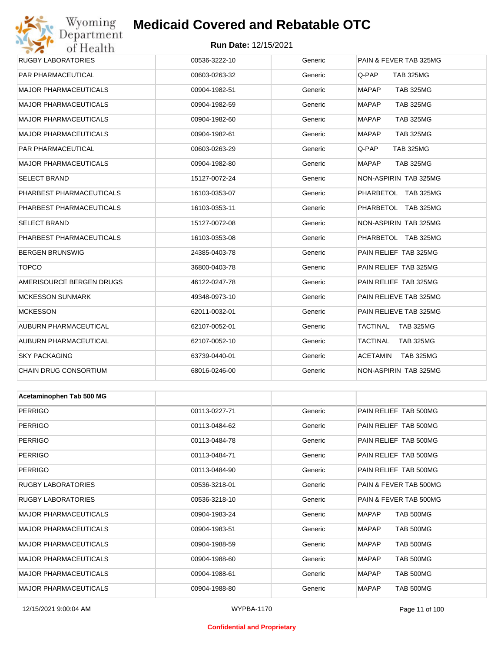# Wyoming<br>Department<br>of Health

## **Medicaid Covered and Rebatable OTC**

#### **Run Date:** 12/15/2021

| <b>OF TECALLE</b>            |               |         |                                  |
|------------------------------|---------------|---------|----------------------------------|
| <b>RUGBY LABORATORIES</b>    | 00536-3222-10 | Generic | PAIN & FEVER TAB 325MG           |
| PAR PHARMACEUTICAL           | 00603-0263-32 | Generic | Q-PAP<br><b>TAB 325MG</b>        |
| <b>MAJOR PHARMACEUTICALS</b> | 00904-1982-51 | Generic | <b>MAPAP</b><br><b>TAB 325MG</b> |
| <b>MAJOR PHARMACEUTICALS</b> | 00904-1982-59 | Generic | <b>MAPAP</b><br><b>TAB 325MG</b> |
| <b>MAJOR PHARMACEUTICALS</b> | 00904-1982-60 | Generic | <b>MAPAP</b><br><b>TAB 325MG</b> |
| <b>MAJOR PHARMACEUTICALS</b> | 00904-1982-61 | Generic | <b>MAPAP</b><br><b>TAB 325MG</b> |
| PAR PHARMACEUTICAL           | 00603-0263-29 | Generic | Q-PAP<br><b>TAB 325MG</b>        |
| <b>MAJOR PHARMACEUTICALS</b> | 00904-1982-80 | Generic | <b>MAPAP</b><br><b>TAB 325MG</b> |
| <b>SELECT BRAND</b>          | 15127-0072-24 | Generic | NON-ASPIRIN TAB 325MG            |
| PHARBEST PHARMACEUTICALS     | 16103-0353-07 | Generic | PHARBETOL TAB 325MG              |
| PHARBEST PHARMACEUTICALS     | 16103-0353-11 | Generic | PHARBETOL TAB 325MG              |
| <b>SELECT BRAND</b>          | 15127-0072-08 | Generic | NON-ASPIRIN TAB 325MG            |
| PHARBEST PHARMACEUTICALS     | 16103-0353-08 | Generic | PHARBETOL TAB 325MG              |
| <b>BERGEN BRUNSWIG</b>       | 24385-0403-78 | Generic | PAIN RELIEF TAB 325MG            |
| <b>TOPCO</b>                 | 36800-0403-78 | Generic | PAIN RELIEF TAB 325MG            |
| AMERISOURCE BERGEN DRUGS     | 46122-0247-78 | Generic | PAIN RELIEF TAB 325MG            |
| <b>MCKESSON SUNMARK</b>      | 49348-0973-10 | Generic | PAIN RELIEVE TAB 325MG           |
| <b>MCKESSON</b>              | 62011-0032-01 | Generic | PAIN RELIEVE TAB 325MG           |
| AUBURN PHARMACEUTICAL        | 62107-0052-01 | Generic | TACTINAL<br><b>TAB 325MG</b>     |
| AUBURN PHARMACEUTICAL        | 62107-0052-10 | Generic | TACTINAL<br><b>TAB 325MG</b>     |
| <b>SKY PACKAGING</b>         | 63739-0440-01 | Generic | ACETAMIN<br>TAB 325MG            |
| CHAIN DRUG CONSORTIUM        | 68016-0246-00 | Generic | NON-ASPIRIN TAB 325MG            |
|                              |               |         |                                  |
| Acetaminophen Tab 500 MG     |               |         |                                  |
| <b>PERRIGO</b>               | 00113-0227-71 | Generic | PAIN RELIEF TAB 500MG            |
| <b>PERRIGO</b>               | 00113-0484-62 | Generic | PAIN RELIEF TAB 500MG            |
| <b>PERRIGO</b>               | 00113-0484-78 | Generic | PAIN RELIEF TAB 500MG            |
| <b>PERRIGO</b>               | 00113-0484-71 | Generic | PAIN RELIEF TAB 500MG            |
| <b>PERRIGO</b>               | 00113-0484-90 | Generic | PAIN RELIEF TAB 500MG            |
| <b>RUGBY LABORATORIES</b>    | 00536-3218-01 | Generic | PAIN & FEVER TAB 500MG           |
| RUGBY LABORATORIES           | 00536-3218-10 | Generic | PAIN & FEVER TAB 500MG           |

MAJOR PHARMACEUTICALS 00904-1983-24 Generic MAPAP TAB 500MG MAJOR PHARMACEUTICALS 00904-1983-51 Generic MAPAP TAB 500MG MAJOR PHARMACEUTICALS **COMBUS 200904-1988-59** Generic MAPAP TAB 500MG MAJOR PHARMACEUTICALS 00904-1988-60 Generic MAPAP TAB 500MG MAJOR PHARMACEUTICALS 
(00904-1988-61 Generic MAPAP TAB 500MG MAJOR PHARMACEUTICALS 00904-1988-80 Generic MAPAP TAB 500MG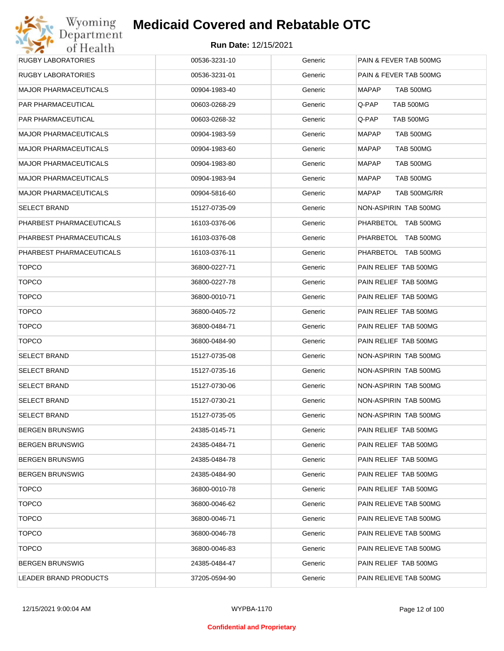

| <b>RUGBY LABORATORIES</b>    | 00536-3231-10 | Generic | PAIN & FEVER TAB 500MG       |
|------------------------------|---------------|---------|------------------------------|
| <b>RUGBY LABORATORIES</b>    | 00536-3231-01 | Generic | PAIN & FEVER TAB 500MG       |
| <b>MAJOR PHARMACEUTICALS</b> | 00904-1983-40 | Generic | TAB 500MG<br>MAPAP           |
| PAR PHARMACEUTICAL           | 00603-0268-29 | Generic | TAB 500MG<br>Q-PAP           |
| PAR PHARMACEUTICAL           | 00603-0268-32 | Generic | TAB 500MG<br>Q-PAP           |
| <b>MAJOR PHARMACEUTICALS</b> | 00904-1983-59 | Generic | <b>MAPAP</b><br>TAB 500MG    |
| <b>MAJOR PHARMACEUTICALS</b> | 00904-1983-60 | Generic | <b>MAPAP</b><br>TAB 500MG    |
| <b>MAJOR PHARMACEUTICALS</b> | 00904-1983-80 | Generic | <b>MAPAP</b><br>TAB 500MG    |
| <b>MAJOR PHARMACEUTICALS</b> | 00904-1983-94 | Generic | MAPAP<br>TAB 500MG           |
| <b>MAJOR PHARMACEUTICALS</b> | 00904-5816-60 | Generic | <b>MAPAP</b><br>TAB 500MG/RR |
| <b>SELECT BRAND</b>          | 15127-0735-09 | Generic | NON-ASPIRIN TAB 500MG        |
| PHARBEST PHARMACEUTICALS     | 16103-0376-06 | Generic | PHARBETOL TAB 500MG          |
| PHARBEST PHARMACEUTICALS     | 16103-0376-08 | Generic | PHARBETOL TAB 500MG          |
| PHARBEST PHARMACEUTICALS     | 16103-0376-11 | Generic | PHARBETOL TAB 500MG          |
| <b>TOPCO</b>                 | 36800-0227-71 | Generic | PAIN RELIEF TAB 500MG        |
| <b>TOPCO</b>                 | 36800-0227-78 | Generic | PAIN RELIEF TAB 500MG        |
| <b>TOPCO</b>                 | 36800-0010-71 | Generic | PAIN RELIEF TAB 500MG        |
| <b>TOPCO</b>                 | 36800-0405-72 | Generic | PAIN RELIEF TAB 500MG        |
| <b>TOPCO</b>                 | 36800-0484-71 | Generic | PAIN RELIEF TAB 500MG        |
| <b>TOPCO</b>                 | 36800-0484-90 | Generic | PAIN RELIEF TAB 500MG        |
| <b>SELECT BRAND</b>          | 15127-0735-08 | Generic | NON-ASPIRIN TAB 500MG        |
| <b>SELECT BRAND</b>          | 15127-0735-16 | Generic | NON-ASPIRIN TAB 500MG        |
| <b>SELECT BRAND</b>          | 15127-0730-06 | Generic | NON-ASPIRIN TAB 500MG        |
| <b>SELECT BRAND</b>          | 15127-0730-21 | Generic | NON-ASPIRIN TAB 500MG        |
| <b>SELECT BRAND</b>          | 15127-0735-05 | Generic | NON-ASPIRIN TAB 500MG        |
| <b>BERGEN BRUNSWIG</b>       | 24385-0145-71 | Generic | PAIN RELIEF TAB 500MG        |
| <b>BERGEN BRUNSWIG</b>       | 24385-0484-71 | Generic | PAIN RELIEF TAB 500MG        |
| <b>BERGEN BRUNSWIG</b>       | 24385-0484-78 | Generic | PAIN RELIEF TAB 500MG        |
| <b>BERGEN BRUNSWIG</b>       | 24385-0484-90 | Generic | PAIN RELIEF TAB 500MG        |
| <b>TOPCO</b>                 | 36800-0010-78 | Generic | PAIN RELIEF TAB 500MG        |
| <b>TOPCO</b>                 | 36800-0046-62 | Generic | PAIN RELIEVE TAB 500MG       |
| <b>TOPCO</b>                 | 36800-0046-71 | Generic | PAIN RELIEVE TAB 500MG       |
| <b>TOPCO</b>                 | 36800-0046-78 | Generic | PAIN RELIEVE TAB 500MG       |
| <b>TOPCO</b>                 | 36800-0046-83 | Generic | PAIN RELIEVE TAB 500MG       |
| <b>BERGEN BRUNSWIG</b>       | 24385-0484-47 | Generic | PAIN RELIEF TAB 500MG        |
| LEADER BRAND PRODUCTS        | 37205-0594-90 | Generic | PAIN RELIEVE TAB 500MG       |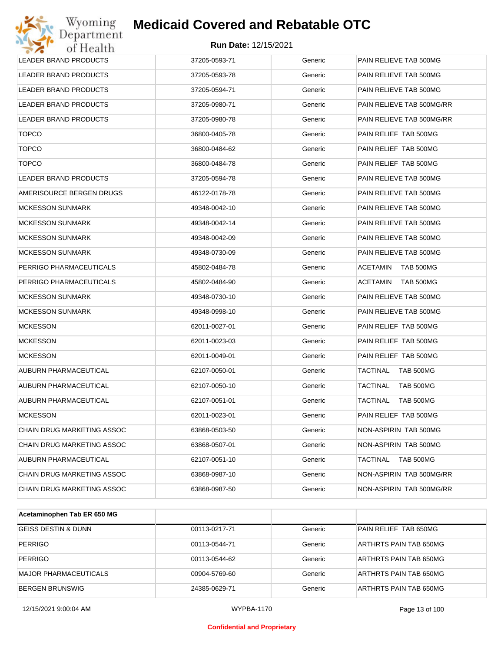

| Wyoming<br>Department        | <b>Medicaid Covered and Rebatable OTC</b> |         |                              |
|------------------------------|-------------------------------------------|---------|------------------------------|
| of Health                    | <b>Run Date: 12/15/2021</b>               |         |                              |
| <b>LEADER BRAND PRODUCTS</b> | 37205-0593-71                             | Generic | PAIN RELIEVE TAB 500MG       |
| LEADER BRAND PRODUCTS        | 37205-0593-78                             | Generic | PAIN RELIEVE TAB 500MG       |
| LEADER BRAND PRODUCTS        | 37205-0594-71                             | Generic | PAIN RELIEVE TAB 500MG       |
| <b>LEADER BRAND PRODUCTS</b> | 37205-0980-71                             | Generic | PAIN RELIEVE TAB 500MG/RR    |
| LEADER BRAND PRODUCTS        | 37205-0980-78                             | Generic | PAIN RELIEVE TAB 500MG/RR    |
| <b>TOPCO</b>                 | 36800-0405-78                             | Generic | PAIN RELIEF TAB 500MG        |
| <b>TOPCO</b>                 | 36800-0484-62                             | Generic | PAIN RELIEF TAB 500MG        |
| <b>TOPCO</b>                 | 36800-0484-78                             | Generic | PAIN RELIEF TAB 500MG        |
| LEADER BRAND PRODUCTS        | 37205-0594-78                             | Generic | PAIN RELIEVE TAB 500MG       |
| AMERISOURCE BERGEN DRUGS     | 46122-0178-78                             | Generic | PAIN RELIEVE TAB 500MG       |
| <b>MCKESSON SUNMARK</b>      | 49348-0042-10                             | Generic | PAIN RELIEVE TAB 500MG       |
| MCKESSON SUNMARK             | 49348-0042-14                             | Generic | PAIN RELIEVE TAB 500MG       |
| MCKESSON SUNMARK             | 49348-0042-09                             | Generic | PAIN RELIEVE TAB 500MG       |
| MCKESSON SUNMARK             | 49348-0730-09                             | Generic | PAIN RELIEVE TAB 500MG       |
| PERRIGO PHARMACEUTICALS      | 45802-0484-78                             | Generic | <b>ACETAMIN</b><br>TAB 500MG |
| PERRIGO PHARMACEUTICALS      | 45802-0484-90                             | Generic | <b>ACETAMIN</b><br>TAB 500MG |
| <b>MCKESSON SUNMARK</b>      | 49348-0730-10                             | Generic | PAIN RELIEVE TAB 500MG       |
| MCKESSON SUNMARK             | 49348-0998-10                             | Generic | PAIN RELIEVE TAB 500MG       |
| <b>MCKESSON</b>              | 62011-0027-01                             | Generic | PAIN RELIEF TAB 500MG        |
| <b>MCKESSON</b>              | 62011-0023-03                             | Generic | PAIN RELIEF TAB 500MG        |
| <b>MCKESSON</b>              | 62011-0049-01                             | Generic | PAIN RELIEF TAB 500MG        |
| AUBURN PHARMACEUTICAL        | 62107-0050-01                             | Generic | TACTINAL<br>TAB 500MG        |
| AUBURN PHARMACEUTICAL        | 62107-0050-10                             | Generic | TACTINAL<br>TAB 500MG        |
| AUBURN PHARMACEUTICAL        | 62107-0051-01                             | Generic | TACTINAL<br>TAB 500MG        |
| <b>MCKESSON</b>              | 62011-0023-01                             | Generic | PAIN RELIEF TAB 500MG        |
| CHAIN DRUG MARKETING ASSOC   | 63868-0503-50                             | Generic | NON-ASPIRIN TAB 500MG        |
| CHAIN DRUG MARKETING ASSOC   | 63868-0507-01                             | Generic | NON-ASPIRIN TAB 500MG        |
| AUBURN PHARMACEUTICAL        | 62107-0051-10                             | Generic | TACTINAL<br>TAB 500MG        |
| CHAIN DRUG MARKETING ASSOC   | 63868-0987-10                             | Generic | NON-ASPIRIN TAB 500MG/RR     |
| CHAIN DRUG MARKETING ASSOC   | 63868-0987-50                             | Generic | NON-ASPIRIN TAB 500MG/RR     |

| Acetaminophen Tab ER 650 MG    |               |         |                        |
|--------------------------------|---------------|---------|------------------------|
| <b>GEISS DESTIN &amp; DUNN</b> | 00113-0217-71 | Generic | PAIN RELIEF TAB 650MG  |
| PERRIGO                        | 00113-0544-71 | Generic | ARTHRTS PAIN TAB 650MG |
| <b>PERRIGO</b>                 | 00113-0544-62 | Generic | ARTHRTS PAIN TAB 650MG |
| <b>MAJOR PHARMACEUTICALS</b>   | 00904-5769-60 | Generic | ARTHRTS PAIN TAB 650MG |
| BERGEN BRUNSWIG                | 24385-0629-71 | Generic | ARTHRTS PAIN TAB 650MG |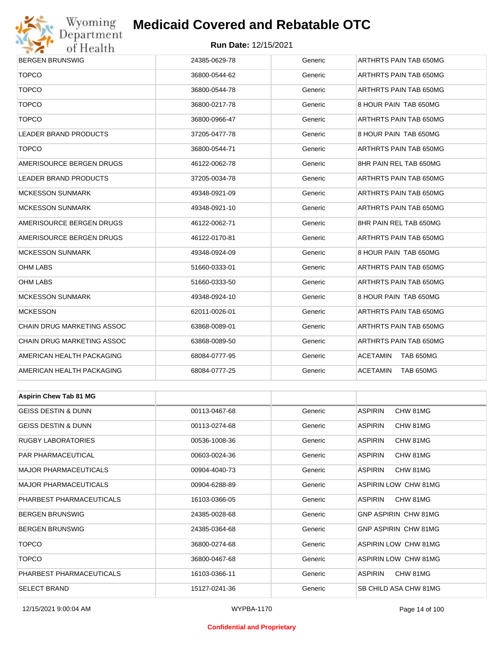

#### **Run Date:** 12/15/2021

| <b>BERGEN BRUNSWIG</b>         | 24385-0629-78 | Generic | ARTHRTS PAIN TAB 650MG       |  |  |
|--------------------------------|---------------|---------|------------------------------|--|--|
| <b>TOPCO</b>                   | 36800-0544-62 | Generic | ARTHRTS PAIN TAB 650MG       |  |  |
| <b>TOPCO</b>                   | 36800-0544-78 | Generic | ARTHRTS PAIN TAB 650MG       |  |  |
| <b>TOPCO</b>                   | 36800-0217-78 | Generic | 8 HOUR PAIN TAB 650MG        |  |  |
| <b>TOPCO</b>                   | 36800-0966-47 | Generic | ARTHRTS PAIN TAB 650MG       |  |  |
| LEADER BRAND PRODUCTS          | 37205-0477-78 | Generic | 8 HOUR PAIN TAB 650MG        |  |  |
| <b>TOPCO</b>                   | 36800-0544-71 | Generic | ARTHRTS PAIN TAB 650MG       |  |  |
| AMERISOURCE BERGEN DRUGS       | 46122-0062-78 | Generic | 8HR PAIN REL TAB 650MG       |  |  |
| LEADER BRAND PRODUCTS          | 37205-0034-78 | Generic | ARTHRTS PAIN TAB 650MG       |  |  |
| MCKESSON SUNMARK               | 49348-0921-09 | Generic | ARTHRTS PAIN TAB 650MG       |  |  |
| MCKESSON SUNMARK               | 49348-0921-10 | Generic | ARTHRTS PAIN TAB 650MG       |  |  |
| AMERISOURCE BERGEN DRUGS       | 46122-0062-71 | Generic | 8HR PAIN REL TAB 650MG       |  |  |
| AMERISOURCE BERGEN DRUGS       | 46122-0170-81 | Generic | ARTHRTS PAIN TAB 650MG       |  |  |
| MCKESSON SUNMARK               | 49348-0924-09 | Generic | 8 HOUR PAIN TAB 650MG        |  |  |
| OHM LABS                       | 51660-0333-01 | Generic | ARTHRTS PAIN TAB 650MG       |  |  |
| <b>OHM LABS</b>                | 51660-0333-50 | Generic | ARTHRTS PAIN TAB 650MG       |  |  |
| MCKESSON SUNMARK               | 49348-0924-10 | Generic | 8 HOUR PAIN TAB 650MG        |  |  |
| <b>MCKESSON</b>                | 62011-0026-01 | Generic | ARTHRTS PAIN TAB 650MG       |  |  |
| CHAIN DRUG MARKETING ASSOC     | 63868-0089-01 | Generic | ARTHRTS PAIN TAB 650MG       |  |  |
| CHAIN DRUG MARKETING ASSOC     | 63868-0089-50 | Generic | ARTHRTS PAIN TAB 650MG       |  |  |
| AMERICAN HEALTH PACKAGING      | 68084-0777-95 | Generic | <b>ACETAMIN</b><br>TAB 650MG |  |  |
| AMERICAN HEALTH PACKAGING      | 68084-0777-25 | Generic | <b>ACETAMIN</b><br>TAB 650MG |  |  |
|                                |               |         |                              |  |  |
| <b>Aspirin Chew Tab 81 MG</b>  |               |         |                              |  |  |
| <b>GEISS DESTIN &amp; DUNN</b> | 00113-0467-68 | Generic | <b>ASPIRIN</b><br>CHW 81MG   |  |  |
| GEISS DESTIN & DUNN            | 00113-0274-68 | Generic | ASPIRIN<br>CHW 81MG          |  |  |
| RUGBY LABORATORIES             | 00536-1008-36 | Generic | <b>ASPIRIN</b><br>CHW 81MG   |  |  |
| PAR PHARMACEUTICAL             | 00603-0024-36 | Generic | ASPIRIN<br>CHW 81MG          |  |  |
| <b>MAJOR PHARMACEUTICALS</b>   | 00904-4040-73 | Generic | ASPIRIN<br>CHW 81MG          |  |  |
| MAJOR PHARMACEUTICALS          | 00904-6288-89 | Generic | ASPIRIN LOW CHW 81MG         |  |  |
| PHARBEST PHARMACEUTICALS       | 16103-0366-05 | Generic | ASPIRIN<br>CHW 81MG          |  |  |
| <b>BERGEN BRUNSWIG</b>         | 24385-0028-68 | Generic | GNP ASPIRIN CHW 81MG         |  |  |
| BERGEN BRUNSWIG                | 24385-0364-68 | Generic | <b>GNP ASPIRIN CHW 81MG</b>  |  |  |
| <b>TOPCO</b>                   | 36800-0274-68 | Generic | ASPIRIN LOW CHW 81MG         |  |  |
| <b>TOPCO</b>                   | 36800-0467-68 | Generic | ASPIRIN LOW CHW 81MG         |  |  |

PHARBEST PHARMACEUTICALS 16103-0366-11 Generic ASPIRIN CHW 81MG SELECT BRAND 15127-0241-36 Generic SB CHILD ASA CHW 81MG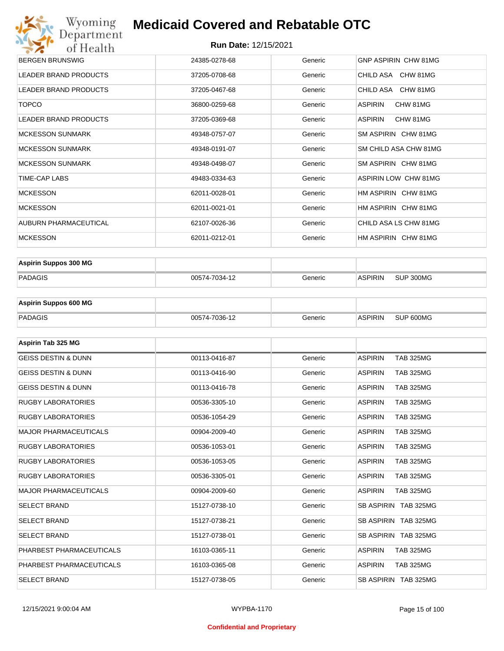#### **Run Date:** 12/15/2021

| Wyoming                      | <b>Medicaid Covered and Rebatable OTC</b> |                             |                             |  |
|------------------------------|-------------------------------------------|-----------------------------|-----------------------------|--|
| Department<br>of Health      |                                           | <b>Run Date: 12/15/2021</b> |                             |  |
| <b>BERGEN BRUNSWIG</b>       | 24385-0278-68                             | Generic                     | <b>GNP ASPIRIN CHW 81MG</b> |  |
| <b>LEADER BRAND PRODUCTS</b> | 37205-0708-68                             | Generic                     | CHILD ASA CHW 81MG          |  |
| LEADER BRAND PRODUCTS        | 37205-0467-68                             | Generic                     | CHILD ASA CHW 81MG          |  |
| <b>TOPCO</b>                 | 36800-0259-68                             | Generic                     | CHW 81MG<br>ASPIRIN         |  |
| <b>LEADER BRAND PRODUCTS</b> | 37205-0369-68                             | Generic                     | <b>ASPIRIN</b><br>CHW 81MG  |  |
| <b>MCKESSON SUNMARK</b>      | 49348-0757-07                             | Generic                     | SM ASPIRIN CHW 81MG         |  |
| <b>MCKESSON SUNMARK</b>      | 49348-0191-07                             | Generic                     | SM CHILD ASA CHW 81MG       |  |
| <b>MCKESSON SUNMARK</b>      | 49348-0498-07                             | Generic                     | SM ASPIRIN CHW 81MG         |  |
| TIME-CAP LABS                | 49483-0334-63                             | Generic                     | <b>ASPIRIN LOW CHW 81MG</b> |  |
| <b>MCKESSON</b>              | 62011-0028-01                             | Generic                     | HM ASPIRIN CHW 81MG         |  |
| <b>MCKESSON</b>              | 62011-0021-01                             | Generic                     | HM ASPIRIN CHW 81MG         |  |
| <b>AUBURN PHARMACEUTICAL</b> | 62107-0026-36                             | Generic                     | CHILD ASA LS CHW 81MG       |  |
| <b>MCKESSON</b>              | 62011-0212-01                             | Generic                     | HM ASPIRIN CHW 81MG         |  |

| <b>Aspirin Suppos 300 MG</b> |               |         |                |           |
|------------------------------|---------------|---------|----------------|-----------|
| PADAGIS                      | 00574-7034-12 | Generic | <b>ASPIRIN</b> | SUP 300MG |

| <b>Aspirin Suppos 600 MG</b> |               |         |                |           |
|------------------------------|---------------|---------|----------------|-----------|
| PADAGIS                      | 00574-7036-12 | Generic | <b>ASPIRIN</b> | SUP 600MG |

| Aspirin Tab 325 MG             |               |         |                                    |
|--------------------------------|---------------|---------|------------------------------------|
| <b>GEISS DESTIN &amp; DUNN</b> | 00113-0416-87 | Generic | <b>ASPIRIN</b><br><b>TAB 325MG</b> |
| <b>GEISS DESTIN &amp; DUNN</b> | 00113-0416-90 | Generic | <b>ASPIRIN</b><br><b>TAB 325MG</b> |
| <b>GEISS DESTIN &amp; DUNN</b> | 00113-0416-78 | Generic | <b>ASPIRIN</b><br><b>TAB 325MG</b> |
| <b>RUGBY LABORATORIES</b>      | 00536-3305-10 | Generic | <b>TAB 325MG</b><br><b>ASPIRIN</b> |
| <b>RUGBY LABORATORIES</b>      | 00536-1054-29 | Generic | <b>ASPIRIN</b><br><b>TAB 325MG</b> |
| <b>MAJOR PHARMACEUTICALS</b>   | 00904-2009-40 | Generic | <b>ASPIRIN</b><br><b>TAB 325MG</b> |
| <b>RUGBY LABORATORIES</b>      | 00536-1053-01 | Generic | <b>ASPIRIN</b><br><b>TAB 325MG</b> |
| <b>RUGBY LABORATORIES</b>      | 00536-1053-05 | Generic | <b>ASPIRIN</b><br><b>TAB 325MG</b> |
| <b>RUGBY LABORATORIES</b>      | 00536-3305-01 | Generic | <b>TAB 325MG</b><br><b>ASPIRIN</b> |
| <b>MAJOR PHARMACEUTICALS</b>   | 00904-2009-60 | Generic | <b>ASPIRIN</b><br><b>TAB 325MG</b> |
| <b>SELECT BRAND</b>            | 15127-0738-10 | Generic | SB ASPIRIN TAB 325MG               |
| <b>SELECT BRAND</b>            | 15127-0738-21 | Generic | SB ASPIRIN TAB 325MG               |
| <b>SELECT BRAND</b>            | 15127-0738-01 | Generic | SB ASPIRIN TAB 325MG               |
| PHARBEST PHARMACEUTICALS       | 16103-0365-11 | Generic | <b>ASPIRIN</b><br><b>TAB 325MG</b> |
| PHARBEST PHARMACEUTICALS       | 16103-0365-08 | Generic | <b>ASPIRIN</b><br><b>TAB 325MG</b> |
| <b>SELECT BRAND</b>            | 15127-0738-05 | Generic | SB ASPIRIN TAB 325MG               |

#### **Confidential and Proprietary**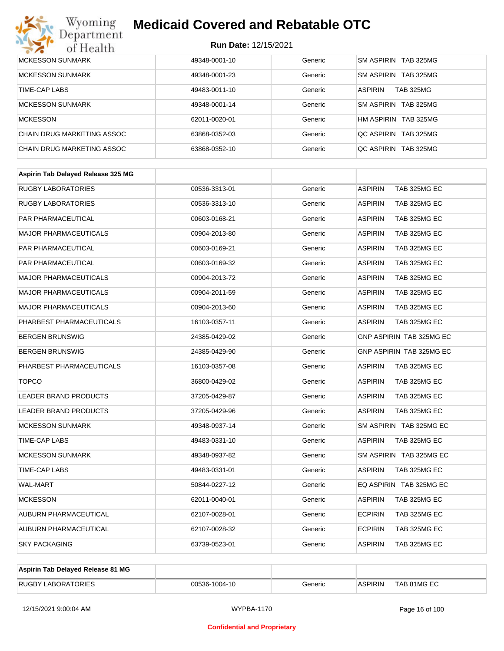

| MCKESSON SUNMARK           | 49348-0001-10 | Generic | SM ASPIRIN TAB 325MG               |
|----------------------------|---------------|---------|------------------------------------|
| <b>MCKESSON SUNMARK</b>    | 49348-0001-23 | Generic | SM ASPIRIN TAB 325MG               |
| TIME-CAP LABS              | 49483-0011-10 | Generic | <b>TAB 325MG</b><br><b>ASPIRIN</b> |
| <b>MCKESSON SUNMARK</b>    | 49348-0001-14 | Generic | SM ASPIRIN TAB 325MG               |
| <b>MCKESSON</b>            | 62011-0020-01 | Generic | HM ASPIRIN TAB 325MG               |
| CHAIN DRUG MARKETING ASSOC | 63868-0352-03 | Generic | QC ASPIRIN TAB 325MG               |
| CHAIN DRUG MARKETING ASSOC | 63868-0352-10 | Generic | OC ASPIRIN TAB 325MG               |

| <b>RUGBY LABORATORIES</b><br><b>ASPIRIN</b><br>TAB 325MG EC<br>00536-3313-01<br>Generic<br><b>RUGBY LABORATORIES</b><br><b>ASPIRIN</b><br>TAB 325MG EC<br>00536-3313-10<br>Generic<br>PAR PHARMACEUTICAL<br>00603-0168-21<br>Generic<br><b>ASPIRIN</b><br>TAB 325MG EC<br><b>MAJOR PHARMACEUTICALS</b><br>00904-2013-80<br>Generic<br><b>ASPIRIN</b><br>TAB 325MG EC<br><b>PAR PHARMACEUTICAL</b><br><b>ASPIRIN</b><br>TAB 325MG EC<br>00603-0169-21<br>Generic<br><b>PAR PHARMACEUTICAL</b><br>00603-0169-32<br>Generic<br><b>ASPIRIN</b><br>TAB 325MG EC<br><b>MAJOR PHARMACEUTICALS</b><br><b>ASPIRIN</b><br>TAB 325MG EC<br>00904-2013-72<br>Generic<br><b>ASPIRIN</b><br><b>MAJOR PHARMACEUTICALS</b><br>00904-2011-59<br>TAB 325MG EC<br>Generic<br><b>MAJOR PHARMACEUTICALS</b><br>Generic<br><b>ASPIRIN</b><br>TAB 325MG EC<br>00904-2013-60<br>PHARBEST PHARMACEUTICALS<br>16103-0357-11<br>Generic<br><b>ASPIRIN</b><br>TAB 325MG EC<br>GNP ASPIRIN TAB 325MG EC<br><b>BERGEN BRUNSWIG</b><br>Generic<br>24385-0429-02<br><b>BERGEN BRUNSWIG</b><br>24385-0429-90<br><b>GNP ASPIRIN TAB 325MG EC</b><br>Generic<br>PHARBEST PHARMACEUTICALS<br>Generic<br><b>ASPIRIN</b><br>TAB 325MG EC<br>16103-0357-08<br><b>TOPCO</b><br>36800-0429-02<br>Generic<br><b>ASPIRIN</b><br>TAB 325MG EC<br>LEADER BRAND PRODUCTS<br><b>ASPIRIN</b><br>TAB 325MG EC<br>37205-0429-87<br>Generic<br>LEADER BRAND PRODUCTS<br>37205-0429-96<br><b>ASPIRIN</b><br>TAB 325MG EC<br>Generic<br><b>MCKESSON SUNMARK</b><br>Generic<br>SM ASPIRIN TAB 325MG EC<br>49348-0937-14<br>TIME-CAP LABS<br>49483-0331-10<br>Generic<br><b>ASPIRIN</b><br>TAB 325MG EC<br><b>MCKESSON SUNMARK</b><br>SM ASPIRIN TAB 325MG EC<br>49348-0937-82<br>Generic<br><b>TIME-CAP LABS</b><br>49483-0331-01<br>Generic<br><b>ASPIRIN</b><br>TAB 325MG EC<br><b>WAL-MART</b><br>EQ ASPIRIN TAB 325MG EC<br>50844-0227-12<br>Generic<br><b>MCKESSON</b><br>62011-0040-01<br>Generic<br><b>ASPIRIN</b><br>TAB 325MG EC<br>AUBURN PHARMACEUTICAL<br><b>ECPIRIN</b><br>TAB 325MG EC<br>62107-0028-01<br>Generic<br><b>ECPIRIN</b><br>AUBURN PHARMACEUTICAL<br>TAB 325MG EC<br>62107-0028-32<br>Generic<br><b>SKY PACKAGING</b><br><b>ASPIRIN</b><br>TAB 325MG EC<br>63739-0523-01<br>Generic | Aspirin Tab Delayed Release 325 MG |  |  |
|---------------------------------------------------------------------------------------------------------------------------------------------------------------------------------------------------------------------------------------------------------------------------------------------------------------------------------------------------------------------------------------------------------------------------------------------------------------------------------------------------------------------------------------------------------------------------------------------------------------------------------------------------------------------------------------------------------------------------------------------------------------------------------------------------------------------------------------------------------------------------------------------------------------------------------------------------------------------------------------------------------------------------------------------------------------------------------------------------------------------------------------------------------------------------------------------------------------------------------------------------------------------------------------------------------------------------------------------------------------------------------------------------------------------------------------------------------------------------------------------------------------------------------------------------------------------------------------------------------------------------------------------------------------------------------------------------------------------------------------------------------------------------------------------------------------------------------------------------------------------------------------------------------------------------------------------------------------------------------------------------------------------------------------------------------------------------------------------------------------------------------------------------------------------------------------------------------------------------------------------------------|------------------------------------|--|--|
|                                                                                                                                                                                                                                                                                                                                                                                                                                                                                                                                                                                                                                                                                                                                                                                                                                                                                                                                                                                                                                                                                                                                                                                                                                                                                                                                                                                                                                                                                                                                                                                                                                                                                                                                                                                                                                                                                                                                                                                                                                                                                                                                                                                                                                                         |                                    |  |  |
|                                                                                                                                                                                                                                                                                                                                                                                                                                                                                                                                                                                                                                                                                                                                                                                                                                                                                                                                                                                                                                                                                                                                                                                                                                                                                                                                                                                                                                                                                                                                                                                                                                                                                                                                                                                                                                                                                                                                                                                                                                                                                                                                                                                                                                                         |                                    |  |  |
|                                                                                                                                                                                                                                                                                                                                                                                                                                                                                                                                                                                                                                                                                                                                                                                                                                                                                                                                                                                                                                                                                                                                                                                                                                                                                                                                                                                                                                                                                                                                                                                                                                                                                                                                                                                                                                                                                                                                                                                                                                                                                                                                                                                                                                                         |                                    |  |  |
|                                                                                                                                                                                                                                                                                                                                                                                                                                                                                                                                                                                                                                                                                                                                                                                                                                                                                                                                                                                                                                                                                                                                                                                                                                                                                                                                                                                                                                                                                                                                                                                                                                                                                                                                                                                                                                                                                                                                                                                                                                                                                                                                                                                                                                                         |                                    |  |  |
|                                                                                                                                                                                                                                                                                                                                                                                                                                                                                                                                                                                                                                                                                                                                                                                                                                                                                                                                                                                                                                                                                                                                                                                                                                                                                                                                                                                                                                                                                                                                                                                                                                                                                                                                                                                                                                                                                                                                                                                                                                                                                                                                                                                                                                                         |                                    |  |  |
|                                                                                                                                                                                                                                                                                                                                                                                                                                                                                                                                                                                                                                                                                                                                                                                                                                                                                                                                                                                                                                                                                                                                                                                                                                                                                                                                                                                                                                                                                                                                                                                                                                                                                                                                                                                                                                                                                                                                                                                                                                                                                                                                                                                                                                                         |                                    |  |  |
|                                                                                                                                                                                                                                                                                                                                                                                                                                                                                                                                                                                                                                                                                                                                                                                                                                                                                                                                                                                                                                                                                                                                                                                                                                                                                                                                                                                                                                                                                                                                                                                                                                                                                                                                                                                                                                                                                                                                                                                                                                                                                                                                                                                                                                                         |                                    |  |  |
|                                                                                                                                                                                                                                                                                                                                                                                                                                                                                                                                                                                                                                                                                                                                                                                                                                                                                                                                                                                                                                                                                                                                                                                                                                                                                                                                                                                                                                                                                                                                                                                                                                                                                                                                                                                                                                                                                                                                                                                                                                                                                                                                                                                                                                                         |                                    |  |  |
|                                                                                                                                                                                                                                                                                                                                                                                                                                                                                                                                                                                                                                                                                                                                                                                                                                                                                                                                                                                                                                                                                                                                                                                                                                                                                                                                                                                                                                                                                                                                                                                                                                                                                                                                                                                                                                                                                                                                                                                                                                                                                                                                                                                                                                                         |                                    |  |  |
|                                                                                                                                                                                                                                                                                                                                                                                                                                                                                                                                                                                                                                                                                                                                                                                                                                                                                                                                                                                                                                                                                                                                                                                                                                                                                                                                                                                                                                                                                                                                                                                                                                                                                                                                                                                                                                                                                                                                                                                                                                                                                                                                                                                                                                                         |                                    |  |  |
|                                                                                                                                                                                                                                                                                                                                                                                                                                                                                                                                                                                                                                                                                                                                                                                                                                                                                                                                                                                                                                                                                                                                                                                                                                                                                                                                                                                                                                                                                                                                                                                                                                                                                                                                                                                                                                                                                                                                                                                                                                                                                                                                                                                                                                                         |                                    |  |  |
|                                                                                                                                                                                                                                                                                                                                                                                                                                                                                                                                                                                                                                                                                                                                                                                                                                                                                                                                                                                                                                                                                                                                                                                                                                                                                                                                                                                                                                                                                                                                                                                                                                                                                                                                                                                                                                                                                                                                                                                                                                                                                                                                                                                                                                                         |                                    |  |  |
|                                                                                                                                                                                                                                                                                                                                                                                                                                                                                                                                                                                                                                                                                                                                                                                                                                                                                                                                                                                                                                                                                                                                                                                                                                                                                                                                                                                                                                                                                                                                                                                                                                                                                                                                                                                                                                                                                                                                                                                                                                                                                                                                                                                                                                                         |                                    |  |  |
|                                                                                                                                                                                                                                                                                                                                                                                                                                                                                                                                                                                                                                                                                                                                                                                                                                                                                                                                                                                                                                                                                                                                                                                                                                                                                                                                                                                                                                                                                                                                                                                                                                                                                                                                                                                                                                                                                                                                                                                                                                                                                                                                                                                                                                                         |                                    |  |  |
|                                                                                                                                                                                                                                                                                                                                                                                                                                                                                                                                                                                                                                                                                                                                                                                                                                                                                                                                                                                                                                                                                                                                                                                                                                                                                                                                                                                                                                                                                                                                                                                                                                                                                                                                                                                                                                                                                                                                                                                                                                                                                                                                                                                                                                                         |                                    |  |  |
|                                                                                                                                                                                                                                                                                                                                                                                                                                                                                                                                                                                                                                                                                                                                                                                                                                                                                                                                                                                                                                                                                                                                                                                                                                                                                                                                                                                                                                                                                                                                                                                                                                                                                                                                                                                                                                                                                                                                                                                                                                                                                                                                                                                                                                                         |                                    |  |  |
|                                                                                                                                                                                                                                                                                                                                                                                                                                                                                                                                                                                                                                                                                                                                                                                                                                                                                                                                                                                                                                                                                                                                                                                                                                                                                                                                                                                                                                                                                                                                                                                                                                                                                                                                                                                                                                                                                                                                                                                                                                                                                                                                                                                                                                                         |                                    |  |  |
|                                                                                                                                                                                                                                                                                                                                                                                                                                                                                                                                                                                                                                                                                                                                                                                                                                                                                                                                                                                                                                                                                                                                                                                                                                                                                                                                                                                                                                                                                                                                                                                                                                                                                                                                                                                                                                                                                                                                                                                                                                                                                                                                                                                                                                                         |                                    |  |  |
|                                                                                                                                                                                                                                                                                                                                                                                                                                                                                                                                                                                                                                                                                                                                                                                                                                                                                                                                                                                                                                                                                                                                                                                                                                                                                                                                                                                                                                                                                                                                                                                                                                                                                                                                                                                                                                                                                                                                                                                                                                                                                                                                                                                                                                                         |                                    |  |  |
|                                                                                                                                                                                                                                                                                                                                                                                                                                                                                                                                                                                                                                                                                                                                                                                                                                                                                                                                                                                                                                                                                                                                                                                                                                                                                                                                                                                                                                                                                                                                                                                                                                                                                                                                                                                                                                                                                                                                                                                                                                                                                                                                                                                                                                                         |                                    |  |  |
|                                                                                                                                                                                                                                                                                                                                                                                                                                                                                                                                                                                                                                                                                                                                                                                                                                                                                                                                                                                                                                                                                                                                                                                                                                                                                                                                                                                                                                                                                                                                                                                                                                                                                                                                                                                                                                                                                                                                                                                                                                                                                                                                                                                                                                                         |                                    |  |  |
|                                                                                                                                                                                                                                                                                                                                                                                                                                                                                                                                                                                                                                                                                                                                                                                                                                                                                                                                                                                                                                                                                                                                                                                                                                                                                                                                                                                                                                                                                                                                                                                                                                                                                                                                                                                                                                                                                                                                                                                                                                                                                                                                                                                                                                                         |                                    |  |  |
|                                                                                                                                                                                                                                                                                                                                                                                                                                                                                                                                                                                                                                                                                                                                                                                                                                                                                                                                                                                                                                                                                                                                                                                                                                                                                                                                                                                                                                                                                                                                                                                                                                                                                                                                                                                                                                                                                                                                                                                                                                                                                                                                                                                                                                                         |                                    |  |  |
|                                                                                                                                                                                                                                                                                                                                                                                                                                                                                                                                                                                                                                                                                                                                                                                                                                                                                                                                                                                                                                                                                                                                                                                                                                                                                                                                                                                                                                                                                                                                                                                                                                                                                                                                                                                                                                                                                                                                                                                                                                                                                                                                                                                                                                                         |                                    |  |  |
|                                                                                                                                                                                                                                                                                                                                                                                                                                                                                                                                                                                                                                                                                                                                                                                                                                                                                                                                                                                                                                                                                                                                                                                                                                                                                                                                                                                                                                                                                                                                                                                                                                                                                                                                                                                                                                                                                                                                                                                                                                                                                                                                                                                                                                                         |                                    |  |  |

| Aspirin Tab Delaved Release 81 MG |               |         |                |             |
|-----------------------------------|---------------|---------|----------------|-------------|
| <b>RUGBY LABORATORIES</b>         | 00536-1004-10 | Generic | <b>ASPIRIN</b> | TAB 81MG EC |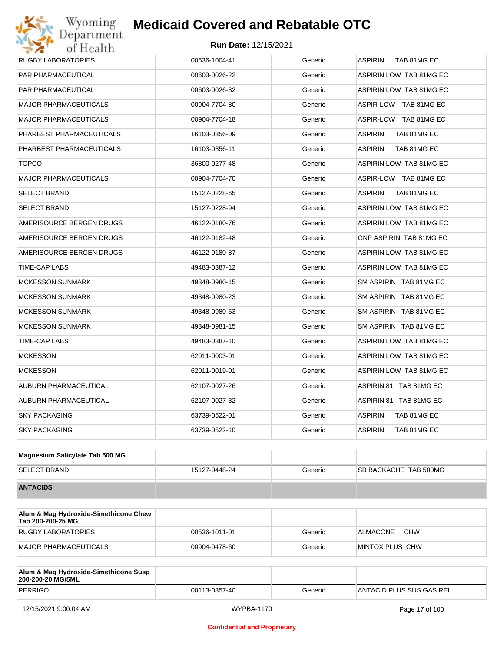| <b>RUGBY LABORATORIES</b>    | 00536-1004-41 | Generic | TAB 81MG EC<br><b>ASPIRIN</b> |
|------------------------------|---------------|---------|-------------------------------|
| PAR PHARMACEUTICAL           | 00603-0026-22 | Generic | ASPIRIN LOW TAB 81MG EC       |
| <b>PAR PHARMACEUTICAL</b>    | 00603-0026-32 | Generic | ASPIRIN LOW TAB 81MG EC       |
| <b>MAJOR PHARMACEUTICALS</b> | 00904-7704-80 | Generic | ASPIR-LOW TAB 81MG EC         |
| <b>MAJOR PHARMACEUTICALS</b> | 00904-7704-18 | Generic | ASPIR-LOW TAB 81MG EC         |
| PHARBEST PHARMACEUTICALS     | 16103-0356-09 | Generic | <b>ASPIRIN</b><br>TAB 81MG EC |
| PHARBEST PHARMACEUTICALS     | 16103-0356-11 | Generic | <b>ASPIRIN</b><br>TAB 81MG EC |
| <b>TOPCO</b>                 | 36800-0277-48 | Generic | ASPIRIN LOW TAB 81MG EC       |
| <b>MAJOR PHARMACEUTICALS</b> | 00904-7704-70 | Generic | ASPIR-LOW TAB 81MG EC         |
| <b>SELECT BRAND</b>          | 15127-0228-65 | Generic | ASPIRIN<br>TAB 81MG EC        |
| <b>SELECT BRAND</b>          | 15127-0228-94 | Generic | ASPIRIN LOW TAB 81MG EC       |
| AMERISOURCE BERGEN DRUGS     | 46122-0180-76 | Generic | ASPIRIN LOW TAB 81MG EC       |
| AMERISOURCE BERGEN DRUGS     | 46122-0182-48 | Generic | GNP ASPIRIN TAB 81MG EC       |
| AMERISOURCE BERGEN DRUGS     | 46122-0180-87 | Generic | ASPIRIN LOW TAB 81MG EC       |
| TIME-CAP LABS                | 49483-0387-12 | Generic | ASPIRIN LOW TAB 81MG EC       |
| <b>MCKESSON SUNMARK</b>      | 49348-0980-15 | Generic | SM ASPIRIN TAB 81MG EC        |
| <b>MCKESSON SUNMARK</b>      | 49348-0980-23 | Generic | SM ASPIRIN TAB 81MG EC        |
| <b>MCKESSON SUNMARK</b>      | 49348-0980-53 | Generic | SM ASPIRIN TAB 81MG EC        |
| <b>MCKESSON SUNMARK</b>      | 49348-0981-15 | Generic | SM ASPIRIN TAB 81MG EC        |
| TIME-CAP LABS                | 49483-0387-10 | Generic | ASPIRIN LOW TAB 81MG EC       |
| <b>MCKESSON</b>              | 62011-0003-01 | Generic | ASPIRIN LOW TAB 81MG EC       |
| <b>MCKESSON</b>              | 62011-0019-01 | Generic | ASPIRIN LOW TAB 81MG EC       |
| <b>AUBURN PHARMACEUTICAL</b> | 62107-0027-26 | Generic | ASPIRIN 81 TAB 81MG EC        |
| AUBURN PHARMACEUTICAL        | 62107-0027-32 | Generic | ASPIRIN 81 TAB 81MG EC        |
| <b>SKY PACKAGING</b>         | 63739-0522-01 | Generic | ASPIRIN<br>TAB 81MG EC        |
| <b>SKY PACKAGING</b>         | 63739-0522-10 | Generic | <b>ASPIRIN</b><br>TAB 81MG EC |
|                              |               |         |                               |

| Magnesium Salicylate Tab 500 MG |               |         |                              |
|---------------------------------|---------------|---------|------------------------------|
| <b>SELECT BRAND</b>             | 15127-0448-24 | Generic | <b>SB BACKACHE TAB 500MG</b> |
| <b>ANTACIDS</b>                 |               |         |                              |

| Alum & Mag Hydroxide-Simethicone Chew<br>Tab 200-200-25 MG |               |         |                        |
|------------------------------------------------------------|---------------|---------|------------------------|
| RUGBY LABORATORIES                                         | 00536-1011-01 | Generic | <b>CHW</b><br>ALMACONE |
| <b>MAJOR PHARMACEUTICALS</b>                               | 00904-0478-60 | Generic | MINTOX PLUS CHW        |

| Alum & Mag Hydroxide-Simethicone Susp<br>200-200-20 MG/5ML |               |         |                           |
|------------------------------------------------------------|---------------|---------|---------------------------|
| <b>PERRIGO</b>                                             | 00113-0357-40 | Generic | IANTACID PLUS SUS GAS REL |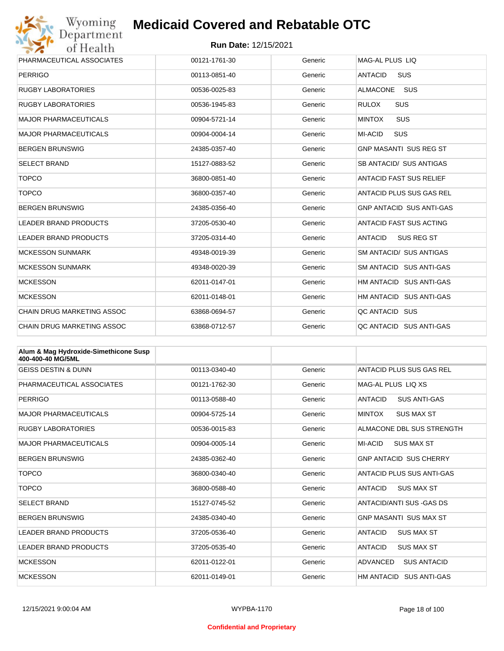

| PHARMACEUTICAL ASSOCIATES    | 00121-1761-30 | Generic | MAG-AL PLUS LIO                     |
|------------------------------|---------------|---------|-------------------------------------|
| <b>PERRIGO</b>               | 00113-0851-40 | Generic | <b>ANTACID</b><br><b>SUS</b>        |
| <b>RUGBY LABORATORIES</b>    | 00536-0025-83 | Generic | <b>ALMACONE</b><br><b>SUS</b>       |
| <b>RUGBY LABORATORIES</b>    | 00536-1945-83 | Generic | <b>RULOX</b><br><b>SUS</b>          |
| <b>MAJOR PHARMACEUTICALS</b> | 00904-5721-14 | Generic | <b>SUS</b><br><b>MINTOX</b>         |
| <b>MAJOR PHARMACEUTICALS</b> | 00904-0004-14 | Generic | SUS<br>MI-ACID                      |
| <b>BERGEN BRUNSWIG</b>       | 24385-0357-40 | Generic | <b>GNP MASANTI SUS REG ST</b>       |
| <b>SELECT BRAND</b>          | 15127-0883-52 | Generic | SB ANTACID/ SUS ANTIGAS             |
| <b>TOPCO</b>                 | 36800-0851-40 | Generic | ANTACID FAST SUS RELIEF             |
| <b>TOPCO</b>                 | 36800-0357-40 | Generic | ANTACID PLUS SUS GAS REL            |
| <b>BERGEN BRUNSWIG</b>       | 24385-0356-40 | Generic | <b>GNP ANTACID SUS ANTI-GAS</b>     |
| <b>LEADER BRAND PRODUCTS</b> | 37205-0530-40 | Generic | <b>ANTACID FAST SUS ACTING</b>      |
| <b>LEADER BRAND PRODUCTS</b> | 37205-0314-40 | Generic | <b>ANTACID</b><br><b>SUS REG ST</b> |
| <b>MCKESSON SUNMARK</b>      | 49348-0019-39 | Generic | SM ANTACID/ SUS ANTIGAS             |
| <b>MCKESSON SUNMARK</b>      | 49348-0020-39 | Generic | SM ANTACID SUS ANTI-GAS             |
| <b>MCKESSON</b>              | 62011-0147-01 | Generic | HM ANTACID SUS ANTI-GAS             |
| <b>MCKESSON</b>              | 62011-0148-01 | Generic | HM ANTACID SUS ANTI-GAS             |
| CHAIN DRUG MARKETING ASSOC   | 63868-0694-57 | Generic | QC ANTACID SUS                      |
| CHAIN DRUG MARKETING ASSOC   | 63868-0712-57 | Generic | QC ANTACID SUS ANTI-GAS             |

| Alum & Mag Hydroxide-Simethicone Susp<br>400-400-40 MG/5ML |               |         |                                       |
|------------------------------------------------------------|---------------|---------|---------------------------------------|
| <b>GEISS DESTIN &amp; DUNN</b>                             | 00113-0340-40 | Generic | ANTACID PLUS SUS GAS REL              |
| PHARMACEUTICAL ASSOCIATES                                  | 00121-1762-30 | Generic | MAG-AL PLUS LIO XS                    |
| <b>PERRIGO</b>                                             | 00113-0588-40 | Generic | <b>ANTACID</b><br><b>SUS ANTI-GAS</b> |
| <b>MAJOR PHARMACEUTICALS</b>                               | 00904-5725-14 | Generic | <b>MINTOX</b><br><b>SUS MAX ST</b>    |
| <b>RUGBY LABORATORIES</b>                                  | 00536-0015-83 | Generic | ALMACONE DBL SUS STRENGTH             |
| <b>MAJOR PHARMACEUTICALS</b>                               | 00904-0005-14 | Generic | MI-ACID<br><b>SUS MAX ST</b>          |
| <b>BERGEN BRUNSWIG</b>                                     | 24385-0362-40 | Generic | <b>GNP ANTACID SUS CHERRY</b>         |
| <b>TOPCO</b>                                               | 36800-0340-40 | Generic | ANTACID PLUS SUS ANTI-GAS             |
| <b>TOPCO</b>                                               | 36800-0588-40 | Generic | <b>ANTACID</b><br><b>SUS MAX ST</b>   |
| <b>SELECT BRAND</b>                                        | 15127-0745-52 | Generic | ANTACID/ANTI SUS -GAS DS              |
| <b>BERGEN BRUNSWIG</b>                                     | 24385-0340-40 | Generic | <b>GNP MASANTI SUS MAX ST</b>         |
| <b>LEADER BRAND PRODUCTS</b>                               | 37205-0536-40 | Generic | <b>ANTACID</b><br><b>SUS MAX ST</b>   |
| <b>LEADER BRAND PRODUCTS</b>                               | 37205-0535-40 | Generic | <b>ANTACID</b><br><b>SUS MAX ST</b>   |
| <b>MCKESSON</b>                                            | 62011-0122-01 | Generic | <b>ADVANCED</b><br><b>SUS ANTACID</b> |
| <b>MCKESSON</b>                                            | 62011-0149-01 | Generic | HM ANTACID SUS ANTI-GAS               |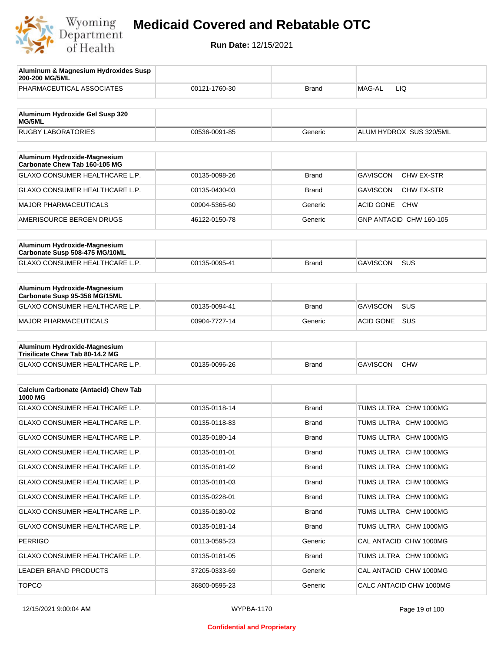

| Aluminum & Magnesium Hydroxides Susp<br>200-200 MG/5ML          |               |              |                                |
|-----------------------------------------------------------------|---------------|--------------|--------------------------------|
| PHARMACEUTICAL ASSOCIATES                                       | 00121-1760-30 | Brand        | MAG-AL<br>LIQ                  |
| Aluminum Hydroxide Gel Susp 320<br><b>MG/5ML</b>                |               |              |                                |
| <b>RUGBY LABORATORIES</b>                                       | 00536-0091-85 | Generic      | ALUM HYDROX SUS 320/5ML        |
| Aluminum Hydroxide-Magnesium                                    |               |              |                                |
| Carbonate Chew Tab 160-105 MG                                   |               |              |                                |
| <b>GLAXO CONSUMER HEALTHCARE L.P.</b>                           | 00135-0098-26 | <b>Brand</b> | <b>GAVISCON</b><br>CHW EX-STR  |
| <b>GLAXO CONSUMER HEALTHCARE L.P.</b>                           | 00135-0430-03 | Brand        | <b>GAVISCON</b><br>CHW EX-STR  |
| <b>MAJOR PHARMACEUTICALS</b>                                    | 00904-5365-60 | Generic      | <b>ACID GONE</b><br><b>CHW</b> |
| AMERISOURCE BERGEN DRUGS                                        | 46122-0150-78 | Generic      | GNP ANTACID CHW 160-105        |
| Aluminum Hydroxide-Magnesium<br>Carbonate Susp 508-475 MG/10ML  |               |              |                                |
| <b>GLAXO CONSUMER HEALTHCARE L.P.</b>                           | 00135-0095-41 | <b>Brand</b> | <b>GAVISCON</b><br><b>SUS</b>  |
|                                                                 |               |              |                                |
| Aluminum Hydroxide-Magnesium<br>Carbonate Susp 95-358 MG/15ML   |               |              |                                |
| GLAXO CONSUMER HEALTHCARE L.P.                                  | 00135-0094-41 | <b>Brand</b> | <b>GAVISCON</b><br>SUS         |
| <b>MAJOR PHARMACEUTICALS</b>                                    | 00904-7727-14 | Generic      | SUS<br><b>ACID GONE</b>        |
|                                                                 |               |              |                                |
| Aluminum Hydroxide-Magnesium<br>Trisilicate Chew Tab 80-14.2 MG |               |              |                                |
| GLAXO CONSUMER HEALTHCARE L.P.                                  | 00135-0096-26 | Brand        | <b>GAVISCON</b><br><b>CHW</b>  |
| <b>Calcium Carbonate (Antacid) Chew Tab</b>                     |               |              |                                |
| 1000 MG                                                         |               |              |                                |
| GLAXO CONSUMER HEALTHCARE L.P.                                  | 00135-0118-14 | <b>Brand</b> | TUMS ULTRA CHW 1000MG          |
| GLAXO CONSUMER HEALTHCARE L.P.                                  | 00135-0118-83 | Brand        | TUMS ULTRA CHW 1000MG          |
| GLAXO CONSUMER HEALTHCARE L.P.                                  | 00135-0180-14 | <b>Brand</b> | TUMS ULTRA CHW 1000MG          |
| GLAXO CONSUMER HEALTHCARE L.P.                                  | 00135-0181-01 | <b>Brand</b> | TUMS ULTRA CHW 1000MG          |
| GLAXO CONSUMER HEALTHCARE L.P.                                  | 00135-0181-02 | <b>Brand</b> | TUMS ULTRA CHW 1000MG          |
| GLAXO CONSUMER HEALTHCARE L.P.                                  | 00135-0181-03 | <b>Brand</b> | TUMS ULTRA CHW 1000MG          |
| GLAXO CONSUMER HEALTHCARE L.P.                                  | 00135-0228-01 | <b>Brand</b> | TUMS ULTRA CHW 1000MG          |
| GLAXO CONSUMER HEALTHCARE L.P.                                  | 00135-0180-02 | <b>Brand</b> | TUMS ULTRA CHW 1000MG          |
| GLAXO CONSUMER HEALTHCARE L.P.                                  | 00135-0181-14 | <b>Brand</b> | TUMS ULTRA CHW 1000MG          |
| PERRIGO                                                         | 00113-0595-23 | Generic      | CAL ANTACID CHW 1000MG         |
| GLAXO CONSUMER HEALTHCARE L.P.                                  | 00135-0181-05 | <b>Brand</b> | TUMS ULTRA CHW 1000MG          |
| LEADER BRAND PRODUCTS                                           | 37205-0333-69 | Generic      | CAL ANTACID CHW 1000MG         |
| <b>TOPCO</b>                                                    | 36800-0595-23 | Generic      | CALC ANTACID CHW 1000MG        |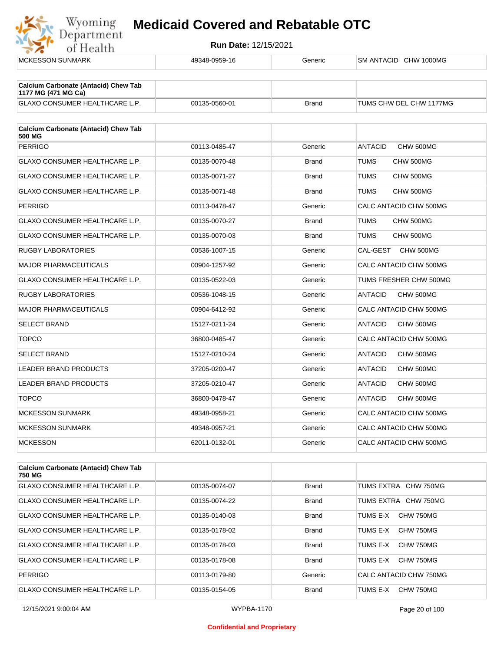

| <b>MCKESSON SUNMARK</b>                                            | 49348-0959-16 | Generic      | SM ANTACID CHW 1000MG       |
|--------------------------------------------------------------------|---------------|--------------|-----------------------------|
|                                                                    |               |              |                             |
| <b>Calcium Carbonate (Antacid) Chew Tab</b><br>1177 MG (471 MG Ca) |               |              |                             |
| GLAXO CONSUMER HEALTHCARE L.P.                                     | 00135-0560-01 | <b>Brand</b> | TUMS CHW DEL CHW 1177MG     |
| <b>Calcium Carbonate (Antacid) Chew Tab</b><br>500 MG              |               |              |                             |
| <b>PERRIGO</b>                                                     | 00113-0485-47 | Generic      | CHW 500MG<br><b>ANTACID</b> |
| GLAXO CONSUMER HEALTHCARE L.P.                                     | 00135-0070-48 | <b>Brand</b> | TUMS<br>CHW 500MG           |
| GLAXO CONSUMER HEALTHCARE L.P.                                     | 00135-0071-27 | <b>Brand</b> | <b>TUMS</b><br>CHW 500MG    |
| GLAXO CONSUMER HEALTHCARE L.P.                                     | 00135-0071-48 | <b>Brand</b> | TUMS<br>CHW 500MG           |
| <b>PERRIGO</b>                                                     | 00113-0478-47 | Generic      | CALC ANTACID CHW 500MG      |
| GLAXO CONSUMER HEALTHCARE L.P.                                     | 00135-0070-27 | <b>Brand</b> | TUMS<br>CHW 500MG           |
| GLAXO CONSUMER HEALTHCARE L.P.                                     | 00135-0070-03 | <b>Brand</b> | <b>TUMS</b><br>CHW 500MG    |
| <b>RUGBY LABORATORIES</b>                                          | 00536-1007-15 | Generic      | CAL-GEST<br>CHW 500MG       |
| <b>MAJOR PHARMACEUTICALS</b>                                       | 00904-1257-92 | Generic      | CALC ANTACID CHW 500MG      |
| <b>GLAXO CONSUMER HEALTHCARE L.P.</b>                              | 00135-0522-03 | Generic      | TUMS FRESHER CHW 500MG      |
| <b>RUGBY LABORATORIES</b>                                          | 00536-1048-15 | Generic      | <b>ANTACID</b><br>CHW 500MG |
| <b>MAJOR PHARMACEUTICALS</b>                                       | 00904-6412-92 | Generic      | CALC ANTACID CHW 500MG      |
| <b>SELECT BRAND</b>                                                | 15127-0211-24 | Generic      | <b>ANTACID</b><br>CHW 500MG |
| <b>TOPCO</b>                                                       | 36800-0485-47 | Generic      | CALC ANTACID CHW 500MG      |
| <b>SELECT BRAND</b>                                                | 15127-0210-24 | Generic      | CHW 500MG<br><b>ANTACID</b> |
| <b>LEADER BRAND PRODUCTS</b>                                       | 37205-0200-47 | Generic      | CHW 500MG<br><b>ANTACID</b> |
| <b>LEADER BRAND PRODUCTS</b>                                       | 37205-0210-47 | Generic      | CHW 500MG<br><b>ANTACID</b> |
| <b>TOPCO</b>                                                       | 36800-0478-47 | Generic      | <b>ANTACID</b><br>CHW 500MG |
| <b>MCKESSON SUNMARK</b>                                            | 49348-0958-21 | Generic      | CALC ANTACID CHW 500MG      |
| <b>MCKESSON SUNMARK</b>                                            | 49348-0957-21 | Generic      | CALC ANTACID CHW 500MG      |
| <b>MCKESSON</b>                                                    | 62011-0132-01 | Generic      | CALC ANTACID CHW 500MG      |
|                                                                    |               |              |                             |
| <b>Calcium Carbonate (Antacid) Chew Tab</b>                        |               |              |                             |

| <b>Calcium Carbonate (Antacid) Chew Tab</b><br>750 MG |               |              |                         |
|-------------------------------------------------------|---------------|--------------|-------------------------|
| <b>GLAXO CONSUMER HEALTHCARE L.P.</b>                 | 00135-0074-07 | <b>Brand</b> | TUMS EXTRA CHW 750MG    |
| <b>GLAXO CONSUMER HEALTHCARE L.P.</b>                 | 00135-0074-22 | <b>Brand</b> | TUMS EXTRA<br>CHW 750MG |
| <b>GLAXO CONSUMER HEALTHCARE L.P.</b>                 | 00135-0140-03 | <b>Brand</b> | TUMS F-X<br>CHW 750MG   |
| <b>GLAXO CONSUMER HEALTHCARE L.P.</b>                 | 00135-0178-02 | <b>Brand</b> | CHW 750MG<br>TUMS E-X   |
| <b>GLAXO CONSUMER HEALTHCARE L.P.</b>                 | 00135-0178-03 | <b>Brand</b> | CHW 750MG<br>TUMS F-X   |
| <b>GLAXO CONSUMER HEALTHCARE L.P.</b>                 | 00135-0178-08 | <b>Brand</b> | TUMS E-X<br>CHW 750MG   |
| <b>PERRIGO</b>                                        | 00113-0179-80 | Generic      | CALC ANTACID CHW 750MG  |
| <b>GLAXO CONSUMER HEALTHCARE L.P.</b>                 | 00135-0154-05 | <b>Brand</b> | CHW 750MG<br>TUMS E-X   |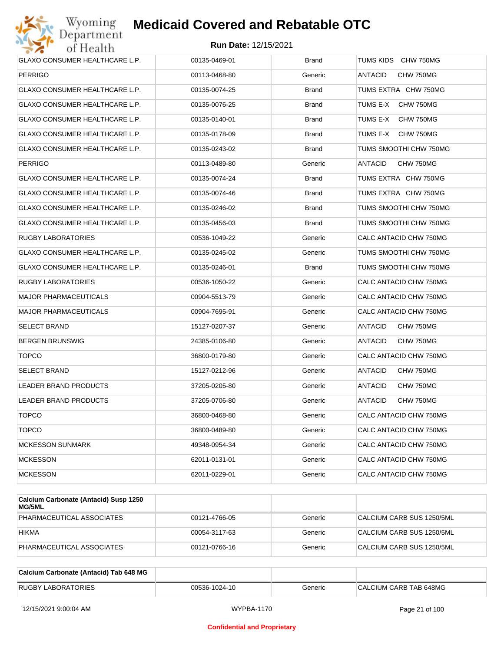

| GLAXO CONSUMER HEALTHCARE L.P.        | 00135-0469-01 | <b>Brand</b> | TUMS KIDS CHW 750MG         |
|---------------------------------------|---------------|--------------|-----------------------------|
| <b>PERRIGO</b>                        | 00113-0468-80 | Generic      | ANTACID<br>CHW 750MG        |
| GLAXO CONSUMER HEALTHCARE L.P.        | 00135-0074-25 | <b>Brand</b> | TUMS EXTRA CHW 750MG        |
| GLAXO CONSUMER HEALTHCARE L.P.        | 00135-0076-25 | <b>Brand</b> | TUMS E-X<br>CHW 750MG       |
| GLAXO CONSUMER HEALTHCARE L.P.        | 00135-0140-01 | Brand        | TUMS E-X<br>CHW 750MG       |
| GLAXO CONSUMER HEALTHCARE L.P.        | 00135-0178-09 | <b>Brand</b> | TUMS E-X<br>CHW 750MG       |
| GLAXO CONSUMER HEALTHCARE L.P.        | 00135-0243-02 | Brand        | TUMS SMOOTHI CHW 750MG      |
| <b>PERRIGO</b>                        | 00113-0489-80 | Generic      | ANTACID<br>CHW 750MG        |
| GLAXO CONSUMER HEALTHCARE L.P.        | 00135-0074-24 | <b>Brand</b> | TUMS EXTRA CHW 750MG        |
| GLAXO CONSUMER HEALTHCARE L.P.        | 00135-0074-46 | <b>Brand</b> | TUMS EXTRA CHW 750MG        |
| GLAXO CONSUMER HEALTHCARE L.P.        | 00135-0246-02 | Brand        | TUMS SMOOTHI CHW 750MG      |
| <b>GLAXO CONSUMER HEALTHCARE L.P.</b> | 00135-0456-03 | <b>Brand</b> | TUMS SMOOTHI CHW 750MG      |
| RUGBY LABORATORIES                    | 00536-1049-22 | Generic      | CALC ANTACID CHW 750MG      |
| GLAXO CONSUMER HEALTHCARE L.P.        | 00135-0245-02 | Generic      | TUMS SMOOTHI CHW 750MG      |
| GLAXO CONSUMER HEALTHCARE L.P.        | 00135-0246-01 | <b>Brand</b> | TUMS SMOOTHI CHW 750MG      |
| RUGBY LABORATORIES                    | 00536-1050-22 | Generic      | CALC ANTACID CHW 750MG      |
| <b>MAJOR PHARMACEUTICALS</b>          | 00904-5513-79 | Generic      | CALC ANTACID CHW 750MG      |
| <b>MAJOR PHARMACEUTICALS</b>          | 00904-7695-91 | Generic      | CALC ANTACID CHW 750MG      |
| SELECT BRAND                          | 15127-0207-37 | Generic      | ANTACID<br>CHW 750MG        |
| <b>BERGEN BRUNSWIG</b>                | 24385-0106-80 | Generic      | ANTACID<br>CHW 750MG        |
| <b>TOPCO</b>                          | 36800-0179-80 | Generic      | CALC ANTACID CHW 750MG      |
| SELECT BRAND                          | 15127-0212-96 | Generic      | <b>ANTACID</b><br>CHW 750MG |
| <b>LEADER BRAND PRODUCTS</b>          | 37205-0205-80 | Generic      | ANTACID<br>CHW 750MG        |
| LEADER BRAND PRODUCTS                 | 37205-0706-80 | Generic      | ANTACID<br>CHW 750MG        |
| <b>TOPCO</b>                          | 36800-0468-80 | Generic      | CALC ANTACID CHW 750MG      |
| <b>TOPCO</b>                          | 36800-0489-80 | Generic      | CALC ANTACID CHW 750MG      |
| <b>MCKESSON SUNMARK</b>               | 49348-0954-34 | Generic      | CALC ANTACID CHW 750MG      |
| <b>MCKESSON</b>                       | 62011-0131-01 | Generic      | CALC ANTACID CHW 750MG      |
| <b>MCKESSON</b>                       | 62011-0229-01 | Generic      | CALC ANTACID CHW 750MG      |
|                                       |               |              |                             |

| Calcium Carbonate (Antacid) Susp 1250<br>MG/5ML |               |         |                           |
|-------------------------------------------------|---------------|---------|---------------------------|
| PHARMACEUTICAL ASSOCIATES                       | 00121-4766-05 | Generic | CALCIUM CARB SUS 1250/5ML |
| <b>HIKMA</b>                                    | 00054-3117-63 | Generic | CALCIUM CARB SUS 1250/5ML |
| PHARMACEUTICAL ASSOCIATES                       | 00121-0766-16 | Generic | CALCIUM CARB SUS 1250/5ML |

| Calcium Carbonate (Antacid) Tab 648 MG |               |         |                        |
|----------------------------------------|---------------|---------|------------------------|
| <b>RUGBY LABORATORIES</b>              | 00536-1024-10 | Generic | CALCIUM CARB TAB 648MG |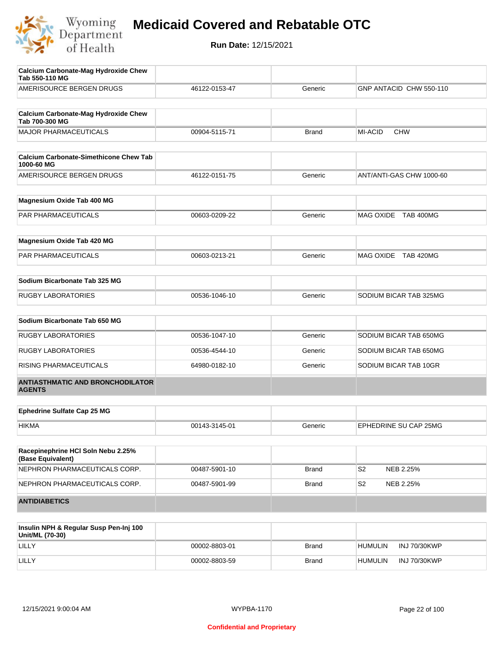

| Calcium Carbonate-Mag Hydroxide Chew<br>Tab 550-110 MG        |               |              |                             |
|---------------------------------------------------------------|---------------|--------------|-----------------------------|
| AMERISOURCE BERGEN DRUGS                                      | 46122-0153-47 | Generic      | GNP ANTACID CHW 550-110     |
|                                                               |               |              |                             |
| <b>Calcium Carbonate-Mag Hydroxide Chew</b><br>Tab 700-300 MG |               |              |                             |
| <b>MAJOR PHARMACEUTICALS</b>                                  | 00904-5115-71 | <b>Brand</b> | MI-ACID<br><b>CHW</b>       |
|                                                               |               |              |                             |
| <b>Calcium Carbonate-Simethicone Chew Tab</b><br>1000-60 MG   |               |              |                             |
| AMERISOURCE BERGEN DRUGS                                      | 46122-0151-75 | Generic      | ANT/ANTI-GAS CHW 1000-60    |
| Magnesium Oxide Tab 400 MG                                    |               |              |                             |
|                                                               |               |              |                             |
| PAR PHARMACEUTICALS                                           | 00603-0209-22 | Generic      | MAG OXIDE TAB 400MG         |
| Magnesium Oxide Tab 420 MG                                    |               |              |                             |
| PAR PHARMACEUTICALS                                           | 00603-0213-21 | Generic      | MAG OXIDE TAB 420MG         |
| Sodium Bicarbonate Tab 325 MG                                 |               |              |                             |
|                                                               |               |              |                             |
| <b>RUGBY LABORATORIES</b>                                     | 00536-1046-10 | Generic      | SODIUM BICAR TAB 325MG      |
| Sodium Bicarbonate Tab 650 MG                                 |               |              |                             |
| <b>RUGBY LABORATORIES</b>                                     | 00536-1047-10 | Generic      | SODIUM BICAR TAB 650MG      |
| <b>RUGBY LABORATORIES</b>                                     | 00536-4544-10 | Generic      | SODIUM BICAR TAB 650MG      |
| RISING PHARMACEUTICALS                                        | 64980-0182-10 | Generic      | SODIUM BICAR TAB 10GR       |
| <b>ANTIASTHMATIC AND BRONCHODILATOR</b><br><b>AGENTS</b>      |               |              |                             |
|                                                               |               |              |                             |
| <b>Ephedrine Sulfate Cap 25 MG</b>                            |               |              |                             |
| <b>HIKMA</b>                                                  | 00143-3145-01 | Generic      | EPHEDRINE SU CAP 25MG       |
| Racepinephrine HCI Soln Nebu 2.25%<br>(Base Equivalent)       |               |              |                             |
| NEPHRON PHARMACEUTICALS CORP.                                 | 00487-5901-10 | <b>Brand</b> | S <sub>2</sub><br>NEB 2.25% |
| NEPHRON PHARMACEUTICALS CORP.                                 | 00487-5901-99 | <b>Brand</b> | S <sub>2</sub><br>NEB 2.25% |
| <b>ANTIDIABETICS</b>                                          |               |              |                             |
|                                                               |               |              |                             |
|                                                               |               |              |                             |

| Insulin NPH & Regular Susp Pen-Inj 100<br>Unit/ML (70-30) |               |              |                |              |
|-----------------------------------------------------------|---------------|--------------|----------------|--------------|
| LILLY                                                     | 00002-8803-01 | <b>Brand</b> | <b>HUMULIN</b> | INJ 70/30KWP |
| LILLY                                                     | 00002-8803-59 | <b>Brand</b> | <b>HUMULIN</b> | INJ 70/30KWP |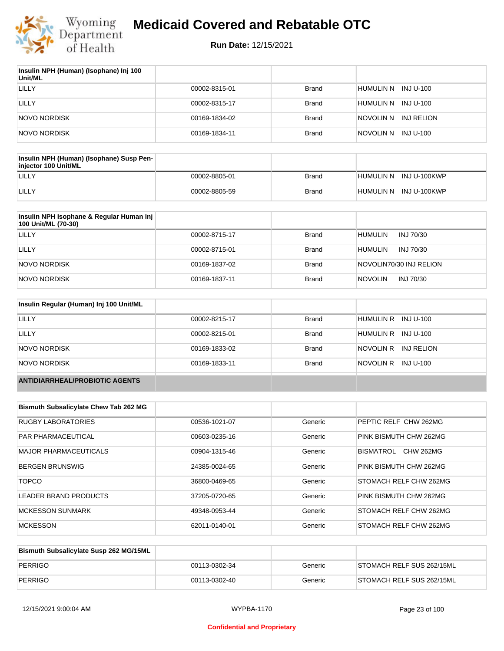

| Insulin NPH (Human) (Isophane) Inj 100<br>Unit/ML |               |              |                         |
|---------------------------------------------------|---------------|--------------|-------------------------|
| LILLY                                             | 00002-8315-01 | <b>Brand</b> | HUMULIN N<br>INJ U-100  |
| LILLY                                             | 00002-8315-17 | <b>Brand</b> | HUMULIN N<br>INJ U-100  |
| NOVO NORDISK                                      | 00169-1834-02 | <b>Brand</b> | INJ RELION<br>NOVOLIN N |
| NOVO NORDISK                                      | 00169-1834-11 | <b>Brand</b> | NOVOLIN N INJ U-100     |

| Insulin NPH (Human) (Isophane) Susp Pen-<br>injector 100 Unit/ML |               |       |                        |
|------------------------------------------------------------------|---------------|-------|------------------------|
| LILLY                                                            | 00002-8805-01 | Brand | HUMULIN N INJ U-100KWP |
| LILLY                                                            | 00002-8805-59 | Brand | HUMULIN N INJ U-100KWP |

| Insulin NPH Isophane & Regular Human Inj<br>100 Unit/ML (70-30) |               |              |                             |
|-----------------------------------------------------------------|---------------|--------------|-----------------------------|
| LILLY                                                           | 00002-8715-17 | <b>Brand</b> | <b>HUMULIN</b><br>INJ 70/30 |
| LILLY                                                           | 00002-8715-01 | <b>Brand</b> | <b>HUMULIN</b><br>INJ 70/30 |
| NOVO NORDISK                                                    | 00169-1837-02 | <b>Brand</b> | NOVOLIN70/30 INJ RELION     |
| <b>NOVO NORDISK</b>                                             | 00169-1837-11 | <b>Brand</b> | <b>NOVOLIN</b><br>INJ 70/30 |

| Insulin Regular (Human) Inj 100 Unit/ML |               |              |                         |
|-----------------------------------------|---------------|--------------|-------------------------|
| LILLY                                   | 00002-8215-17 | <b>Brand</b> | HUMULIN R INJ U-100     |
| LILLY                                   | 00002-8215-01 | <b>Brand</b> | HUMULIN R INJ U-100     |
| NOVO NORDISK                            | 00169-1833-02 | <b>Brand</b> | NOVOLIN R<br>INJ RELION |
| NOVO NORDISK                            | 00169-1833-11 | <b>Brand</b> | NOVOLIN R INJ U-100     |
| <b>ANTIDIARRHEAL/PROBIOTIC AGENTS</b>   |               |              |                         |

| <b>Bismuth Subsalicylate Chew Tab 262 MG</b> |               |         |                               |
|----------------------------------------------|---------------|---------|-------------------------------|
| RUGBY LABORATORIES                           | 00536-1021-07 | Generic | PEPTIC RELF CHW 262MG         |
| PAR PHARMACEUTICAL                           | 00603-0235-16 | Generic | PINK BISMUTH CHW 262MG        |
| MAJOR PHARMACEUTICALS                        | 00904-1315-46 | Generic | <b>CHW 262MG</b><br>BISMATROL |
| <b>BERGEN BRUNSWIG</b>                       | 24385-0024-65 | Generic | PINK BISMUTH CHW 262MG        |
| <b>TOPCO</b>                                 | 36800-0469-65 | Generic | STOMACH RELF CHW 262MG        |
| LEADER BRAND PRODUCTS                        | 37205-0720-65 | Generic | PINK BISMUTH CHW 262MG        |
| <b>MCKESSON SUNMARK</b>                      | 49348-0953-44 | Generic | STOMACH RELF CHW 262MG        |
| <b>MCKESSON</b>                              | 62011-0140-01 | Generic | STOMACH RELF CHW 262MG        |

| Bismuth Subsalicylate Susp 262 MG/15ML |               |         |                           |
|----------------------------------------|---------------|---------|---------------------------|
| PERRIGO                                | 00113-0302-34 | Generic | STOMACH RELF SUS 262/15ML |
| PERRIGO                                | 00113-0302-40 | Generic | STOMACH RELF SUS 262/15ML |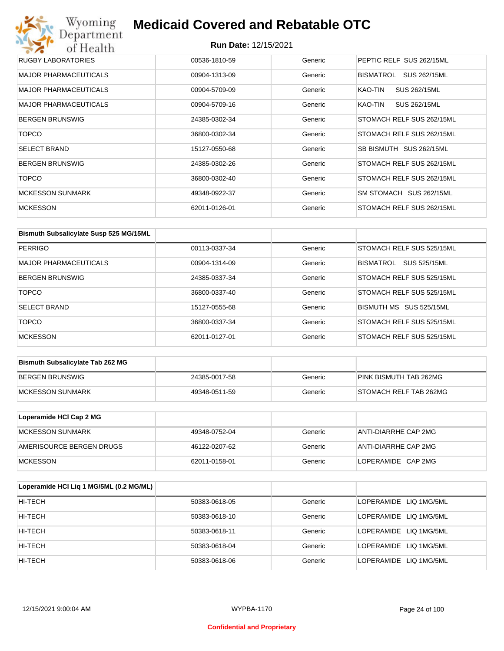| Wyoming<br>Department        | <b>Medicaid Covered and Rebatable OTC</b> |         |                           |
|------------------------------|-------------------------------------------|---------|---------------------------|
| of Health                    | <b>Run Date: 12/15/2021</b>               |         |                           |
| <b>RUGBY LABORATORIES</b>    | 00536-1810-59                             | Generic | PEPTIC RELF SUS 262/15ML  |
| <b>MAJOR PHARMACEUTICALS</b> | 00904-1313-09                             | Generic | BISMATROL<br>SUS 262/15ML |
| MAJOR PHARMACEUTICALS        | 00904-5709-09                             | Generic | KAO-TIN<br>SUS 262/15ML   |
| <b>MAJOR PHARMACEUTICALS</b> | 00904-5709-16                             | Generic | KAO-TIN<br>SUS 262/15ML   |
| <b>BERGEN BRUNSWIG</b>       | 24385-0302-34                             | Generic | STOMACH RELF SUS 262/15ML |
| <b>TOPCO</b>                 | 36800-0302-34                             | Generic | STOMACH RELF SUS 262/15ML |
| <b>SELECT BRAND</b>          | 15127-0550-68                             | Generic | SB BISMUTH SUS 262/15ML   |
| <b>BERGEN BRUNSWIG</b>       | 24385-0302-26                             | Generic | STOMACH RELF SUS 262/15ML |
| <b>TOPCO</b>                 | 36800-0302-40                             | Generic | STOMACH RELF SUS 262/15ML |
| <b>MCKESSON SUNMARK</b>      | 49348-0922-37                             | Generic | SM STOMACH SUS 262/15ML   |
| <b>MCKESSON</b>              | 62011-0126-01                             | Generic | STOMACH RELF SUS 262/15ML |

| Bismuth Subsalicylate Susp 525 MG/15ML |               |         |                           |
|----------------------------------------|---------------|---------|---------------------------|
| <b>PERRIGO</b>                         | 00113-0337-34 | Generic | STOMACH RELF SUS 525/15ML |
| <b>MAJOR PHARMACEUTICALS</b>           | 00904-1314-09 | Generic | SUS 525/15ML<br>BISMATROL |
| <b>BERGEN BRUNSWIG</b>                 | 24385-0337-34 | Generic | STOMACH RELF SUS 525/15ML |
| <b>TOPCO</b>                           | 36800-0337-40 | Generic | STOMACH RELF SUS 525/15ML |
| <b>SELECT BRAND</b>                    | 15127-0555-68 | Generic | BISMUTH MS SUS 525/15ML   |
| <b>TOPCO</b>                           | 36800-0337-34 | Generic | STOMACH RELF SUS 525/15ML |
| <b>MCKESSON</b>                        | 62011-0127-01 | Generic | STOMACH RELF SUS 525/15ML |

| <b>Bismuth Subsalicylate Tab 262 MG</b> |               |         |                        |
|-----------------------------------------|---------------|---------|------------------------|
| BERGEN BRUNSWIG                         | 24385-0017-58 | Generic | PINK BISMUTH TAB 262MG |
| <b>IMCKESSON SUNMARK</b>                | 49348-0511-59 | Generic | STOMACH RELF TAB 262MG |

| Loperamide HCI Cap 2 MG  |               |         |                      |
|--------------------------|---------------|---------|----------------------|
| <b>IMCKESSON SUNMARK</b> | 49348-0752-04 | Generic | ANTI-DIARRHE CAP 2MG |
| AMERISOURCE BERGEN DRUGS | 46122-0207-62 | Generic | ANTI-DIARRHE CAP 2MG |
| <b>IMCKESSON</b>         | 62011-0158-01 | Generic | LOPERAMIDE CAP 2MG   |

| Loperamide HCI Liq 1 MG/5ML (0.2 MG/ML) |               |         |                        |
|-----------------------------------------|---------------|---------|------------------------|
| HI-TECH                                 | 50383-0618-05 | Generic | LOPERAMIDE LIQ 1MG/5ML |
| HI-TECH                                 | 50383-0618-10 | Generic | LOPERAMIDE LIQ 1MG/5ML |
| HI-TECH                                 | 50383-0618-11 | Generic | LOPERAMIDE LIQ 1MG/5ML |
| HI-TECH                                 | 50383-0618-04 | Generic | LOPERAMIDE LIQ 1MG/5ML |
| HI-TECH                                 | 50383-0618-06 | Generic | LOPERAMIDE LIQ 1MG/5ML |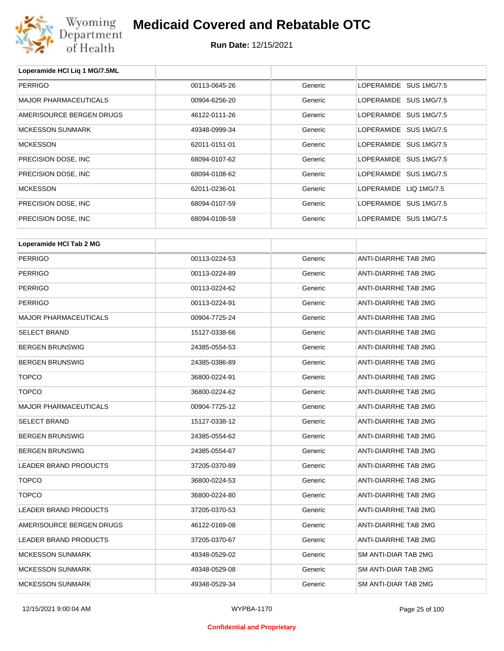

| Loperamide HCI Liq 1 MG/7.5ML |               |         |                        |
|-------------------------------|---------------|---------|------------------------|
| <b>PERRIGO</b>                | 00113-0645-26 | Generic | LOPERAMIDE SUS 1MG/7.5 |
| <b>MAJOR PHARMACEUTICALS</b>  | 00904-6256-20 | Generic | LOPERAMIDE SUS 1MG/7.5 |
| AMERISOURCE BERGEN DRUGS      | 46122-0111-26 | Generic | LOPERAMIDE SUS 1MG/7.5 |
| <b>MCKESSON SUNMARK</b>       | 49348-0999-34 | Generic | LOPERAMIDE SUS 1MG/7.5 |
| <b>MCKESSON</b>               | 62011-0151-01 | Generic | LOPERAMIDE SUS 1MG/7.5 |
| PRECISION DOSE, INC.          | 68094-0107-62 | Generic | LOPERAMIDE SUS 1MG/7.5 |
| PRECISION DOSE, INC.          | 68094-0108-62 | Generic | LOPERAMIDE SUS 1MG/7.5 |
| <b>MCKESSON</b>               | 62011-0236-01 | Generic | LOPERAMIDE LIQ 1MG/7.5 |
| PRECISION DOSE, INC.          | 68094-0107-59 | Generic | LOPERAMIDE SUS 1MG/7.5 |
| PRECISION DOSE, INC.          | 68094-0108-59 | Generic | LOPERAMIDE SUS 1MG/7.5 |
|                               |               |         |                        |
| Loperamide HCI Tab 2 MG       |               |         |                        |
|                               |               |         |                        |

| <b>PERRIGO</b>               | 00113-0224-53 | Generic | ANTI-DIARRHE TAB 2MG        |
|------------------------------|---------------|---------|-----------------------------|
| <b>PERRIGO</b>               | 00113-0224-89 | Generic | ANTI-DIARRHE TAB 2MG        |
| <b>PERRIGO</b>               | 00113-0224-62 | Generic | <b>ANTI-DIARRHE TAB 2MG</b> |
| <b>PERRIGO</b>               | 00113-0224-91 | Generic | ANTI-DIARRHE TAB 2MG        |
| <b>MAJOR PHARMACEUTICALS</b> | 00904-7725-24 | Generic | ANTI-DIARRHE TAB 2MG        |
| SELECT BRAND                 | 15127-0338-66 | Generic | ANTI-DIARRHE TAB 2MG        |
| <b>BERGEN BRUNSWIG</b>       | 24385-0554-53 | Generic | ANTI-DIARRHE TAB 2MG        |
| <b>BERGEN BRUNSWIG</b>       | 24385-0386-89 | Generic | ANTI-DIARRHE TAB 2MG        |
| <b>TOPCO</b>                 | 36800-0224-91 | Generic | ANTI-DIARRHE TAB 2MG        |
| <b>TOPCO</b>                 | 36800-0224-62 | Generic | ANTI-DIARRHE TAB 2MG        |
| <b>MAJOR PHARMACEUTICALS</b> | 00904-7725-12 | Generic | ANTI-DIARRHE TAB 2MG        |
| SELECT BRAND                 | 15127-0338-12 | Generic | <b>ANTI-DIARRHE TAB 2MG</b> |
| <b>BERGEN BRUNSWIG</b>       | 24385-0554-62 | Generic | ANTI-DIARRHE TAB 2MG        |
| <b>BERGEN BRUNSWIG</b>       | 24385-0554-67 | Generic | ANTI-DIARRHE TAB 2MG        |
| <b>LEADER BRAND PRODUCTS</b> | 37205-0370-89 | Generic | ANTI-DIARRHE TAB 2MG        |
| <b>TOPCO</b>                 | 36800-0224-53 | Generic | ANTI-DIARRHE TAB 2MG        |
| <b>TOPCO</b>                 | 36800-0224-80 | Generic | ANTI-DIARRHE TAB 2MG        |
| <b>LEADER BRAND PRODUCTS</b> | 37205-0370-53 | Generic | ANTI-DIARRHE TAB 2MG        |
| AMERISOURCE BERGEN DRUGS     | 46122-0169-08 | Generic | ANTI-DIARRHE TAB 2MG        |
| <b>LEADER BRAND PRODUCTS</b> | 37205-0370-67 | Generic | ANTI-DIARRHE TAB 2MG        |
| <b>MCKESSON SUNMARK</b>      | 49348-0529-02 | Generic | SM ANTI-DIAR TAB 2MG        |
| <b>MCKESSON SUNMARK</b>      | 49348-0529-08 | Generic | SM ANTI-DIAR TAB 2MG        |
| <b>MCKESSON SUNMARK</b>      | 49348-0529-34 | Generic | SM ANTI-DIAR TAB 2MG        |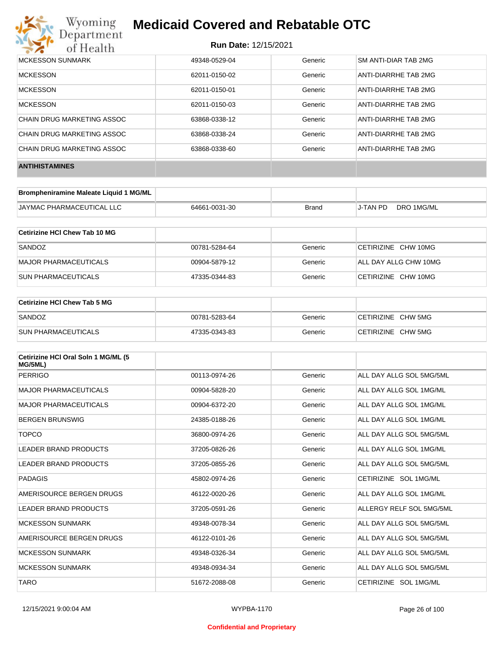

| <b>MCKESSON SUNMARK</b>    | 49348-0529-04 | Generic | <b>SM ANTI-DIAR TAB 2MG</b> |
|----------------------------|---------------|---------|-----------------------------|
| <b>MCKESSON</b>            | 62011-0150-02 | Generic | ANTI-DIARRHE TAB 2MG        |
| <b>MCKESSON</b>            | 62011-0150-01 | Generic | ANTI-DIARRHE TAB 2MG        |
| <b>MCKESSON</b>            | 62011-0150-03 | Generic | ANTI-DIARRHE TAB 2MG        |
| CHAIN DRUG MARKETING ASSOC | 63868-0338-12 | Generic | ANTI-DIARRHE TAB 2MG        |
| CHAIN DRUG MARKETING ASSOC | 63868-0338-24 | Generic | ANTI-DIARRHE TAB 2MG        |
| CHAIN DRUG MARKETING ASSOC | 63868-0338-60 | Generic | ANTI-DIARRHE TAB 2MG        |
| <b>ANTIHISTAMINES</b>      |               |         |                             |

| Brompheniramine Maleate Liquid 1 MG/ML |               |              |          |            |
|----------------------------------------|---------------|--------------|----------|------------|
| <b>JAYMAC PHARMACEUTICAL LLC</b>       | 64661-0031-30 | <b>Brand</b> | J-TAN PD | DRO 1MG/ML |

| Cetirizine HCI Chew Tab 10 MG |               |         |                       |
|-------------------------------|---------------|---------|-----------------------|
| SANDOZ                        | 00781-5284-64 | Generic | CETIRIZINE CHW 10MG   |
| MAJOR PHARMACEUTICALS         | 00904-5879-12 | Generic | ALL DAY ALLG CHW 10MG |
| <b>SUN PHARMACEUTICALS</b>    | 47335-0344-83 | Generic | CETIRIZINE CHW 10MG   |

| Cetirizine HCI Chew Tab 5 MG |               |         |                    |
|------------------------------|---------------|---------|--------------------|
| SANDOZ                       | 00781-5283-64 | Generic | CETIRIZINE CHW 5MG |
| <b>SUN PHARMACEUTICALS</b>   | 47335-0343-83 | Generic | CETIRIZINE CHW 5MG |

| Cetirizine HCI Oral Soln 1 MG/ML (5<br>MG/5ML) |               |         |                          |
|------------------------------------------------|---------------|---------|--------------------------|
| <b>PERRIGO</b>                                 | 00113-0974-26 | Generic | ALL DAY ALLG SOL 5MG/5ML |
| <b>MAJOR PHARMACEUTICALS</b>                   | 00904-5828-20 | Generic | ALL DAY ALLG SOL 1MG/ML  |
| <b>MAJOR PHARMACEUTICALS</b>                   | 00904-6372-20 | Generic | ALL DAY ALLG SOL 1MG/ML  |
| <b>BERGEN BRUNSWIG</b>                         | 24385-0188-26 | Generic | ALL DAY ALLG SOL 1MG/ML  |
| <b>TOPCO</b>                                   | 36800-0974-26 | Generic | ALL DAY ALLG SOL 5MG/5ML |
| <b>LEADER BRAND PRODUCTS</b>                   | 37205-0826-26 | Generic | ALL DAY ALLG SOL 1MG/ML  |
| LEADER BRAND PRODUCTS                          | 37205-0855-26 | Generic | ALL DAY ALLG SOL 5MG/5ML |
| PADAGIS                                        | 45802-0974-26 | Generic | CETIRIZINE SOL 1MG/ML    |
| AMERISOURCE BERGEN DRUGS                       | 46122-0020-26 | Generic | ALL DAY ALLG SOL 1MG/ML  |
| LEADER BRAND PRODUCTS                          | 37205-0591-26 | Generic | ALLERGY RELF SOL 5MG/5ML |
| <b>MCKESSON SUNMARK</b>                        | 49348-0078-34 | Generic | ALL DAY ALLG SOL 5MG/5ML |
| AMERISOURCE BERGEN DRUGS                       | 46122-0101-26 | Generic | ALL DAY ALLG SOL 5MG/5ML |
| <b>MCKESSON SUNMARK</b>                        | 49348-0326-34 | Generic | ALL DAY ALLG SOL 5MG/5ML |
| <b>MCKESSON SUNMARK</b>                        | 49348-0934-34 | Generic | ALL DAY ALLG SOL 5MG/5ML |
| <b>TARO</b>                                    | 51672-2088-08 | Generic | CETIRIZINE SOL 1MG/ML    |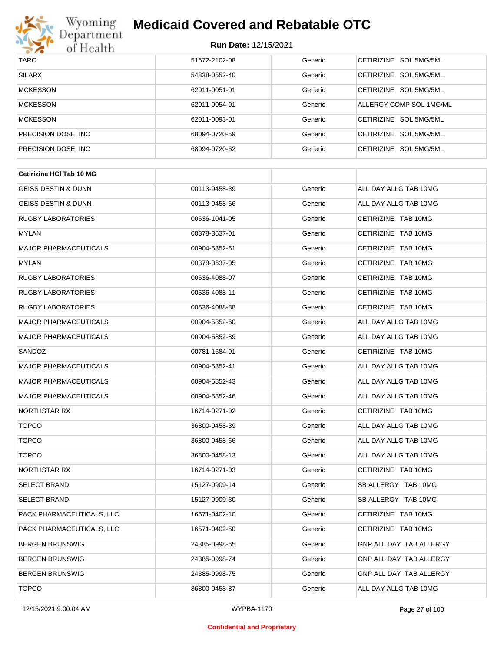

| <b>TARO</b>          | 51672-2102-08 | Generic | CETIRIZINE SOL 5MG/5ML           |
|----------------------|---------------|---------|----------------------------------|
| <b>SILARX</b>        | 54838-0552-40 | Generic | CETIRIZINE SOL 5MG/5ML           |
| <b>MCKESSON</b>      | 62011-0051-01 | Generic | CETIRIZINE SOL 5MG/5ML           |
| <b>MCKESSON</b>      | 62011-0054-01 | Generic | ALLERGY COMP SOL 1MG/ML          |
| <b>MCKESSON</b>      | 62011-0093-01 | Generic | CETIRIZINE SOL 5MG/5ML           |
| PRECISION DOSE, INC. | 68094-0720-59 | Generic | CETIRIZINE SOL 5MG/5ML           |
| PRECISION DOSE, INC. | 68094-0720-62 | Generic | <b>CETIRIZINE</b><br>SOL 5MG/5ML |

| <b>Cetirizine HCI Tab 10 MG</b> |               |         |                         |
|---------------------------------|---------------|---------|-------------------------|
| <b>GEISS DESTIN &amp; DUNN</b>  | 00113-9458-39 | Generic | ALL DAY ALLG TAB 10MG   |
| GEISS DESTIN & DUNN             | 00113-9458-66 | Generic | ALL DAY ALLG TAB 10MG   |
| <b>RUGBY LABORATORIES</b>       | 00536-1041-05 | Generic | CETIRIZINE TAB 10MG     |
| MYLAN                           | 00378-3637-01 | Generic | CETIRIZINE TAB 10MG     |
| <b>MAJOR PHARMACEUTICALS</b>    | 00904-5852-61 | Generic | CETIRIZINE TAB 10MG     |
| <b>MYLAN</b>                    | 00378-3637-05 | Generic | CETIRIZINE TAB 10MG     |
| <b>RUGBY LABORATORIES</b>       | 00536-4088-07 | Generic | CETIRIZINE TAB 10MG     |
| <b>RUGBY LABORATORIES</b>       | 00536-4088-11 | Generic | CETIRIZINE TAB 10MG     |
| <b>RUGBY LABORATORIES</b>       | 00536-4088-88 | Generic | CETIRIZINE TAB 10MG     |
| <b>MAJOR PHARMACEUTICALS</b>    | 00904-5852-60 | Generic | ALL DAY ALLG TAB 10MG   |
| <b>MAJOR PHARMACEUTICALS</b>    | 00904-5852-89 | Generic | ALL DAY ALLG TAB 10MG   |
| SANDOZ                          | 00781-1684-01 | Generic | CETIRIZINE TAB 10MG     |
| <b>MAJOR PHARMACEUTICALS</b>    | 00904-5852-41 | Generic | ALL DAY ALLG TAB 10MG   |
| <b>MAJOR PHARMACEUTICALS</b>    | 00904-5852-43 | Generic | ALL DAY ALLG TAB 10MG   |
| <b>MAJOR PHARMACEUTICALS</b>    | 00904-5852-46 | Generic | ALL DAY ALLG TAB 10MG   |
| NORTHSTAR RX                    | 16714-0271-02 | Generic | CETIRIZINE TAB 10MG     |
| <b>TOPCO</b>                    | 36800-0458-39 | Generic | ALL DAY ALLG TAB 10MG   |
| <b>TOPCO</b>                    | 36800-0458-66 | Generic | ALL DAY ALLG TAB 10MG   |
| <b>TOPCO</b>                    | 36800-0458-13 | Generic | ALL DAY ALLG TAB 10MG   |
| NORTHSTAR RX                    | 16714-0271-03 | Generic | CETIRIZINE TAB 10MG     |
| <b>SELECT BRAND</b>             | 15127-0909-14 | Generic | SB ALLERGY TAB 10MG     |
| <b>SELECT BRAND</b>             | 15127-0909-30 | Generic | SB ALLERGY TAB 10MG     |
| PACK PHARMACEUTICALS, LLC       | 16571-0402-10 | Generic | CETIRIZINE TAB 10MG     |
| PACK PHARMACEUTICALS, LLC       | 16571-0402-50 | Generic | CETIRIZINE TAB 10MG     |
| <b>BERGEN BRUNSWIG</b>          | 24385-0998-65 | Generic | GNP ALL DAY TAB ALLERGY |
| <b>BERGEN BRUNSWIG</b>          | 24385-0998-74 | Generic | GNP ALL DAY TAB ALLERGY |
| <b>BERGEN BRUNSWIG</b>          | 24385-0998-75 | Generic | GNP ALL DAY TAB ALLERGY |
| <b>TOPCO</b>                    | 36800-0458-87 | Generic | ALL DAY ALLG TAB 10MG   |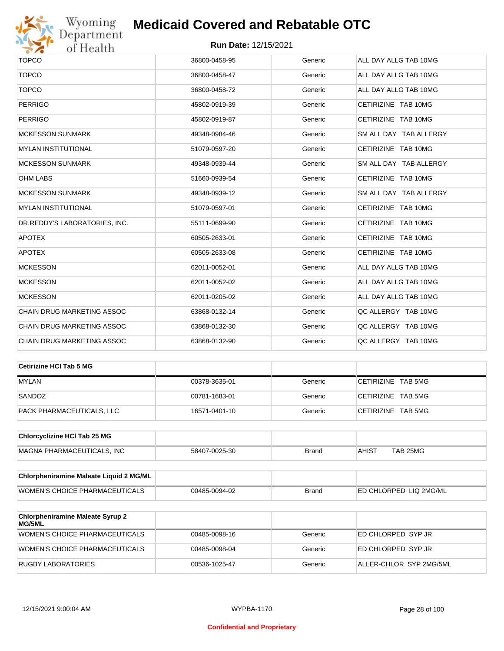

| <b>TOPCO</b>                      | 36800-0458-95 | Generic | ALL DAY ALLG TAB 10MG  |
|-----------------------------------|---------------|---------|------------------------|
| <b>TOPCO</b>                      | 36800-0458-47 | Generic | ALL DAY ALLG TAB 10MG  |
| <b>TOPCO</b>                      | 36800-0458-72 | Generic | ALL DAY ALLG TAB 10MG  |
| <b>PERRIGO</b>                    | 45802-0919-39 | Generic | CETIRIZINE TAB 10MG    |
| <b>PERRIGO</b>                    | 45802-0919-87 | Generic | CETIRIZINE TAB 10MG    |
| <b>MCKESSON SUNMARK</b>           | 49348-0984-46 | Generic | SM ALL DAY TAB ALLERGY |
| <b>MYLAN INSTITUTIONAL</b>        | 51079-0597-20 | Generic | CETIRIZINE TAB 10MG    |
| <b>MCKESSON SUNMARK</b>           | 49348-0939-44 | Generic | SM ALL DAY TAB ALLERGY |
| <b>OHM LABS</b>                   | 51660-0939-54 | Generic | CETIRIZINE TAB 10MG    |
| <b>MCKESSON SUNMARK</b>           | 49348-0939-12 | Generic | SM ALL DAY TAB ALLERGY |
| <b>MYLAN INSTITUTIONAL</b>        | 51079-0597-01 | Generic | CETIRIZINE TAB 10MG    |
| DR.REDDY'S LABORATORIES, INC.     | 55111-0699-90 | Generic | CETIRIZINE TAB 10MG    |
| <b>APOTEX</b>                     | 60505-2633-01 | Generic | CETIRIZINE TAB 10MG    |
| <b>APOTEX</b>                     | 60505-2633-08 | Generic | CETIRIZINE TAB 10MG    |
| <b>MCKESSON</b>                   | 62011-0052-01 | Generic | ALL DAY ALLG TAB 10MG  |
| <b>MCKESSON</b>                   | 62011-0052-02 | Generic | ALL DAY ALLG TAB 10MG  |
| <b>MCKESSON</b>                   | 62011-0205-02 | Generic | ALL DAY ALLG TAB 10MG  |
| CHAIN DRUG MARKETING ASSOC        | 63868-0132-14 | Generic | QC ALLERGY TAB 10MG    |
| <b>CHAIN DRUG MARKETING ASSOC</b> | 63868-0132-30 | Generic | QC ALLERGY TAB 10MG    |
| CHAIN DRUG MARKETING ASSOC        | 63868-0132-90 | Generic | QC ALLERGY TAB 10MG    |
|                                   |               |         |                        |

| ∣Cetirizine HCl Tab 5 MG  |               |         |                    |
|---------------------------|---------------|---------|--------------------|
| <b>MYLAN</b>              | 00378-3635-01 | Generic | CETIRIZINE TAB 5MG |
| SANDOZ                    | 00781-1683-01 | Generic | CETIRIZINE TAB 5MG |
| PACK PHARMACEUTICALS. LLC | 16571-0401-10 | Generic | CETIRIZINE TAB 5MG |

| <b>Chlorcyclizine HCI Tab 25 MG</b> |               |       |              |          |
|-------------------------------------|---------------|-------|--------------|----------|
| <b>MAGNA PHARMACEUTICALS. INC</b>   | 58407-0025-30 | Brand | <b>AHIST</b> | TAB 25MG |

| <b>Chlorpheniramine Maleate Liquid 2 MG/ML</b> |               |              |                                |
|------------------------------------------------|---------------|--------------|--------------------------------|
| WOMEN'S CHOICE PHARMACEUTICALS                 | 00485-0094-02 | <b>Brand</b> | <b>IED CHLORPED LIQ 2MG/ML</b> |

| <b>Chlorpheniramine Maleate Syrup 2</b><br>MG/5ML |               |         |                         |
|---------------------------------------------------|---------------|---------|-------------------------|
| WOMEN'S CHOICE PHARMACEUTICALS                    | 00485-0098-16 | Generic | ED CHLORPED SYP JR      |
| WOMEN'S CHOICE PHARMACEUTICALS                    | 00485-0098-04 | Generic | ED CHLORPED SYP JR      |
| RUGBY LABORATORIES                                | 00536-1025-47 | Generic | ALLER-CHLOR SYP 2MG/5ML |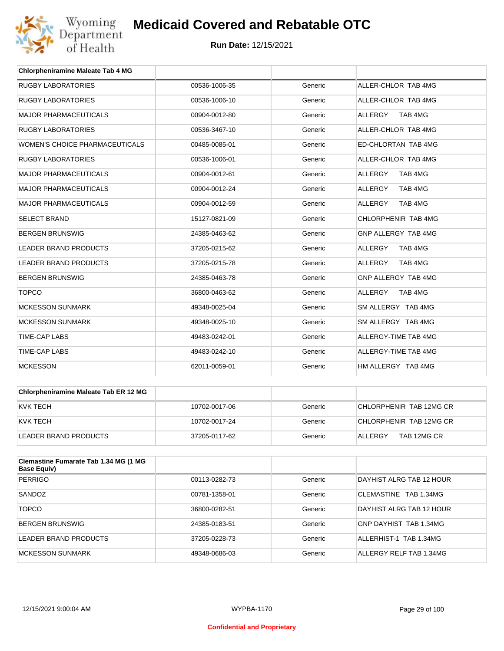

| <b>Chlorpheniramine Maleate Tab 4 MG</b> |               |         |                           |
|------------------------------------------|---------------|---------|---------------------------|
| <b>RUGBY LABORATORIES</b>                | 00536-1006-35 | Generic | ALLER-CHLOR TAB 4MG       |
| <b>RUGBY LABORATORIES</b>                | 00536-1006-10 | Generic | ALLER-CHLOR TAB 4MG       |
| <b>MAJOR PHARMACEUTICALS</b>             | 00904-0012-80 | Generic | <b>ALLERGY</b><br>TAB 4MG |
| <b>RUGBY LABORATORIES</b>                | 00536-3467-10 | Generic | ALLER-CHLOR TAB 4MG       |
| WOMEN'S CHOICE PHARMACEUTICALS           | 00485-0085-01 | Generic | ED-CHLORTAN TAB 4MG       |
| <b>RUGBY LABORATORIES</b>                | 00536-1006-01 | Generic | ALLER-CHLOR TAB 4MG       |
| <b>MAJOR PHARMACEUTICALS</b>             | 00904-0012-61 | Generic | <b>ALLERGY</b><br>TAB 4MG |
| <b>MAJOR PHARMACEUTICALS</b>             | 00904-0012-24 | Generic | <b>ALLERGY</b><br>TAB 4MG |
| <b>MAJOR PHARMACEUTICALS</b>             | 00904-0012-59 | Generic | <b>ALLERGY</b><br>TAB 4MG |
| <b>SELECT BRAND</b>                      | 15127-0821-09 | Generic | CHLORPHENIR TAB 4MG       |
| <b>BERGEN BRUNSWIG</b>                   | 24385-0463-62 | Generic | GNP ALLERGY TAB 4MG       |
| <b>LEADER BRAND PRODUCTS</b>             | 37205-0215-62 | Generic | <b>ALLERGY</b><br>TAB 4MG |
| <b>LEADER BRAND PRODUCTS</b>             | 37205-0215-78 | Generic | <b>ALLERGY</b><br>TAB 4MG |
| <b>BERGEN BRUNSWIG</b>                   | 24385-0463-78 | Generic | GNP ALLERGY TAB 4MG       |
| <b>TOPCO</b>                             | 36800-0463-62 | Generic | <b>ALLERGY</b><br>TAB 4MG |
| <b>MCKESSON SUNMARK</b>                  | 49348-0025-04 | Generic | SM ALLERGY TAB 4MG        |
| <b>MCKESSON SUNMARK</b>                  | 49348-0025-10 | Generic | SM ALLERGY TAB 4MG        |
| <b>TIME-CAP LABS</b>                     | 49483-0242-01 | Generic | ALLERGY-TIME TAB 4MG      |
| <b>TIME-CAP LABS</b>                     | 49483-0242-10 | Generic | ALLERGY-TIME TAB 4MG      |
| <b>MCKESSON</b>                          | 62011-0059-01 | Generic | HM ALLERGY TAB 4MG        |

| <b>Chlorpheniramine Maleate Tab ER 12 MG</b> |               |         |                         |
|----------------------------------------------|---------------|---------|-------------------------|
| KVK TECH                                     | 10702-0017-06 | Generic | CHLORPHENIR TAB 12MG CR |
| KVK TECH                                     | 10702-0017-24 | Generic | CHLORPHENIR TAB 12MG CR |
| LEADER BRAND PRODUCTS                        | 37205-0117-62 | Generic | TAB 12MG CR<br>ALLERGY  |

| Clemastine Fumarate Tab 1.34 MG (1 MG<br><b>Base Equiv)</b> |               |         |                                 |
|-------------------------------------------------------------|---------------|---------|---------------------------------|
| <b>PERRIGO</b>                                              | 00113-0282-73 | Generic | DAYHIST ALRG TAB 12 HOUR        |
| SANDOZ                                                      | 00781-1358-01 | Generic | CLEMASTINE TAB 1.34MG           |
| <b>TOPCO</b>                                                | 36800-0282-51 | Generic | <b>DAYHIST ALRG TAB 12 HOUR</b> |
| BERGEN BRUNSWIG                                             | 24385-0183-51 | Generic | GNP DAYHIST TAB 1.34MG          |
| LEADER BRAND PRODUCTS                                       | 37205-0228-73 | Generic | ALLERHIST-1 TAB 1.34MG          |
| MCKESSON SUNMARK                                            | 49348-0686-03 | Generic | ALLERGY RELF TAB 1.34MG         |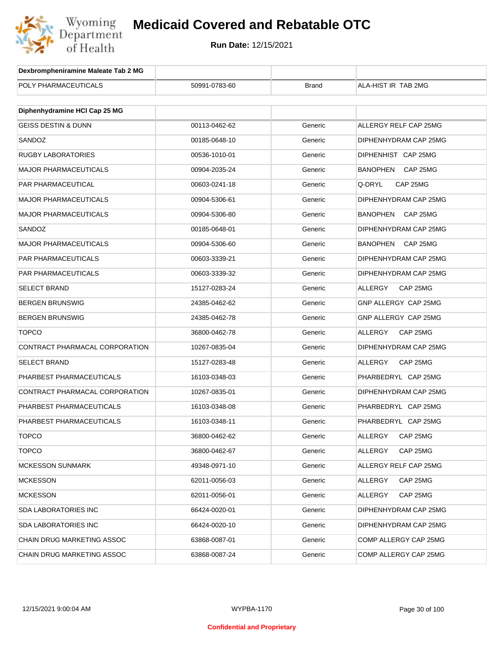

| Dexbrompheniramine Maleate Tab 2 MG |               |              |                             |
|-------------------------------------|---------------|--------------|-----------------------------|
| POLY PHARMACEUTICALS                | 50991-0783-60 | <b>Brand</b> | ALA-HIST IR TAB 2MG         |
|                                     |               |              |                             |
| Diphenhydramine HCI Cap 25 MG       |               |              |                             |
| <b>GEISS DESTIN &amp; DUNN</b>      | 00113-0462-62 | Generic      | ALLERGY RELF CAP 25MG       |
| SANDOZ                              | 00185-0648-10 | Generic      | DIPHENHYDRAM CAP 25MG       |
| <b>RUGBY LABORATORIES</b>           | 00536-1010-01 | Generic      | DIPHENHIST CAP 25MG         |
| <b>MAJOR PHARMACEUTICALS</b>        | 00904-2035-24 | Generic      | <b>BANOPHEN</b><br>CAP 25MG |
| PAR PHARMACEUTICAL                  | 00603-0241-18 | Generic      | Q-DRYL<br>CAP 25MG          |
| <b>MAJOR PHARMACEUTICALS</b>        | 00904-5306-61 | Generic      | DIPHENHYDRAM CAP 25MG       |
| <b>MAJOR PHARMACEUTICALS</b>        | 00904-5306-80 | Generic      | <b>BANOPHEN</b><br>CAP 25MG |
| SANDOZ                              | 00185-0648-01 | Generic      | DIPHENHYDRAM CAP 25MG       |
| <b>MAJOR PHARMACEUTICALS</b>        | 00904-5306-60 | Generic      | <b>BANOPHEN</b><br>CAP 25MG |
| PAR PHARMACEUTICALS                 | 00603-3339-21 | Generic      | DIPHENHYDRAM CAP 25MG       |
| PAR PHARMACEUTICALS                 | 00603-3339-32 | Generic      | DIPHENHYDRAM CAP 25MG       |
| <b>SELECT BRAND</b>                 | 15127-0283-24 | Generic      | ALLERGY<br>CAP 25MG         |
| <b>BERGEN BRUNSWIG</b>              | 24385-0462-62 | Generic      | GNP ALLERGY CAP 25MG        |
| <b>BERGEN BRUNSWIG</b>              | 24385-0462-78 | Generic      | GNP ALLERGY CAP 25MG        |
| <b>TOPCO</b>                        | 36800-0462-78 | Generic      | ALLERGY<br>CAP 25MG         |
| CONTRACT PHARMACAL CORPORATION      | 10267-0835-04 | Generic      | DIPHENHYDRAM CAP 25MG       |
| <b>SELECT BRAND</b>                 | 15127-0283-48 | Generic      | ALLERGY<br>CAP 25MG         |
| PHARBEST PHARMACEUTICALS            | 16103-0348-03 | Generic      | PHARBEDRYL CAP 25MG         |
| CONTRACT PHARMACAL CORPORATION      | 10267-0835-01 | Generic      | DIPHENHYDRAM CAP 25MG       |
| PHARBEST PHARMACEUTICALS            | 16103-0348-08 | Generic      | PHARBEDRYL CAP 25MG         |
| PHARBEST PHARMACEUTICALS            | 16103-0348-11 | Generic      | PHARBEDRYL CAP 25MG         |
| TOPCO                               | 36800-0462-62 | Generic      | <b>ALLERGY</b><br>CAP 25MG  |
| <b>TOPCO</b>                        | 36800-0462-67 | Generic      | ALLERGY<br>CAP 25MG         |
| <b>MCKESSON SUNMARK</b>             | 49348-0971-10 | Generic      | ALLERGY RELF CAP 25MG       |
| <b>MCKESSON</b>                     | 62011-0056-03 | Generic      | ALLERGY<br>CAP 25MG         |
| <b>MCKESSON</b>                     | 62011-0056-01 | Generic      | ALLERGY<br>CAP 25MG         |
| <b>SDA LABORATORIES INC</b>         | 66424-0020-01 | Generic      | DIPHENHYDRAM CAP 25MG       |
| <b>SDA LABORATORIES INC</b>         | 66424-0020-10 | Generic      | DIPHENHYDRAM CAP 25MG       |
| CHAIN DRUG MARKETING ASSOC          | 63868-0087-01 | Generic      | COMP ALLERGY CAP 25MG       |
| CHAIN DRUG MARKETING ASSOC          | 63868-0087-24 | Generic      | COMP ALLERGY CAP 25MG       |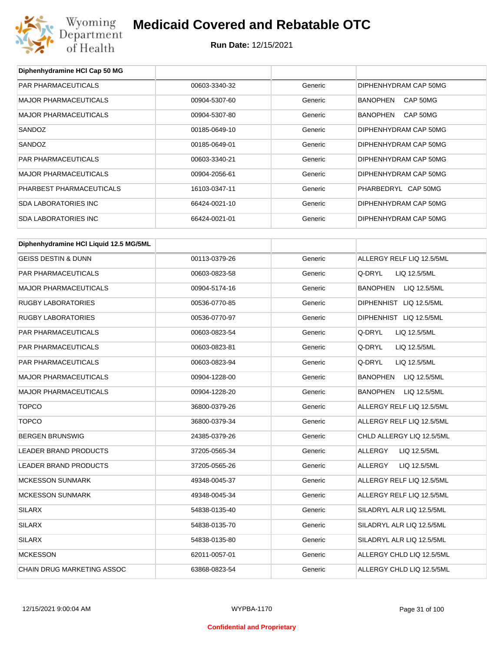

**Diphenhydramine HCl Cap 50 MG**

## **Medicaid Covered and Rebatable OTC**

| PAR PHARMACEUTICALS                    | 00603-3340-32 | Generic | DIPHENHYDRAM CAP 50MG           |
|----------------------------------------|---------------|---------|---------------------------------|
| <b>MAJOR PHARMACEUTICALS</b>           | 00904-5307-60 | Generic | BANOPHEN<br>CAP 50MG            |
| <b>MAJOR PHARMACEUTICALS</b>           | 00904-5307-80 | Generic | BANOPHEN<br>CAP 50MG            |
| SANDOZ                                 | 00185-0649-10 | Generic | DIPHENHYDRAM CAP 50MG           |
| SANDOZ                                 | 00185-0649-01 | Generic | DIPHENHYDRAM CAP 50MG           |
| PAR PHARMACEUTICALS                    | 00603-3340-21 | Generic | DIPHENHYDRAM CAP 50MG           |
| <b>MAJOR PHARMACEUTICALS</b>           | 00904-2056-61 | Generic | DIPHENHYDRAM CAP 50MG           |
| PHARBEST PHARMACEUTICALS               | 16103-0347-11 | Generic | PHARBEDRYL CAP 50MG             |
| <b>SDA LABORATORIES INC</b>            | 66424-0021-10 | Generic | DIPHENHYDRAM CAP 50MG           |
| <b>SDA LABORATORIES INC</b>            | 66424-0021-01 | Generic | DIPHENHYDRAM CAP 50MG           |
|                                        |               |         |                                 |
| Diphenhydramine HCI Liquid 12.5 MG/5ML |               |         |                                 |
| <b>GEISS DESTIN &amp; DUNN</b>         | 00113-0379-26 | Generic | ALLERGY RELF LIQ 12.5/5ML       |
| PAR PHARMACEUTICALS                    | 00603-0823-58 | Generic | Q-DRYL<br>LIQ 12.5/5ML          |
| <b>MAJOR PHARMACEUTICALS</b>           | 00904-5174-16 | Generic | BANOPHEN<br>LIQ 12.5/5ML        |
| <b>RUGBY LABORATORIES</b>              | 00536-0770-85 | Generic | DIPHENHIST LIQ 12.5/5ML         |
| <b>RUGBY LABORATORIES</b>              | 00536-0770-97 | Generic | DIPHENHIST LIQ 12.5/5ML         |
| PAR PHARMACEUTICALS                    | 00603-0823-54 | Generic | Q-DRYL<br>LIQ 12.5/5ML          |
| PAR PHARMACEUTICALS                    | 00603-0823-81 | Generic | Q-DRYL<br>LIQ 12.5/5ML          |
| PAR PHARMACEUTICALS                    | 00603-0823-94 | Generic | Q-DRYL<br>LIQ 12.5/5ML          |
| MAJOR PHARMACEUTICALS                  | 00904-1228-00 | Generic | <b>BANOPHEN</b><br>LIQ 12.5/5ML |
| <b>MAJOR PHARMACEUTICALS</b>           | 00904-1228-20 | Generic | <b>BANOPHEN</b><br>LIQ 12.5/5ML |
| <b>TOPCO</b>                           | 36800-0379-26 | Generic | ALLERGY RELF LIQ 12.5/5ML       |
| <b>TOPCO</b>                           | 36800-0379-34 | Generic | ALLERGY RELF LIQ 12.5/5ML       |
| <b>BERGEN BRUNSWIG</b>                 | 24385-0379-26 | Generic | CHLD ALLERGY LIQ 12.5/5ML       |
| LEADER BRAND PRODUCTS                  | 37205-0565-34 | Generic | <b>ALLERGY</b><br>LIQ 12.5/5ML  |
| LEADER BRAND PRODUCTS                  | 37205-0565-26 | Generic | ALLERGY<br>LIQ 12.5/5ML         |
| <b>MCKESSON SUNMARK</b>                | 49348-0045-37 | Generic | ALLERGY RELF LIQ 12.5/5ML       |
| <b>MCKESSON SUNMARK</b>                | 49348-0045-34 | Generic | ALLERGY RELF LIQ 12.5/5ML       |
| <b>SILARX</b>                          | 54838-0135-40 | Generic | SILADRYL ALR LIQ 12.5/5ML       |
| <b>SILARX</b>                          | 54838-0135-70 | Generic | SILADRYL ALR LIQ 12.5/5ML       |
| <b>SILARX</b>                          | 54838-0135-80 | Generic | SILADRYL ALR LIQ 12.5/5ML       |
| <b>MCKESSON</b>                        | 62011-0057-01 | Generic | ALLERGY CHLD LIQ 12.5/5ML       |
| CHAIN DRUG MARKETING ASSOC             | 63868-0823-54 | Generic | ALLERGY CHLD LIQ 12.5/5ML       |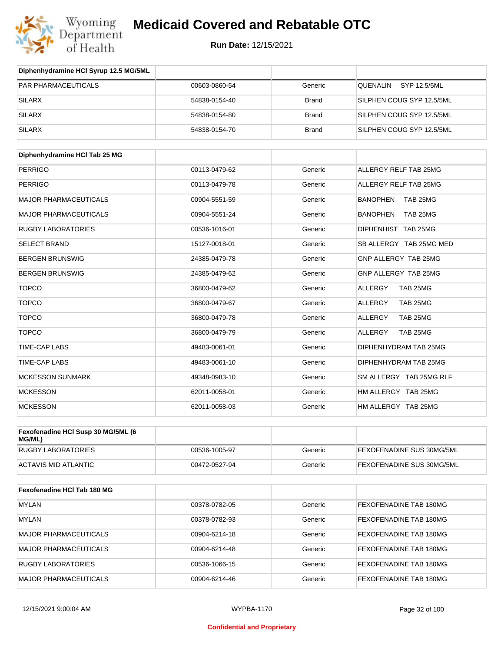

| Diphenhydramine HCI Syrup 12.5 MG/5ML |               |              |                           |
|---------------------------------------|---------------|--------------|---------------------------|
| <b>PAR PHARMACEUTICALS</b>            | 00603-0860-54 | Generic      | SYP 12.5/5ML<br>QUENALIN  |
| SILARX                                | 54838-0154-40 | <b>Brand</b> | SILPHEN COUG SYP 12.5/5ML |
| SILARX                                | 54838-0154-80 | <b>Brand</b> | SILPHEN COUG SYP 12.5/5ML |
| <b>SILARX</b>                         | 54838-0154-70 | <b>Brand</b> | SILPHEN COUG SYP 12.5/5ML |

| Diphenhydramine HCI Tab 25 MG |               |         |                             |
|-------------------------------|---------------|---------|-----------------------------|
| <b>PERRIGO</b>                | 00113-0479-62 | Generic | ALLERGY RELF TAB 25MG       |
| <b>PERRIGO</b>                | 00113-0479-78 | Generic | ALLERGY RELF TAB 25MG       |
| <b>MAJOR PHARMACEUTICALS</b>  | 00904-5551-59 | Generic | <b>BANOPHEN</b><br>TAB 25MG |
| <b>MAJOR PHARMACEUTICALS</b>  | 00904-5551-24 | Generic | <b>BANOPHEN</b><br>TAB 25MG |
| <b>RUGBY LABORATORIES</b>     | 00536-1016-01 | Generic | DIPHENHIST TAB 25MG         |
| <b>SELECT BRAND</b>           | 15127-0018-01 | Generic | SB ALLERGY TAB 25MG MED     |
| <b>BERGEN BRUNSWIG</b>        | 24385-0479-78 | Generic | GNP ALLERGY TAB 25MG        |
| <b>BERGEN BRUNSWIG</b>        | 24385-0479-62 | Generic | GNP ALLERGY TAB 25MG        |
| <b>TOPCO</b>                  | 36800-0479-62 | Generic | <b>ALLERGY</b><br>TAB 25MG  |
| <b>TOPCO</b>                  | 36800-0479-67 | Generic | ALLERGY<br>TAB 25MG         |
| <b>TOPCO</b>                  | 36800-0479-78 | Generic | <b>ALLERGY</b><br>TAB 25MG  |
| <b>TOPCO</b>                  | 36800-0479-79 | Generic | ALLERGY<br>TAB 25MG         |
| <b>TIME-CAP LABS</b>          | 49483-0061-01 | Generic | DIPHENHYDRAM TAB 25MG       |
| <b>TIME-CAP LABS</b>          | 49483-0061-10 | Generic | DIPHENHYDRAM TAB 25MG       |
| <b>MCKESSON SUNMARK</b>       | 49348-0983-10 | Generic | SM ALLERGY TAB 25MG RLF     |
| <b>MCKESSON</b>               | 62011-0058-01 | Generic | HM ALLERGY TAB 25MG         |
| <b>MCKESSON</b>               | 62011-0058-03 | Generic | HM ALLERGY TAB 25MG         |

| Fexofenadine HCI Susp 30 MG/5ML (6<br>MG/ML) |               |         |                                  |
|----------------------------------------------|---------------|---------|----------------------------------|
| RUGBY LABORATORIES                           | 00536-1005-97 | Generic | <b>FEXOFENADINE SUS 30MG/5ML</b> |
| ACTAVIS MID ATLANTIC                         | 00472-0527-94 | Generic | FEXOFENADINE SUS 30MG/5ML        |

| Fexofenadine HCI Tab 180 MG  |               |         |                               |
|------------------------------|---------------|---------|-------------------------------|
| <b>MYLAN</b>                 | 00378-0782-05 | Generic | <b>FEXOFENADINE TAB 180MG</b> |
| <b>MYLAN</b>                 | 00378-0782-93 | Generic | <b>FEXOFENADINE TAB 180MG</b> |
| <b>MAJOR PHARMACEUTICALS</b> | 00904-6214-18 | Generic | <b>FEXOFENADINE TAB 180MG</b> |
| <b>MAJOR PHARMACEUTICALS</b> | 00904-6214-48 | Generic | <b>FEXOFENADINE TAB 180MG</b> |
| <b>RUGBY LABORATORIES</b>    | 00536-1066-15 | Generic | <b>FEXOFENADINE TAB 180MG</b> |
| <b>MAJOR PHARMACEUTICALS</b> | 00904-6214-46 | Generic | <b>FEXOFENADINE TAB 180MG</b> |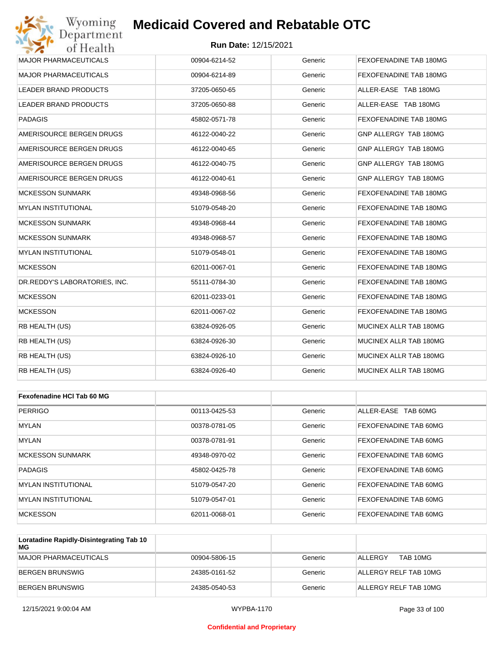#### **Run Date:** 12/15/2021

| Wyoming<br>Department         | <b>Medicaid Covered and Rebatable OTC</b> |         |                        |
|-------------------------------|-------------------------------------------|---------|------------------------|
| of Health                     | <b>Run Date: 12/15/2021</b>               |         |                        |
| <b>MAJOR PHARMACEUTICALS</b>  | 00904-6214-52                             | Generic | FEXOFENADINE TAB 180MG |
| <b>MAJOR PHARMACEUTICALS</b>  | 00904-6214-89                             | Generic | FEXOFENADINE TAB 180MG |
| LEADER BRAND PRODUCTS         | 37205-0650-65                             | Generic | ALLER-EASE TAB 180MG   |
| LEADER BRAND PRODUCTS         | 37205-0650-88                             | Generic | ALLER-EASE TAB 180MG   |
| <b>PADAGIS</b>                | 45802-0571-78                             | Generic | FEXOFENADINE TAB 180MG |
| AMERISOURCE BERGEN DRUGS      | 46122-0040-22                             | Generic | GNP ALLERGY TAB 180MG  |
| AMERISOURCE BERGEN DRUGS      | 46122-0040-65                             | Generic | GNP ALLERGY TAB 180MG  |
| AMERISOURCE BERGEN DRUGS      | 46122-0040-75                             | Generic | GNP ALLERGY TAB 180MG  |
| AMERISOURCE BERGEN DRUGS      | 46122-0040-61                             | Generic | GNP ALLERGY TAB 180MG  |
| <b>MCKESSON SUNMARK</b>       | 49348-0968-56                             | Generic | FEXOFENADINE TAB 180MG |
| MYLAN INSTITUTIONAL           | 51079-0548-20                             | Generic | FEXOFENADINE TAB 180MG |
| <b>MCKESSON SUNMARK</b>       | 49348-0968-44                             | Generic | FEXOFENADINE TAB 180MG |
| <b>MCKESSON SUNMARK</b>       | 49348-0968-57                             | Generic | FEXOFENADINE TAB 180MG |
| <b>MYLAN INSTITUTIONAL</b>    | 51079-0548-01                             | Generic | FEXOFENADINE TAB 180MG |
| <b>MCKESSON</b>               | 62011-0067-01                             | Generic | FEXOFENADINE TAB 180MG |
| DR.REDDY'S LABORATORIES, INC. | 55111-0784-30                             | Generic | FEXOFENADINE TAB 180MG |
| <b>MCKESSON</b>               | 62011-0233-01                             | Generic | FEXOFENADINE TAB 180MG |
| <b>MCKESSON</b>               | 62011-0067-02                             | Generic | FEXOFENADINE TAB 180MG |
| RB HEALTH (US)                | 63824-0926-05                             | Generic | MUCINEX ALLR TAB 180MG |
| RB HEALTH (US)                | 63824-0926-30                             | Generic | MUCINEX ALLR TAB 180MG |
| RB HEALTH (US)                | 63824-0926-10                             | Generic | MUCINEX ALLR TAB 180MG |
| RB HEALTH (US)                | 63824-0926-40                             | Generic | MUCINEX ALLR TAB 180MG |
|                               |                                           |         |                        |
| Fexofenadine HCI Tab 60 MG    |                                           |         |                        |
| <b>PERRIGO</b>                | 00113-0425-53                             | Generic | ALLER-EASE TAB 60MG    |
| MYLAN                         | 00378-0781-05                             | Generic | FEXOFENADINE TAB 60MG  |
| MYLAN                         | 00378-0781-91                             | Generic | FEXOFENADINE TAB 60MG  |
| <b>MCKESSON SUNMARK</b>       | 49348-0970-02                             | Generic | FEXOFENADINE TAB 60MG  |

| <b>INDINEUDUN JUNIVIAINN</b> | 90-U I GU-UHUC | uuun    | I LAVI LIJADIJL TAD UVIJIJ   |
|------------------------------|----------------|---------|------------------------------|
| <b>PADAGIS</b>               | 45802-0425-78  | Generic | <b>FEXOFENADINE TAB 60MG</b> |
| IMYLAN INSTITUTIONAL         | 51079-0547-20  | Generic | <b>FEXOFENADINE TAB 60MG</b> |
| <b>IMYLAN INSTITUTIONAL</b>  | 51079-0547-01  | Generic | FEXOFENADINE TAB 60MG        |
| MCKESSON                     | 62011-0068-01  | Generic | <b>FEXOFENADINE TAB 60MG</b> |

| Loratadine Rapidly-Disintegrating Tab 10<br>MG |               |         |                       |
|------------------------------------------------|---------------|---------|-----------------------|
| MAJOR PHARMACEUTICALS                          | 00904-5806-15 | Generic | TAB 10MG<br>ALLERGY   |
| BERGEN BRUNSWIG                                | 24385-0161-52 | Generic | ALLERGY RELF TAB 10MG |
| BERGEN BRUNSWIG                                | 24385-0540-53 | Generic | ALLERGY RELF TAB 10MG |

#### **Confidential and Proprietary**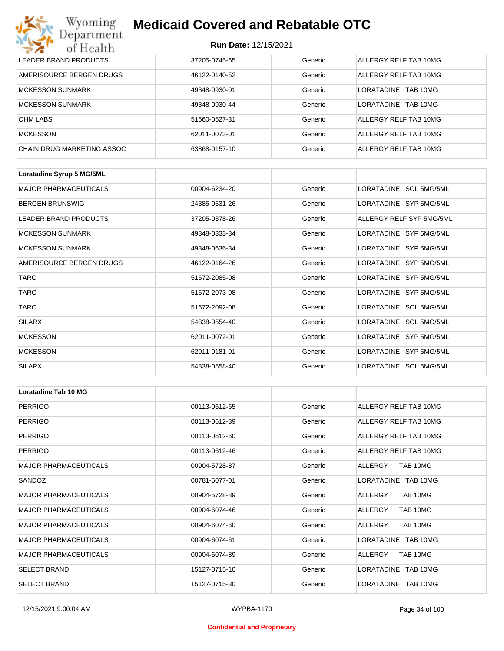## **Run Date:** 12/15/2021

| Wyoming<br><b>Medicaid Covered and Rebatable OTC</b><br>Department |                             |         |                         |  |
|--------------------------------------------------------------------|-----------------------------|---------|-------------------------|--|
| of Health                                                          | <b>Run Date: 12/15/2021</b> |         |                         |  |
| LEADER BRAND PRODUCTS                                              | 37205-0745-65               | Generic | ALLERGY RELF TAB 10MG   |  |
| AMERISOURCE BERGEN DRUGS                                           | 46122-0140-52               | Generic | ALLERGY RELF TAB 10MG   |  |
| <b>MCKESSON SUNMARK</b>                                            | 49348-0930-01               | Generic | LORATADINE<br>TAB 10MG  |  |
| <b>MCKESSON SUNMARK</b>                                            | 49348-0930-44               | Generic | I ORATADINE<br>TAB 10MG |  |
| <b>OHM LABS</b>                                                    | 51660-0527-31               | Generic | ALLERGY RELF TAB 10MG   |  |
| <b>MCKESSON</b>                                                    | 62011-0073-01               | Generic | ALLERGY RELF TAB 10MG   |  |
| CHAIN DRUG MARKETING ASSOC                                         | 63868-0157-10               | Generic | ALLERGY RELF TAB 10MG   |  |

| Loratadine Syrup 5 MG/5ML    |               |         |                          |
|------------------------------|---------------|---------|--------------------------|
| <b>MAJOR PHARMACEUTICALS</b> | 00904-6234-20 | Generic | LORATADINE SOL 5MG/5ML   |
| <b>BERGEN BRUNSWIG</b>       | 24385-0531-26 | Generic | LORATADINE SYP 5MG/5ML   |
| <b>LEADER BRAND PRODUCTS</b> | 37205-0378-26 | Generic | ALLERGY RELF SYP 5MG/5ML |
| <b>MCKESSON SUNMARK</b>      | 49348-0333-34 | Generic | LORATADINE SYP 5MG/5ML   |
| <b>MCKESSON SUNMARK</b>      | 49348-0636-34 | Generic | LORATADINE SYP 5MG/5ML   |
| AMERISOURCE BERGEN DRUGS     | 46122-0164-26 | Generic | LORATADINE SYP 5MG/5ML   |
| <b>TARO</b>                  | 51672-2085-08 | Generic | LORATADINE SYP 5MG/5ML   |
| <b>TARO</b>                  | 51672-2073-08 | Generic | LORATADINE SYP 5MG/5ML   |
| <b>TARO</b>                  | 51672-2092-08 | Generic | LORATADINE SOL 5MG/5ML   |
| <b>SILARX</b>                | 54838-0554-40 | Generic | LORATADINE SOL 5MG/5ML   |
| <b>MCKESSON</b>              | 62011-0072-01 | Generic | LORATADINE SYP 5MG/5ML   |
| <b>MCKESSON</b>              | 62011-0181-01 | Generic | LORATADINE SYP 5MG/5ML   |
| <b>SILARX</b>                | 54838-0558-40 | Generic | LORATADINE SOL 5MG/5ML   |

| <b>Loratadine Tab 10 MG</b>  |               |         |                       |
|------------------------------|---------------|---------|-----------------------|
| <b>PERRIGO</b>               | 00113-0612-65 | Generic | ALLERGY RELF TAB 10MG |
| PERRIGO                      | 00113-0612-39 | Generic | ALLERGY RELF TAB 10MG |
| <b>PERRIGO</b>               | 00113-0612-60 | Generic | ALLERGY RELF TAB 10MG |
| <b>PERRIGO</b>               | 00113-0612-46 | Generic | ALLERGY RELF TAB 10MG |
| <b>MAJOR PHARMACEUTICALS</b> | 00904-5728-87 | Generic | TAB 10MG<br>ALLERGY   |
| SANDOZ                       | 00781-5077-01 | Generic | LORATADINE TAB 10MG   |
| <b>MAJOR PHARMACEUTICALS</b> | 00904-5728-89 | Generic | TAB 10MG<br>ALLERGY   |
| <b>MAJOR PHARMACEUTICALS</b> | 00904-6074-46 | Generic | ALLERGY<br>TAB 10MG   |
| <b>MAJOR PHARMACEUTICALS</b> | 00904-6074-60 | Generic | ALLERGY<br>TAB 10MG   |
| <b>MAJOR PHARMACEUTICALS</b> | 00904-6074-61 | Generic | LORATADINE TAB 10MG   |
| <b>MAJOR PHARMACEUTICALS</b> | 00904-6074-89 | Generic | ALLERGY<br>TAB 10MG   |
| <b>SELECT BRAND</b>          | 15127-0715-10 | Generic | LORATADINE TAB 10MG   |
| <b>SELECT BRAND</b>          | 15127-0715-30 | Generic | LORATADINE TAB 10MG   |

#### **Confidential and Proprietary**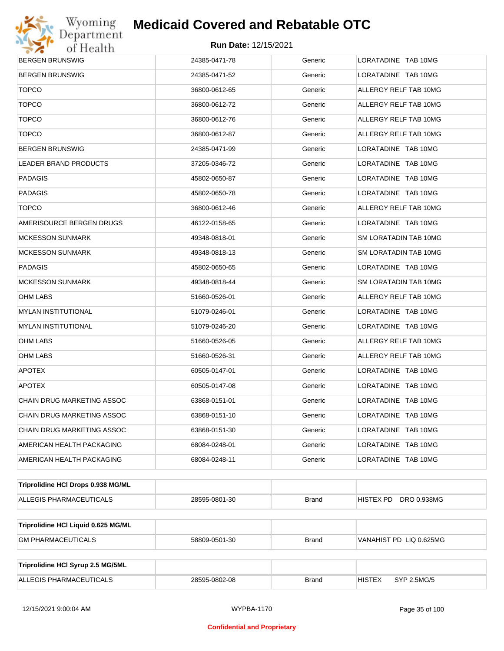

| <b>BERGEN BRUNSWIG</b>              | 24385-0471-78 | Generic      | LORATADINE TAB 10MG          |
|-------------------------------------|---------------|--------------|------------------------------|
| <b>BERGEN BRUNSWIG</b>              | 24385-0471-52 | Generic      | LORATADINE TAB 10MG          |
| <b>TOPCO</b>                        | 36800-0612-65 | Generic      | ALLERGY RELF TAB 10MG        |
| <b>TOPCO</b>                        | 36800-0612-72 | Generic      | ALLERGY RELF TAB 10MG        |
| <b>TOPCO</b>                        | 36800-0612-76 | Generic      | ALLERGY RELF TAB 10MG        |
| <b>TOPCO</b>                        | 36800-0612-87 | Generic      | ALLERGY RELF TAB 10MG        |
| <b>BERGEN BRUNSWIG</b>              | 24385-0471-99 | Generic      | LORATADINE TAB 10MG          |
| <b>LEADER BRAND PRODUCTS</b>        | 37205-0346-72 | Generic      | LORATADINE TAB 10MG          |
| <b>PADAGIS</b>                      | 45802-0650-87 | Generic      | LORATADINE TAB 10MG          |
| <b>PADAGIS</b>                      | 45802-0650-78 | Generic      | LORATADINE TAB 10MG          |
| <b>TOPCO</b>                        | 36800-0612-46 | Generic      | ALLERGY RELF TAB 10MG        |
| AMERISOURCE BERGEN DRUGS            | 46122-0158-65 | Generic      | LORATADINE TAB 10MG          |
| <b>MCKESSON SUNMARK</b>             | 49348-0818-01 | Generic      | SM LORATADIN TAB 10MG        |
| <b>MCKESSON SUNMARK</b>             | 49348-0818-13 | Generic      | SM LORATADIN TAB 10MG        |
| <b>PADAGIS</b>                      | 45802-0650-65 | Generic      | LORATADINE TAB 10MG          |
| <b>MCKESSON SUNMARK</b>             | 49348-0818-44 | Generic      | SM LORATADIN TAB 10MG        |
| OHM LABS                            | 51660-0526-01 | Generic      | ALLERGY RELF TAB 10MG        |
| <b>MYLAN INSTITUTIONAL</b>          | 51079-0246-01 | Generic      | LORATADINE TAB 10MG          |
| <b>MYLAN INSTITUTIONAL</b>          | 51079-0246-20 | Generic      | LORATADINE TAB 10MG          |
| <b>OHM LABS</b>                     | 51660-0526-05 | Generic      | ALLERGY RELF TAB 10MG        |
| <b>OHM LABS</b>                     | 51660-0526-31 | Generic      | ALLERGY RELF TAB 10MG        |
| <b>APOTEX</b>                       | 60505-0147-01 | Generic      | LORATADINE TAB 10MG          |
| <b>APOTEX</b>                       | 60505-0147-08 | Generic      | LORATADINE TAB 10MG          |
| CHAIN DRUG MARKETING ASSOC          | 63868-0151-01 | Generic      | LORATADINE TAB 10MG          |
| <b>CHAIN DRUG MARKETING ASSOC</b>   | 63868-0151-10 | Generic      | LORATADINE TAB 10MG          |
| CHAIN DRUG MARKETING ASSOC          | 63868-0151-30 | Generic      | LORATADINE TAB 10MG          |
| AMERICAN HEALTH PACKAGING           | 68084-0248-01 | Generic      | LORATADINE TAB 10MG          |
| AMERICAN HEALTH PACKAGING           | 68084-0248-11 | Generic      | LORATADINE TAB 10MG          |
| Triprolidine HCI Drops 0.938 MG/ML  |               |              |                              |
| ALLEGIS PHARMACEUTICALS             | 28595-0801-30 | <b>Brand</b> | HISTEX PD DRO 0.938MG        |
| Triprolidine HCI Liquid 0.625 MG/ML |               |              |                              |
| <b>GM PHARMACEUTICALS</b>           | 58809-0501-30 | <b>Brand</b> | VANAHIST PD LIQ 0.625MG      |
|                                     |               |              |                              |
| Triprolidine HCI Syrup 2.5 MG/5ML   |               |              |                              |
| ALLEGIS PHARMACEUTICALS             | 28595-0802-08 | <b>Brand</b> | <b>HISTEX</b><br>SYP 2.5MG/5 |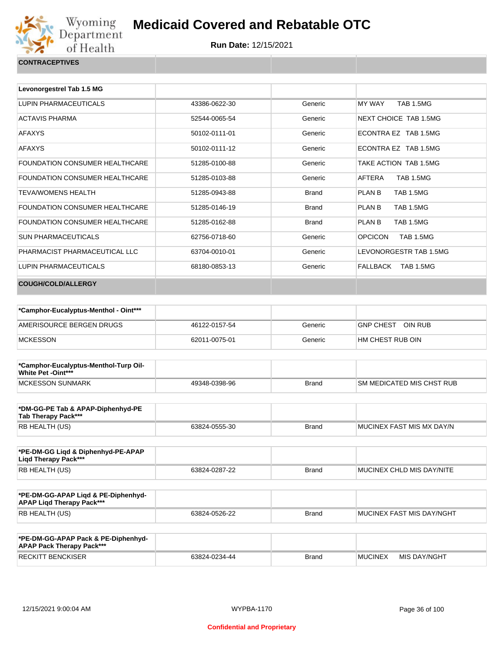

| Levonorgestrel Tab 1.5 MG      |               |              |                                   |
|--------------------------------|---------------|--------------|-----------------------------------|
| LUPIN PHARMACEUTICALS          | 43386-0622-30 | Generic      | <b>TAB 1.5MG</b><br><b>MY WAY</b> |
| <b>ACTAVIS PHARMA</b>          | 52544-0065-54 | Generic      | NEXT CHOICE TAB 1.5MG             |
| <b>AFAXYS</b>                  | 50102-0111-01 | Generic      | ECONTRA EZ TAB 1.5MG              |
| <b>AFAXYS</b>                  | 50102-0111-12 | Generic      | ECONTRA EZ TAB 1.5MG              |
| FOUNDATION CONSUMER HEALTHCARE | 51285-0100-88 | Generic      | TAKE ACTION TAB 1.5MG             |
| FOUNDATION CONSUMER HEALTHCARE | 51285-0103-88 | Generic      | AFTERA<br><b>TAB 1.5MG</b>        |
| <b>TEVA/WOMENS HEALTH</b>      | 51285-0943-88 | <b>Brand</b> | PLAN B<br><b>TAB 1.5MG</b>        |
| FOUNDATION CONSUMER HEALTHCARE | 51285-0146-19 | <b>Brand</b> | PLAN B<br><b>TAB 1.5MG</b>        |
| FOUNDATION CONSUMER HEALTHCARE | 51285-0162-88 | <b>Brand</b> | PLAN B<br><b>TAB 1.5MG</b>        |
| <b>SUN PHARMACEUTICALS</b>     | 62756-0718-60 | Generic      | <b>OPCICON</b><br>TAB 1.5MG       |
| PHARMACIST PHARMACFUTICAL LLC  | 63704-0010-01 | Generic      | LEVONORGESTR TAB 1.5MG            |
| LUPIN PHARMACEUTICALS          | 68180-0853-13 | Generic      | FALLBACK<br>TAB 1.5MG             |
| <b>COUGH/COLD/ALLERGY</b>      |               |              |                                   |

| *Camphor-Eucalyptus-Menthol - Oint*** |               |         |                             |
|---------------------------------------|---------------|---------|-----------------------------|
| AMERISOURCE BERGEN DRUGS              | 46122-0157-54 | Generic | OIN RUB<br><b>GNP CHEST</b> |
| MCKESSON                              | 62011-0075-01 | Generic | HM CHEST RUB OIN            |

| *Camphor-Eucalyptus-Menthol-Turp Oil-<br>White Pet -Oint*** |               |              |                            |
|-------------------------------------------------------------|---------------|--------------|----------------------------|
| <b>IMCKESSON SUNMARK</b>                                    | 49348-0398-96 | <b>Brand</b> | ISM MEDICATED MIS CHST RUB |

| *DM-GG-PE Tab & APAP-Diphenhyd-PE<br>Tab Therapy Pack*** |               |       |                            |
|----------------------------------------------------------|---------------|-------|----------------------------|
| RB HEALTH (US)                                           | 63824-0555-30 | Brand | IMUCINEX FAST MIS MX DAY/N |

| *PE-DM-GG Ligd & Diphenhyd-PE-APAP<br>Ligd Therapy Pack*** |               |       |                           |
|------------------------------------------------------------|---------------|-------|---------------------------|
| RB HEALTH (US)                                             | 63824-0287-22 | Brand | MUCINEX CHLD MIS DAY/NITE |

| *PE-DM-GG-APAP Ligd & PE-Diphenhyd-<br><b>APAP Ligd Therapy Pack***</b> |               |       |                           |
|-------------------------------------------------------------------------|---------------|-------|---------------------------|
| RB HEALTH (US)                                                          | 63824-0526-22 | Brand | MUCINEX FAST MIS DAY/NGHT |

| *PE-DM-GG-APAP Pack & PE-Diphenhyd-<br><b>APAP Pack Therapy Pack***</b> |               |              |                |              |
|-------------------------------------------------------------------------|---------------|--------------|----------------|--------------|
| <b>RECKITT BENCKISER</b>                                                | 63824-0234-44 | <b>Brand</b> | <b>MUCINEX</b> | MIS DAY/NGHT |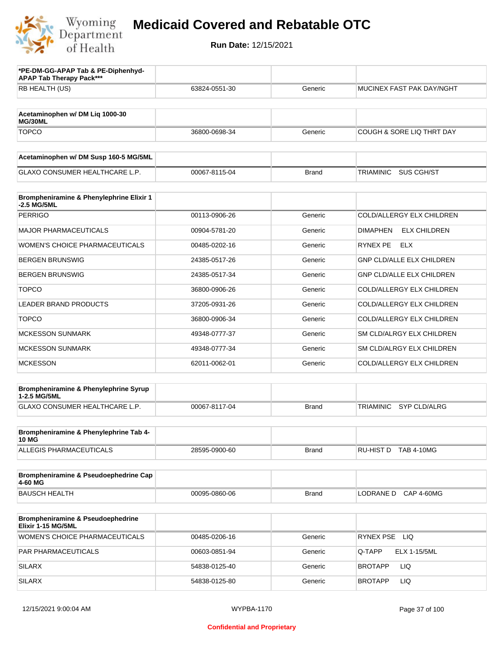

| *PE-DM-GG-APAP Tab & PE-Diphenhyd-<br><b>APAP Tab Therapy Pack***</b> |               |              |                                         |
|-----------------------------------------------------------------------|---------------|--------------|-----------------------------------------|
| RB HEALTH (US)                                                        | 63824-0551-30 | Generic      | MUCINEX FAST PAK DAY/NGHT               |
| Acetaminophen w/ DM Liq 1000-30<br>MG/30ML                            |               |              |                                         |
| <b>TOPCO</b>                                                          | 36800-0698-34 | Generic      | COUGH & SORE LIQ THRT DAY               |
| Acetaminophen w/ DM Susp 160-5 MG/5ML                                 |               |              |                                         |
| <b>GLAXO CONSUMER HEALTHCARE L.P.</b>                                 | 00067-8115-04 | <b>Brand</b> | <b>TRIAMINIC</b><br>SUS CGH/ST          |
| Brompheniramine & Phenylephrine Elixir 1<br>-2.5 MG/5ML               |               |              |                                         |
| <b>PERRIGO</b>                                                        | 00113-0906-26 | Generic      | COLD/ALLERGY ELX CHILDREN               |
| <b>MAJOR PHARMACEUTICALS</b>                                          | 00904-5781-20 | Generic      | <b>ELX CHILDREN</b><br><b>DIMAPHEN</b>  |
| WOMEN'S CHOICE PHARMACEUTICALS                                        | 00485-0202-16 | Generic      | <b>RYNEX PE</b><br><b>ELX</b>           |
| <b>BERGEN BRUNSWIG</b>                                                | 24385-0517-26 | Generic      | <b>GNP CLD/ALLE ELX CHILDREN</b>        |
| <b>BERGEN BRUNSWIG</b>                                                | 24385-0517-34 | Generic      | <b>GNP CLD/ALLE ELX CHILDREN</b>        |
| <b>TOPCO</b>                                                          | 36800-0906-26 | Generic      | COLD/ALLERGY ELX CHILDREN               |
| <b>LEADER BRAND PRODUCTS</b>                                          | 37205-0931-26 | Generic      | COLD/ALLERGY ELX CHILDREN               |
| <b>TOPCO</b>                                                          | 36800-0906-34 | Generic      | COLD/ALLERGY ELX CHILDREN               |
| MCKESSON SUNMARK                                                      | 49348-0777-37 | Generic      | SM CLD/ALRGY ELX CHILDREN               |
| <b>MCKESSON SUNMARK</b>                                               | 49348-0777-34 | Generic      | SM CLD/ALRGY ELX CHILDREN               |
| <b>MCKESSON</b>                                                       | 62011-0062-01 | Generic      | COLD/ALLERGY ELX CHILDREN               |
| Brompheniramine & Phenylephrine Syrup<br>1-2.5 MG/5ML                 |               |              |                                         |
| GLAXO CONSUMER HEALTHCARE L.P.                                        | 00067-8117-04 | <b>Brand</b> | <b>TRIAMINIC</b><br><b>SYP CLD/ALRG</b> |
| Brompheniramine & Phenylephrine Tab 4-                                |               |              |                                         |
| <b>10 MG</b><br>ALLEGIS PHARMACEUTICALS                               | 28595-0900-60 | Brand        | RU-HIST D TAB 4-10MG                    |
| Brompheniramine & Pseudoephedrine Cap<br>4-60 MG                      |               |              |                                         |
| <b>BAUSCH HEALTH</b>                                                  | 00095-0860-06 | <b>Brand</b> | LODRANE D CAP 4-60MG                    |
| <b>Brompheniramine &amp; Pseudoephedrine</b><br>Elixir 1-15 MG/5ML    |               |              |                                         |
| WOMEN'S CHOICE PHARMACEUTICALS                                        | 00485-0206-16 | Generic      | RYNEX PSE LIQ                           |
| PAR PHARMACEUTICALS                                                   | 00603-0851-94 | Generic      | <b>ELX 1-15/5ML</b><br>Q-TAPP           |
| <b>SILARX</b>                                                         | 54838-0125-40 | Generic      | <b>LIQ</b><br><b>BROTAPP</b>            |
| <b>SILARX</b>                                                         | 54838-0125-80 | Generic      | <b>BROTAPP</b><br>LIQ.                  |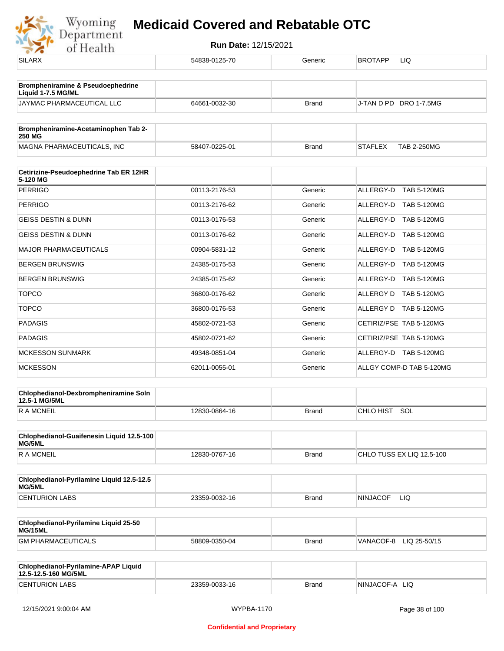

| ---                                                          |               |              |                                      |
|--------------------------------------------------------------|---------------|--------------|--------------------------------------|
| <b>SILARX</b>                                                | 54838-0125-70 | Generic      | <b>BROTAPP</b><br>LIQ                |
| Brompheniramine & Pseudoephedrine                            |               |              |                                      |
| Liquid 1-7.5 MG/ML<br>JAYMAC PHARMACEUTICAL LLC              | 64661-0032-30 | <b>Brand</b> | J-TAN D PD DRO 1-7.5MG               |
|                                                              |               |              |                                      |
| Brompheniramine-Acetaminophen Tab 2-<br><b>250 MG</b>        |               |              |                                      |
| MAGNA PHARMACEUTICALS, INC                                   | 58407-0225-01 | <b>Brand</b> | <b>TAB 2-250MG</b><br><b>STAFLEX</b> |
| Cetirizine-Pseudoephedrine Tab ER 12HR<br>5-120 MG           |               |              |                                      |
| <b>PERRIGO</b>                                               | 00113-2176-53 | Generic      | ALLERGY-D<br>TAB 5-120MG             |
| <b>PERRIGO</b>                                               | 00113-2176-62 | Generic      | ALLERGY-D TAB 5-120MG                |
| <b>GEISS DESTIN &amp; DUNN</b>                               | 00113-0176-53 | Generic      | ALLERGY-D TAB 5-120MG                |
| <b>GEISS DESTIN &amp; DUNN</b>                               | 00113-0176-62 | Generic      | ALLERGY-D TAB 5-120MG                |
| <b>MAJOR PHARMACEUTICALS</b>                                 | 00904-5831-12 | Generic      | ALLERGY-D<br><b>TAB 5-120MG</b>      |
| <b>BERGEN BRUNSWIG</b>                                       | 24385-0175-53 | Generic      | ALLERGY-D TAB 5-120MG                |
| <b>BERGEN BRUNSWIG</b>                                       | 24385-0175-62 | Generic      | ALLERGY-D TAB 5-120MG                |
| <b>TOPCO</b>                                                 | 36800-0176-62 | Generic      | ALLERGY D TAB 5-120MG                |
| <b>TOPCO</b>                                                 | 36800-0176-53 | Generic      | ALLERGY D TAB 5-120MG                |
| <b>PADAGIS</b>                                               | 45802-0721-53 | Generic      | CETIRIZ/PSE TAB 5-120MG              |
| <b>PADAGIS</b>                                               | 45802-0721-62 | Generic      | CETIRIZ/PSE TAB 5-120MG              |
| <b>MCKESSON SUNMARK</b>                                      | 49348-0851-04 | Generic      | ALLERGY-D TAB 5-120MG                |
| <b>MCKESSON</b>                                              | 62011-0055-01 | Generic      | ALLGY COMP-D TAB 5-120MG             |
| Chlophedianol-Dexbrompheniramine Soln<br>12.5-1 MG/5ML       |               |              |                                      |
| <b>RAMCNEIL</b>                                              | 12830-0864-16 | <b>Brand</b> | CHLO HIST SOL                        |
| Chlophedianol-Guaifenesin Liquid 12.5-100<br>MG/5ML          |               |              |                                      |
| <b>RAMCNEIL</b>                                              | 12830-0767-16 | <b>Brand</b> | CHLO TUSS EX LIQ 12.5-100            |
| Chlophedianol-Pyrilamine Liquid 12.5-12.5<br>MG/5ML          |               |              |                                      |
| <b>CENTURION LABS</b>                                        | 23359-0032-16 | <b>Brand</b> | <b>NINJACOF</b><br>LIQ               |
| Chlophedianol-Pyrilamine Liquid 25-50<br>MG/15ML             |               |              |                                      |
| <b>GM PHARMACEUTICALS</b>                                    | 58809-0350-04 | <b>Brand</b> | VANACOF-8<br>LIQ 25-50/15            |
| Chlophedianol-Pyrilamine-APAP Liquid<br>12.5-12.5-160 MG/5ML |               |              |                                      |
| <b>CENTURION LABS</b>                                        | 23359-0033-16 | <b>Brand</b> | NINJACOF-A LIQ                       |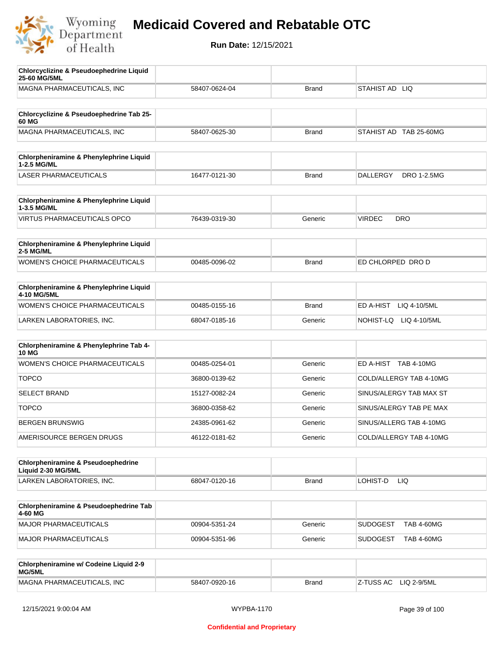

| <b>Chlorcyclizine &amp; Pseudoephedrine Liquid</b><br>25-60 MG/5ML |               |              |                                       |
|--------------------------------------------------------------------|---------------|--------------|---------------------------------------|
| MAGNA PHARMACEUTICALS, INC                                         | 58407-0624-04 | <b>Brand</b> | STAHIST AD LIQ                        |
|                                                                    |               |              |                                       |
| Chlorcyclizine & Pseudoephedrine Tab 25-<br>60 MG                  |               |              |                                       |
| MAGNA PHARMACEUTICALS, INC                                         | 58407-0625-30 | <b>Brand</b> | STAHIST AD TAB 25-60MG                |
|                                                                    |               |              |                                       |
| <b>Chlorpheniramine &amp; Phenylephrine Liquid</b><br>1-2.5 MG/ML  |               |              |                                       |
| <b>LASER PHARMACEUTICALS</b>                                       | 16477-0121-30 | <b>Brand</b> | <b>DALLERGY</b><br><b>DRO 1-2.5MG</b> |
| Chlorpheniramine & Phenylephrine Liquid                            |               |              |                                       |
| 1-3.5 MG/ML                                                        |               |              |                                       |
| <b>VIRTUS PHARMACEUTICALS OPCO</b>                                 | 76439-0319-30 | Generic      | <b>VIRDEC</b><br><b>DRO</b>           |
| Chlorpheniramine & Phenylephrine Liquid<br>2-5 MG/ML               |               |              |                                       |
| WOMEN'S CHOICE PHARMACEUTICALS                                     | 00485-0096-02 | <b>Brand</b> | ED CHLORPED DRO D                     |
|                                                                    |               |              |                                       |
| Chlorpheniramine & Phenylephrine Liquid<br>4-10 MG/5ML             |               |              |                                       |
| WOMEN'S CHOICE PHARMACEUTICALS                                     | 00485-0155-16 | <b>Brand</b> | ED A-HIST<br>LIQ 4-10/5ML             |
| LARKEN LABORATORIES, INC.                                          | 68047-0185-16 | Generic      | NOHIST-LQ LIQ 4-10/5ML                |
|                                                                    |               |              |                                       |
| Chlorpheniramine & Phenylephrine Tab 4-<br><b>10 MG</b>            |               |              |                                       |
| WOMEN'S CHOICE PHARMACEUTICALS                                     | 00485-0254-01 | Generic      | ED A-HIST TAB 4-10MG                  |
| <b>TOPCO</b>                                                       | 36800-0139-62 | Generic      | COLD/ALLERGY TAB 4-10MG               |
| <b>SELECT BRAND</b>                                                | 15127-0082-24 | Generic      | SINUS/ALERGY TAB MAX ST               |
| <b>TOPCO</b>                                                       | 36800-0358-62 | Generic      | SINUS/ALERGY TAB PE MAX               |
| <b>BERGEN BRUNSWIG</b>                                             | 24385-0961-62 | Generic      | SINUS/ALLERG TAB 4-10MG               |
| AMERISOURCE BERGEN DRUGS                                           | 46122-0181-62 | Generic      | COLD/ALLERGY TAB 4-10MG               |
|                                                                    |               |              |                                       |
| Chlorpheniramine & Pseudoephedrine<br>Liquid 2-30 MG/5ML           |               |              |                                       |
| LARKEN LABORATORIES, INC.                                          | 68047-0120-16 | <b>Brand</b> | LOHIST-D<br>LIQ.                      |
|                                                                    |               |              |                                       |
| Chlorpheniramine & Pseudoephedrine Tab<br>4-60 MG                  |               |              |                                       |
| MAJOR PHARMACEUTICALS                                              | 00904-5351-24 | Generic      | <b>SUDOGEST</b><br><b>TAB 4-60MG</b>  |
| <b>MAJOR PHARMACEUTICALS</b>                                       | 00904-5351-96 | Generic      | <b>SUDOGEST</b><br><b>TAB 4-60MG</b>  |
|                                                                    |               |              |                                       |
| Chlorpheniramine w/ Codeine Liquid 2-9<br>MG/5ML                   |               |              |                                       |
| MAGNA PHARMACEUTICALS, INC                                         | 58407-0920-16 | <b>Brand</b> | Z-TUSS AC<br>LIQ 2-9/5ML              |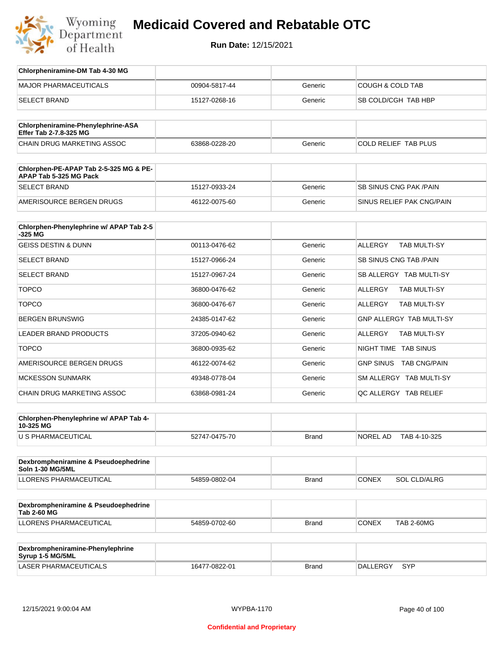

**Run Date:** 12/15/2021

| Chlorpheniramine-DM Tab 4-30 MG                                  |               |              |                                       |
|------------------------------------------------------------------|---------------|--------------|---------------------------------------|
| <b>MAJOR PHARMACEUTICALS</b>                                     | 00904-5817-44 | Generic      | <b>COUGH &amp; COLD TAB</b>           |
| <b>SELECT BRAND</b>                                              | 15127-0268-16 | Generic      | SB COLD/CGH TAB HBP                   |
|                                                                  |               |              |                                       |
| Chlorpheniramine-Phenylephrine-ASA<br>Effer Tab 2-7.8-325 MG     |               |              |                                       |
| CHAIN DRUG MARKETING ASSOC                                       | 63868-0228-20 | Generic      | COLD RELIEF TAB PLUS                  |
| Chlorphen-PE-APAP Tab 2-5-325 MG & PE-<br>APAP Tab 5-325 MG Pack |               |              |                                       |
| <b>SELECT BRAND</b>                                              | 15127-0933-24 | Generic      | <b>SB SINUS CNG PAK/PAIN</b>          |
| AMERISOURCE BERGEN DRUGS                                         | 46122-0075-60 | Generic      | SINUS RELIEF PAK CNG/PAIN             |
| Chlorphen-Phenylephrine w/ APAP Tab 2-5                          |               |              |                                       |
| $-325$ MG<br><b>GEISS DESTIN &amp; DUNN</b>                      | 00113-0476-62 | Generic      | <b>ALLERGY</b><br><b>TAB MULTI-SY</b> |
|                                                                  |               |              |                                       |
| <b>SELECT BRAND</b>                                              | 15127-0966-24 | Generic      | <b>SB SINUS CNG TAB/PAIN</b>          |
| <b>SELECT BRAND</b>                                              | 15127-0967-24 | Generic      | SB ALLERGY TAB MULTI-SY               |
| <b>TOPCO</b>                                                     | 36800-0476-62 | Generic      | <b>ALLERGY</b><br>TAB MULTI-SY        |
| <b>TOPCO</b>                                                     | 36800-0476-67 | Generic      | <b>ALLERGY</b><br>TAB MULTI-SY        |
| <b>BERGEN BRUNSWIG</b>                                           | 24385-0147-62 | Generic      | <b>GNP ALLERGY TAB MULTI-SY</b>       |
| LEADER BRAND PRODUCTS                                            | 37205-0940-62 | Generic      | <b>ALLERGY</b><br><b>TAB MULTI-SY</b> |
| <b>TOPCO</b>                                                     | 36800-0935-62 | Generic      | NIGHT TIME TAB SINUS                  |
| AMERISOURCE BERGEN DRUGS                                         | 46122-0074-62 | Generic      | GNP SINUS TAB CNG/PAIN                |
| <b>MCKESSON SUNMARK</b>                                          | 49348-0778-04 | Generic      | SM ALLERGY TAB MULTI-SY               |
| <b>CHAIN DRUG MARKETING ASSOC</b>                                | 63868-0981-24 | Generic      | QC ALLERGY TAB RELIEF                 |
|                                                                  |               |              |                                       |
| Chlorphen-Phenylephrine w/ APAP Tab 4-<br>10-325 MG              |               |              |                                       |
| U S PHARMACEUTICAL                                               | 52747-0475-70 | Brand        | NOREL AD<br>TAB 4-10-325              |
|                                                                  |               |              |                                       |
| Dexbrompheniramine & Pseudoephedrine<br>Soln 1-30 MG/5ML         |               |              |                                       |
| LLORENS PHARMACEUTICAL                                           | 54859-0802-04 | <b>Brand</b> | <b>CONEX</b><br><b>SOL CLD/ALRG</b>   |
|                                                                  |               |              |                                       |
| Dexbrompheniramine & Pseudoephedrine<br><b>Tab 2-60 MG</b>       |               |              |                                       |
| LLORENS PHARMACEUTICAL                                           | 54859-0702-60 | <b>Brand</b> | CONEX<br><b>TAB 2-60MG</b>            |
|                                                                  |               |              |                                       |
| Dexbrompheniramine-Phenylephrine<br>Syrup 1-5 MG/5ML             |               |              |                                       |

LASER PHARMACEUTICALS 16477-0822-01 Brand DALLERGY SYP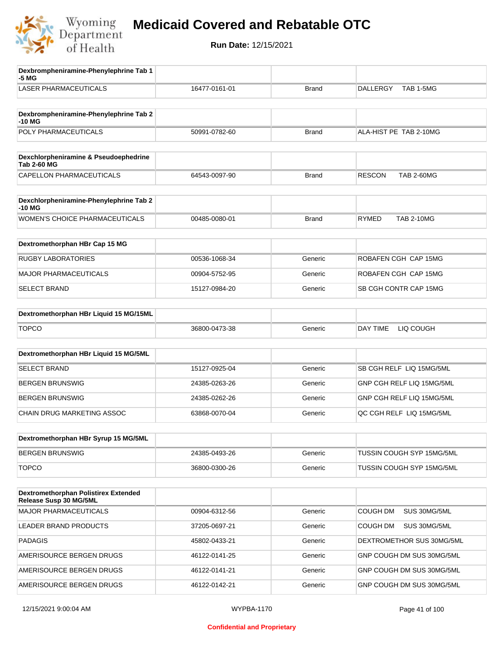

| Dexbrompheniramine-Phenylephrine Tab 1<br>-5 MG             |               |              |                                    |
|-------------------------------------------------------------|---------------|--------------|------------------------------------|
| <b>LASER PHARMACEUTICALS</b>                                | 16477-0161-01 | <b>Brand</b> | <b>DALLERGY</b><br>TAB 1-5MG       |
|                                                             |               |              |                                    |
| Dexbrompheniramine-Phenylephrine Tab 2<br>-10 MG            |               |              |                                    |
| POLY PHARMACEUTICALS                                        | 50991-0782-60 | <b>Brand</b> | ALA-HIST PE TAB 2-10MG             |
|                                                             |               |              |                                    |
| Dexchlorpheniramine & Pseudoephedrine<br><b>Tab 2-60 MG</b> |               |              |                                    |
| CAPELLON PHARMACEUTICALS                                    | 64543-0097-90 | <b>Brand</b> | <b>RESCON</b><br><b>TAB 2-60MG</b> |
|                                                             |               |              |                                    |
| Dexchlorpheniramine-Phenylephrine Tab 2<br>-10 MG           |               |              |                                    |
| WOMEN'S CHOICE PHARMACEUTICALS                              | 00485-0080-01 | <b>Brand</b> | <b>RYMED</b><br><b>TAB 2-10MG</b>  |
| Dextromethorphan HBr Cap 15 MG                              |               |              |                                    |
|                                                             |               |              |                                    |
| <b>RUGBY LABORATORIES</b>                                   | 00536-1068-34 | Generic      | ROBAFEN CGH CAP 15MG               |
| <b>MAJOR PHARMACEUTICALS</b>                                | 00904-5752-95 | Generic      | ROBAFEN CGH CAP 15MG               |
| <b>SELECT BRAND</b>                                         | 15127-0984-20 | Generic      | SB CGH CONTR CAP 15MG              |
| Dextromethorphan HBr Liquid 15 MG/15ML                      |               |              |                                    |
| <b>TOPCO</b>                                                | 36800-0473-38 | Generic      | DAY TIME<br>LIQ COUGH              |
|                                                             |               |              |                                    |
| Dextromethorphan HBr Liquid 15 MG/5ML                       |               |              |                                    |
| <b>SELECT BRAND</b>                                         | 15127-0925-04 | Generic      | SB CGH RELF LIQ 15MG/5ML           |
| <b>BERGEN BRUNSWIG</b>                                      | 24385-0263-26 | Generic      | GNP CGH RELF LIQ 15MG/5ML          |
| <b>BERGEN BRUNSWIG</b>                                      | 24385-0262-26 | Generic      | GNP CGH RELF LIQ 15MG/5ML          |
| CHAIN DRUG MARKETING ASSOC                                  | 63868-0070-04 | Generic      | QC CGH RELF LIQ 15MG/5ML           |
|                                                             |               |              |                                    |
| Dextromethorphan HBr Syrup 15 MG/5ML                        |               |              |                                    |
| <b>BERGEN BRUNSWIG</b>                                      | 24385-0493-26 | Generic      | TUSSIN COUGH SYP 15MG/5ML          |
| <b>TOPCO</b>                                                | 36800-0300-26 | Generic      | TUSSIN COUGH SYP 15MG/5ML          |
| Dextromethorphan Polistirex Extended                        |               |              |                                    |
| Release Susp 30 MG/5ML                                      |               |              |                                    |
| <b>MAJOR PHARMACEUTICALS</b>                                | 00904-6312-56 | Generic      | <b>COUGH DM</b><br>SUS 30MG/5ML    |
| LEADER BRAND PRODUCTS                                       | 37205-0697-21 | Generic      | COUGH DM<br>SUS 30MG/5ML           |
| <b>PADAGIS</b>                                              | 45802-0433-21 | Generic      | DEXTROMETHOR SUS 30MG/5ML          |
| AMERISOURCE BERGEN DRUGS                                    | 46122-0141-25 | Generic      | GNP COUGH DM SUS 30MG/5ML          |
| AMERISOURCE BERGEN DRUGS                                    | 46122-0141-21 | Generic      | GNP COUGH DM SUS 30MG/5ML          |
| AMERISOURCE BERGEN DRUGS                                    | 46122-0142-21 | Generic      | GNP COUGH DM SUS 30MG/5ML          |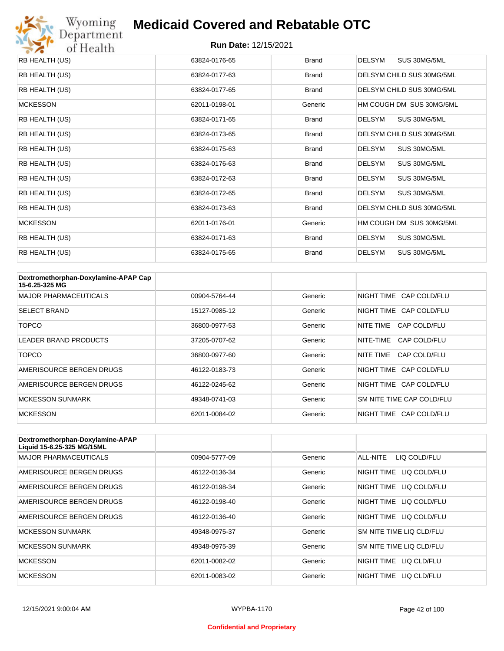

| RB HEALTH (US)  | 63824-0176-65 | <b>Brand</b> | <b>DELSYM</b><br>SUS 30MG/5ML |
|-----------------|---------------|--------------|-------------------------------|
| RB HEALTH (US)  | 63824-0177-63 | <b>Brand</b> | DELSYM CHILD SUS 30MG/5ML     |
| RB HEALTH (US)  | 63824-0177-65 | <b>Brand</b> | DELSYM CHILD SUS 30MG/5ML     |
| <b>MCKESSON</b> | 62011-0198-01 | Generic      | HM COUGH DM SUS 30MG/5ML      |
| RB HEALTH (US)  | 63824-0171-65 | <b>Brand</b> | <b>DELSYM</b><br>SUS 30MG/5ML |
| RB HEALTH (US)  | 63824-0173-65 | <b>Brand</b> | DELSYM CHILD SUS 30MG/5ML     |
| RB HEALTH (US)  | 63824-0175-63 | <b>Brand</b> | <b>DELSYM</b><br>SUS 30MG/5ML |
| RB HEALTH (US)  | 63824-0176-63 | <b>Brand</b> | SUS 30MG/5ML<br><b>DELSYM</b> |
| RB HEALTH (US)  | 63824-0172-63 | <b>Brand</b> | <b>DELSYM</b><br>SUS 30MG/5ML |
| RB HEALTH (US)  | 63824-0172-65 | <b>Brand</b> | <b>DELSYM</b><br>SUS 30MG/5ML |
| RB HEALTH (US)  | 63824-0173-63 | <b>Brand</b> | DELSYM CHILD SUS 30MG/5ML     |
| <b>MCKESSON</b> | 62011-0176-01 | Generic      | HM COUGH DM SUS 30MG/5ML      |
| RB HEALTH (US)  | 63824-0171-63 | <b>Brand</b> | <b>DELSYM</b><br>SUS 30MG/5ML |
| RB HEALTH (US)  | 63824-0175-65 | <b>Brand</b> | <b>DELSYM</b><br>SUS 30MG/5ML |

| Dextromethorphan-Doxylamine-APAP Cap<br>15-6.25-325 MG |               |         |                           |
|--------------------------------------------------------|---------------|---------|---------------------------|
| <b>MAJOR PHARMACEUTICALS</b>                           | 00904-5764-44 | Generic | NIGHT TIME CAP COLD/FLU   |
| <b>SELECT BRAND</b>                                    | 15127-0985-12 | Generic | NIGHT TIME CAP COLD/FLU   |
| TOPCO                                                  | 36800-0977-53 | Generic | CAP COLD/FLU<br>NITE TIME |
| <b>LEADER BRAND PRODUCTS</b>                           | 37205-0707-62 | Generic | CAP COLD/FLU<br>NITE-TIME |
| TOPCO                                                  | 36800-0977-60 | Generic | NITE TIME<br>CAP COLD/FLU |
| AMERISOURCE BERGEN DRUGS                               | 46122-0183-73 | Generic | NIGHT TIME CAP COLD/FLU   |
| AMERISOURCE BERGEN DRUGS                               | 46122-0245-62 | Generic | NIGHT TIME CAP COLD/FLU   |
| <b>MCKESSON SUNMARK</b>                                | 49348-0741-03 | Generic | SM NITE TIME CAP COLD/FLU |
| <b>MCKESSON</b>                                        | 62011-0084-02 | Generic | NIGHT TIME CAP COLD/FLU   |

| Dextromethorphan-Doxylamine-APAP<br>Liquid 15-6.25-325 MG/15ML |               |         |                            |
|----------------------------------------------------------------|---------------|---------|----------------------------|
| <b>MAJOR PHARMACEUTICALS</b>                                   | 00904-5777-09 | Generic | ALL-NITE<br>LIQ COLD/FLU   |
| AMERISOURCE BERGEN DRUGS                                       | 46122-0136-34 | Generic | NIGHT TIME<br>LIQ COLD/FLU |
| AMERISOURCE BERGEN DRUGS                                       | 46122-0198-34 | Generic | NIGHT TIME<br>LIQ COLD/FLU |
| AMERISOURCE BERGEN DRUGS                                       | 46122-0198-40 | Generic | NIGHT TIME<br>LIQ COLD/FLU |
| AMERISOURCE BERGEN DRUGS                                       | 46122-0136-40 | Generic | NIGHT TIME LIQ COLD/FLU    |
| <b>MCKESSON SUNMARK</b>                                        | 49348-0975-37 | Generic | SM NITE TIME LIQ CLD/FLU   |
| <b>MCKESSON SUNMARK</b>                                        | 49348-0975-39 | Generic | SM NITE TIME LIQ CLD/FLU   |
| <b>MCKESSON</b>                                                | 62011-0082-02 | Generic | NIGHT TIME<br>LIQ CLD/FLU  |
| <b>MCKESSON</b>                                                | 62011-0083-02 | Generic | NIGHT TIME<br>LIO CLD/FLU  |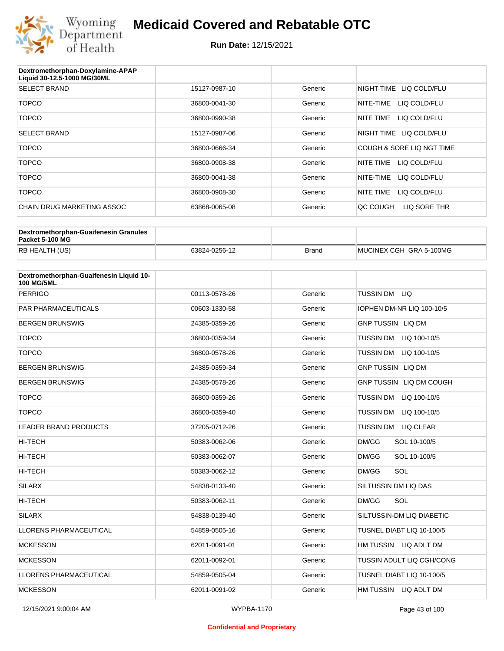

| Dextromethorphan-Doxylamine-APAP<br>Liquid 30-12.5-1000 MG/30ML |               |         |                           |
|-----------------------------------------------------------------|---------------|---------|---------------------------|
| <b>SELECT BRAND</b>                                             | 15127-0987-10 | Generic | NIGHT TIME LIQ COLD/FLU   |
| <b>TOPCO</b>                                                    | 36800-0041-30 | Generic | NITE-TIME<br>LIQ COLD/FLU |
| <b>TOPCO</b>                                                    | 36800-0990-38 | Generic | NITE TIME<br>LIQ COLD/FLU |
| <b>SELECT BRAND</b>                                             | 15127-0987-06 | Generic | NIGHT TIME LIQ COLD/FLU   |
| <b>TOPCO</b>                                                    | 36800-0666-34 | Generic | COUGH & SORE LIQ NGT TIME |
| <b>TOPCO</b>                                                    | 36800-0908-38 | Generic | LIQ COLD/FLU<br>NITE TIME |
| <b>TOPCO</b>                                                    | 36800-0041-38 | Generic | LIQ COLD/FLU<br>NITE-TIME |
| <b>TOPCO</b>                                                    | 36800-0908-30 | Generic | NITE TIME<br>LIQ COLD/FLU |
| <b>CHAIN DRUG MARKETING ASSOC</b>                               | 63868-0065-08 | Generic | QC COUGH<br>LIQ SORE THR  |
|                                                                 |               |         |                           |

| Dextromethorphan-Guaifenesin Granules<br>Packet 5-100 MG |               |       |                         |
|----------------------------------------------------------|---------------|-------|-------------------------|
| <b>RB HEALTH (US)</b>                                    | 63824-0256-12 | Brand | MUCINEX CGH GRA 5-100MG |

| Dextromethorphan-Guaifenesin Liquid 10-<br><b>100 MG/5ML</b> |               |         |                                      |
|--------------------------------------------------------------|---------------|---------|--------------------------------------|
| <b>PERRIGO</b>                                               | 00113-0578-26 | Generic | TUSSIN DM LIQ                        |
| PAR PHARMACEUTICALS                                          | 00603-1330-58 | Generic | IOPHEN DM-NR LIQ 100-10/5            |
| <b>BERGEN BRUNSWIG</b>                                       | 24385-0359-26 | Generic | <b>GNP TUSSIN LIQ DM</b>             |
| <b>TOPCO</b>                                                 | 36800-0359-34 | Generic | <b>TUSSIN DM</b><br>LIQ 100-10/5     |
| <b>TOPCO</b>                                                 | 36800-0578-26 | Generic | <b>TUSSIN DM</b><br>LIQ 100-10/5     |
| <b>BERGEN BRUNSWIG</b>                                       | 24385-0359-34 | Generic | <b>GNP TUSSIN LIQ DM</b>             |
| <b>BERGEN BRUNSWIG</b>                                       | 24385-0578-26 | Generic | GNP TUSSIN LIQ DM COUGH              |
| <b>TOPCO</b>                                                 | 36800-0359-26 | Generic | <b>TUSSIN DM</b><br>LIQ 100-10/5     |
| <b>TOPCO</b>                                                 | 36800-0359-40 | Generic | <b>TUSSIN DM</b><br>LIQ 100-10/5     |
| <b>LEADER BRAND PRODUCTS</b>                                 | 37205-0712-26 | Generic | <b>TUSSIN DM</b><br><b>LIQ CLEAR</b> |
| <b>HI-TECH</b>                                               | 50383-0062-06 | Generic | DM/GG<br>SOL 10-100/5                |
| <b>HI-TECH</b>                                               | 50383-0062-07 | Generic | DM/GG<br>SOL 10-100/5                |
| HI-TECH                                                      | 50383-0062-12 | Generic | SOL<br>DM/GG                         |
| <b>SILARX</b>                                                | 54838-0133-40 | Generic | SILTUSSIN DM LIQ DAS                 |
| <b>HI-TECH</b>                                               | 50383-0062-11 | Generic | SOL<br>DM/GG                         |
| <b>SILARX</b>                                                | 54838-0139-40 | Generic | SILTUSSIN-DM LIQ DIABETIC            |
| <b>LLORENS PHARMACEUTICAL</b>                                | 54859-0505-16 | Generic | TUSNEL DIABT LIQ 10-100/5            |
| <b>MCKESSON</b>                                              | 62011-0091-01 | Generic | HM TUSSIN LIQ ADLT DM                |
| <b>MCKESSON</b>                                              | 62011-0092-01 | Generic | TUSSIN ADULT LIQ CGH/CONG            |
| <b>LLORENS PHARMACEUTICAL</b>                                | 54859-0505-04 | Generic | TUSNEL DIABT LIQ 10-100/5            |
| <b>MCKESSON</b>                                              | 62011-0091-02 | Generic | HM TUSSIN LIQ ADLT DM                |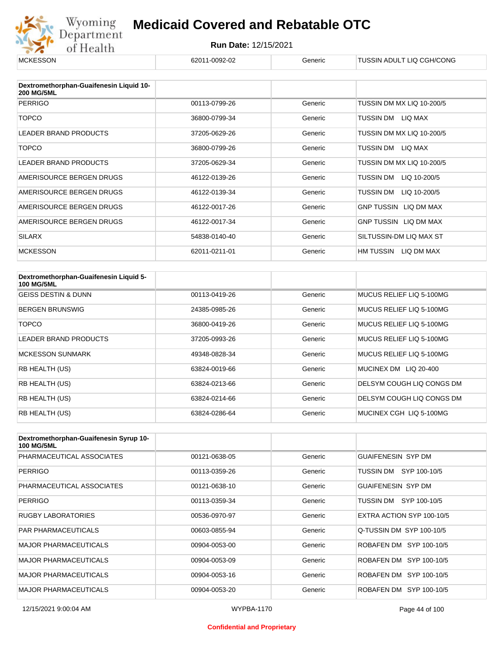

| <b>MCKESSON</b>                                              | 62011-0092-02 | Generic | TUSSIN ADULT LIQ CGH/CONG    |
|--------------------------------------------------------------|---------------|---------|------------------------------|
|                                                              |               |         |                              |
| Dextromethorphan-Guaifenesin Liquid 10-<br><b>200 MG/5ML</b> |               |         |                              |
| <b>PERRIGO</b>                                               | 00113-0799-26 | Generic | TUSSIN DM MX LIQ 10-200/5    |
| <b>TOPCO</b>                                                 | 36800-0799-34 | Generic | TUSSIN DM LIQ MAX            |
| <b>LEADER BRAND PRODUCTS</b>                                 | 37205-0629-26 | Generic | TUSSIN DM MX LIQ 10-200/5    |
| <b>TOPCO</b>                                                 | 36800-0799-26 | Generic | TUSSIN DM LIQ MAX            |
| <b>LEADER BRAND PRODUCTS</b>                                 | 37205-0629-34 | Generic | TUSSIN DM MX LIQ 10-200/5    |
| AMERISOURCE BERGEN DRUGS                                     | 46122-0139-26 | Generic | TUSSIN DM<br>LIQ 10-200/5    |
| AMERISOURCE BERGEN DRUGS                                     | 46122-0139-34 | Generic | TUSSIN DM<br>LIQ 10-200/5    |
| AMERISOURCE BERGEN DRUGS                                     | 46122-0017-26 | Generic | GNP TUSSIN LIQ DM MAX        |
| AMERISOURCE BERGEN DRUGS                                     | 46122-0017-34 | Generic | <b>GNP TUSSIN LIQ DM MAX</b> |
| <b>SILARX</b>                                                | 54838-0140-40 | Generic | SILTUSSIN-DM LIQ MAX ST      |
| <b>MCKESSON</b>                                              | 62011-0211-01 | Generic | HM TUSSIN LIQ DM MAX         |

| Dextromethorphan-Guaifenesin Liquid 5-<br><b>100 MG/5ML</b> |               |         |                           |
|-------------------------------------------------------------|---------------|---------|---------------------------|
| <b>GEISS DESTIN &amp; DUNN</b>                              | 00113-0419-26 | Generic | MUCUS RELIEF LIQ 5-100MG  |
| <b>BERGEN BRUNSWIG</b>                                      | 24385-0985-26 | Generic | MUCUS RELIEF LIQ 5-100MG  |
| TOPCO                                                       | 36800-0419-26 | Generic | MUCUS RELIEF LIQ 5-100MG  |
| LEADER BRAND PRODUCTS                                       | 37205-0993-26 | Generic | MUCUS RELIEF LIQ 5-100MG  |
| <b>MCKESSON SUNMARK</b>                                     | 49348-0828-34 | Generic | MUCUS RELIEF LIQ 5-100MG  |
| <b>RB HEALTH (US)</b>                                       | 63824-0019-66 | Generic | MUCINEX DM LIQ 20-400     |
| RB HEALTH (US)                                              | 63824-0213-66 | Generic | DELSYM COUGH LIQ CONGS DM |
| <b>RB HEALTH (US)</b>                                       | 63824-0214-66 | Generic | DELSYM COUGH LIQ CONGS DM |
| <b>RB HEALTH (US)</b>                                       | 63824-0286-64 | Generic | MUCINEX CGH LIQ 5-100MG   |

| Dextromethorphan-Guaifenesin Syrup 10-<br><b>100 MG/5ML</b> |               |         |                           |
|-------------------------------------------------------------|---------------|---------|---------------------------|
| PHARMACEUTICAL ASSOCIATES                                   | 00121-0638-05 | Generic | <b>GUAIFENESIN SYP DM</b> |
| <b>PERRIGO</b>                                              | 00113-0359-26 | Generic | TUSSIN DM SYP 100-10/5    |
| PHARMACEUTICAL ASSOCIATES                                   | 00121-0638-10 | Generic | <b>GUAIFENESIN SYP DM</b> |
| <b>PERRIGO</b>                                              | 00113-0359-34 | Generic | TUSSIN DM SYP 100-10/5    |
| <b>RUGBY LABORATORIES</b>                                   | 00536-0970-97 | Generic | EXTRA ACTION SYP 100-10/5 |
| <b>PAR PHARMACEUTICALS</b>                                  | 00603-0855-94 | Generic | Q-TUSSIN DM SYP 100-10/5  |
| <b>MAJOR PHARMACEUTICALS</b>                                | 00904-0053-00 | Generic | ROBAFEN DM SYP 100-10/5   |
| <b>MAJOR PHARMACEUTICALS</b>                                | 00904-0053-09 | Generic | ROBAFEN DM SYP 100-10/5   |
| <b>MAJOR PHARMACEUTICALS</b>                                | 00904-0053-16 | Generic | ROBAFEN DM SYP 100-10/5   |
| <b>MAJOR PHARMACEUTICALS</b>                                | 00904-0053-20 | Generic | ROBAFEN DM SYP 100-10/5   |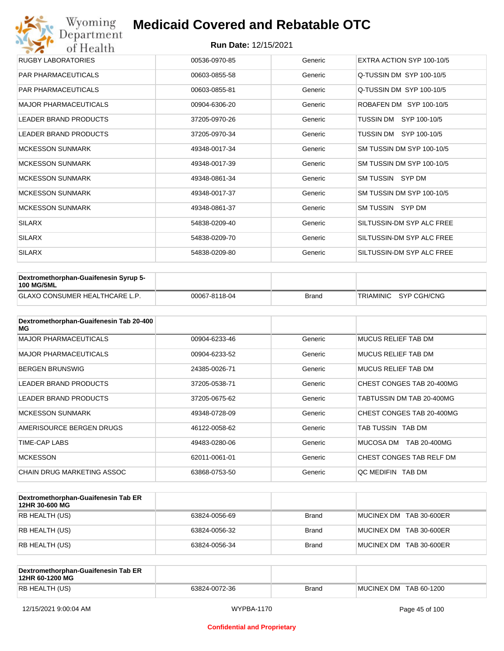| Wyoming                      | <b>Medicaid Covered and Rebatable OTC</b> |         |                           |  |  |  |
|------------------------------|-------------------------------------------|---------|---------------------------|--|--|--|
| of Health                    | Department<br><b>Run Date: 12/15/2021</b> |         |                           |  |  |  |
| <b>RUGBY LABORATORIES</b>    | 00536-0970-85                             | Generic | EXTRA ACTION SYP 100-10/5 |  |  |  |
| <b>PAR PHARMACEUTICALS</b>   | 00603-0855-58                             | Generic | Q-TUSSIN DM SYP 100-10/5  |  |  |  |
| <b>PAR PHARMACEUTICALS</b>   | 00603-0855-81                             | Generic | Q-TUSSIN DM SYP 100-10/5  |  |  |  |
| <b>MAJOR PHARMACEUTICALS</b> | 00904-6306-20                             | Generic | ROBAFEN DM SYP 100-10/5   |  |  |  |
| <b>LEADER BRAND PRODUCTS</b> | 37205-0970-26                             | Generic | SYP 100-10/5<br>TUSSIN DM |  |  |  |
| <b>LEADER BRAND PRODUCTS</b> | 37205-0970-34                             | Generic | TUSSIN DM SYP 100-10/5    |  |  |  |
| <b>MCKESSON SUNMARK</b>      | 49348-0017-34                             | Generic | SM TUSSIN DM SYP 100-10/5 |  |  |  |
| <b>MCKESSON SUNMARK</b>      | 49348-0017-39                             | Generic | SM TUSSIN DM SYP 100-10/5 |  |  |  |
| <b>MCKESSON SUNMARK</b>      | 49348-0861-34                             | Generic | SM TUSSIN SYP DM          |  |  |  |
| <b>MCKESSON SUNMARK</b>      | 49348-0017-37                             | Generic | SM TUSSIN DM SYP 100-10/5 |  |  |  |
| <b>MCKESSON SUNMARK</b>      | 49348-0861-37                             | Generic | SM TUSSIN SYP DM          |  |  |  |
| <b>SILARX</b>                | 54838-0209-40                             | Generic | SILTUSSIN-DM SYP ALC FREE |  |  |  |
| <b>SILARX</b>                | 54838-0209-70                             | Generic | SILTUSSIN-DM SYP ALC FREE |  |  |  |
| <b>SILARX</b>                | 54838-0209-80                             | Generic | SILTUSSIN-DM SYP ALC FREE |  |  |  |

| Dextromethorphan-Guaifenesin Syrup 5-<br><b>100 MG/5ML</b> |               |       |                       |
|------------------------------------------------------------|---------------|-------|-----------------------|
| <b>GLAXO CONSUMER HEALTHCARE L.P.</b>                      | 00067-8118-04 | Brand | TRIAMINIC SYP CGH/CNG |

| Dextromethorphan-Guaifenesin Tab 20-400<br>MG |               |         |                            |
|-----------------------------------------------|---------------|---------|----------------------------|
| <b>MAJOR PHARMACEUTICALS</b>                  | 00904-6233-46 | Generic | <b>MUCUS RELIEF TAB DM</b> |
| <b>MAJOR PHARMACEUTICALS</b>                  | 00904-6233-52 | Generic | <b>MUCUS RELIEF TAB DM</b> |
| <b>BERGEN BRUNSWIG</b>                        | 24385-0026-71 | Generic | <b>MUCUS RELIEF TAB DM</b> |
| <b>LEADER BRAND PRODUCTS</b>                  | 37205-0538-71 | Generic | CHEST CONGES TAB 20-400MG  |
| <b>LEADER BRAND PRODUCTS</b>                  | 37205-0675-62 | Generic | TABTUSSIN DM TAB 20-400MG  |
| <b>MCKESSON SUNMARK</b>                       | 49348-0728-09 | Generic | CHEST CONGES TAB 20-400MG  |
| AMERISOURCE BERGEN DRUGS                      | 46122-0058-62 | Generic | TAB TUSSIN TAB DM          |
| TIME-CAP LABS                                 | 49483-0280-06 | Generic | MUCOSA DM<br>TAB 20-400MG  |
| <b>MCKESSON</b>                               | 62011-0061-01 | Generic | CHEST CONGES TAB RELF DM   |
| CHAIN DRUG MARKETING ASSOC                    | 63868-0753-50 | Generic | OC MEDIFIN TAB DM          |

| Dextromethorphan-Guaifenesin Tab ER<br>12HR 30-600 MG |               |              |                         |
|-------------------------------------------------------|---------------|--------------|-------------------------|
| RB HEALTH (US)                                        | 63824-0056-69 | <b>Brand</b> | MUCINEX DM TAB 30-600ER |
| RB HEALTH (US)                                        | 63824-0056-32 | <b>Brand</b> | MUCINEX DM TAB 30-600ER |
| RB HEALTH (US)                                        | 63824-0056-34 | <b>Brand</b> | MUCINEX DM TAB 30-600ER |

| Dextromethorphan-Guaifenesin Tab ER<br>12HR 60-1200 MG |               |              |                        |
|--------------------------------------------------------|---------------|--------------|------------------------|
| RB HEALTH (US)                                         | 63824-0072-36 | <b>Brand</b> | MUCINEX DM TAB 60-1200 |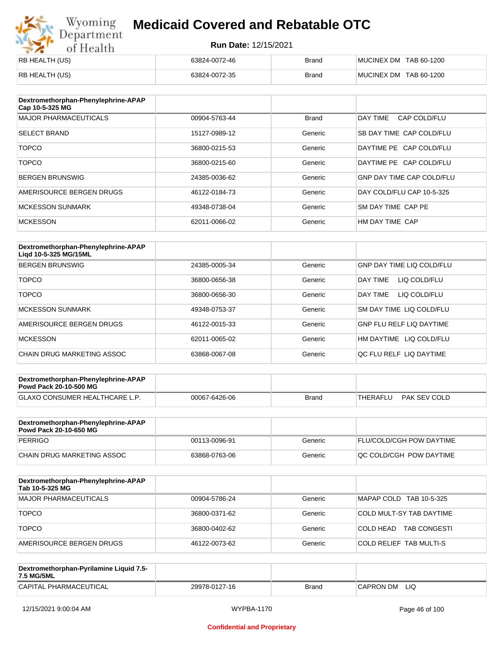## Wyoming<br>Department<br>of Health **Medicaid Covered and Rebatable OTC**

| <b>RB HEALTH (US)</b> | 63824-0072-46 | <b>Brand</b> | MUCINEX DM TAB 60-1200 |
|-----------------------|---------------|--------------|------------------------|
| <b>RB HEALTH (US)</b> | 63824-0072-35 | <b>Brand</b> | MUCINEX DM TAB 60-1200 |

| Dextromethorphan-Phenylephrine-APAP<br>Cap 10-5-325 MG |               |              |                                  |
|--------------------------------------------------------|---------------|--------------|----------------------------------|
| <b>MAJOR PHARMACEUTICALS</b>                           | 00904-5763-44 | <b>Brand</b> | DAY TIME<br>CAP COLD/FLU         |
| <b>SELECT BRAND</b>                                    | 15127-0989-12 | Generic      | SB DAY TIME CAP COLD/FLU         |
| <b>TOPCO</b>                                           | 36800-0215-53 | Generic      | DAYTIME PE CAP COLD/FLU          |
| <b>TOPCO</b>                                           | 36800-0215-60 | Generic      | DAYTIME PE CAP COLD/FLU          |
| <b>BERGEN BRUNSWIG</b>                                 | 24385-0036-62 | Generic      | <b>GNP DAY TIME CAP COLD/FLU</b> |
| AMERISOURCE BERGEN DRUGS                               | 46122-0184-73 | Generic      | DAY COLD/FLU CAP 10-5-325        |
| <b>MCKESSON SUNMARK</b>                                | 49348-0738-04 | Generic      | SM DAY TIME CAP PE               |
| <b>MCKESSON</b>                                        | 62011-0066-02 | Generic      | HM DAY TIME CAP                  |

| Dextromethorphan-Phenylephrine-APAP<br>Ligd 10-5-325 MG/15ML |               |         |                                  |
|--------------------------------------------------------------|---------------|---------|----------------------------------|
| <b>BERGEN BRUNSWIG</b>                                       | 24385-0005-34 | Generic | <b>GNP DAY TIME LIQ COLD/FLU</b> |
| <b>TOPCO</b>                                                 | 36800-0656-38 | Generic | LIQ COLD/FLU<br>DAY TIME         |
| <b>TOPCO</b>                                                 | 36800-0656-30 | Generic | DAY TIME<br>LIQ COLD/FLU         |
| <b>MCKESSON SUNMARK</b>                                      | 49348-0753-37 | Generic | SM DAY TIME LIQ COLD/FLU         |
| AMERISOURCE BERGEN DRUGS                                     | 46122-0015-33 | Generic | <b>GNP FLU RELF LIQ DAYTIME</b>  |
| <b>MCKESSON</b>                                              | 62011-0065-02 | Generic | HM DAYTIME<br>LIQ COLD/FLU       |
| CHAIN DRUG MARKETING ASSOC                                   | 63868-0067-08 | Generic | OC FLU RELF LIO DAYTIME          |

| Dextromethorphan-Phenylephrine-APAP<br><b>Powd Pack 20-10-500 MG</b> |               |              |                          |
|----------------------------------------------------------------------|---------------|--------------|--------------------------|
| <b>GLAXO CONSUMER HEALTHCARE L.P.</b>                                | 00067-6426-06 | <b>Brand</b> | PAK SEV COLD<br>THERAFLU |
|                                                                      |               |              |                          |

| Dextromethorphan-Phenylephrine-APAP<br><b>Powd Pack 20-10-650 MG</b> |               |         |                                 |
|----------------------------------------------------------------------|---------------|---------|---------------------------------|
| PERRIGO                                                              | 00113-0096-91 | Generic | <b>FLU/COLD/CGH POW DAYTIME</b> |
| CHAIN DRUG MARKETING ASSOC                                           | 63868-0763-06 | Generic | <b>OC COLD/CGH POW DAYTIME</b>  |

| Dextromethorphan-Phenylephrine-APAP<br>Tab 10-5-325 MG |               |         |                                  |
|--------------------------------------------------------|---------------|---------|----------------------------------|
| <b>MAJOR PHARMACEUTICALS</b>                           | 00904-5786-24 | Generic | MAPAP COLD TAB 10-5-325          |
| <b>TOPCO</b>                                           | 36800-0371-62 | Generic | COLD MULT-SY TAB DAYTIME         |
| <b>TOPCO</b>                                           | 36800-0402-62 | Generic | <b>TAB CONGESTI</b><br>COLD HEAD |
| AMERISOURCE BERGEN DRUGS                               | 46122-0073-62 | Generic | COLD RELIEF TAB MULTI-S          |

| Dextromethorphan-Pyrilamine Liquid 7.5-<br><b>7.5 MG/5ML</b> |               |              |                          |
|--------------------------------------------------------------|---------------|--------------|--------------------------|
| <b>CAPITAL PHARMACEUTICAL</b>                                | 29978-0127-16 | <b>Brand</b> | <b>LIQ</b><br>'CAPRON DM |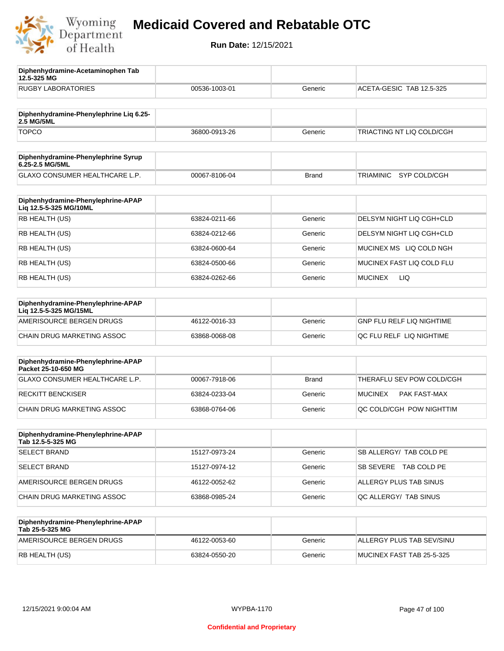

**12.5-325 MG**

**Diphenhydramine-Acetaminophen Tab** 

## **Medicaid Covered and Rebatable OTC**

| <b>RUGBY LABORATORIES</b>                                    | 00536-1003-01 | Generic      | ACETA-GESIC TAB 12.5-325         |
|--------------------------------------------------------------|---------------|--------------|----------------------------------|
| Diphenhydramine-Phenylephrine Liq 6.25-<br>2.5 MG/5ML        |               |              |                                  |
| <b>TOPCO</b>                                                 | 36800-0913-26 | Generic      | TRIACTING NT LIQ COLD/CGH        |
| Diphenhydramine-Phenylephrine Syrup<br>6.25-2.5 MG/5ML       |               |              |                                  |
| GLAXO CONSUMER HEALTHCARE L.P.                               | 00067-8106-04 | <b>Brand</b> | SYP COLD/CGH<br>TRIAMINIC        |
| Diphenhydramine-Phenylephrine-APAP<br>Liq 12.5-5-325 MG/10ML |               |              |                                  |
| RB HEALTH (US)                                               | 63824-0211-66 | Generic      | DELSYM NIGHT LIQ CGH+CLD         |
| RB HEALTH (US)                                               | 63824-0212-66 | Generic      | DELSYM NIGHT LIQ CGH+CLD         |
| RB HEALTH (US)                                               | 63824-0600-64 | Generic      | MUCINEX MS LIQ COLD NGH          |
| RB HEALTH (US)                                               | 63824-0500-66 | Generic      | MUCINEX FAST LIQ COLD FLU        |
| RB HEALTH (US)                                               | 63824-0262-66 | Generic      | <b>MUCINEX</b><br>LIQ            |
| Diphenhydramine-Phenylephrine-APAP<br>Liq 12.5-5-325 MG/15ML |               |              |                                  |
| AMERISOURCE BERGEN DRUGS                                     | 46122-0016-33 | Generic      | <b>GNP FLU RELF LIQ NIGHTIME</b> |
| CHAIN DRUG MARKETING ASSOC                                   | 63868-0068-08 | Generic      | QC FLU RELF LIQ NIGHTIME         |
| Diphenhydramine-Phenylephrine-APAP<br>Packet 25-10-650 MG    |               |              |                                  |
| GLAXO CONSUMER HEALTHCARE L.P.                               | 00067-7918-06 | <b>Brand</b> | THERAFLU SEV POW COLD/CGH        |
| <b>RECKITT BENCKISER</b>                                     | 63824-0233-04 | Generic      | <b>MUCINEX</b><br>PAK FAST-MAX   |
| CHAIN DRUG MARKETING ASSOC                                   | 63868-0764-06 | Generic      | QC COLD/CGH POW NIGHTTIM         |
| Diphenhydramine-Phenylephrine-APAP<br>Tab 12.5-5-325 MG      |               |              |                                  |
| <b>SELECT BRAND</b>                                          | 15127-0973-24 | Generic      | SB ALLERGY/ TAB COLD PE          |
| <b>SELECT BRAND</b>                                          | 15127-0974-12 | Generic      | SB SEVERE TAB COLD PE            |
| AMERISOURCE BERGEN DRUGS                                     | 46122-0052-62 | Generic      | ALLERGY PLUS TAB SINUS           |
| CHAIN DRUG MARKETING ASSOC                                   | 63868-0985-24 | Generic      | QC ALLERGY/ TAB SINUS            |
| Diphenhydramine-Phenylephrine-APAP<br>Tab 25-5-325 MG        |               |              |                                  |
| AMERISOURCE BERGEN DRUGS                                     | 46122-0053-60 | Generic      | ALLERGY PLUS TAB SEV/SINU        |
| RB HEALTH (US)                                               | 63824-0550-20 | Generic      | MUCINEX FAST TAB 25-5-325        |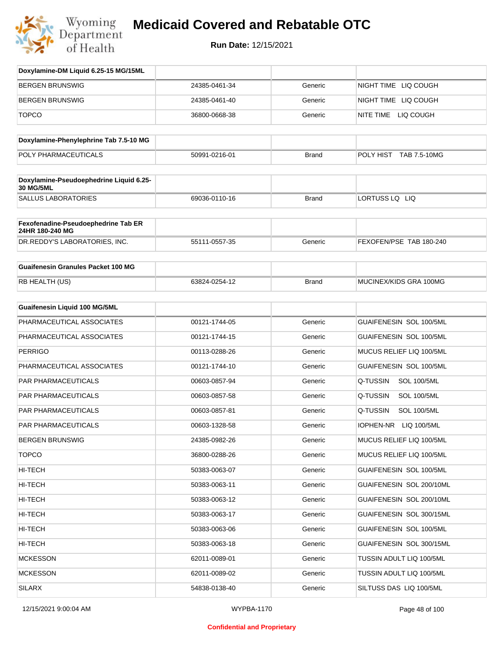

| Doxylamine-DM Liquid 6.25-15 MG/15ML                   |               |              |                                |
|--------------------------------------------------------|---------------|--------------|--------------------------------|
| <b>BERGEN BRUNSWIG</b>                                 | 24385-0461-34 | Generic      | NIGHT TIME LIQ COUGH           |
| <b>BERGEN BRUNSWIG</b>                                 | 24385-0461-40 | Generic      | NIGHT TIME LIQ COUGH           |
| <b>TOPCO</b>                                           | 36800-0668-38 | Generic      | NITE TIME LIQ COUGH            |
| Doxylamine-Phenylephrine Tab 7.5-10 MG                 |               |              |                                |
| POLY PHARMACEUTICALS                                   | 50991-0216-01 | <b>Brand</b> | POLY HIST TAB 7.5-10MG         |
|                                                        |               |              |                                |
| Doxylamine-Pseudoephedrine Liquid 6.25-<br>30 MG/5ML   |               |              |                                |
| <b>SALLUS LABORATORIES</b>                             | 69036-0110-16 | <b>Brand</b> | LORTUSS LQ LIQ                 |
| Fexofenadine-Pseudoephedrine Tab ER<br>24HR 180-240 MG |               |              |                                |
| DR.REDDY'S LABORATORIES, INC.                          | 55111-0557-35 | Generic      | FEXOFEN/PSE TAB 180-240        |
| <b>Guaifenesin Granules Packet 100 MG</b>              |               |              |                                |
| RB HEALTH (US)                                         | 63824-0254-12 | <b>Brand</b> | MUCINEX/KIDS GRA 100MG         |
| <b>Guaifenesin Liquid 100 MG/5ML</b>                   |               |              |                                |
| PHARMACEUTICAL ASSOCIATES                              | 00121-1744-05 | Generic      | GUAIFENESIN SOL 100/5ML        |
| PHARMACEUTICAL ASSOCIATES                              | 00121-1744-15 | Generic      | GUAIFENESIN SOL 100/5ML        |
| <b>PERRIGO</b>                                         | 00113-0288-26 | Generic      | MUCUS RELIEF LIQ 100/5ML       |
| PHARMACEUTICAL ASSOCIATES                              | 00121-1744-10 | Generic      | GUAIFENESIN SOL 100/5ML        |
| PAR PHARMACEUTICALS                                    | 00603-0857-94 | Generic      | Q-TUSSIN<br><b>SOL 100/5ML</b> |
| <b>PAR PHARMACEUTICALS</b>                             | 00603-0857-58 | Generic      | Q-TUSSIN<br><b>SOL 100/5ML</b> |
| <b>PAR PHARMACEUTICALS</b>                             | 00603-0857-81 | Generic      | Q-TUSSIN<br><b>SOL 100/5ML</b> |
| PAR PHARMACEUTICALS                                    | 00603-1328-58 | Generic      | IOPHEN-NR LIQ 100/5ML          |
| <b>BERGEN BRUNSWIG</b>                                 | 24385-0982-26 | Generic      | MUCUS RELIEF LIQ 100/5ML       |
| <b>TOPCO</b>                                           | 36800-0288-26 | Generic      | MUCUS RELIEF LIQ 100/5ML       |
| HI-TECH                                                | 50383-0063-07 | Generic      | GUAIFENESIN SOL 100/5ML        |
| HI-TECH                                                | 50383-0063-11 | Generic      | GUAIFENESIN SOL 200/10ML       |
| HI-TECH                                                | 50383-0063-12 | Generic      | GUAIFENESIN SOL 200/10ML       |
| HI-TECH                                                | 50383-0063-17 | Generic      | GUAIFENESIN SOL 300/15ML       |
| HI-TECH                                                | 50383-0063-06 | Generic      | GUAIFENESIN SOL 100/5ML        |
| HI-TECH                                                | 50383-0063-18 | Generic      | GUAIFENESIN SOL 300/15ML       |
| <b>MCKESSON</b>                                        | 62011-0089-01 | Generic      | TUSSIN ADULT LIQ 100/5ML       |
| <b>MCKESSON</b>                                        | 62011-0089-02 | Generic      | TUSSIN ADULT LIQ 100/5ML       |
| <b>SILARX</b>                                          | 54838-0138-40 | Generic      | SILTUSS DAS LIQ 100/5ML        |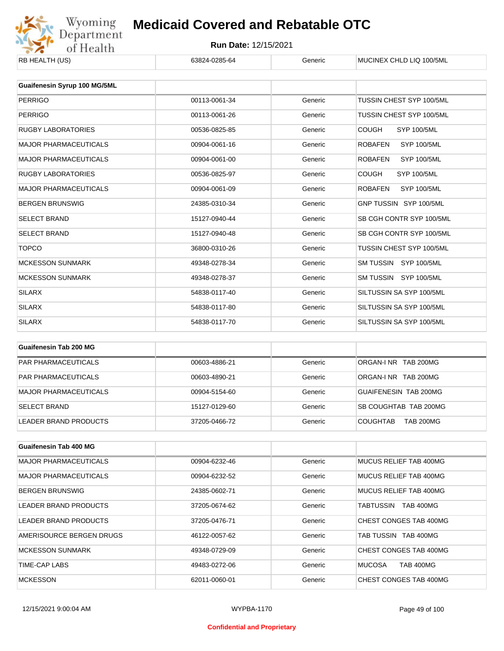

| RB HEALTH (US)               | 63824-0285-64 | Generic | MUCINEX CHLD LIQ 100/5ML             |
|------------------------------|---------------|---------|--------------------------------------|
| Guaifenesin Syrup 100 MG/5ML |               |         |                                      |
| <b>PERRIGO</b>               | 00113-0061-34 | Generic | TUSSIN CHEST SYP 100/5ML             |
| <b>PERRIGO</b>               | 00113-0061-26 | Generic | <b>TUSSIN CHEST SYP 100/5ML</b>      |
| <b>RUGBY LABORATORIES</b>    | 00536-0825-85 | Generic | <b>COUGH</b><br><b>SYP 100/5ML</b>   |
| <b>MAJOR PHARMACEUTICALS</b> | 00904-0061-16 | Generic | <b>ROBAFEN</b><br><b>SYP 100/5ML</b> |
| <b>MAJOR PHARMACEUTICALS</b> | 00904-0061-00 | Generic | <b>ROBAFEN</b><br><b>SYP 100/5ML</b> |
| <b>RUGBY LABORATORIES</b>    | 00536-0825-97 | Generic | <b>COUGH</b><br>SYP 100/5ML          |
| <b>MAJOR PHARMACEUTICALS</b> | 00904-0061-09 | Generic | <b>ROBAFEN</b><br><b>SYP 100/5ML</b> |
| <b>BERGEN BRUNSWIG</b>       | 24385-0310-34 | Generic | GNP TUSSIN SYP 100/5ML               |
| <b>SELECT BRAND</b>          | 15127-0940-44 | Generic | SB CGH CONTR SYP 100/5ML             |
| <b>SELECT BRAND</b>          | 15127-0940-48 | Generic | SB CGH CONTR SYP 100/5ML             |
| <b>TOPCO</b>                 | 36800-0310-26 | Generic | TUSSIN CHEST SYP 100/5ML             |
| <b>MCKESSON SUNMARK</b>      | 49348-0278-34 | Generic | SM TUSSIN SYP 100/5ML                |
| <b>MCKESSON SUNMARK</b>      | 49348-0278-37 | Generic | SM TUSSIN SYP 100/5ML                |
| <b>SILARX</b>                | 54838-0117-40 | Generic | SILTUSSIN SA SYP 100/5ML             |
| <b>SILARX</b>                | 54838-0117-80 | Generic | SILTUSSIN SA SYP 100/5ML             |
| <b>SILARX</b>                | 54838-0117-70 | Generic | SILTUSSIN SA SYP 100/5ML             |

| Guaifenesin Tab 200 MG     |               |         |                                     |
|----------------------------|---------------|---------|-------------------------------------|
| <b>PAR PHARMACEUTICALS</b> | 00603-4886-21 | Generic | ORGAN-LNR TAB 200MG                 |
| <b>PAR PHARMACEUTICALS</b> | 00603-4890-21 | Generic | ORGAN-INR TAB 200MG                 |
| MAJOR PHARMACEUTICALS      | 00904-5154-60 | Generic | GUAIFENESIN TAB 200MG               |
| <b>SELECT BRAND</b>        | 15127-0129-60 | Generic | SB COUGHTAB TAB 200MG               |
| LEADER BRAND PRODUCTS      | 37205-0466-72 | Generic | <b>TAB 200MG</b><br><b>COUGHTAB</b> |

| <b>Guaifenesin Tab 400 MG</b> |               |         |                                   |
|-------------------------------|---------------|---------|-----------------------------------|
| <b>MAJOR PHARMACEUTICALS</b>  | 00904-6232-46 | Generic | MUCUS RELIEF TAB 400MG            |
| <b>MAJOR PHARMACEUTICALS</b>  | 00904-6232-52 | Generic | MUCUS RELIEF TAB 400MG            |
| <b>BERGEN BRUNSWIG</b>        | 24385-0602-71 | Generic | MUCUS RELIEF TAB 400MG            |
| LEADER BRAND PRODUCTS         | 37205-0674-62 | Generic | TABTUSSIN<br><b>TAB 400MG</b>     |
| LEADER BRAND PRODUCTS         | 37205-0476-71 | Generic | CHEST CONGES TAB 400MG            |
| AMERISOURCE BERGEN DRUGS      | 46122-0057-62 | Generic | TAB TUSSIN TAB 400MG              |
| <b>MCKESSON SUNMARK</b>       | 49348-0729-09 | Generic | CHEST CONGES TAB 400MG            |
| TIME-CAP LABS                 | 49483-0272-06 | Generic | <b>MUCOSA</b><br><b>TAB 400MG</b> |
| <b>MCKESSON</b>               | 62011-0060-01 | Generic | CHEST CONGES TAB 400MG            |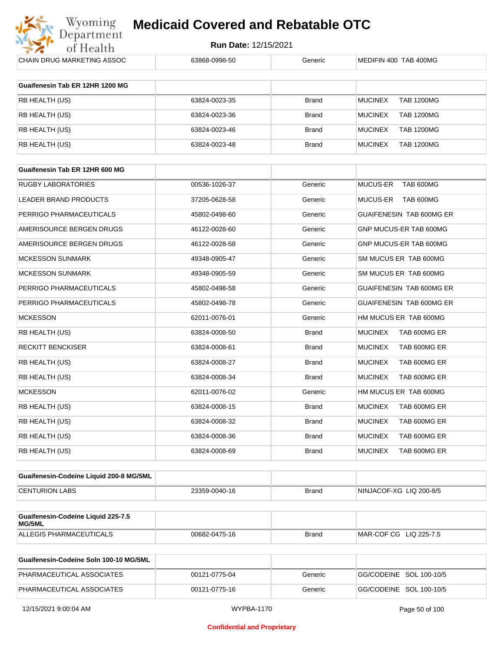

**Run Date:** 12/15/2021

| CHAIN DRUG MARKETING ASSOC                   | 63868-0998-50 | Generic      | MEDIFIN 400 TAB 400MG               |
|----------------------------------------------|---------------|--------------|-------------------------------------|
| Guaifenesin Tab ER 12HR 1200 MG              |               |              |                                     |
|                                              |               |              |                                     |
| RB HEALTH (US)                               | 63824-0023-35 | <b>Brand</b> | <b>MUCINEX</b><br><b>TAB 1200MG</b> |
| RB HEALTH (US)                               | 63824-0023-36 | <b>Brand</b> | <b>MUCINEX</b><br><b>TAB 1200MG</b> |
| RB HEALTH (US)                               | 63824-0023-46 | <b>Brand</b> | <b>MUCINEX</b><br><b>TAB 1200MG</b> |
| RB HEALTH (US)                               | 63824-0023-48 | <b>Brand</b> | <b>MUCINEX</b><br><b>TAB 1200MG</b> |
|                                              |               |              |                                     |
| Guaifenesin Tab ER 12HR 600 MG               |               |              |                                     |
| <b>RUGBY LABORATORIES</b>                    | 00536-1026-37 | Generic      | MUCUS-ER<br>TAB 600MG               |
| LEADER BRAND PRODUCTS                        | 37205-0628-58 | Generic      | <b>MUCUS-ER</b><br>TAB 600MG        |
| PERRIGO PHARMACEUTICALS                      | 45802-0498-60 | Generic      | GUAIFENESIN TAB 600MG ER            |
| AMERISOURCE BERGEN DRUGS                     | 46122-0028-60 | Generic      | GNP MUCUS-ER TAB 600MG              |
| AMERISOURCE BERGEN DRUGS                     | 46122-0028-58 | Generic      | GNP MUCUS-ER TAB 600MG              |
| <b>MCKESSON SUNMARK</b>                      | 49348-0905-47 | Generic      | SM MUCUS ER TAB 600MG               |
| <b>MCKESSON SUNMARK</b>                      | 49348-0905-59 | Generic      | SM MUCUS ER TAB 600MG               |
| PERRIGO PHARMACEUTICALS                      | 45802-0498-58 | Generic      | <b>GUAIFENESIN TAB 600MG ER</b>     |
| PERRIGO PHARMACEUTICALS                      | 45802-0498-78 | Generic      | GUAIFENESIN TAB 600MG ER            |
| <b>MCKESSON</b>                              | 62011-0076-01 | Generic      | HM MUCUS ER TAB 600MG               |
| RB HEALTH (US)                               | 63824-0008-50 | <b>Brand</b> | <b>MUCINEX</b><br>TAB 600MG ER      |
| <b>RECKITT BENCKISER</b>                     | 63824-0008-61 | <b>Brand</b> | <b>MUCINEX</b><br>TAB 600MG ER      |
| RB HEALTH (US)                               | 63824-0008-27 | <b>Brand</b> | <b>MUCINEX</b><br>TAB 600MG ER      |
| RB HEALTH (US)                               | 63824-0008-34 | <b>Brand</b> | <b>MUCINEX</b><br>TAB 600MG ER      |
| <b>MCKESSON</b>                              | 62011-0076-02 | Generic      | HM MUCUS ER TAB 600MG               |
| RB HEALTH (US)                               | 63824-0008-15 | <b>Brand</b> | <b>MUCINEX</b><br>TAB 600MG ER      |
| RB HEALTH (US)                               | 63824-0008-32 | Brand        | <b>MUCINEX</b><br>TAB 600MG ER      |
| RB HEALTH (US)                               | 63824-0008-36 | <b>Brand</b> | <b>MUCINEX</b><br>TAB 600MG ER      |
| RB HEALTH (US)                               | 63824-0008-69 | Brand        | <b>MUCINEX</b><br>TAB 600MG ER      |
|                                              |               |              |                                     |
| Guaifenesin-Codeine Liquid 200-8 MG/5ML      |               |              |                                     |
| <b>CENTURION LABS</b>                        | 23359-0040-16 | <b>Brand</b> | NINJACOF-XG LIQ 200-8/5             |
|                                              |               |              |                                     |
| Guaifenesin-Codeine Liquid 225-7.5<br>MG/5ML |               |              |                                     |

| Guaifenesin-Codeine Soln 100-10 MG/5ML |               |         |                         |
|----------------------------------------|---------------|---------|-------------------------|
| PHARMACEUTICAL ASSOCIATES              | 00121-0775-04 | Generic | GG/CODEINE SOL 100-10/5 |
| PHARMACEUTICAL ASSOCIATES              | 00121-0775-16 | Generic | GG/CODEINE SOL 100-10/5 |

ALLEGIS PHARMACEUTICALS 00682-0475-16 Brand MAR-COF CG LIQ 225-7.5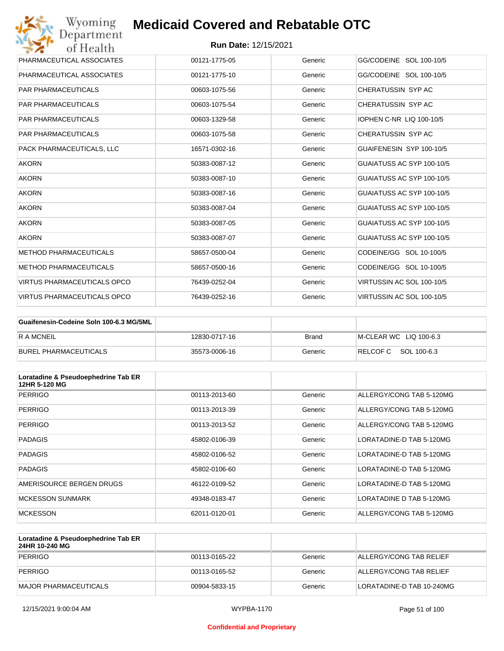

| Wyoming<br><b>Medicaid Covered and Rebatable OTC</b><br>Department |                             |         |                           |  |
|--------------------------------------------------------------------|-----------------------------|---------|---------------------------|--|
| of Health                                                          | <b>Run Date: 12/15/2021</b> |         |                           |  |
| PHARMACEUTICAL ASSOCIATES                                          | 00121-1775-05               | Generic | GG/CODEINE SOL 100-10/5   |  |
| PHARMACEUTICAL ASSOCIATES                                          | 00121-1775-10               | Generic | GG/CODEINE SOL 100-10/5   |  |
| <b>PAR PHARMACEUTICALS</b>                                         | 00603-1075-56               | Generic | CHERATUSSIN SYP AC        |  |
| <b>PAR PHARMACEUTICALS</b>                                         | 00603-1075-54               | Generic | CHERATUSSIN SYP AC        |  |
| <b>PAR PHARMACEUTICALS</b>                                         | 00603-1329-58               | Generic | IOPHEN C-NR LIQ 100-10/5  |  |
| <b>PAR PHARMACEUTICALS</b>                                         | 00603-1075-58               | Generic | CHERATUSSIN SYP AC        |  |
| PACK PHARMACEUTICALS, LLC                                          | 16571-0302-16               | Generic | GUAIFENESIN SYP 100-10/5  |  |
| <b>AKORN</b>                                                       | 50383-0087-12               | Generic | GUAIATUSS AC SYP 100-10/5 |  |
| <b>AKORN</b>                                                       | 50383-0087-10               | Generic | GUAIATUSS AC SYP 100-10/5 |  |
| <b>AKORN</b>                                                       | 50383-0087-16               | Generic | GUAIATUSS AC SYP 100-10/5 |  |
| <b>AKORN</b>                                                       | 50383-0087-04               | Generic | GUAIATUSS AC SYP 100-10/5 |  |
| <b>AKORN</b>                                                       | 50383-0087-05               | Generic | GUAIATUSS AC SYP 100-10/5 |  |
| <b>AKORN</b>                                                       | 50383-0087-07               | Generic | GUAIATUSS AC SYP 100-10/5 |  |
| <b>METHOD PHARMACEUTICALS</b>                                      | 58657-0500-04               | Generic | CODEINE/GG SOL 10-100/5   |  |
| <b>METHOD PHARMACEUTICALS</b>                                      | 58657-0500-16               | Generic | CODEINE/GG SOL 10-100/5   |  |
| <b>VIRTUS PHARMACEUTICALS OPCO</b>                                 | 76439-0252-04               | Generic | VIRTUSSIN AC SOL 100-10/5 |  |
| <b>VIRTUS PHARMACEUTICALS OPCO</b>                                 | 76439-0252-16               | Generic | VIRTUSSIN AC SOL 100-10/5 |  |

| Guaifenesin-Codeine Soln 100-6.3 MG/5ML |               |         |                        |
|-----------------------------------------|---------------|---------|------------------------|
| IR A MCNEIL                             | 12830-0717-16 | Brand   | M-CLEAR WC LIQ 100-6.3 |
| BUREL PHARMACEUTICALS                   | 35573-0006-16 | Generic | RELCOFC SOL 100-6.3    |

| Loratadine & Pseudoephedrine Tab ER<br>12HR 5-120 MG |               |         |                          |
|------------------------------------------------------|---------------|---------|--------------------------|
| <b>PERRIGO</b>                                       | 00113-2013-60 | Generic | ALLERGY/CONG TAB 5-120MG |
| <b>PERRIGO</b>                                       | 00113-2013-39 | Generic | ALLERGY/CONG TAB 5-120MG |
| <b>PERRIGO</b>                                       | 00113-2013-52 | Generic | ALLERGY/CONG TAB 5-120MG |
| <b>PADAGIS</b>                                       | 45802-0106-39 | Generic | LORATADINE-D TAB 5-120MG |
| <b>PADAGIS</b>                                       | 45802-0106-52 | Generic | LORATADINE-D TAB 5-120MG |
| <b>PADAGIS</b>                                       | 45802-0106-60 | Generic | LORATADINE-D TAB 5-120MG |
| AMERISOURCE BERGEN DRUGS                             | 46122-0109-52 | Generic | LORATADINE-D TAB 5-120MG |
| <b>MCKESSON SUNMARK</b>                              | 49348-0183-47 | Generic | LORATADINE D TAB 5-120MG |
| <b>MCKESSON</b>                                      | 62011-0120-01 | Generic | ALLERGY/CONG TAB 5-120MG |

| Loratadine & Pseudoephedrine Tab ER<br>24HR 10-240 MG |               |         |                           |
|-------------------------------------------------------|---------------|---------|---------------------------|
| PERRIGO                                               | 00113-0165-22 | Generic | ALLERGY/CONG TAB RELIEF   |
| PERRIGO                                               | 00113-0165-52 | Generic | ALLERGY/CONG TAB RELIEF   |
| MAJOR PHARMACEUTICALS                                 | 00904-5833-15 | Generic | LORATADINE-D TAB 10-240MG |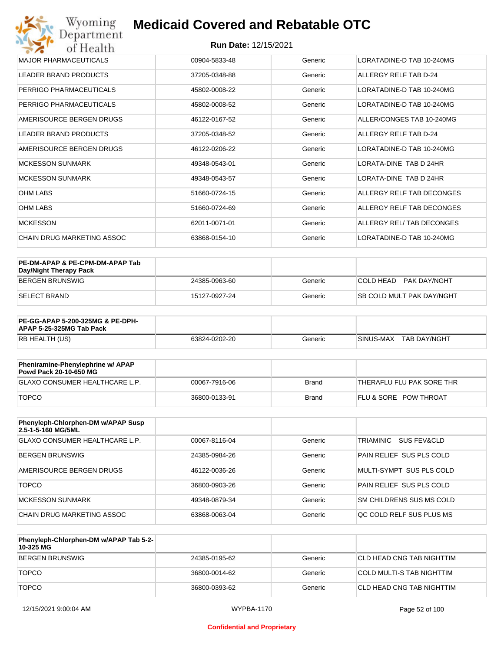| Wyoming<br>Department        | <b>Medicaid Covered and Rebatable OTC</b> |         |                           |
|------------------------------|-------------------------------------------|---------|---------------------------|
| of Health                    | <b>Run Date: 12/15/2021</b>               |         |                           |
| <b>MAJOR PHARMACEUTICALS</b> | 00904-5833-48                             | Generic | LORATADINE-D TAB 10-240MG |
| <b>LEADER BRAND PRODUCTS</b> | 37205-0348-88                             | Generic | ALLERGY RELF TAB D-24     |
| PERRIGO PHARMACEUTICALS      | 45802-0008-22                             | Generic | LORATADINE-D TAB 10-240MG |
| PERRIGO PHARMACEUTICALS      | 45802-0008-52                             | Generic | LORATADINE-D TAB 10-240MG |
| AMERISOURCE BERGEN DRUGS     | 46122-0167-52                             | Generic | ALLER/CONGES TAB 10-240MG |
| <b>LEADER BRAND PRODUCTS</b> | 37205-0348-52                             | Generic | ALLERGY RELF TAB D-24     |
| AMERISOURCE BERGEN DRUGS     | 46122-0206-22                             | Generic | LORATADINE-D TAB 10-240MG |
| <b>MCKESSON SUNMARK</b>      | 49348-0543-01                             | Generic | LORATA-DINE TAB D 24HR    |
| <b>MCKESSON SUNMARK</b>      | 49348-0543-57                             | Generic | LORATA-DINE TAB D 24HR    |
| <b>OHM LABS</b>              | 51660-0724-15                             | Generic | ALLERGY RELF TAB DECONGES |
| <b>OHM LABS</b>              | 51660-0724-69                             | Generic | ALLERGY RELF TAB DECONGES |
| <b>MCKESSON</b>              | 62011-0071-01                             | Generic | ALLERGY REL/ TAB DECONGES |
| CHAIN DRUG MARKETING ASSOC   | 63868-0154-10                             | Generic | LORATADINE-D TAB 10-240MG |

| PE-DM-APAP & PE-CPM-DM-APAP Tab<br>Day/Night Therapy Pack |               |         |                                  |
|-----------------------------------------------------------|---------------|---------|----------------------------------|
| BERGEN BRUNSWIG                                           | 24385-0963-60 | Generic | COLD HEAD PAK DAY/NGHT           |
| ISELECT BRAND                                             | 15127-0927-24 | Generic | <b>SB COLD MULT PAK DAY/NGHT</b> |

| <b>PE-GG-APAP 5-200-325MG &amp; PE-DPH-</b><br>APAP 5-25-325MG Tab Pack |               |         |                             |
|-------------------------------------------------------------------------|---------------|---------|-----------------------------|
| RB HEALTH (US)                                                          | 63824-0202-20 | Generic | I SINUS-MAX<br>TAB DAY/NGHT |

| Pheniramine-Phenylephrine w/ APAP<br>Powd Pack 20-10-650 MG |               |       |                                  |
|-------------------------------------------------------------|---------------|-------|----------------------------------|
| GLAXO CONSUMER HEALTHCARE L.P.                              | 00067-7916-06 | Brand | 'THERAFLU FLU PAK SORE THR       |
| <b>TOPCO</b>                                                | 36800-0133-91 | Brand | <b>FLU &amp; SORE POW THROAT</b> |

| Phenyleph-Chlorphen-DM w/APAP Susp<br>2.5-1-5-160 MG/5ML |               |         |                          |
|----------------------------------------------------------|---------------|---------|--------------------------|
| GLAXO CONSUMER HEALTHCARE L.P.                           | 00067-8116-04 | Generic | TRIAMINIC<br>SUS FEV&CLD |
| BERGEN BRUNSWIG                                          | 24385-0984-26 | Generic | PAIN RELIEF SUS PLS COLD |
| AMERISOURCE BERGEN DRUGS                                 | 46122-0036-26 | Generic | MULTI-SYMPT SUS PLS COLD |
| <b>TOPCO</b>                                             | 36800-0903-26 | Generic | PAIN RELIEF SUS PLS COLD |
| MCKESSON SUNMARK                                         | 49348-0879-34 | Generic | SM CHILDRENS SUS MS COLD |
| CHAIN DRUG MARKETING ASSOC                               | 63868-0063-04 | Generic | OC COLD RELF SUS PLUS MS |

| Phenyleph-Chlorphen-DM w/APAP Tab 5-2-<br>10-325 MG |               |         |                           |
|-----------------------------------------------------|---------------|---------|---------------------------|
| BERGEN BRUNSWIG                                     | 24385-0195-62 | Generic | CLD HEAD CNG TAB NIGHTTIM |
| <b>TOPCO</b>                                        | 36800-0014-62 | Generic | COLD MULTI-S TAB NIGHTTIM |
| <b>TOPCO</b>                                        | 36800-0393-62 | Generic | CLD HEAD CNG TAB NIGHTTIM |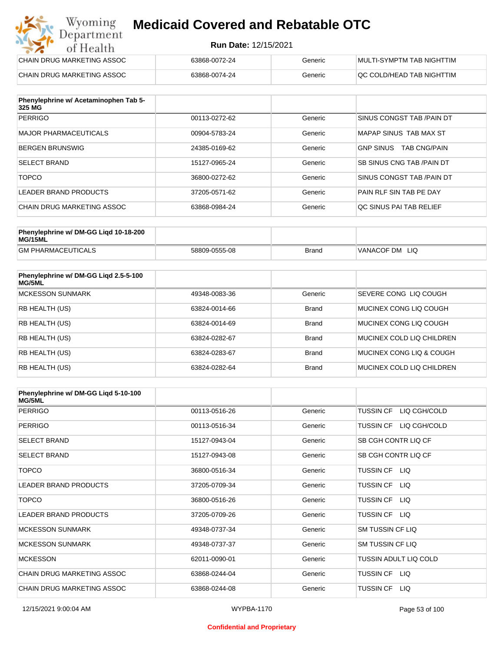#### **Run Date:** 12/15/2021

| Wyoming<br><b>Medicaid Covered and Rebatable OTC</b><br>Department |                             |         |                                  |
|--------------------------------------------------------------------|-----------------------------|---------|----------------------------------|
| of Health                                                          | <b>Run Date: 12/15/2021</b> |         |                                  |
| CHAIN DRUG MARKETING ASSOC                                         | 63868-0072-24               | Generic | <b>MULTI-SYMPTM TAB NIGHTTIM</b> |
| CHAIN DRUG MARKETING ASSOC                                         | 63868-0074-24               | Generic | QC COLD/HEAD TAB NIGHTTIM        |

| Phenylephrine w/ Acetaminophen Tab 5-<br>325 MG |               |         |                                         |
|-------------------------------------------------|---------------|---------|-----------------------------------------|
| <b>PERRIGO</b>                                  | 00113-0272-62 | Generic | SINUS CONGST TAB /PAIN DT               |
| MAJOR PHARMACEUTICALS                           | 00904-5783-24 | Generic | MAPAP SINUS TAB MAX ST                  |
| <b>BERGEN BRUNSWIG</b>                          | 24385-0169-62 | Generic | <b>GNP SINUS</b><br><b>TAB CNG/PAIN</b> |
| <b>SELECT BRAND</b>                             | 15127-0965-24 | Generic | SB SINUS CNG TAB / PAIN DT              |
| <b>TOPCO</b>                                    | 36800-0272-62 | Generic | SINUS CONGST TAB /PAIN DT               |
| LEADER BRAND PRODUCTS                           | 37205-0571-62 | Generic | PAIN RLF SIN TAB PE DAY                 |
| CHAIN DRUG MARKETING ASSOC                      | 63868-0984-24 | Generic | QC SINUS PAI TAB RELIEF                 |

| Phenylephrine w/ DM-GG Ligd 10-18-200<br>MG/15ML |               |              |                |
|--------------------------------------------------|---------------|--------------|----------------|
| <b>GM PHARMACEUTICALS</b>                        | 58809-0555-08 | <b>Brand</b> | VANACOF DM LIQ |

| Phenylephrine w/ DM-GG Ligd 2.5-5-100<br>MG/5ML |               |              |                              |
|-------------------------------------------------|---------------|--------------|------------------------------|
| <b>MCKESSON SUNMARK</b>                         | 49348-0083-36 | Generic      | <b>SEVERE CONG LIQ COUGH</b> |
| <b>RB HEALTH (US)</b>                           | 63824-0014-66 | <b>Brand</b> | MUCINEX CONG LIO COUGH       |
| <b>RB HEALTH (US)</b>                           | 63824-0014-69 | <b>Brand</b> | MUCINEX CONG LIO COUGH       |
| <b>RB HEALTH (US)</b>                           | 63824-0282-67 | <b>Brand</b> | MUCINEX COLD LIQ CHILDREN    |
| <b>RB HEALTH (US)</b>                           | 63824-0283-67 | <b>Brand</b> | MUCINEX CONG LIO & COUGH     |
| <b>RB HEALTH (US)</b>                           | 63824-0282-64 | <b>Brand</b> | MUCINEX COLD LIQ CHILDREN    |

| Phenylephrine w/ DM-GG Ligd 5-10-100<br><b>MG/5ML</b> |               |         |                                  |
|-------------------------------------------------------|---------------|---------|----------------------------------|
| <b>PERRIGO</b>                                        | 00113-0516-26 | Generic | <b>TUSSIN CF</b><br>LIQ CGH/COLD |
| <b>PERRIGO</b>                                        | 00113-0516-34 | Generic | LIQ CGH/COLD<br><b>TUSSIN CF</b> |
| <b>SELECT BRAND</b>                                   | 15127-0943-04 | Generic | SB CGH CONTR LIQ CF              |
| <b>SELECT BRAND</b>                                   | 15127-0943-08 | Generic | SB CGH CONTR LIQ CF              |
| <b>TOPCO</b>                                          | 36800-0516-34 | Generic | TUSSIN CF LIQ                    |
| <b>LEADER BRAND PRODUCTS</b>                          | 37205-0709-34 | Generic | <b>TUSSIN CF</b><br>LIQ          |
| <b>TOPCO</b>                                          | 36800-0516-26 | Generic | <b>TUSSIN CF</b><br>LIQ.         |
| LEADER BRAND PRODUCTS                                 | 37205-0709-26 | Generic | TUSSIN CF LIQ                    |
| <b>MCKESSON SUNMARK</b>                               | 49348-0737-34 | Generic | <b>SM TUSSIN CF LIQ</b>          |
| <b>MCKESSON SUNMARK</b>                               | 49348-0737-37 | Generic | <b>SM TUSSIN CF LIQ</b>          |
| <b>MCKESSON</b>                                       | 62011-0090-01 | Generic | TUSSIN ADULT LIQ COLD            |
| CHAIN DRUG MARKETING ASSOC                            | 63868-0244-04 | Generic | TUSSIN CF LIQ                    |
| CHAIN DRUG MARKETING ASSOC                            | 63868-0244-08 | Generic | <b>TUSSIN CF</b><br>LIQ.         |

#### **Confidential and Proprietary**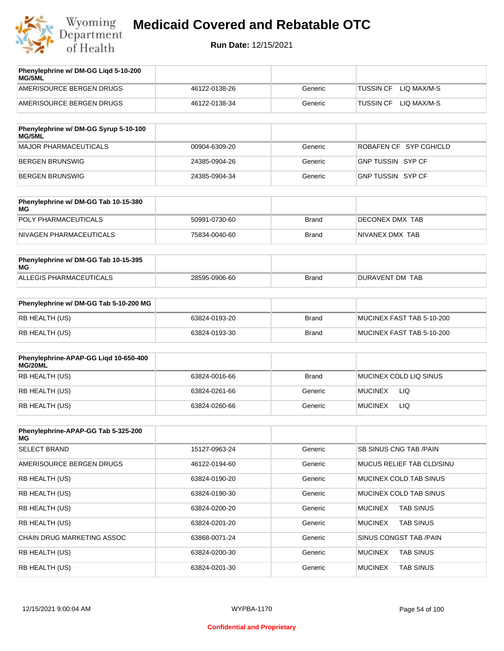

| AMERISOURCE BERGEN DRUGS<br>LIO MAX/M-S<br>46122-0138-26<br><b>TUSSIN CF</b><br>Generic | Phenylephrine w/ DM-GG Ligd 5-10-200<br><b>MG/5ML</b> |               |         |                                 |
|-----------------------------------------------------------------------------------------|-------------------------------------------------------|---------------|---------|---------------------------------|
|                                                                                         |                                                       |               |         |                                 |
|                                                                                         | AMERISOURCE BERGEN DRUGS                              | 46122-0138-34 | Generic | LIO MAX/M-S<br><b>TUSSIN CF</b> |

| Phenylephrine w/ DM-GG Syrup 5-10-100<br>MG/5ML |               |         |                        |
|-------------------------------------------------|---------------|---------|------------------------|
| MAJOR PHARMACEUTICALS                           | 00904-6309-20 | Generic | ROBAFEN CF SYP CGH/CLD |
| BERGEN BRUNSWIG                                 | 24385-0904-26 | Generic | GNP TUSSIN SYP CF      |
| BERGEN BRUNSWIG                                 | 24385-0904-34 | Generic | GNP TUSSIN SYP CF      |

| Phenylephrine w/ DM-GG Tab 10-15-380<br>MG |               |              |                 |
|--------------------------------------------|---------------|--------------|-----------------|
| POLY PHARMACEUTICALS                       | 50991-0730-60 | <b>Brand</b> | DECONEX DMX TAB |
| NIVAGEN PHARMACEUTICALS                    | 75834-0040-60 | Brand        | NIVANEX DMX TAB |

| Phenylephrine w/ DM-GG Tab 10-15-395<br>MG |               |       |                 |
|--------------------------------------------|---------------|-------|-----------------|
| ALLEGIS PHARMACEUTICALS                    | 28595-0906-60 | Brand | DURAVENT DM TAB |

| Phenylephrine w/ DM-GG Tab 5-10-200 MG |               |       |                           |
|----------------------------------------|---------------|-------|---------------------------|
| RB HEALTH (US)                         | 63824-0193-20 | Brand | MUCINEX FAST TAB 5-10-200 |
| RB HEALTH (US)                         | 63824-0193-30 | Brand | MUCINEX FAST TAB 5-10-200 |

| Phenylephrine-APAP-GG Ligd 10-650-400<br>MG/20ML |               |              |                              |
|--------------------------------------------------|---------------|--------------|------------------------------|
| RB HEALTH (US)                                   | 63824-0016-66 | <b>Brand</b> | MUCINEX COLD LIQ SINUS       |
| RB HEALTH (US)                                   | 63824-0261-66 | Generic      | <b>LIQ</b><br><b>MUCINEX</b> |
| RB HEALTH (US)                                   | 63824-0260-66 | Generic      | LIQ<br><b>MUCINEX</b>        |

| Phenylephrine-APAP-GG Tab 5-325-200<br>MG |               |         |                                    |
|-------------------------------------------|---------------|---------|------------------------------------|
| <b>SELECT BRAND</b>                       | 15127-0963-24 | Generic | SB SINUS CNG TAB / PAIN            |
| AMERISOURCE BERGEN DRUGS                  | 46122-0194-60 | Generic | <b>MUCUS RELIEF TAB CLD/SINU</b>   |
| RB HEALTH (US)                            | 63824-0190-20 | Generic | MUCINEX COLD TAB SINUS             |
| RB HEALTH (US)                            | 63824-0190-30 | Generic | MUCINEX COLD TAB SINUS             |
| RB HEALTH (US)                            | 63824-0200-20 | Generic | <b>TAB SINUS</b><br><b>MUCINEX</b> |
| <b>RB HEALTH (US)</b>                     | 63824-0201-20 | Generic | <b>MUCINEX</b><br><b>TAB SINUS</b> |
| CHAIN DRUG MARKETING ASSOC                | 63868-0071-24 | Generic | SINUS CONGST TAB /PAIN             |
| RB HEALTH (US)                            | 63824-0200-30 | Generic | <b>TAB SINUS</b><br><b>MUCINEX</b> |
| RB HEALTH (US)                            | 63824-0201-30 | Generic | <b>MUCINEX</b><br><b>TAB SINUS</b> |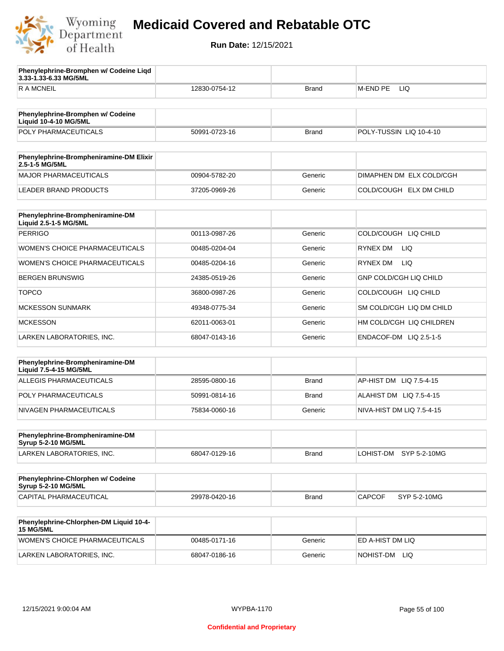

**Phenylephrine-Bromphen w/ Codeine Liqd** 

## **Medicaid Covered and Rebatable OTC**

**Run Date:** 12/15/2021

| 3.33-1.33-6.33 MG/5ML                                             |               |              |                               |
|-------------------------------------------------------------------|---------------|--------------|-------------------------------|
| <b>RAMCNEIL</b>                                                   | 12830-0754-12 | Brand        | <b>LIQ</b><br>M-END PE        |
|                                                                   |               |              |                               |
| Phenylephrine-Bromphen w/ Codeine<br><b>Liquid 10-4-10 MG/5ML</b> |               |              |                               |
| POLY PHARMACEUTICALS                                              | 50991-0723-16 | <b>Brand</b> | POLY-TUSSIN LIQ 10-4-10       |
|                                                                   |               |              |                               |
| Phenylephrine-Brompheniramine-DM Elixir<br>2.5-1-5 MG/5ML         |               |              |                               |
| <b>MAJOR PHARMACEUTICALS</b>                                      | 00904-5782-20 | Generic      | DIMAPHEN DM ELX COLD/CGH      |
| <b>LEADER BRAND PRODUCTS</b>                                      | 37205-0969-26 | Generic      | COLD/COUGH ELX DM CHILD       |
| Phenylephrine-Brompheniramine-DM                                  |               |              |                               |
| Liquid 2.5-1-5 MG/5ML                                             |               |              |                               |
| <b>PERRIGO</b>                                                    | 00113-0987-26 | Generic      | COLD/COUGH LIQ CHILD          |
| WOMEN'S CHOICE PHARMACEUTICALS                                    | 00485-0204-04 | Generic      | RYNEX DM<br>LIQ.              |
| <b>WOMEN'S CHOICE PHARMACEUTICALS</b>                             | 00485-0204-16 | Generic      | RYNEX DM<br>LIQ.              |
| <b>BERGEN BRUNSWIG</b>                                            | 24385-0519-26 | Generic      | <b>GNP COLD/CGH LIQ CHILD</b> |
| <b>TOPCO</b>                                                      | 36800-0987-26 | Generic      | COLD/COUGH LIQ CHILD          |
| <b>MCKESSON SUNMARK</b>                                           | 49348-0775-34 | Generic      | SM COLD/CGH LIQ DM CHILD      |
| <b>MCKESSON</b>                                                   | 62011-0063-01 | Generic      | HM COLD/CGH LIQ CHILDREN      |
| LARKEN LABORATORIES, INC.                                         | 68047-0143-16 | Generic      | ENDACOF-DM LIQ 2.5-1-5        |
| Phenylephrine-Brompheniramine-DM                                  |               |              |                               |
| Liquid 7.5-4-15 MG/5ML                                            |               |              |                               |
| ALLEGIS PHARMACEUTICALS                                           | 28595-0800-16 | <b>Brand</b> | AP-HIST DM LIQ 7.5-4-15       |
| POLY PHARMACEUTICALS                                              | 50991-0814-16 | <b>Brand</b> | ALAHIST DM LIQ 7.5-4-15       |
| NIVAGEN PHARMACEUTICALS                                           | 75834-0060-16 | Generic      | NIVA-HIST DM LIQ 7.5-4-15     |
|                                                                   |               |              |                               |
| Phenylephrine-Brompheniramine-DM<br>Syrup 5-2-10 MG/5ML           |               |              |                               |
| LARKEN LABORATORIES, INC.                                         | 68047-0129-16 | <b>Brand</b> | LOHIST-DM SYP 5-2-10MG        |
|                                                                   |               |              |                               |
| Phenylephrine-Chlorphen w/ Codeine<br>Syrup 5-2-10 MG/5ML         |               |              |                               |
| CAPITAL PHARMACEUTICAL                                            | 29978-0420-16 | <b>Brand</b> | SYP 5-2-10MG<br><b>CAPCOF</b> |
| Phenylephrine-Chlorphen-DM Liquid 10-4-                           |               |              |                               |
| <b>15 MG/5ML</b>                                                  |               |              |                               |
| WOMEN'S CHOICE PHARMACEUTICALS                                    | 00485-0171-16 | Generic      | ED A-HIST DM LIQ              |

LARKEN LABORATORIES, INC. 68047-0186-16 Generic NOHIST-DM LIQ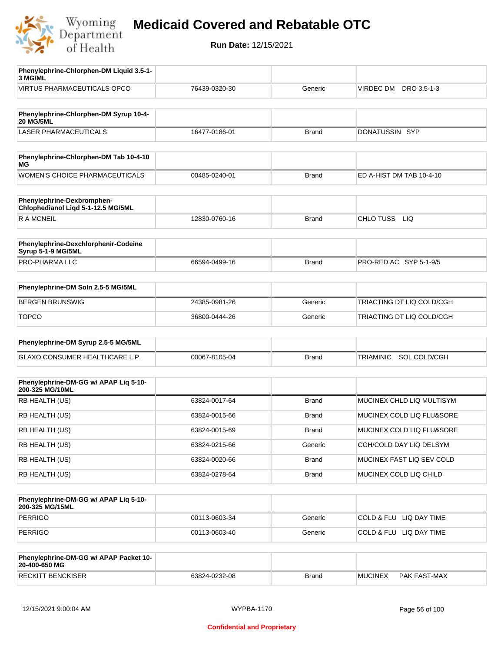

| Phenylephrine-Chlorphen-DM Liquid 3.5-1-<br>3 MG/ML              |               |              |                                  |
|------------------------------------------------------------------|---------------|--------------|----------------------------------|
| <b>VIRTUS PHARMACEUTICALS OPCO</b>                               | 76439-0320-30 | Generic      | VIRDEC DM DRO 3.5-1-3            |
|                                                                  |               |              |                                  |
| Phenylephrine-Chlorphen-DM Syrup 10-4-<br><b>20 MG/5ML</b>       |               |              |                                  |
| <b>LASER PHARMACEUTICALS</b>                                     | 16477-0186-01 | <b>Brand</b> | DONATUSSIN SYP                   |
|                                                                  |               |              |                                  |
| Phenylephrine-Chlorphen-DM Tab 10-4-10<br>ΜG                     |               |              |                                  |
| WOMEN'S CHOICE PHARMACEUTICALS                                   | 00485-0240-01 | <b>Brand</b> | ED A-HIST DM TAB 10-4-10         |
|                                                                  |               |              |                                  |
| Phenylephrine-Dexbromphen-<br>Chlophedianol Liqd 5-1-12.5 MG/5ML |               |              |                                  |
| R A MCNEIL                                                       | 12830-0760-16 | <b>Brand</b> | CHLO TUSS<br>LIQ                 |
|                                                                  |               |              |                                  |
| Phenylephrine-Dexchlorphenir-Codeine<br>Syrup 5-1-9 MG/5ML       |               |              |                                  |
| PRO-PHARMA LLC                                                   | 66594-0499-16 | <b>Brand</b> | PRO-RED AC SYP 5-1-9/5           |
|                                                                  |               |              |                                  |
| Phenylephrine-DM Soln 2.5-5 MG/5ML                               |               |              |                                  |
| <b>BERGEN BRUNSWIG</b>                                           | 24385-0981-26 | Generic      | TRIACTING DT LIQ COLD/CGH        |
| <b>TOPCO</b>                                                     | 36800-0444-26 | Generic      | TRIACTING DT LIQ COLD/CGH        |
| Phenylephrine-DM Syrup 2.5-5 MG/5ML                              |               |              |                                  |
|                                                                  |               |              |                                  |
| GLAXO CONSUMER HEALTHCARE L.P.                                   | 00067-8105-04 | <b>Brand</b> | SOL COLD/CGH<br><b>TRIAMINIC</b> |
|                                                                  |               |              |                                  |
| Phenylephrine-DM-GG w/ APAP Lig 5-10-<br>200-325 MG/10ML         |               |              |                                  |
| RB HEALTH (US)                                                   | 63824-0017-64 | <b>Brand</b> | MUCINEX CHLD LIQ MULTISYM        |
| RB HEALTH (US)                                                   | 63824-0015-66 | <b>Brand</b> | MUCINEX COLD LIQ FLU&SORE        |
| RB HEALTH (US)                                                   | 63824-0015-69 | Brand        | MUCINEX COLD LIQ FLU&SORE        |
| RB HEALTH (US)                                                   | 63824-0215-66 | Generic      | CGH/COLD DAY LIQ DELSYM          |
| RB HEALTH (US)                                                   | 63824-0020-66 | <b>Brand</b> | MUCINEX FAST LIQ SEV COLD        |
| RB HEALTH (US)                                                   | 63824-0278-64 | Brand        | MUCINEX COLD LIQ CHILD           |
|                                                                  |               |              |                                  |
| Phenylephrine-DM-GG w/ APAP Liq 5-10-<br>200-325 MG/15ML         |               |              |                                  |
| <b>PERRIGO</b>                                                   | 00113-0603-34 | Generic      | COLD & FLU LIQ DAY TIME          |
| <b>PERRIGO</b>                                                   | 00113-0603-40 | Generic      | COLD & FLU LIQ DAY TIME          |
|                                                                  |               |              |                                  |
| Phenylephrine-DM-GG w/ APAP Packet 10-<br>20-400-650 MG          |               |              |                                  |
| <b>RECKITT BENCKISER</b>                                         | 63824-0232-08 | <b>Brand</b> | <b>MUCINEX</b><br>PAK FAST-MAX   |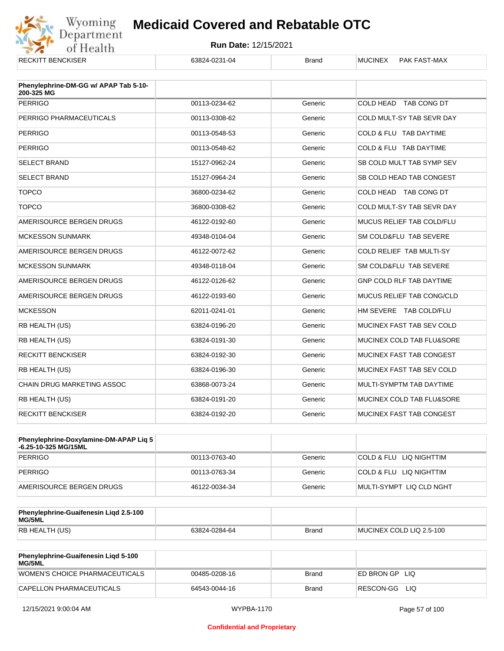

| <b>RECKITT BENCKISER</b>                            | 63824-0231-04 | <b>Brand</b> | <b>MUCINEX</b><br>PAK FAST-MAX  |
|-----------------------------------------------------|---------------|--------------|---------------------------------|
| Phenylephrine-DM-GG w/ APAP Tab 5-10-<br>200-325 MG |               |              |                                 |
| <b>PERRIGO</b>                                      | 00113-0234-62 | Generic      | COLD HEAD TAB CONG DT           |
|                                                     |               |              |                                 |
| PERRIGO PHARMACEUTICALS                             | 00113-0308-62 | Generic      | COLD MULT-SY TAB SEVR DAY       |
| <b>PERRIGO</b>                                      | 00113-0548-53 | Generic      | COLD & FLU TAB DAYTIME          |
| <b>PERRIGO</b>                                      | 00113-0548-62 | Generic      | COLD & FLU TAB DAYTIME          |
| <b>SELECT BRAND</b>                                 | 15127-0962-24 | Generic      | SB COLD MULT TAB SYMP SEV       |
| <b>SELECT BRAND</b>                                 | 15127-0964-24 | Generic      | SB COLD HEAD TAB CONGEST        |
| <b>TOPCO</b>                                        | 36800-0234-62 | Generic      | COLD HEAD TAB CONG DT           |
| <b>TOPCO</b>                                        | 36800-0308-62 | Generic      | COLD MULT-SY TAB SEVR DAY       |
| AMERISOURCE BERGEN DRUGS                            | 46122-0192-60 | Generic      | MUCUS RELIEF TAB COLD/FLU       |
| <b>MCKESSON SUNMARK</b>                             | 49348-0104-04 | Generic      | SM COLD&FLU TAB SEVERE          |
| AMERISOURCE BERGEN DRUGS                            | 46122-0072-62 | Generic      | COLD RELIEF TAB MULTI-SY        |
| <b>MCKESSON SUNMARK</b>                             | 49348-0118-04 | Generic      | SM COLD&FLU TAB SEVERE          |
| AMERISOURCE BERGEN DRUGS                            | 46122-0126-62 | Generic      | <b>GNP COLD RLF TAB DAYTIME</b> |
| AMERISOURCE BERGEN DRUGS                            | 46122-0193-60 | Generic      | MUCUS RELIEF TAB CONG/CLD       |
| <b>MCKESSON</b>                                     | 62011-0241-01 | Generic      | HM SEVERE TAB COLD/FLU          |
| RB HEALTH (US)                                      | 63824-0196-20 | Generic      | MUCINEX FAST TAB SEV COLD       |
| RB HEALTH (US)                                      | 63824-0191-30 | Generic      | MUCINEX COLD TAB FLU&SORE       |
| <b>RECKITT BENCKISER</b>                            | 63824-0192-30 | Generic      | MUCINEX FAST TAB CONGEST        |
| RB HEALTH (US)                                      | 63824-0196-30 | Generic      | MUCINEX FAST TAB SEV COLD       |
| <b>CHAIN DRUG MARKETING ASSOC</b>                   | 63868-0073-24 | Generic      | MULTI-SYMPTM TAB DAYTIME        |
| RB HEALTH (US)                                      | 63824-0191-20 | Generic      | MUCINEX COLD TAB FLU&SORE       |
| <b>RECKITT BENCKISER</b>                            | 63824-0192-20 | Generic      | MUCINEX FAST TAB CONGEST        |

| Phenylephrine-Doxylamine-DM-APAP Liq 5<br>-6.25-10-325 MG/15ML |               |         |                          |
|----------------------------------------------------------------|---------------|---------|--------------------------|
| PERRIGO                                                        | 00113-0763-40 | Generic | COLD & FLU LIQ NIGHTTIM  |
| PERRIGO                                                        | 00113-0763-34 | Generic | COLD & FLU LIQ NIGHTTIM  |
| AMERISOURCE BERGEN DRUGS                                       | 46122-0034-34 | Generic | MULTI-SYMPT LIQ CLD NGHT |

| Phenylephrine-Guaifenesin Ligd 2.5-100<br>MG/5ML |               |              |                          |
|--------------------------------------------------|---------------|--------------|--------------------------|
| RB HEALTH (US)                                   | 63824-0284-64 | <b>Brand</b> | MUCINEX COLD LIQ 2.5-100 |

| <b>Phenylephrine-Guaifenesin Ligd 5-100</b><br>MG/5ML |               |       |               |
|-------------------------------------------------------|---------------|-------|---------------|
| WOMEN'S CHOICE PHARMACEUTICALS                        | 00485-0208-16 | Brand | ED BRON GPLIO |
| CAPELLON PHARMACEUTICALS                              | 64543-0044-16 | Brand | RESCON-GG LIO |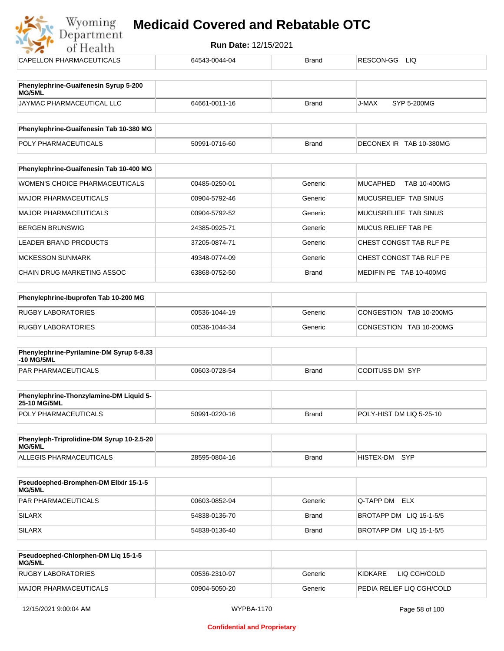

|               | <b>Brand</b>                                                     | RESCON-GG LIQ                      |
|---------------|------------------------------------------------------------------|------------------------------------|
|               |                                                                  |                                    |
|               |                                                                  |                                    |
| 64661-0011-16 | <b>Brand</b>                                                     | SYP 5-200MG<br>J-MAX               |
|               |                                                                  |                                    |
|               |                                                                  |                                    |
|               |                                                                  | DECONEX IR TAB 10-380MG            |
|               |                                                                  |                                    |
| 00485-0250-01 | Generic                                                          | <b>MUCAPHED</b><br>TAB 10-400MG    |
| 00904-5792-46 | Generic                                                          | MUCUSRELIEF TAB SINUS              |
| 00904-5792-52 | Generic                                                          | MUCUSRELIEF TAB SINUS              |
| 24385-0925-71 | Generic                                                          | <b>MUCUS RELIEF TAB PE</b>         |
| 37205-0874-71 | Generic                                                          | CHEST CONGST TAB RLF PE            |
| 49348-0774-09 | Generic                                                          | CHEST CONGST TAB RLF PE            |
| 63868-0752-50 | <b>Brand</b>                                                     | MEDIFIN PE TAB 10-400MG            |
|               |                                                                  |                                    |
|               |                                                                  |                                    |
|               |                                                                  | CONGESTION TAB 10-200MG            |
|               |                                                                  | CONGESTION TAB 10-200MG            |
|               |                                                                  |                                    |
| 00603-0728-54 | <b>Brand</b>                                                     | <b>CODITUSS DM SYP</b>             |
|               |                                                                  |                                    |
|               |                                                                  |                                    |
| 50991-0220-16 | <b>Brand</b>                                                     | POLY-HIST DM LIQ 5-25-10           |
|               |                                                                  |                                    |
|               |                                                                  |                                    |
| 28595-0804-16 | <b>Brand</b>                                                     | HISTEX-DM SYP                      |
|               |                                                                  |                                    |
|               |                                                                  |                                    |
| 00603-0852-94 | Generic                                                          | Q-TAPP DM ELX                      |
| 54838-0136-70 | <b>Brand</b>                                                     | BROTAPP DM LIQ 15-1-5/5            |
| 54838-0136-40 | <b>Brand</b>                                                     | BROTAPP DM LIQ 15-1-5/5            |
|               | 64543-0044-04<br>50991-0716-60<br>00536-1044-19<br>00536-1044-34 | <b>Brand</b><br>Generic<br>Generic |

| <b>Pseudoephed-Chlorphen-DM Lig 15-1-5</b><br>MG/5ML |               |         |                           |
|------------------------------------------------------|---------------|---------|---------------------------|
| <b>RUGBY LABORATORIES</b>                            | 00536-2310-97 | Generic | LIQ CGH/COLD<br>KIDKARE   |
| MAJOR PHARMACEUTICALS                                | 00904-5050-20 | Generic | PEDIA RELIEF LIO CGH/COLD |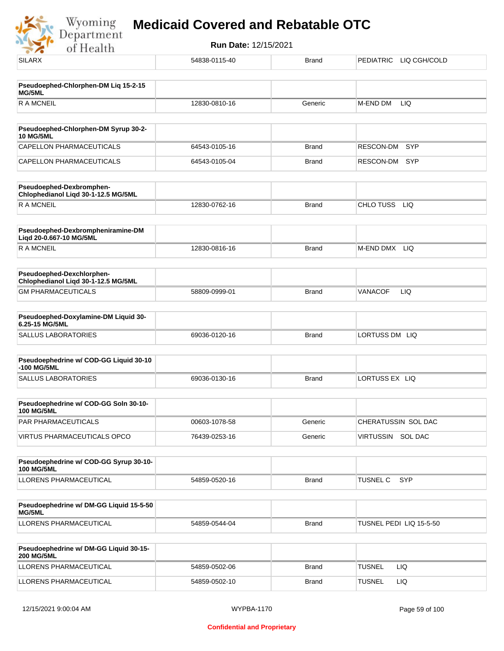Wyoming<br>Department<br>of Health

| <b>SILARX</b>                                                    | 54838-0115-40 | <b>Brand</b> | <b>PEDIATRIC</b><br>LIQ CGH/COLD |
|------------------------------------------------------------------|---------------|--------------|----------------------------------|
| Pseudoephed-Chlorphen-DM Liq 15-2-15                             |               |              |                                  |
| MG/5ML<br><b>RAMCNEIL</b>                                        | 12830-0810-16 | Generic      | LIQ<br>M-END DM                  |
|                                                                  |               |              |                                  |
| Pseudoephed-Chlorphen-DM Syrup 30-2-<br><b>10 MG/5ML</b>         |               |              |                                  |
| <b>CAPELLON PHARMACEUTICALS</b>                                  | 64543-0105-16 | <b>Brand</b> | RESCON-DM<br><b>SYP</b>          |
| CAPELLON PHARMACEUTICALS                                         | 64543-0105-04 | <b>Brand</b> | SYP<br>RESCON-DM                 |
| Pseudoephed-Dexbromphen-<br>Chlophedianol Liqd 30-1-12.5 MG/5ML  |               |              |                                  |
| <b>RAMCNEIL</b>                                                  | 12830-0762-16 | <b>Brand</b> | CHLO TUSS<br>LIQ                 |
| Pseudoephed-Dexbrompheniramine-DM<br>Liqd 20-0.667-10 MG/5ML     |               |              |                                  |
| <b>RAMCNEIL</b>                                                  | 12830-0816-16 | <b>Brand</b> | M-END DMX<br>LIQ.                |
| Pseudoephed-Dexchlorphen-<br>Chlophedianol Liqd 30-1-12.5 MG/5ML |               |              |                                  |
| <b>GM PHARMACEUTICALS</b>                                        | 58809-0999-01 | <b>Brand</b> | <b>VANACOF</b><br>LIQ            |
| Pseudoephed-Doxylamine-DM Liquid 30-<br>6.25-15 MG/5ML           |               |              |                                  |
| <b>SALLUS LABORATORIES</b>                                       | 69036-0120-16 | <b>Brand</b> | LORTUSS DM LIQ                   |
| Pseudoephedrine w/ COD-GG Liquid 30-10<br>-100 MG/5ML            |               |              |                                  |
| <b>SALLUS LABORATORIES</b>                                       | 69036-0130-16 | <b>Brand</b> | LORTUSS EX LIQ                   |
| Pseudoephedrine w/ COD-GG Soln 30-10-<br><b>100 MG/5ML</b>       |               |              |                                  |
| PAR PHARMACEUTICALS                                              | 00603-1078-58 | Generic      | CHERATUSSIN SOL DAC              |
| VIRTUS PHARMACEUTICALS OPCO                                      | 76439-0253-16 | Generic      | VIRTUSSIN SOL DAC                |
| Pseudoephedrine w/ COD-GG Syrup 30-10-<br><b>100 MG/5ML</b>      |               |              |                                  |
| LLORENS PHARMACEUTICAL                                           | 54859-0520-16 | <b>Brand</b> | <b>SYP</b><br>TUSNEL C           |
|                                                                  |               |              |                                  |
| Pseudoephedrine w/ DM-GG Liquid 15-5-50<br>MG/5ML                |               |              |                                  |
| LLORENS PHARMACEUTICAL                                           | 54859-0544-04 | <b>Brand</b> | TUSNEL PEDI LIQ 15-5-50          |
| Pseudoephedrine w/ DM-GG Liquid 30-15-<br><b>200 MG/5ML</b>      |               |              |                                  |
| LLORENS PHARMACEUTICAL                                           | 54859-0502-06 | <b>Brand</b> | <b>TUSNEL</b><br>LIQ             |
| LLORENS PHARMACEUTICAL                                           | 54859-0502-10 | <b>Brand</b> | <b>TUSNEL</b><br>LIQ             |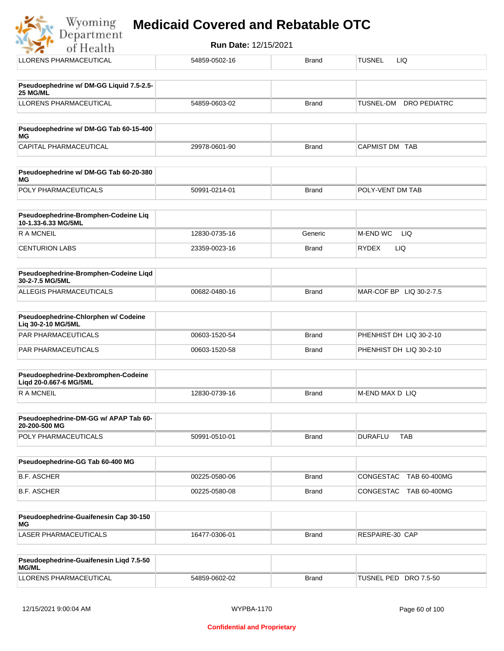#### **Medicaid Covered and Rebatable OTC**Department

**Run Date:** 12/15/2021 of Health LLORENS PHARMACEUTICAL 54859-0502-16 Brand TUSNEL LIQ **Pseudoephedrine w/ DM-GG Liquid 7.5-2.5- 25 MG/ML** LLORENS PHARMACEUTICAL 54859-0603-02 Brand TUSNEL-DM DRO PEDIATRC **Pseudoephedrine w/ DM-GG Tab 60-15-400 MG** CAPITAL PHARMACEUTICAL 29978-0601-90 Brand CAPMIST DM TAB **Pseudoephedrine w/ DM-GG Tab 60-20-380 MG** POLY PHARMACEUTICALS 50991-0214-01 Brand POLY-VENT DM TAB **Pseudoephedrine-Bromphen-Codeine Liq 10-1.33-6.33 MG/5ML** R A MCNEIL **12830-0735-16** Generic M-END WC LIQ CENTURION LABS 23359-0023-16 Brand RYDEX LIQ **Pseudoephedrine-Bromphen-Codeine Liqd 30-2-7.5 MG/5ML** ALLEGIS PHARMACEUTICALS 00682-0480-16 Brand MAR-COF BP LIQ 30-2-7.5 **Pseudoephedrine-Chlorphen w/ Codeine** 

| Lig 30-2-10 MG/5ML         |               |       |                         |
|----------------------------|---------------|-------|-------------------------|
| <b>PAR PHARMACEUTICALS</b> | 00603-1520-54 | Brand | PHENHIST DH LIQ 30-2-10 |
| <b>PAR PHARMACEUTICALS</b> | 00603-1520-58 | Brand | PHENHIST DH LIQ 30-2-10 |

| Pseudoephedrine-Dexbromphen-Codeine<br>Ligd 20-0.667-6 MG/5ML |               |       |                  |
|---------------------------------------------------------------|---------------|-------|------------------|
| R A MCNEIL                                                    | 12830-0739-16 | Brand | IM-END MAX D LIQ |

| <b>Pseudoephedrine-DM-GG w/ APAP Tab 60-</b><br>20-200-500 MG |               |       |                |     |
|---------------------------------------------------------------|---------------|-------|----------------|-----|
| <b>POLY PHARMACEUTICALS</b>                                   | 50991-0510-01 | Brand | <b>DURAFLL</b> | TAB |

| Pseudoephedrine-GG Tab 60-400 MG |               |              |                           |
|----------------------------------|---------------|--------------|---------------------------|
| B.F. ASCHER                      | 00225-0580-06 | Brand        | CONGESTAC TAB 60-400MG    |
| B.F. ASCHER                      | 00225-0580-08 | <b>Brand</b> | CONGESTAC<br>TAB 60-400MG |

| <b>Pseudoephedrine-Guaifenesin Cap 30-150</b><br>MG |               |              |                 |
|-----------------------------------------------------|---------------|--------------|-----------------|
| LASER PHARMACEUTICALS                               | 16477-0306-01 | <b>Brand</b> | RESPAIRE-30 CAP |

| Pseudoephedrine-Guaifenesin Ligd 7.5-50<br><b>MG/ML</b> |               |       |                          |
|---------------------------------------------------------|---------------|-------|--------------------------|
| LLORENS PHARMACEUTICAL                                  | 54859-0602-02 | Brand | TUSNEL PED<br>DRO 7.5-50 |

Wyoming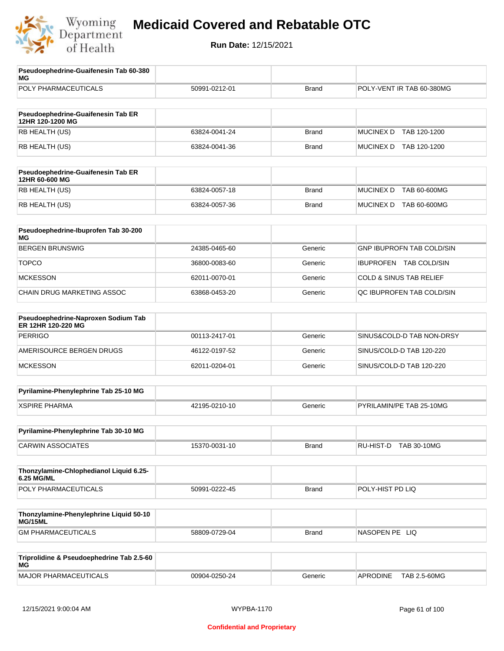

| Pseudoephedrine-Guaifenesin Tab 60-380<br>MG              |               |              |                                    |
|-----------------------------------------------------------|---------------|--------------|------------------------------------|
| POLY PHARMACEUTICALS                                      | 50991-0212-01 | <b>Brand</b> | POLY-VENT IR TAB 60-380MG          |
| Pseudoephedrine-Guaifenesin Tab ER                        |               |              |                                    |
| 12HR 120-1200 MG                                          |               |              |                                    |
| RB HEALTH (US)                                            | 63824-0041-24 | <b>Brand</b> | <b>MUCINEX D</b><br>TAB 120-1200   |
| RB HEALTH (US)                                            | 63824-0041-36 | <b>Brand</b> | MUCINEX D TAB 120-1200             |
| Pseudoephedrine-Guaifenesin Tab ER<br>12HR 60-600 MG      |               |              |                                    |
| RB HEALTH (US)                                            | 63824-0057-18 | <b>Brand</b> | <b>MUCINEX D</b><br>TAB 60-600MG   |
| RB HEALTH (US)                                            | 63824-0057-36 | <b>Brand</b> | MUCINEX D TAB 60-600MG             |
| Pseudoephedrine-Ibuprofen Tab 30-200<br>МG                |               |              |                                    |
| <b>BERGEN BRUNSWIG</b>                                    | 24385-0465-60 | Generic      | <b>GNP IBUPROFN TAB COLD/SIN</b>   |
| <b>TOPCO</b>                                              | 36800-0083-60 | Generic      | IBUPROFEN TAB COLD/SIN             |
| <b>MCKESSON</b>                                           | 62011-0070-01 | Generic      | <b>COLD &amp; SINUS TAB RELIEF</b> |
| CHAIN DRUG MARKETING ASSOC                                | 63868-0453-20 | Generic      | QC IBUPROFEN TAB COLD/SIN          |
| Pseudoephedrine-Naproxen Sodium Tab<br>ER 12HR 120-220 MG |               |              |                                    |
| <b>PERRIGO</b>                                            | 00113-2417-01 | Generic      | SINUS&COLD-D TAB NON-DRSY          |
| AMERISOURCE BERGEN DRUGS                                  | 46122-0197-52 | Generic      | SINUS/COLD-D TAB 120-220           |
| <b>MCKESSON</b>                                           | 62011-0204-01 | Generic      | SINUS/COLD-D TAB 120-220           |
| Pyrilamine-Phenylephrine Tab 25-10 MG                     |               |              |                                    |
| <b>XSPIRE PHARMA</b>                                      | 42195-0210-10 | Generic      | PYRILAMIN/PE TAB 25-10MG           |
| Pyrilamine-Phenylephrine Tab 30-10 MG                     |               |              |                                    |
| <b>CARWIN ASSOCIATES</b>                                  | 15370-0031-10 | <b>Brand</b> | RU-HIST-D TAB 30-10MG              |
| Thonzylamine-Chlophedianol Liquid 6.25-<br>6.25 MG/ML     |               |              |                                    |
| POLY PHARMACEUTICALS                                      | 50991-0222-45 | <b>Brand</b> | POLY-HIST PD LIQ                   |
| Thonzylamine-Phenylephrine Liquid 50-10<br>MG/15ML        |               |              |                                    |
| <b>GM PHARMACEUTICALS</b>                                 | 58809-0729-04 | <b>Brand</b> | NASOPEN PE LIQ                     |
| Triprolidine & Pseudoephedrine Tab 2.5-60<br>ΜG           |               |              |                                    |
| <b>MAJOR PHARMACEUTICALS</b>                              | 00904-0250-24 | Generic      | TAB 2.5-60MG<br>APRODINE           |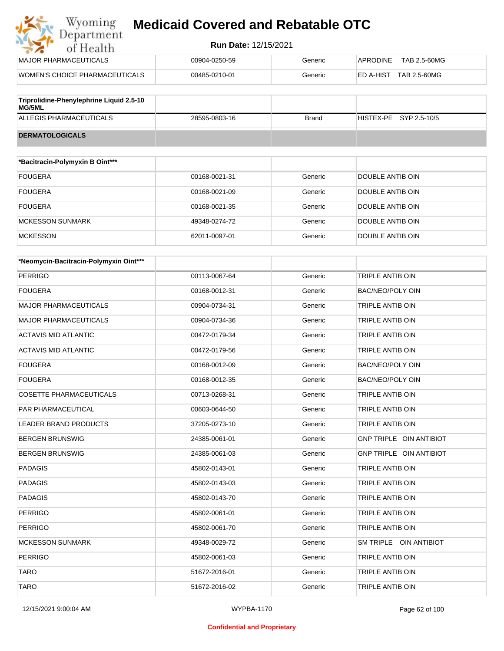| Wyoming<br>Department          | <b>Medicaid Covered and Rebatable OTC</b> |         |                                 |  |
|--------------------------------|-------------------------------------------|---------|---------------------------------|--|
| of Health                      | <b>Run Date: 12/15/2021</b>               |         |                                 |  |
| <b>MAJOR PHARMACEUTICALS</b>   | 00904-0250-59                             | Generic | TAB 2.5-60MG<br><b>APRODINE</b> |  |
| WOMEN'S CHOICE PHARMACEUTICALS | 00485-0210-01                             | Generic | TAB 2.5-60MG<br>ED A-HIST       |  |
|                                |                                           |         |                                 |  |

| Triprolidine-Phenylephrine Liquid 2.5-10<br>MG/5ML |               |       |                          |
|----------------------------------------------------|---------------|-------|--------------------------|
| ALLEGIS PHARMACEUTICALS                            | 28595-0803-16 | Brand | $HISTEX-PE$ SYP 2.5-10/5 |
| <b>DERMATOLOGICALS</b>                             |               |       |                          |

| *Bacitracin-Polymyxin B Oint*** |               |         |                  |
|---------------------------------|---------------|---------|------------------|
| <b>FOUGERA</b>                  | 00168-0021-31 | Generic | DOUBLE ANTIB OIN |
| <b>FOUGERA</b>                  | 00168-0021-09 | Generic | DOUBLE ANTIB OIN |
| <b>FOUGERA</b>                  | 00168-0021-35 | Generic | DOUBLE ANTIB OIN |
| <b>MCKESSON SUNMARK</b>         | 49348-0274-72 | Generic | DOUBLE ANTIB OIN |
| <b>MCKESSON</b>                 | 62011-0097-01 | Generic | DOUBLE ANTIB OIN |

| *Neomycin-Bacitracin-Polymyxin Oint*** |               |         |                         |
|----------------------------------------|---------------|---------|-------------------------|
| <b>PERRIGO</b>                         | 00113-0067-64 | Generic | TRIPLE ANTIB OIN        |
| <b>FOUGERA</b>                         | 00168-0012-31 | Generic | <b>BAC/NEO/POLY OIN</b> |
| <b>MAJOR PHARMACEUTICALS</b>           | 00904-0734-31 | Generic | <b>TRIPLE ANTIB OIN</b> |
| <b>MAJOR PHARMACEUTICALS</b>           | 00904-0734-36 | Generic | TRIPLE ANTIB OIN        |
| <b>ACTAVIS MID ATLANTIC</b>            | 00472-0179-34 | Generic | <b>TRIPLE ANTIB OIN</b> |
| <b>ACTAVIS MID ATLANTIC</b>            | 00472-0179-56 | Generic | TRIPLE ANTIB OIN        |
| <b>FOUGERA</b>                         | 00168-0012-09 | Generic | <b>BAC/NEO/POLY OIN</b> |
| <b>FOUGERA</b>                         | 00168-0012-35 | Generic | <b>BAC/NEO/POLY OIN</b> |
| <b>COSETTE PHARMACEUTICALS</b>         | 00713-0268-31 | Generic | TRIPLE ANTIB OIN        |
| <b>PAR PHARMACEUTICAL</b>              | 00603-0644-50 | Generic | <b>TRIPLE ANTIB OIN</b> |
| <b>LEADER BRAND PRODUCTS</b>           | 37205-0273-10 | Generic | <b>TRIPLE ANTIB OIN</b> |
| <b>BERGEN BRUNSWIG</b>                 | 24385-0061-01 | Generic | GNP TRIPLE OIN ANTIBIOT |
| <b>BERGEN BRUNSWIG</b>                 | 24385-0061-03 | Generic | GNP TRIPLE OIN ANTIBIOT |
| <b>PADAGIS</b>                         | 45802-0143-01 | Generic | <b>TRIPLE ANTIB OIN</b> |
| <b>PADAGIS</b>                         | 45802-0143-03 | Generic | <b>TRIPLE ANTIB OIN</b> |
| <b>PADAGIS</b>                         | 45802-0143-70 | Generic | TRIPLE ANTIB OIN        |
| <b>PERRIGO</b>                         | 45802-0061-01 | Generic | <b>TRIPLE ANTIB OIN</b> |
| <b>PERRIGO</b>                         | 45802-0061-70 | Generic | <b>TRIPLE ANTIB OIN</b> |
| <b>MCKESSON SUNMARK</b>                | 49348-0029-72 | Generic | SM TRIPLE OIN ANTIBIOT  |
| <b>PERRIGO</b>                         | 45802-0061-03 | Generic | TRIPLE ANTIB OIN        |
| <b>TARO</b>                            | 51672-2016-01 | Generic | <b>TRIPLE ANTIB OIN</b> |
| <b>TARO</b>                            | 51672-2016-02 | Generic | <b>TRIPLE ANTIB OIN</b> |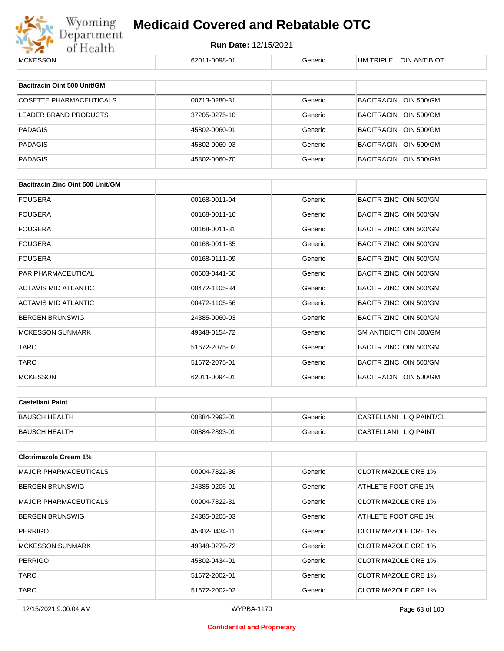

# Wyoming **Medicaid Covered and Rebatable OTC**<br>Department Run Date: 12/15/2021<br>of Health 62011-0098-01 **Medicaid Covered and Rebatable OTC**

| MUNESSUN                                | 020.1.1-0098-0.1 | Generic | HIVI I KIPLE UIN ANTIBIUT  |
|-----------------------------------------|------------------|---------|----------------------------|
|                                         |                  |         |                            |
| Bacitracin Oint 500 Unit/GM             |                  |         |                            |
| <b>COSETTE PHARMACEUTICALS</b>          | 00713-0280-31    | Generic | BACITRACIN OIN 500/GM      |
| LEADER BRAND PRODUCTS                   | 37205-0275-10    | Generic | BACITRACIN OIN 500/GM      |
| <b>PADAGIS</b>                          | 45802-0060-01    | Generic | BACITRACIN OIN 500/GM      |
| <b>PADAGIS</b>                          | 45802-0060-03    | Generic | BACITRACIN OIN 500/GM      |
| <b>PADAGIS</b>                          | 45802-0060-70    | Generic | BACITRACIN OIN 500/GM      |
|                                         |                  |         |                            |
| <b>Bacitracin Zinc Oint 500 Unit/GM</b> |                  |         |                            |
| <b>FOUGERA</b>                          | 00168-0011-04    | Generic | BACITR ZINC OIN 500/GM     |
| <b>FOUGERA</b>                          | 00168-0011-16    | Generic | BACITR ZINC OIN 500/GM     |
| <b>FOUGERA</b>                          | 00168-0011-31    | Generic | BACITR ZINC OIN 500/GM     |
| <b>FOUGERA</b>                          | 00168-0011-35    | Generic | BACITR ZINC OIN 500/GM     |
| <b>FOUGERA</b>                          | 00168-0111-09    | Generic | BACITR ZINC OIN 500/GM     |
| PAR PHARMACEUTICAL                      | 00603-0441-50    | Generic | BACITR ZINC OIN 500/GM     |
| <b>ACTAVIS MID ATLANTIC</b>             | 00472-1105-34    | Generic | BACITR ZINC OIN 500/GM     |
| <b>ACTAVIS MID ATLANTIC</b>             | 00472-1105-56    | Generic | BACITR ZINC OIN 500/GM     |
| <b>BERGEN BRUNSWIG</b>                  | 24385-0060-03    | Generic | BACITR ZINC OIN 500/GM     |
| <b>MCKESSON SUNMARK</b>                 | 49348-0154-72    | Generic | SM ANTIBIOTI OIN 500/GM    |
| <b>TARO</b>                             | 51672-2075-02    | Generic | BACITR ZINC OIN 500/GM     |
| TARO                                    | 51672-2075-01    | Generic | BACITR ZINC OIN 500/GM     |
| <b>MCKESSON</b>                         | 62011-0094-01    | Generic | BACITRACIN OIN 500/GM      |
|                                         |                  |         |                            |
| <b>Castellani Paint</b>                 |                  |         |                            |
| <b>BAUSCH HEALTH</b>                    | 00884-2993-01    | Generic | CASTELLANI LIQ PAINT/CL    |
| <b>BAUSCH HEALTH</b>                    | 00884-2893-01    | Generic | CASTELLANI LIQ PAINT       |
| <b>Clotrimazole Cream 1%</b>            |                  |         |                            |
| <b>MAJOR PHARMACEUTICALS</b>            | 00904-7822-36    | Generic | <b>CLOTRIMAZOLE CRE 1%</b> |
| <b>BERGEN BRUNSWIG</b>                  | 24385-0205-01    | Generic | ATHLETE FOOT CRE 1%        |
| <b>MAJOR PHARMACEUTICALS</b>            | 00904-7822-31    | Generic | <b>CLOTRIMAZOLE CRE 1%</b> |
| <b>BERGEN BRUNSWIG</b>                  | 24385-0205-03    | Generic | ATHLETE FOOT CRE 1%        |
| <b>PERRIGO</b>                          | 45802-0434-11    | Generic | <b>CLOTRIMAZOLE CRE 1%</b> |
| <b>MCKESSON SUNMARK</b>                 | 49348-0279-72    | Generic | <b>CLOTRIMAZOLE CRE 1%</b> |
| <b>PERRIGO</b>                          | 45802-0434-01    | Generic | <b>CLOTRIMAZOLE CRE 1%</b> |
| <b>TARO</b>                             | 51672-2002-01    | Generic | <b>CLOTRIMAZOLE CRE 1%</b> |
| <b>TARO</b>                             | 51672-2002-02    | Generic | <b>CLOTRIMAZOLE CRE 1%</b> |
|                                         |                  |         |                            |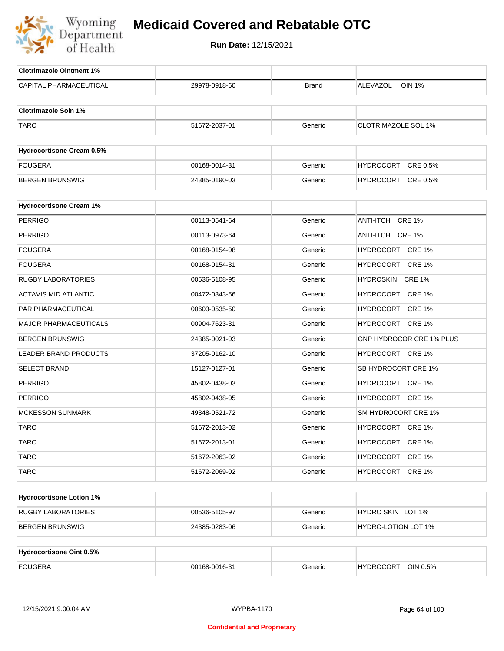

| <b>Clotrimazole Ointment 1%</b>  |               |              |                                  |
|----------------------------------|---------------|--------------|----------------------------------|
| <b>CAPITAL PHARMACEUTICAL</b>    | 29978-0918-60 | <b>Brand</b> | <b>ALEVAZOL</b><br><b>OIN 1%</b> |
|                                  |               |              |                                  |
| <b>Clotrimazole Soln 1%</b>      |               |              |                                  |
| <b>TARO</b>                      | 51672-2037-01 | Generic      | <b>CLOTRIMAZOLE SOL 1%</b>       |
|                                  |               |              |                                  |
| <b>Hydrocortisone Cream 0.5%</b> |               |              |                                  |
| <b>FOUGERA</b>                   | 00168-0014-31 | Generic      | CRE 0.5%<br>HYDROCORT            |
| <b>BERGEN BRUNSWIG</b>           | 24385-0190-03 | Generic      | HYDROCORT CRE 0.5%               |
| <b>Hydrocortisone Cream 1%</b>   |               |              |                                  |
| <b>PERRIGO</b>                   | 00113-0541-64 | Generic      | ANTI-ITCH<br><b>CRE 1%</b>       |
| <b>PERRIGO</b>                   | 00113-0973-64 | Generic      | ANTI-ITCH CRE 1%                 |
|                                  |               |              |                                  |
| <b>FOUGERA</b>                   | 00168-0154-08 | Generic      | HYDROCORT CRE 1%                 |
| <b>FOUGERA</b>                   | 00168-0154-31 | Generic      | HYDROCORT CRE 1%                 |
| <b>RUGBY LABORATORIES</b>        | 00536-5108-95 | Generic      | HYDROSKIN CRE 1%                 |
| <b>ACTAVIS MID ATLANTIC</b>      | 00472-0343-56 | Generic      | HYDROCORT CRE 1%                 |
| PAR PHARMACEUTICAL               | 00603-0535-50 | Generic      | HYDROCORT CRE 1%                 |
| <b>MAJOR PHARMACEUTICALS</b>     | 00904-7623-31 | Generic      | HYDROCORT CRE 1%                 |
| <b>BERGEN BRUNSWIG</b>           | 24385-0021-03 | Generic      | GNP HYDROCOR CRE 1% PLUS         |
| LEADER BRAND PRODUCTS            | 37205-0162-10 | Generic      | HYDROCORT CRE 1%                 |
| <b>SELECT BRAND</b>              | 15127-0127-01 | Generic      | SB HYDROCORT CRE 1%              |
| <b>PERRIGO</b>                   | 45802-0438-03 | Generic      | HYDROCORT CRE 1%                 |
| <b>PERRIGO</b>                   | 45802-0438-05 | Generic      | HYDROCORT CRE 1%                 |
| <b>MCKESSON SUNMARK</b>          | 49348-0521-72 | Generic      | SM HYDROCORT CRE 1%              |
| <b>TARO</b>                      | 51672-2013-02 | Generic      | HYDROCORT CRE 1%                 |
| <b>TARO</b>                      | 51672-2013-01 | Generic      | HYDROCORT CRE 1%                 |
| <b>TARO</b>                      | 51672-2063-02 | Generic      | HYDROCORT CRE 1%                 |
| <b>TARO</b>                      | 51672-2069-02 | Generic      | HYDROCORT CRE 1%                 |
|                                  |               |              |                                  |
| <b>Hydrocortisone Lotion 1%</b>  |               |              |                                  |
| <b>RUGBY LABORATORIES</b>        | 00536-5105-97 | Generic      | HYDRO SKIN LOT 1%                |
| <b>BERGEN BRUNSWIG</b>           | 24385-0283-06 | Generic      | <b>HYDRO-LOTION LOT 1%</b>       |
|                                  |               |              |                                  |
| Hydrocortisone Oint 0.5%         |               |              |                                  |
| <b>FOUGERA</b>                   | 00168-0016-31 | Generic      | HYDROCORT OIN 0.5%               |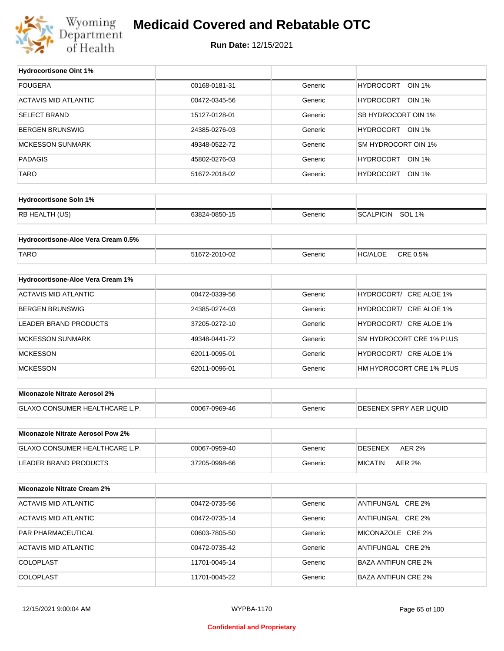

#### **Medicaid Covered and Rebatable OTC**

**Run Date:** 12/15/2021

 $\top$ 

| <b>Hydrocortisone Oint 1%</b>        |               |         |                                   |
|--------------------------------------|---------------|---------|-----------------------------------|
| <b>FOUGERA</b>                       | 00168-0181-31 | Generic | <b>HYDROCORT</b><br><b>OIN 1%</b> |
| <b>ACTAVIS MID ATLANTIC</b>          | 00472-0345-56 | Generic | HYDROCORT OIN 1%                  |
| <b>SELECT BRAND</b>                  | 15127-0128-01 | Generic | SB HYDROCORT OIN 1%               |
| BERGEN BRUNSWIG                      | 24385-0276-03 | Generic | HYDROCORT OIN 1%                  |
| <b>MCKESSON SUNMARK</b>              | 49348-0522-72 | Generic | SM HYDROCORT OIN 1%               |
| <b>PADAGIS</b>                       | 45802-0276-03 | Generic | HYDROCORT OIN 1%                  |
| <b>TARO</b>                          | 51672-2018-02 | Generic | HYDROCORT OIN 1%                  |
|                                      |               |         |                                   |
| <b>Hydrocortisone Soln 1%</b>        |               |         |                                   |
| RB HEALTH (US)                       | 63824-0850-15 | Generic | SCALPICIN SOL 1%                  |
| Hydrocortisone-Aloe Vera Cream 0.5%  |               |         |                                   |
|                                      |               |         |                                   |
| <b>TARO</b>                          | 51672-2010-02 | Generic | CRE 0.5%<br><b>HC/ALOE</b>        |
| Hydrocortisone-Aloe Vera Cream 1%    |               |         |                                   |
| <b>ACTAVIS MID ATLANTIC</b>          | 00472-0339-56 | Generic | HYDROCORT/ CRE ALOE 1%            |
| BERGEN BRUNSWIG                      | 24385-0274-03 | Generic | HYDROCORT/ CRE ALOE 1%            |
| <b>LEADER BRAND PRODUCTS</b>         | 37205-0272-10 | Generic | HYDROCORT/ CRE ALOE 1%            |
| <b>MCKESSON SUNMARK</b>              | 49348-0441-72 | Generic | SM HYDROCORT CRE 1% PLUS          |
| <b>MCKESSON</b>                      | 62011-0095-01 | Generic | HYDROCORT/ CRE ALOE 1%            |
| <b>MCKESSON</b>                      | 62011-0096-01 | Generic | HM HYDROCORT CRE 1% PLUS          |
|                                      |               |         |                                   |
| <b>Miconazole Nitrate Aerosol 2%</b> |               |         |                                   |
| GLAXO CONSUMER HEALTHCARE L.P.       | 00067-0969-46 | Generic | <b>DESENEX SPRY AER LIQUID</b>    |
| Miconazole Nitrate Aerosol Pow 2%    |               |         |                                   |
| GLAXO CONSUMER HEALTHCARE L.P.       | 00067-0959-40 | Generic | <b>DESENEX</b><br><b>AER 2%</b>   |
| LEADER BRAND PRODUCTS                | 37205-0998-66 | Generic | <b>MICATIN</b><br>AER 2%          |
|                                      |               |         |                                   |
| <b>Miconazole Nitrate Cream 2%</b>   |               |         |                                   |
| <b>ACTAVIS MID ATLANTIC</b>          | 00472-0735-56 | Generic | ANTIFUNGAL CRE 2%                 |
| ACTAVIS MID ATLANTIC                 | 00472-0735-14 | Generic | ANTIFUNGAL CRE 2%                 |
| PAR PHARMACEUTICAL                   | 00603-7805-50 | Generic | MICONAZOLE CRE 2%                 |
| <b>ACTAVIS MID ATLANTIC</b>          | 00472-0735-42 | Generic | ANTIFUNGAL CRE 2%                 |
| <b>COLOPLAST</b>                     | 11701-0045-14 | Generic | <b>BAZA ANTIFUN CRE 2%</b>        |
| <b>COLOPLAST</b>                     | 11701-0045-22 | Generic | <b>BAZA ANTIFUN CRE 2%</b>        |
|                                      |               |         |                                   |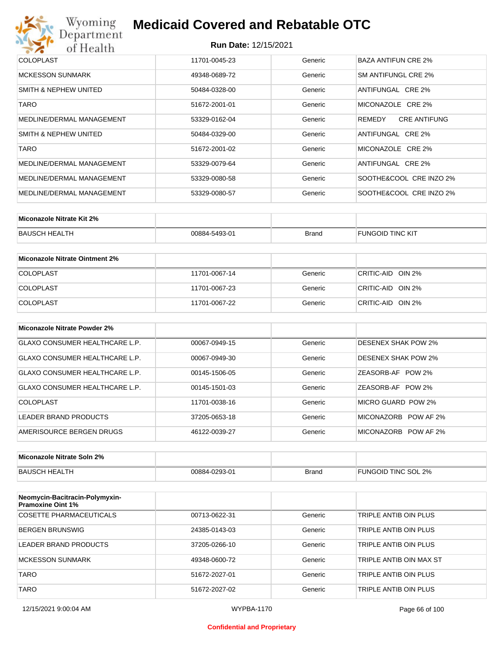#### **Run Date:** 12/15/2021

| Wyoming<br>Department      | <b>Medicaid Covered and Rebatable OTC</b> |         |                               |  |  |  |
|----------------------------|-------------------------------------------|---------|-------------------------------|--|--|--|
| of Health                  | <b>Run Date: 12/15/2021</b>               |         |                               |  |  |  |
| <b>COLOPLAST</b>           | 11701-0045-23                             | Generic | <b>BAZA ANTIFUN CRE 2%</b>    |  |  |  |
| MCKESSON SUNMARK           | 49348-0689-72                             | Generic | SM ANTIFUNGL CRE 2%           |  |  |  |
| SMITH & NEPHEW UNITED      | 50484-0328-00                             | Generic | ANTIFUNGAL CRE 2%             |  |  |  |
| <b>TARO</b>                | 51672-2001-01                             | Generic | MICONAZOLE CRE 2%             |  |  |  |
| MEDLINE/DERMAL MANAGEMENT  | 53329-0162-04                             | Generic | <b>CRE ANTIFUNG</b><br>REMEDY |  |  |  |
| SMITH & NEPHEW UNITED      | 50484-0329-00                             | Generic | ANTIFUNGAL CRE 2%             |  |  |  |
| <b>TARO</b>                | 51672-2001-02                             | Generic | MICONAZOLE CRE 2%             |  |  |  |
| MEDLINE/DERMAL MANAGEMENT  | 53329-0079-64                             | Generic | ANTIFUNGAL CRE 2%             |  |  |  |
| MEDLINE/DERMAL MANAGEMENT  | 53329-0080-58                             | Generic | SOOTHE&COOL CRE INZO 2%       |  |  |  |
| MEDI INF/DERMAI MANAGEMENT | 53329-0080-57                             | Generic | SOOTHE&COOL CRE INZO 2%       |  |  |  |

| Miconazole Nitrate Kit 2% |               |              |                         |
|---------------------------|---------------|--------------|-------------------------|
| BAUSCH HEALTH             | 00884-5493-01 | <b>Brand</b> | <b>FUNGOID TINC KIT</b> |

| Miconazole Nitrate Ointment 2% |               |         |                   |
|--------------------------------|---------------|---------|-------------------|
| <b>COLOPLAST</b>               | 11701-0067-14 | Generic | CRITIC-AID OIN 2% |
| <b>COLOPLAST</b>               | 11701-0067-23 | Generic | CRITIC-AID OIN 2% |
| <b>COLOPLAST</b>               | 11701-0067-22 | Generic | CRITIC-AID OIN 2% |

| Miconazole Nitrate Powder 2%   |               |         |                            |
|--------------------------------|---------------|---------|----------------------------|
| GLAXO CONSUMER HEALTHCARE L.P. | 00067-0949-15 | Generic | DESENEX SHAK POW 2%        |
| GLAXO CONSUMER HEALTHCARE L.P. | 00067-0949-30 | Generic | <b>DESENEX SHAK POW 2%</b> |
| GLAXO CONSUMER HEALTHCARE L.P. | 00145-1506-05 | Generic | ZEASORB-AF POW 2%          |
| GLAXO CONSUMER HEALTHCARE L.P. | 00145-1501-03 | Generic | ZEASORB-AF POW 2%          |
| COLOPLAST                      | 11701-0038-16 | Generic | MICRO GUARD POW 2%         |
| LEADER BRAND PRODUCTS          | 37205-0653-18 | Generic | MICONAZORB<br>POW AF 2%    |
| AMERISOURCE BERGEN DRUGS       | 46122-0039-27 | Generic | MICONAZORB POW AF 2%       |

| Miconazole Nitrate Soln 2% |               |       |                     |
|----------------------------|---------------|-------|---------------------|
| BAUSCH HEALTH              | 00884-0293-01 | Brand | FUNGOID TINC SOL 2% |

| Neomycin-Bacitracin-Polymyxin-<br><b>Pramoxine Oint 1%</b> |               |         |                         |
|------------------------------------------------------------|---------------|---------|-------------------------|
| COSETTE PHARMACEUTICALS                                    | 00713-0622-31 | Generic | TRIPLE ANTIB OIN PLUS   |
| <b>BERGEN BRUNSWIG</b>                                     | 24385-0143-03 | Generic | TRIPLE ANTIB OIN PLUS   |
| LEADER BRAND PRODUCTS                                      | 37205-0266-10 | Generic | TRIPLE ANTIB OIN PLUS   |
| <b>MCKESSON SUNMARK</b>                                    | 49348-0600-72 | Generic | TRIPLE ANTIB OIN MAX ST |
| <b>TARO</b>                                                | 51672-2027-01 | Generic | TRIPLE ANTIB OIN PLUS   |
| <b>TARO</b>                                                | 51672-2027-02 | Generic | TRIPLE ANTIB OIN PLUS   |

#### **Confidential and Proprietary**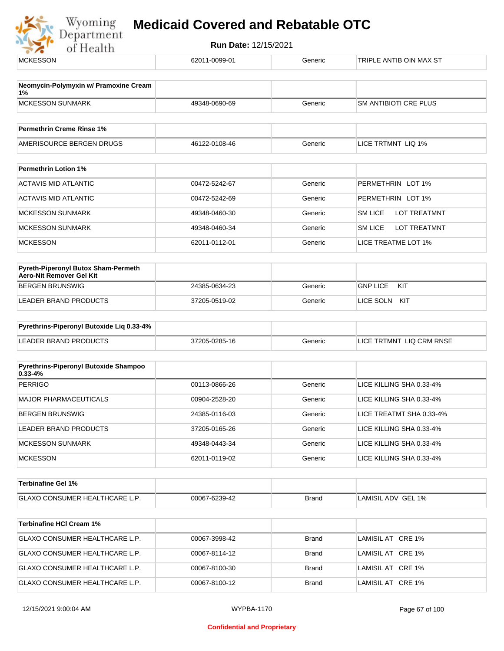

| 62011-0099-01 | Generic      | TRIPLE ANTIB OIN MAX ST        |
|---------------|--------------|--------------------------------|
|               |              |                                |
| 49348-0690-69 | Generic      | <b>SM ANTIBIOTI CRE PLUS</b>   |
|               |              |                                |
| 46122-0108-46 | Generic      | LICE TRTMNT LIQ 1%             |
|               |              |                                |
| 00472-5242-67 | Generic      | PERMETHRIN LOT 1%              |
| 00472-5242-69 | Generic      | PERMETHRIN LOT 1%              |
| 49348-0460-30 | Generic      | SM LICE<br><b>LOT TREATMNT</b> |
| 49348-0460-34 | Generic      | SM LICE<br><b>LOT TREATMNT</b> |
| 62011-0112-01 | Generic      | LICE TREATME LOT 1%            |
|               |              |                                |
| 24385-0634-23 | Generic      | <b>GNP LICE</b><br>KIT         |
| 37205-0519-02 | Generic      | LICE SOLN KIT                  |
|               |              |                                |
| 37205-0285-16 | Generic      | LICE TRTMNT LIQ CRM RNSE       |
|               |              |                                |
| 00113-0866-26 | Generic      | LICE KILLING SHA 0.33-4%       |
| 00904-2528-20 | Generic      | LICE KILLING SHA 0.33-4%       |
| 24385-0116-03 | Generic      | LICE TREATMT SHA 0.33-4%       |
| 37205-0165-26 | Generic      | LICE KILLING SHA 0.33-4%       |
| 49348-0443-34 | Generic      | LICE KILLING SHA 0.33-4%       |
| 62011-0119-02 | Generic      | LICE KILLING SHA 0.33-4%       |
|               |              |                                |
| 00067-6239-42 | <b>Brand</b> | LAMISIL ADV GEL 1%             |
|               |              |                                |
| 00067-3998-42 | <b>Brand</b> | LAMISIL AT CRE 1%              |
| 00067-8114-12 | <b>Brand</b> | LAMISIL AT CRE 1%              |
| 00067-8100-30 | <b>Brand</b> | LAMISIL AT CRE 1%              |
|               |              |                                |
|               |              |                                |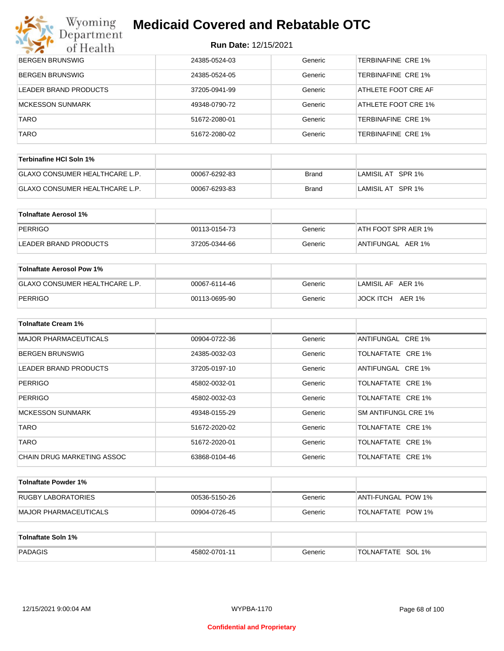# Wyoming<br>Department<br>of Health

## **Medicaid Covered and Rebatable OTC**

| BERGEN BRUNSWIG        | 24385-0524-03 | Generic | TERBINAFINE CRE 1%        |
|------------------------|---------------|---------|---------------------------|
| <b>BERGEN BRUNSWIG</b> | 24385-0524-05 | Generic | <b>TERBINAFINE CRE 1%</b> |
| LEADER BRAND PRODUCTS  | 37205-0941-99 | Generic | ATHLETE FOOT CRE AF       |
| MCKESSON SUNMARK       | 49348-0790-72 | Generic | ATHLETE FOOT CRE 1%       |
| <b>TARO</b>            | 51672-2080-01 | Generic | <b>TERBINAFINE CRE 1%</b> |
| <b>TARO</b>            | 51672-2080-02 | Generic | <b>TERBINAFINE CRE 1%</b> |

| ∣Terbinafine HCl Soln 1% ∣            |               |       |                   |
|---------------------------------------|---------------|-------|-------------------|
| <b>GLAXO CONSUMER HEALTHCARE L.P.</b> | 00067-6292-83 | Brand | LAMISIL AT SPR 1% |
| <b>GLAXO CONSUMER HEALTHCARE L.P.</b> | 00067-6293-83 | Brand | LAMISIL AT SPR 1% |

| Tolnaftate Aerosol 1% |               |         |                     |
|-----------------------|---------------|---------|---------------------|
| PERRIGO               | 00113-0154-73 | Generic | ATH FOOT SPR AER 1% |
| LEADER BRAND PRODUCTS | 37205-0344-66 | Generic | ANTIFUNGAL AER 1%   |

| Tolnaftate Aerosol Pow 1%             |               |         |                   |
|---------------------------------------|---------------|---------|-------------------|
| <b>GLAXO CONSUMER HEALTHCARE L.P.</b> | 00067-6114-46 | Generic | LAMISIL AF AER 1% |
| PERRIGO                               | 00113-0695-90 | Generic | JOCK ITCH AER 1%  |

| <b>Tolnaftate Cream 1%</b>   |               |         |                     |
|------------------------------|---------------|---------|---------------------|
| <b>MAJOR PHARMACEUTICALS</b> | 00904-0722-36 | Generic | ANTIFUNGAL CRE 1%   |
| <b>BERGEN BRUNSWIG</b>       | 24385-0032-03 | Generic | TOLNAFTATE CRE 1%   |
| LEADER BRAND PRODUCTS        | 37205-0197-10 | Generic | ANTIFUNGAL CRE 1%   |
| <b>PERRIGO</b>               | 45802-0032-01 | Generic | TOLNAFTATE CRE 1%   |
| <b>PERRIGO</b>               | 45802-0032-03 | Generic | TOLNAFTATE CRE 1%   |
| <b>MCKESSON SUNMARK</b>      | 49348-0155-29 | Generic | SM ANTIFUNGL CRE 1% |
| <b>TARO</b>                  | 51672-2020-02 | Generic | TOLNAFTATE CRE 1%   |
| <b>TARO</b>                  | 51672-2020-01 | Generic | TOLNAFTATE CRE 1%   |
| CHAIN DRUG MARKETING ASSOC   | 63868-0104-46 | Generic | TOLNAFTATE CRE 1%   |

| Tolnaftate Powder 1%  |               |         |                    |
|-----------------------|---------------|---------|--------------------|
| RUGBY LABORATORIES    | 00536-5150-26 | Generic | ANTI-FUNGAL POW 1% |
| MAJOR PHARMACEUTICALS | 00904-0726-45 | Generic | TOLNAFTATE POW 1%  |

| Tolnaftate Soln 1% |               |         |                             |
|--------------------|---------------|---------|-----------------------------|
| PADAGIS            | 45802-0701-11 | Generic | SOL 1%<br><b>TOLNAFTATE</b> |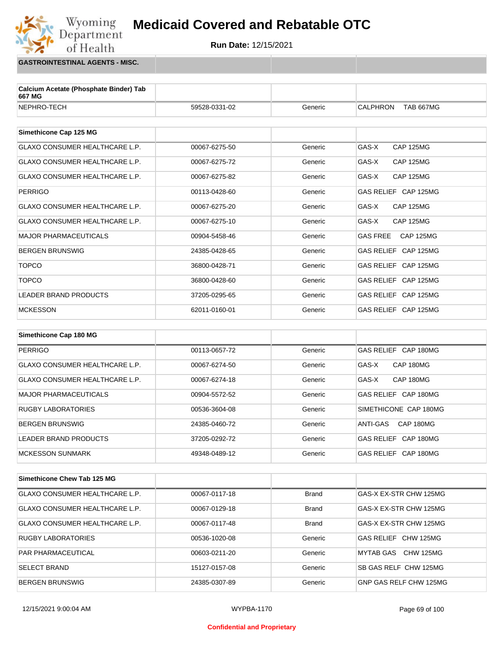

**GASTROINTESTINAL AGENTS - MISC.**

Wyoming<br>Department

of Health

| Calcium Acetate (Phosphate Binder) Tab<br>667 MG |               |         |                                     |
|--------------------------------------------------|---------------|---------|-------------------------------------|
| NEPHRO-TECH                                      | 59528-0331-02 | Generic | <b>TAB 667MG</b><br><b>CALPHRON</b> |
|                                                  |               |         |                                     |
| Simethicone Cap 125 MG                           |               |         |                                     |
| <b>GLAXO CONSUMER HEALTHCARE L.P.</b>            | 00067-6275-50 | Generic | GAS-X<br><b>CAP 125MG</b>           |
| GLAXO CONSUMER HEALTHCARE L.P.                   | 00067-6275-72 | Generic | GAS-X<br><b>CAP 125MG</b>           |
| <b>GLAXO CONSUMER HEALTHCARE L.P.</b>            | 00067-6275-82 | Generic | GAS-X<br><b>CAP 125MG</b>           |
| <b>PERRIGO</b>                                   | 00113-0428-60 | Generic | GAS RELIEF CAP 125MG                |
| <b>GLAXO CONSUMER HEALTHCARE L.P.</b>            | 00067-6275-20 | Generic | GAS-X<br><b>CAP 125MG</b>           |
| <b>GLAXO CONSUMER HEALTHCARE L.P.</b>            | 00067-6275-10 | Generic | GAS-X<br><b>CAP 125MG</b>           |
| <b>MAJOR PHARMACEUTICALS</b>                     | 00904-5458-46 | Generic | <b>GAS FREE</b><br><b>CAP 125MG</b> |
| <b>BERGEN BRUNSWIG</b>                           | 24385-0428-65 | Generic | GAS RELIEF CAP 125MG                |
| <b>TOPCO</b>                                     | 36800-0428-71 | Generic | GAS RELIEF CAP 125MG                |
| <b>TOPCO</b>                                     | 36800-0428-60 | Generic | GAS RELIEF CAP 125MG                |
| <b>LEADER BRAND PRODUCTS</b>                     | 37205-0295-65 | Generic | GAS RELIEF CAP 125MG                |
| <b>MCKESSON</b>                                  | 62011-0160-01 | Generic | GAS RELIEF CAP 125MG                |
|                                                  |               |         |                                     |
| Simethicone Cap 180 MG                           |               |         |                                     |

| <b>PERRIGO</b>                        | 00113-0657-72 | Generic | GAS RELIEF CAP 180MG           |
|---------------------------------------|---------------|---------|--------------------------------|
| <b>GLAXO CONSUMER HEALTHCARE L.P.</b> | 00067-6274-50 | Generic | GAS-X<br>CAP 180MG             |
| GLAXO CONSUMER HEALTHCARE L.P.        | 00067-6274-18 | Generic | CAP 180MG<br>GAS-X             |
| <b>MAJOR PHARMACEUTICALS</b>          | 00904-5572-52 | Generic | GAS RELIEF CAP 180MG           |
| <b>RUGBY LABORATORIES</b>             | 00536-3604-08 | Generic | SIMETHICONE CAP 180MG          |
| <b>BERGEN BRUNSWIG</b>                | 24385-0460-72 | Generic | CAP 180MG<br>ANTI-GAS          |
| LEADER BRAND PRODUCTS                 | 37205-0292-72 | Generic | CAP 180MG<br><b>GAS RELIEF</b> |
| <b>MCKESSON SUNMARK</b>               | 49348-0489-12 | Generic | GAS RELIEF CAP 180MG           |

| Simethicone Chew Tab 125 MG           |               |              |                        |
|---------------------------------------|---------------|--------------|------------------------|
| <b>GLAXO CONSUMER HEALTHCARE L.P.</b> | 00067-0117-18 | <b>Brand</b> | GAS-X EX-STR CHW 125MG |
| GLAXO CONSUMER HEALTHCARE L.P.        | 00067-0129-18 | <b>Brand</b> | GAS-X EX-STR CHW 125MG |
| GLAXO CONSUMER HEALTHCARE L.P.        | 00067-0117-48 | <b>Brand</b> | GAS-X EX-STR CHW 125MG |
| <b>RUGBY LABORATORIES</b>             | 00536-1020-08 | Generic      | GAS RELIEF CHW 125MG   |
| <b>PAR PHARMACEUTICAL</b>             | 00603-0211-20 | Generic      | MYTAB GAS<br>CHW 125MG |
| <b>SELECT BRAND</b>                   | 15127-0157-08 | Generic      | SB GAS RELF CHW 125MG  |
| <b>BERGEN BRUNSWIG</b>                | 24385-0307-89 | Generic      | GNP GAS RELF CHW 125MG |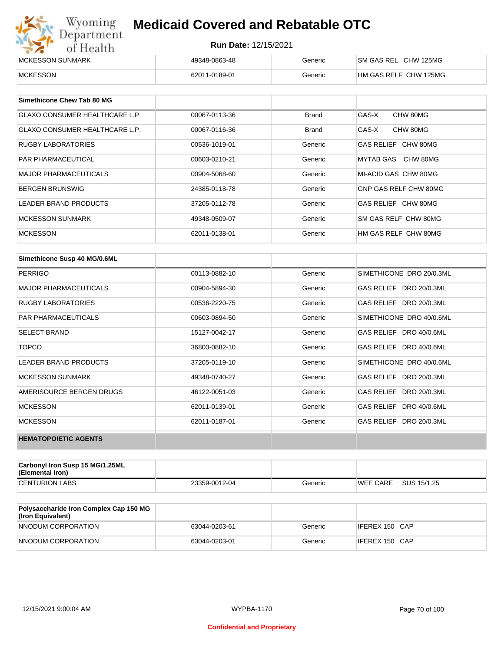| Wyoming<br><b>Medicaid Covered and Rebatable OTC</b><br>Department |                             |         |                       |  |
|--------------------------------------------------------------------|-----------------------------|---------|-----------------------|--|
| of Health                                                          | <b>Run Date: 12/15/2021</b> |         |                       |  |
| MCKESSON SUNMARK                                                   | 49348-0863-48               | Generic | SM GAS REL CHW 125MG  |  |
| <b>MCKESSON</b>                                                    | 62011-0189-01               | Generic | HM GAS RELF CHW 125MG |  |

| Simethicone Chew Tab 80 MG            |               |         |                       |
|---------------------------------------|---------------|---------|-----------------------|
| <b>GLAXO CONSUMER HEALTHCARE L.P.</b> | 00067-0113-36 | Brand   | GAS-X<br>CHW 80MG     |
| <b>GLAXO CONSUMER HEALTHCARE L.P.</b> | 00067-0116-36 | Brand   | GAS-X<br>CHW 80MG     |
| <b>RUGBY LABORATORIES</b>             | 00536-1019-01 | Generic | GAS RELIEF CHW 80MG   |
| <b>PAR PHARMACEUTICAL</b>             | 00603-0210-21 | Generic | MYTAB GAS CHW 80MG    |
| <b>MAJOR PHARMACEUTICALS</b>          | 00904-5068-60 | Generic | MI-ACID GAS CHW 80MG  |
| <b>BERGEN BRUNSWIG</b>                | 24385-0118-78 | Generic | GNP GAS RELF CHW 80MG |
| <b>LEADER BRAND PRODUCTS</b>          | 37205-0112-78 | Generic | GAS RELIEF CHW 80MG   |
| <b>MCKESSON SUNMARK</b>               | 49348-0509-07 | Generic | SM GAS RELF CHW 80MG  |
| <b>MCKESSON</b>                       | 62011-0138-01 | Generic | HM GAS RELF CHW 80MG  |

| Simethicone Susp 40 MG/0.6ML |               |         |                          |
|------------------------------|---------------|---------|--------------------------|
| <b>PERRIGO</b>               | 00113-0882-10 | Generic | SIMETHICONE DRO 20/0.3ML |
| <b>MAJOR PHARMACEUTICALS</b> | 00904-5894-30 | Generic | GAS RELIEF DRO 20/0.3ML  |
| <b>RUGBY LABORATORIES</b>    | 00536-2220-75 | Generic | GAS RELIEF DRO 20/0.3ML  |
| <b>PAR PHARMACEUTICALS</b>   | 00603-0894-50 | Generic | SIMETHICONE DRO 40/0.6ML |
| <b>SELECT BRAND</b>          | 15127-0042-17 | Generic | GAS RELIEF DRO 40/0.6ML  |
| <b>TOPCO</b>                 | 36800-0882-10 | Generic | GAS RELIEF DRO 40/0.6ML  |
| <b>LEADER BRAND PRODUCTS</b> | 37205-0119-10 | Generic | SIMETHICONE DRO 40/0.6ML |
| <b>MCKESSON SUNMARK</b>      | 49348-0740-27 | Generic | GAS RELIEF DRO 20/0.3ML  |
| AMERISOURCE BERGEN DRUGS     | 46122-0051-03 | Generic | GAS RELIEF DRO 20/0.3ML  |
| <b>MCKESSON</b>              | 62011-0139-01 | Generic | GAS RELIEF DRO 40/0.6ML  |
| <b>MCKESSON</b>              | 62011-0187-01 | Generic | GAS RELIEF DRO 20/0.3ML  |
| <b>HEMATOPOIETIC AGENTS</b>  |               |         |                          |

| Carbonyl Iron Susp 15 MG/1.25ML<br>(Elemental Iron) |               |         |                 |             |
|-----------------------------------------------------|---------------|---------|-----------------|-------------|
| <b>CENTURION LABS</b>                               | 23359-0012-04 | Generic | <b>WEE CARE</b> | SUS 15/1.25 |

| <b>Polysaccharide Iron Complex Cap 150 MG</b><br>(Iron Equivalent) |               |         |                |
|--------------------------------------------------------------------|---------------|---------|----------------|
| NNODUM CORPORATION                                                 | 63044-0203-61 | Generic | IFEREX 150 CAP |
| NNODUM CORPORATION                                                 | 63044-0203-01 | Generic | IFEREX 150 CAP |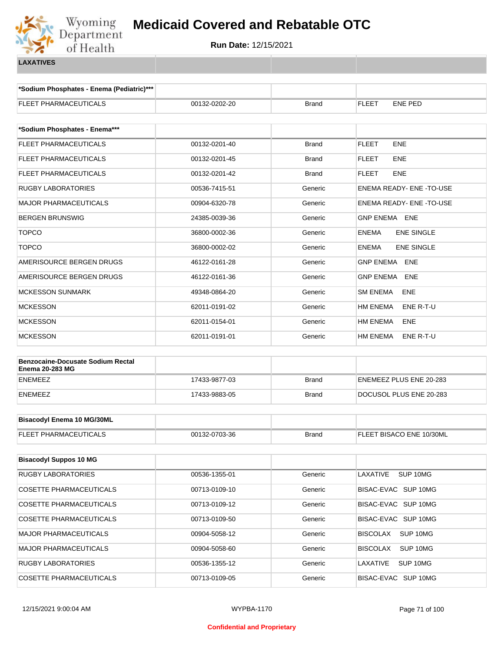

**\*Sodium Phosphates - Enema (Pediatric)\*\*\***

| <b>FLEET PHARMACEUTICALS</b>                                | 00132-0202-20 | <b>Brand</b> | FLEET<br>ENE PED               |
|-------------------------------------------------------------|---------------|--------------|--------------------------------|
|                                                             |               |              |                                |
| *Sodium Phosphates - Enema***                               |               |              |                                |
| FLEET PHARMACEUTICALS                                       | 00132-0201-40 | <b>Brand</b> | <b>FLEET</b><br><b>ENE</b>     |
| <b>FLEET PHARMACEUTICALS</b>                                | 00132-0201-45 | <b>Brand</b> | <b>FLEET</b><br><b>ENE</b>     |
| FLEET PHARMACEUTICALS                                       | 00132-0201-42 | <b>Brand</b> | <b>FLEET</b><br><b>ENE</b>     |
| <b>RUGBY LABORATORIES</b>                                   | 00536-7415-51 | Generic      | <b>ENEMA READY- ENE-TO-USE</b> |
| <b>MAJOR PHARMACEUTICALS</b>                                | 00904-6320-78 | Generic      | ENEMA READY- ENE -TO-USE       |
| <b>BERGEN BRUNSWIG</b>                                      | 24385-0039-36 | Generic      | GNP ENEMA ENE                  |
| <b>TOPCO</b>                                                | 36800-0002-36 | Generic      | ENEMA<br><b>ENE SINGLE</b>     |
| <b>TOPCO</b>                                                | 36800-0002-02 | Generic      | ENEMA<br><b>ENE SINGLE</b>     |
| AMERISOURCE BERGEN DRUGS                                    | 46122-0161-28 | Generic      | GNP ENEMA ENE                  |
| AMERISOURCE BERGEN DRUGS                                    | 46122-0161-36 | Generic      | <b>GNP ENEMA</b><br><b>ENE</b> |
| <b>MCKESSON SUNMARK</b>                                     | 49348-0864-20 | Generic      | <b>SM ENEMA</b><br>ENE         |
| <b>MCKESSON</b>                                             | 62011-0191-02 | Generic      | HM ENEMA<br>ENE R-T-U          |
| <b>MCKESSON</b>                                             | 62011-0154-01 | Generic      | HM ENEMA<br>ENE                |
| <b>MCKESSON</b>                                             | 62011-0191-01 | Generic      | HM ENEMA<br>ENE R-T-U          |
|                                                             |               |              |                                |
| <b>Benzocaine-Docusate Sodium Rectal</b><br>Enema 20-283 MG |               |              |                                |
| ENEMEEZ                                                     | 17433-9877-03 | <b>Brand</b> | ENEMEEZ PLUS ENE 20-283        |
| ENEMEEZ                                                     | 17433-9883-05 | <b>Brand</b> | DOCUSOL PLUS ENE 20-283        |
|                                                             |               |              |                                |
| <b>Bisacodyl Enema 10 MG/30ML</b>                           |               |              |                                |
| FLEET PHARMACEUTICALS                                       | 00132-0703-36 | <b>Brand</b> | FLEET BISACO ENE 10/30ML       |
|                                                             |               |              |                                |
| <b>Bisacodyl Suppos 10 MG</b>                               |               |              |                                |
| <b>RUGBY LABORATORIES</b>                                   | 00536-1355-01 | Generic      | LAXATIVE<br>SUP 10MG           |
| COSETTE PHARMACEUTICALS                                     | 00713-0109-10 | Generic      | BISAC-EVAC SUP 10MG            |
| COSETTE PHARMACEUTICALS                                     | 00713-0109-12 | Generic      | BISAC-EVAC SUP 10MG            |
| <b>COSETTE PHARMACEUTICALS</b>                              | 00713-0109-50 | Generic      | BISAC-EVAC SUP 10MG            |
| MAJOR PHARMACEUTICALS                                       | 00904-5058-12 | Generic      | <b>BISCOLAX</b><br>SUP 10MG    |
| <b>MAJOR PHARMACEUTICALS</b>                                | 00904-5058-60 | Generic      | <b>BISCOLAX</b><br>SUP 10MG    |
| RUGBY LABORATORIES                                          | 00536-1355-12 | Generic      | LAXATIVE<br>SUP 10MG           |
| COSETTE PHARMACEUTICALS                                     | 00713-0109-05 | Generic      | BISAC-EVAC SUP 10MG            |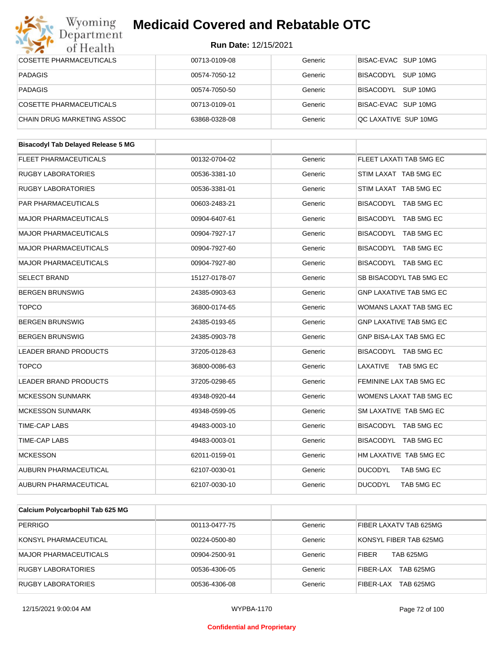#### Wyoming<br>Department **Medicaid Covered and Rebatable OTC**



| $\sim$ $\sim$<br>от пеани                 |               |         |                                |
|-------------------------------------------|---------------|---------|--------------------------------|
| <b>COSETTE PHARMACEUTICALS</b>            | 00713-0109-08 | Generic | BISAC-EVAC SUP 10MG            |
| <b>PADAGIS</b>                            | 00574-7050-12 | Generic | BISACODYL SUP 10MG             |
| <b>PADAGIS</b>                            | 00574-7050-50 | Generic | BISACODYL SUP 10MG             |
| <b>COSETTE PHARMACEUTICALS</b>            | 00713-0109-01 | Generic | BISAC-EVAC SUP 10MG            |
| CHAIN DRUG MARKETING ASSOC                | 63868-0328-08 | Generic | QC LAXATIVE SUP 10MG           |
|                                           |               |         |                                |
| <b>Bisacodyl Tab Delayed Release 5 MG</b> |               |         |                                |
| <b>FLEET PHARMACEUTICALS</b>              | 00132-0704-02 | Generic | FLEET LAXATI TAB 5MG EC        |
| <b>RUGBY LABORATORIES</b>                 | 00536-3381-10 | Generic | STIM LAXAT TAB 5MG EC          |
| <b>RUGBY LABORATORIES</b>                 | 00536-3381-01 | Generic | STIM LAXAT TAB 5MG EC          |
| PAR PHARMACEUTICALS                       | 00603-2483-21 | Generic | BISACODYL TAB 5MG EC           |
| <b>MAJOR PHARMACEUTICALS</b>              | 00904-6407-61 | Generic | BISACODYL TAB 5MG EC           |
| <b>MAJOR PHARMACEUTICALS</b>              | 00904-7927-17 | Generic | BISACODYL TAB 5MG EC           |
| <b>MAJOR PHARMACEUTICALS</b>              | 00904-7927-60 | Generic | BISACODYL TAB 5MG EC           |
| <b>MAJOR PHARMACEUTICALS</b>              | 00904-7927-80 | Generic | BISACODYL TAB 5MG EC           |
| <b>SELECT BRAND</b>                       | 15127-0178-07 | Generic | SB BISACODYL TAB 5MG EC        |
| <b>BERGEN BRUNSWIG</b>                    | 24385-0903-63 | Generic | <b>GNP LAXATIVE TAB 5MG EC</b> |
| <b>TOPCO</b>                              | 36800-0174-65 | Generic | WOMANS LAXAT TAB 5MG EC        |
| <b>BERGEN BRUNSWIG</b>                    | 24385-0193-65 | Generic | <b>GNP LAXATIVE TAB 5MG EC</b> |
| <b>BERGEN BRUNSWIG</b>                    | 24385-0903-78 | Generic | GNP BISA-LAX TAB 5MG EC        |
| LEADER BRAND PRODUCTS                     | 37205-0128-63 | Generic | BISACODYL TAB 5MG EC           |
| <b>TOPCO</b>                              | 36800-0086-63 | Generic | LAXATIVE TAB 5MG EC            |
| LEADER BRAND PRODUCTS                     | 37205-0298-65 | Generic | FEMININE LAX TAB 5MG EC        |
| <b>MCKESSON SUNMARK</b>                   | 49348-0920-44 | Generic | WOMENS LAXAT TAB 5MG EC        |
| <b>MCKESSON SUNMARK</b>                   | 49348-0599-05 | Generic | SM LAXATIVE TAB 5MG EC         |
| <b>TIME-CAP LABS</b>                      | 49483-0003-10 | Generic | BISACODYL TAB 5MG EC           |
| TIME-CAP LABS                             | 49483-0003-01 | Generic | BISACODYL TAB 5MG EC           |
| <b>MCKESSON</b>                           | 62011-0159-01 | Generic | HM LAXATIVE TAB 5MG EC         |
| <b>AUBURN PHARMACEUTICAL</b>              | 62107-0030-01 | Generic | <b>DUCODYL</b><br>TAB 5MG EC   |
| AUBURN PHARMACEUTICAL                     | 62107-0030-10 | Generic | <b>DUCODYL</b><br>TAB 5MG EC   |
|                                           |               |         |                                |

| Calcium Polycarbophil Tab 625 MG |               |         |                                  |
|----------------------------------|---------------|---------|----------------------------------|
| <b>PERRIGO</b>                   | 00113-0477-75 | Generic | FIBER LAXATV TAB 625MG           |
| KONSYL PHARMACEUTICAL            | 00224-0500-80 | Generic | KONSYL FIBER TAB 625MG           |
| <b>MAJOR PHARMACEUTICALS</b>     | 00904-2500-91 | Generic | <b>TAB 625MG</b><br><b>FIBER</b> |
| <b>RUGBY LABORATORIES</b>        | 00536-4306-05 | Generic | <b>TAB 625MG</b><br>FIBER-LAX    |
| <b>RUGBY LABORATORIES</b>        | 00536-4306-08 | Generic | <b>TAB 625MG</b><br>FIBER-LAX    |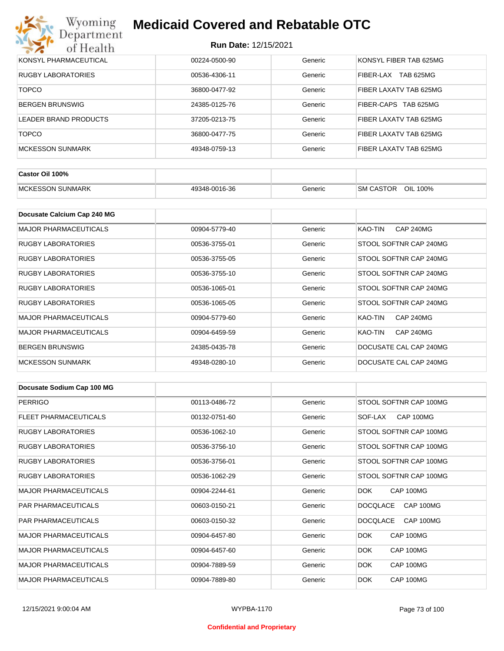

| KONSYL PHARMACEUTICAL     | 00224-0500-90 | Generic | KONSYL FIBER TAB 625MG        |
|---------------------------|---------------|---------|-------------------------------|
| <b>RUGBY LABORATORIES</b> | 00536-4306-11 | Generic | <b>TAB 625MG</b><br>FIBER-LAX |
| <b>TOPCO</b>              | 36800-0477-92 | Generic | FIBER LAXATV TAB 625MG        |
| BERGEN BRUNSWIG           | 24385-0125-76 | Generic | FIBER-CAPS TAB 625MG          |
| LEADER BRAND PRODUCTS     | 37205-0213-75 | Generic | FIBER LAXATV TAB 625MG        |
| <b>TOPCO</b>              | 36800-0477-75 | Generic | FIBER LAXATV TAB 625MG        |
| IMCKESSON SUNMARK         | 49348-0759-13 | Generic | FIBER LAXATV TAB 625MG        |

| Castor Oil 100%          |               |         |                                 |
|--------------------------|---------------|---------|---------------------------------|
| <b>IMCKESSON SUNMARK</b> | 49348-0016-36 | Generic | OIL<br><b>SM CASTOR</b><br>100% |

| Docusate Calcium Cap 240 MG  |               |         |                             |
|------------------------------|---------------|---------|-----------------------------|
| <b>MAJOR PHARMACEUTICALS</b> | 00904-5779-40 | Generic | KAO-TIN<br><b>CAP 240MG</b> |
| RUGBY LABORATORIES           | 00536-3755-01 | Generic | STOOL SOFTNR CAP 240MG      |
| <b>RUGBY LABORATORIES</b>    | 00536-3755-05 | Generic | STOOL SOFTNR CAP 240MG      |
| <b>RUGBY LABORATORIES</b>    | 00536-3755-10 | Generic | STOOL SOFTNR CAP 240MG      |
| RUGBY LABORATORIES           | 00536-1065-01 | Generic | STOOL SOFTNR CAP 240MG      |
| RUGBY LABORATORIES           | 00536-1065-05 | Generic | STOOL SOFTNR CAP 240MG      |
| <b>MAJOR PHARMACEUTICALS</b> | 00904-5779-60 | Generic | <b>CAP 240MG</b><br>KAO-TIN |
| <b>MAJOR PHARMACEUTICALS</b> | 00904-6459-59 | Generic | KAO-TIN<br><b>CAP 240MG</b> |
| <b>BERGEN BRUNSWIG</b>       | 24385-0435-78 | Generic | DOCUSATE CAL CAP 240MG      |
| <b>MCKESSON SUNMARK</b>      | 49348-0280-10 | Generic | DOCUSATE CAL CAP 240MG      |

| Docusate Sodium Cap 100 MG   |               |         |                              |
|------------------------------|---------------|---------|------------------------------|
| <b>PERRIGO</b>               | 00113-0486-72 | Generic | STOOL SOFTNR CAP 100MG       |
| <b>FLEET PHARMACEUTICALS</b> | 00132-0751-60 | Generic | CAP 100MG<br>SOF-LAX         |
| <b>RUGBY LABORATORIES</b>    | 00536-1062-10 | Generic | STOOL SOFTNR CAP 100MG       |
| <b>RUGBY LABORATORIES</b>    | 00536-3756-10 | Generic | STOOL SOFTNR CAP 100MG       |
| <b>RUGBY LABORATORIES</b>    | 00536-3756-01 | Generic | STOOL SOFTNR CAP 100MG       |
| <b>RUGBY LABORATORIES</b>    | 00536-1062-29 | Generic | STOOL SOFTNR CAP 100MG       |
| <b>MAJOR PHARMACEUTICALS</b> | 00904-2244-61 | Generic | CAP 100MG<br>DOK.            |
| <b>PAR PHARMACEUTICALS</b>   | 00603-0150-21 | Generic | <b>DOCQLACE</b><br>CAP 100MG |
| <b>PAR PHARMACEUTICALS</b>   | 00603-0150-32 | Generic | <b>DOCQLACE</b><br>CAP 100MG |
| <b>MAJOR PHARMACEUTICALS</b> | 00904-6457-80 | Generic | DOK.<br>CAP 100MG            |
| <b>MAJOR PHARMACEUTICALS</b> | 00904-6457-60 | Generic | DOK.<br>CAP 100MG            |
| <b>MAJOR PHARMACEUTICALS</b> | 00904-7889-59 | Generic | DOK.<br>CAP 100MG            |
| <b>MAJOR PHARMACEUTICALS</b> | 00904-7889-80 | Generic | DOK.<br>CAP 100MG            |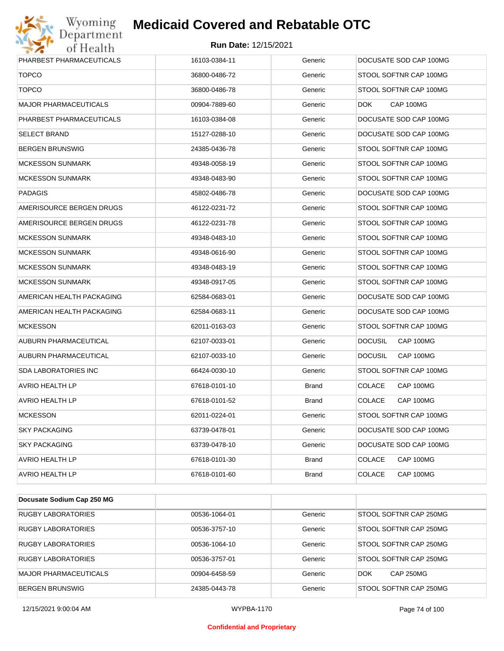

| <b>TOPCO</b><br>STOOL SOFTNR CAP 100MG<br>36800-0486-72<br>Generic<br><b>TOPCO</b><br>36800-0486-78<br>Generic<br>STOOL SOFTNR CAP 100MG<br><b>MAJOR PHARMACEUTICALS</b><br>CAP 100MG<br>00904-7889-60<br>Generic<br><b>DOK</b><br>PHARBEST PHARMACEUTICALS<br>DOCUSATE SOD CAP 100MG<br>16103-0384-08<br>Generic<br>DOCUSATE SOD CAP 100MG<br><b>SELECT BRAND</b><br>15127-0288-10<br>Generic<br><b>BERGEN BRUNSWIG</b><br>24385-0436-78<br>Generic<br>STOOL SOFTNR CAP 100MG<br><b>MCKESSON SUNMARK</b><br>49348-0058-19<br>Generic<br>STOOL SOFTNR CAP 100MG<br><b>MCKESSON SUNMARK</b><br>49348-0483-90<br>Generic<br>STOOL SOFTNR CAP 100MG<br>DOCUSATE SOD CAP 100MG<br><b>PADAGIS</b><br>45802-0486-78<br>Generic<br>AMERISOURCE BERGEN DRUGS<br>46122-0231-72<br>Generic<br>STOOL SOFTNR CAP 100MG<br>STOOL SOFTNR CAP 100MG<br>AMERISOURCE BERGEN DRUGS<br>46122-0231-78<br>Generic<br><b>MCKESSON SUNMARK</b><br>49348-0483-10<br>Generic<br>STOOL SOFTNR CAP 100MG<br><b>MCKESSON SUNMARK</b><br>49348-0616-90<br>Generic<br>STOOL SOFTNR CAP 100MG<br><b>MCKESSON SUNMARK</b><br>49348-0483-19<br>Generic<br>STOOL SOFTNR CAP 100MG<br><b>MCKESSON SUNMARK</b><br>49348-0917-05<br>Generic<br>STOOL SOFTNR CAP 100MG<br>AMERICAN HEALTH PACKAGING<br>62584-0683-01<br>Generic<br>DOCUSATE SOD CAP 100MG<br>AMERICAN HEALTH PACKAGING<br>DOCUSATE SOD CAP 100MG<br>62584-0683-11<br>Generic<br><b>MCKESSON</b><br>62011-0163-03<br>Generic<br>STOOL SOFTNR CAP 100MG<br>AUBURN PHARMACEUTICAL<br>62107-0033-01<br>Generic<br><b>DOCUSIL</b><br>CAP 100MG<br>AUBURN PHARMACEUTICAL<br>62107-0033-10<br>Generic<br><b>DOCUSIL</b><br>CAP 100MG<br><b>SDA LABORATORIES INC</b><br>STOOL SOFTNR CAP 100MG<br>66424-0030-10<br>Generic<br>AVRIO HEALTH LP<br>67618-0101-10<br><b>Brand</b><br><b>COLACE</b><br>CAP 100MG<br><b>COLACE</b><br>AVRIO HEALTH LP<br>67618-0101-52<br><b>Brand</b><br>CAP 100MG<br><b>MCKESSON</b><br>STOOL SOFTNR CAP 100MG<br>62011-0224-01<br>Generic<br><b>SKY PACKAGING</b><br>DOCUSATE SOD CAP 100MG<br>63739-0478-01<br>Generic<br><b>SKY PACKAGING</b><br>Generic<br>DOCUSATE SOD CAP 100MG<br>63739-0478-10<br><b>AVRIO HEALTH LP</b><br>67618-0101-30<br>COLACE<br>CAP 100MG<br><b>Brand</b><br>AVRIO HEALTH LP<br>67618-0101-60<br><b>Brand</b><br><b>COLACE</b><br>CAP 100MG | PHARBEST PHARMACEUTICALS | 16103-0384-11 | Generic | DOCUSATE SOD CAP 100MG |
|---------------------------------------------------------------------------------------------------------------------------------------------------------------------------------------------------------------------------------------------------------------------------------------------------------------------------------------------------------------------------------------------------------------------------------------------------------------------------------------------------------------------------------------------------------------------------------------------------------------------------------------------------------------------------------------------------------------------------------------------------------------------------------------------------------------------------------------------------------------------------------------------------------------------------------------------------------------------------------------------------------------------------------------------------------------------------------------------------------------------------------------------------------------------------------------------------------------------------------------------------------------------------------------------------------------------------------------------------------------------------------------------------------------------------------------------------------------------------------------------------------------------------------------------------------------------------------------------------------------------------------------------------------------------------------------------------------------------------------------------------------------------------------------------------------------------------------------------------------------------------------------------------------------------------------------------------------------------------------------------------------------------------------------------------------------------------------------------------------------------------------------------------------------------------------------------------------------------------------------------------------------------------------------------------------------------------|--------------------------|---------------|---------|------------------------|
|                                                                                                                                                                                                                                                                                                                                                                                                                                                                                                                                                                                                                                                                                                                                                                                                                                                                                                                                                                                                                                                                                                                                                                                                                                                                                                                                                                                                                                                                                                                                                                                                                                                                                                                                                                                                                                                                                                                                                                                                                                                                                                                                                                                                                                                                                                                           |                          |               |         |                        |
|                                                                                                                                                                                                                                                                                                                                                                                                                                                                                                                                                                                                                                                                                                                                                                                                                                                                                                                                                                                                                                                                                                                                                                                                                                                                                                                                                                                                                                                                                                                                                                                                                                                                                                                                                                                                                                                                                                                                                                                                                                                                                                                                                                                                                                                                                                                           |                          |               |         |                        |
|                                                                                                                                                                                                                                                                                                                                                                                                                                                                                                                                                                                                                                                                                                                                                                                                                                                                                                                                                                                                                                                                                                                                                                                                                                                                                                                                                                                                                                                                                                                                                                                                                                                                                                                                                                                                                                                                                                                                                                                                                                                                                                                                                                                                                                                                                                                           |                          |               |         |                        |
|                                                                                                                                                                                                                                                                                                                                                                                                                                                                                                                                                                                                                                                                                                                                                                                                                                                                                                                                                                                                                                                                                                                                                                                                                                                                                                                                                                                                                                                                                                                                                                                                                                                                                                                                                                                                                                                                                                                                                                                                                                                                                                                                                                                                                                                                                                                           |                          |               |         |                        |
|                                                                                                                                                                                                                                                                                                                                                                                                                                                                                                                                                                                                                                                                                                                                                                                                                                                                                                                                                                                                                                                                                                                                                                                                                                                                                                                                                                                                                                                                                                                                                                                                                                                                                                                                                                                                                                                                                                                                                                                                                                                                                                                                                                                                                                                                                                                           |                          |               |         |                        |
|                                                                                                                                                                                                                                                                                                                                                                                                                                                                                                                                                                                                                                                                                                                                                                                                                                                                                                                                                                                                                                                                                                                                                                                                                                                                                                                                                                                                                                                                                                                                                                                                                                                                                                                                                                                                                                                                                                                                                                                                                                                                                                                                                                                                                                                                                                                           |                          |               |         |                        |
|                                                                                                                                                                                                                                                                                                                                                                                                                                                                                                                                                                                                                                                                                                                                                                                                                                                                                                                                                                                                                                                                                                                                                                                                                                                                                                                                                                                                                                                                                                                                                                                                                                                                                                                                                                                                                                                                                                                                                                                                                                                                                                                                                                                                                                                                                                                           |                          |               |         |                        |
|                                                                                                                                                                                                                                                                                                                                                                                                                                                                                                                                                                                                                                                                                                                                                                                                                                                                                                                                                                                                                                                                                                                                                                                                                                                                                                                                                                                                                                                                                                                                                                                                                                                                                                                                                                                                                                                                                                                                                                                                                                                                                                                                                                                                                                                                                                                           |                          |               |         |                        |
|                                                                                                                                                                                                                                                                                                                                                                                                                                                                                                                                                                                                                                                                                                                                                                                                                                                                                                                                                                                                                                                                                                                                                                                                                                                                                                                                                                                                                                                                                                                                                                                                                                                                                                                                                                                                                                                                                                                                                                                                                                                                                                                                                                                                                                                                                                                           |                          |               |         |                        |
|                                                                                                                                                                                                                                                                                                                                                                                                                                                                                                                                                                                                                                                                                                                                                                                                                                                                                                                                                                                                                                                                                                                                                                                                                                                                                                                                                                                                                                                                                                                                                                                                                                                                                                                                                                                                                                                                                                                                                                                                                                                                                                                                                                                                                                                                                                                           |                          |               |         |                        |
|                                                                                                                                                                                                                                                                                                                                                                                                                                                                                                                                                                                                                                                                                                                                                                                                                                                                                                                                                                                                                                                                                                                                                                                                                                                                                                                                                                                                                                                                                                                                                                                                                                                                                                                                                                                                                                                                                                                                                                                                                                                                                                                                                                                                                                                                                                                           |                          |               |         |                        |
|                                                                                                                                                                                                                                                                                                                                                                                                                                                                                                                                                                                                                                                                                                                                                                                                                                                                                                                                                                                                                                                                                                                                                                                                                                                                                                                                                                                                                                                                                                                                                                                                                                                                                                                                                                                                                                                                                                                                                                                                                                                                                                                                                                                                                                                                                                                           |                          |               |         |                        |
|                                                                                                                                                                                                                                                                                                                                                                                                                                                                                                                                                                                                                                                                                                                                                                                                                                                                                                                                                                                                                                                                                                                                                                                                                                                                                                                                                                                                                                                                                                                                                                                                                                                                                                                                                                                                                                                                                                                                                                                                                                                                                                                                                                                                                                                                                                                           |                          |               |         |                        |
|                                                                                                                                                                                                                                                                                                                                                                                                                                                                                                                                                                                                                                                                                                                                                                                                                                                                                                                                                                                                                                                                                                                                                                                                                                                                                                                                                                                                                                                                                                                                                                                                                                                                                                                                                                                                                                                                                                                                                                                                                                                                                                                                                                                                                                                                                                                           |                          |               |         |                        |
|                                                                                                                                                                                                                                                                                                                                                                                                                                                                                                                                                                                                                                                                                                                                                                                                                                                                                                                                                                                                                                                                                                                                                                                                                                                                                                                                                                                                                                                                                                                                                                                                                                                                                                                                                                                                                                                                                                                                                                                                                                                                                                                                                                                                                                                                                                                           |                          |               |         |                        |
|                                                                                                                                                                                                                                                                                                                                                                                                                                                                                                                                                                                                                                                                                                                                                                                                                                                                                                                                                                                                                                                                                                                                                                                                                                                                                                                                                                                                                                                                                                                                                                                                                                                                                                                                                                                                                                                                                                                                                                                                                                                                                                                                                                                                                                                                                                                           |                          |               |         |                        |
|                                                                                                                                                                                                                                                                                                                                                                                                                                                                                                                                                                                                                                                                                                                                                                                                                                                                                                                                                                                                                                                                                                                                                                                                                                                                                                                                                                                                                                                                                                                                                                                                                                                                                                                                                                                                                                                                                                                                                                                                                                                                                                                                                                                                                                                                                                                           |                          |               |         |                        |
|                                                                                                                                                                                                                                                                                                                                                                                                                                                                                                                                                                                                                                                                                                                                                                                                                                                                                                                                                                                                                                                                                                                                                                                                                                                                                                                                                                                                                                                                                                                                                                                                                                                                                                                                                                                                                                                                                                                                                                                                                                                                                                                                                                                                                                                                                                                           |                          |               |         |                        |
|                                                                                                                                                                                                                                                                                                                                                                                                                                                                                                                                                                                                                                                                                                                                                                                                                                                                                                                                                                                                                                                                                                                                                                                                                                                                                                                                                                                                                                                                                                                                                                                                                                                                                                                                                                                                                                                                                                                                                                                                                                                                                                                                                                                                                                                                                                                           |                          |               |         |                        |
|                                                                                                                                                                                                                                                                                                                                                                                                                                                                                                                                                                                                                                                                                                                                                                                                                                                                                                                                                                                                                                                                                                                                                                                                                                                                                                                                                                                                                                                                                                                                                                                                                                                                                                                                                                                                                                                                                                                                                                                                                                                                                                                                                                                                                                                                                                                           |                          |               |         |                        |
|                                                                                                                                                                                                                                                                                                                                                                                                                                                                                                                                                                                                                                                                                                                                                                                                                                                                                                                                                                                                                                                                                                                                                                                                                                                                                                                                                                                                                                                                                                                                                                                                                                                                                                                                                                                                                                                                                                                                                                                                                                                                                                                                                                                                                                                                                                                           |                          |               |         |                        |
|                                                                                                                                                                                                                                                                                                                                                                                                                                                                                                                                                                                                                                                                                                                                                                                                                                                                                                                                                                                                                                                                                                                                                                                                                                                                                                                                                                                                                                                                                                                                                                                                                                                                                                                                                                                                                                                                                                                                                                                                                                                                                                                                                                                                                                                                                                                           |                          |               |         |                        |
|                                                                                                                                                                                                                                                                                                                                                                                                                                                                                                                                                                                                                                                                                                                                                                                                                                                                                                                                                                                                                                                                                                                                                                                                                                                                                                                                                                                                                                                                                                                                                                                                                                                                                                                                                                                                                                                                                                                                                                                                                                                                                                                                                                                                                                                                                                                           |                          |               |         |                        |
|                                                                                                                                                                                                                                                                                                                                                                                                                                                                                                                                                                                                                                                                                                                                                                                                                                                                                                                                                                                                                                                                                                                                                                                                                                                                                                                                                                                                                                                                                                                                                                                                                                                                                                                                                                                                                                                                                                                                                                                                                                                                                                                                                                                                                                                                                                                           |                          |               |         |                        |
|                                                                                                                                                                                                                                                                                                                                                                                                                                                                                                                                                                                                                                                                                                                                                                                                                                                                                                                                                                                                                                                                                                                                                                                                                                                                                                                                                                                                                                                                                                                                                                                                                                                                                                                                                                                                                                                                                                                                                                                                                                                                                                                                                                                                                                                                                                                           |                          |               |         |                        |
|                                                                                                                                                                                                                                                                                                                                                                                                                                                                                                                                                                                                                                                                                                                                                                                                                                                                                                                                                                                                                                                                                                                                                                                                                                                                                                                                                                                                                                                                                                                                                                                                                                                                                                                                                                                                                                                                                                                                                                                                                                                                                                                                                                                                                                                                                                                           |                          |               |         |                        |
|                                                                                                                                                                                                                                                                                                                                                                                                                                                                                                                                                                                                                                                                                                                                                                                                                                                                                                                                                                                                                                                                                                                                                                                                                                                                                                                                                                                                                                                                                                                                                                                                                                                                                                                                                                                                                                                                                                                                                                                                                                                                                                                                                                                                                                                                                                                           |                          |               |         |                        |
|                                                                                                                                                                                                                                                                                                                                                                                                                                                                                                                                                                                                                                                                                                                                                                                                                                                                                                                                                                                                                                                                                                                                                                                                                                                                                                                                                                                                                                                                                                                                                                                                                                                                                                                                                                                                                                                                                                                                                                                                                                                                                                                                                                                                                                                                                                                           |                          |               |         |                        |

| Docusate Sodium Cap 250 MG |               |         |                                |
|----------------------------|---------------|---------|--------------------------------|
| RUGBY LABORATORIES         | 00536-1064-01 | Generic | STOOL SOFTNR CAP 250MG         |
| <b>RUGBY LABORATORIES</b>  | 00536-3757-10 | Generic | STOOL SOFTNR CAP 250MG         |
| <b>RUGBY LABORATORIES</b>  | 00536-1064-10 | Generic | STOOL SOFTNR CAP 250MG         |
| RUGBY LABORATORIES         | 00536-3757-01 | Generic | STOOL SOFTNR CAP 250MG         |
| MAJOR PHARMACEUTICALS      | 00904-6458-59 | Generic | <b>CAP 250MG</b><br><b>DOK</b> |
| <b>BERGEN BRUNSWIG</b>     | 24385-0443-78 | Generic | STOOL SOFTNR CAP 250MG         |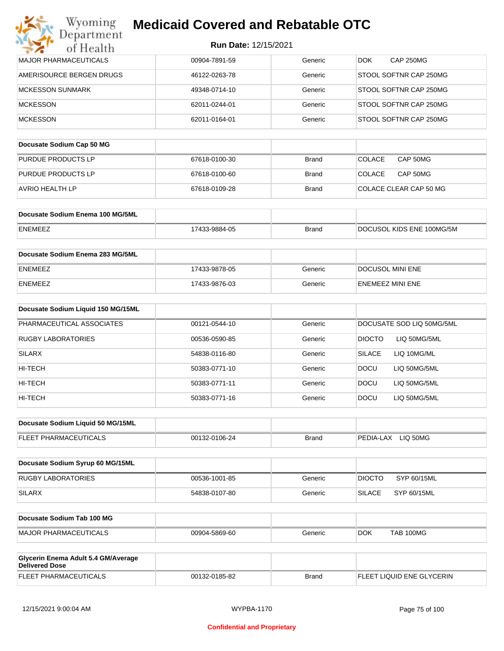|  | <b>Run Date: 12/15/2021</b> |
|--|-----------------------------|
|  |                             |

| Department<br>of Health            | Run Date: 12/15/2021 |              |                                |
|------------------------------------|----------------------|--------------|--------------------------------|
| MAJOR PHARMACEUTICALS              | 00904-7891-59        | Generic      | <b>CAP 250MG</b><br>DOK.       |
| AMERISOURCE BERGEN DRUGS           | 46122-0263-78        | Generic      | STOOL SOFTNR CAP 250MG         |
| <b>MCKESSON SUNMARK</b>            | 49348-0714-10        | Generic      | STOOL SOFTNR CAP 250MG         |
| <b>MCKESSON</b>                    | 62011-0244-01        | Generic      | STOOL SOFTNR CAP 250MG         |
| <b>MCKESSON</b>                    | 62011-0164-01        | Generic      | STOOL SOFTNR CAP 250MG         |
| Docusate Sodium Cap 50 MG          |                      |              |                                |
| PURDUE PRODUCTS LP                 | 67618-0100-30        | <b>Brand</b> | CAP 50MG<br><b>COLACE</b>      |
| PURDUE PRODUCTS LP                 | 67618-0100-60        | <b>Brand</b> | <b>COLACE</b><br>CAP 50MG      |
| <b>AVRIO HEALTH LP</b>             | 67618-0109-28        | <b>Brand</b> | COLACE CLEAR CAP 50 MG         |
| Docusate Sodium Enema 100 MG/5ML   |                      |              |                                |
| <b>ENEMEEZ</b>                     | 17433-9884-05        | <b>Brand</b> | DOCUSOL KIDS ENE 100MG/5M      |
| Docusate Sodium Enema 283 MG/5ML   |                      |              |                                |
| <b>ENEMEEZ</b>                     | 17433-9878-05        | Generic      | DOCUSOL MINI ENE               |
| <b>ENEMEEZ</b>                     | 17433-9876-03        | Generic      | <b>ENEMEEZ MINI ENE</b>        |
| Docusate Sodium Liquid 150 MG/15ML |                      |              |                                |
| PHARMACEUTICAL ASSOCIATES          | 00121-0544-10        | Generic      | DOCUSATE SOD LIQ 50MG/5ML      |
| <b>RUGBY LABORATORIES</b>          | 00536-0590-85        | Generic      | <b>DIOCTO</b><br>LIQ 50MG/5ML  |
| <b>SILARX</b>                      | 54838-0116-80        | Generic      | <b>SILACE</b><br>LIQ 10MG/ML   |
| HI-TECH                            | 50383-0771-10        | Generic      | <b>DOCU</b><br>LIQ 50MG/5ML    |
| HI-TECH                            | 50383-0771-11        | Generic      | <b>DOCU</b><br>LIQ 50MG/5ML    |
| HI-TECH                            | 50383-0771-16        | Generic      | <b>DOCU</b><br>LIQ 50MG/5ML    |
| Docusate Sodium Liquid 50 MG/15ML  |                      |              |                                |
| FLEET PHARMACEUTICALS              | 00132-0106-24        | <b>Brand</b> | PEDIA-LAX LIQ 50MG             |
| Docusate Sodium Syrup 60 MG/15ML   |                      |              |                                |
| <b>RUGBY LABORATORIES</b>          | 00536-1001-85        | Generic      | <b>DIOCTO</b><br>SYP 60/15ML   |
| <b>SILARX</b>                      | 54838-0107-80        | Generic      | <b>SILACE</b><br>SYP 60/15ML   |
| Docusate Sodium Tab 100 MG         |                      |              |                                |
| <b>MAJOR PHARMACEUTICALS</b>       | 00904-5869-60        | Generic      | <b>TAB 100MG</b><br><b>DOK</b> |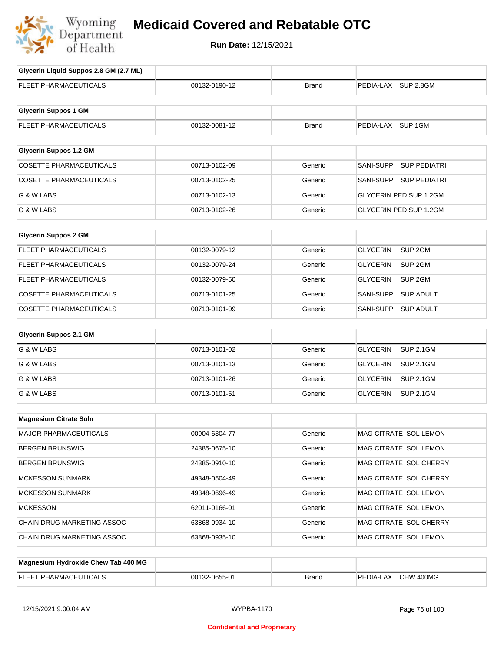

| Glycerin Liquid Suppos 2.8 GM (2.7 ML) |               |              |                                       |
|----------------------------------------|---------------|--------------|---------------------------------------|
| FLEET PHARMACEUTICALS                  | 00132-0190-12 | <b>Brand</b> | PEDIA-LAX SUP 2.8GM                   |
| <b>Glycerin Suppos 1 GM</b>            |               |              |                                       |
| FLEET PHARMACEUTICALS                  | 00132-0081-12 | <b>Brand</b> | PEDIA-LAX SUP 1GM                     |
| <b>Glycerin Suppos 1.2 GM</b>          |               |              |                                       |
| <b>COSETTE PHARMACEUTICALS</b>         | 00713-0102-09 | Generic      | <b>SUP PEDIATRI</b><br>SANI-SUPP      |
| <b>COSETTE PHARMACEUTICALS</b>         | 00713-0102-25 | Generic      | SANI-SUPP<br><b>SUP PEDIATRI</b>      |
| G & W LABS                             | 00713-0102-13 | Generic      | GLYCERIN PED SUP 1.2GM                |
| G & W LABS                             | 00713-0102-26 | Generic      | GLYCERIN PED SUP 1.2GM                |
| <b>Glycerin Suppos 2 GM</b>            |               |              |                                       |
| FLEET PHARMACEUTICALS                  | 00132-0079-12 | Generic      | SUP <sub>2GM</sub><br><b>GLYCERIN</b> |
| FLEET PHARMACEUTICALS                  | 00132-0079-24 | Generic      | SUP <sub>2GM</sub><br><b>GLYCERIN</b> |
| FLEET PHARMACEUTICALS                  | 00132-0079-50 | Generic      | <b>GLYCERIN</b><br>SUP <sub>2GM</sub> |
| <b>COSETTE PHARMACEUTICALS</b>         | 00713-0101-25 | Generic      | <b>SUP ADULT</b><br>SANI-SUPP         |
| <b>COSETTE PHARMACEUTICALS</b>         | 00713-0101-09 | Generic      | <b>SUP ADULT</b><br>SANI-SUPP         |
| <b>Glycerin Suppos 2.1 GM</b>          |               |              |                                       |
| G & W LABS                             | 00713-0101-02 | Generic      | <b>GLYCERIN</b><br><b>SUP 2.1GM</b>   |
| G & W LABS                             | 00713-0101-13 | Generic      | <b>GLYCERIN</b><br><b>SUP 2.1GM</b>   |
| G & W LABS                             | 00713-0101-26 | Generic      | <b>GLYCERIN</b><br><b>SUP 2.1GM</b>   |
| G & W LABS                             | 00713-0101-51 | Generic      | <b>GLYCERIN</b><br><b>SUP 2.1GM</b>   |
| <b>Magnesium Citrate Soln</b>          |               |              |                                       |
| <b>MAJOR PHARMACEUTICALS</b>           | 00904-6304-77 | Generic      | MAG CITRATE SOL LEMON                 |
| <b>BERGEN BRUNSWIG</b>                 | 24385-0675-10 | Generic      | MAG CITRATE SOL LEMON                 |
| <b>BERGEN BRUNSWIG</b>                 | 24385-0910-10 | Generic      | MAG CITRATE SOL CHERRY                |
| <b>MCKESSON SUNMARK</b>                | 49348-0504-49 | Generic      | MAG CITRATE SOL CHERRY                |
| <b>MCKESSON SUNMARK</b>                | 49348-0696-49 | Generic      | MAG CITRATE SOL LEMON                 |
| <b>MCKESSON</b>                        | 62011-0166-01 | Generic      | MAG CITRATE SOL LEMON                 |
| CHAIN DRUG MARKETING ASSOC             | 63868-0934-10 | Generic      | MAG CITRATE SOL CHERRY                |
| CHAIN DRUG MARKETING ASSOC             | 63868-0935-10 | Generic      | MAG CITRATE SOL LEMON                 |
|                                        |               |              |                                       |
| Magnesium Hydroxide Chew Tab 400 MG    |               |              |                                       |

| FLEE.<br>TIC:AI<br>PHARMAL | 32-0655-01<br>001 | <b>Brand</b> | '400MG<br>PEDIA-.<br>CHW<br>ΑX |
|----------------------------|-------------------|--------------|--------------------------------|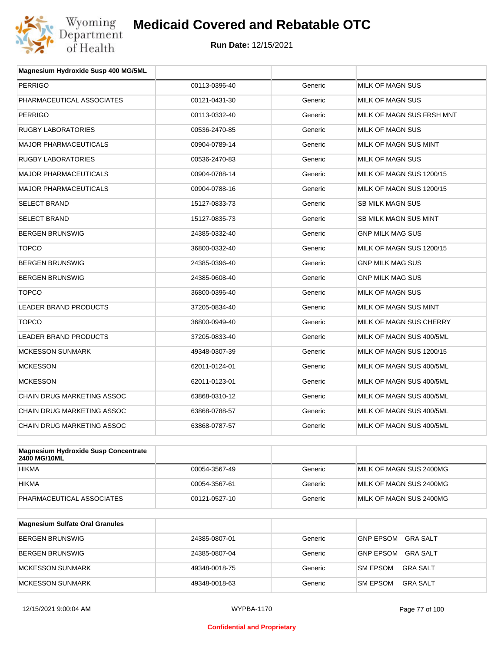

| Magnesium Hydroxide Susp 400 MG/5ML |               |         |                           |
|-------------------------------------|---------------|---------|---------------------------|
| <b>PERRIGO</b>                      | 00113-0396-40 | Generic | MILK OF MAGN SUS          |
| PHARMACEUTICAL ASSOCIATES           | 00121-0431-30 | Generic | MILK OF MAGN SUS          |
| <b>PERRIGO</b>                      | 00113-0332-40 | Generic | MILK OF MAGN SUS FRSH MNT |
| <b>RUGBY LABORATORIES</b>           | 00536-2470-85 | Generic | <b>MILK OF MAGN SUS</b>   |
| <b>MAJOR PHARMACEUTICALS</b>        | 00904-0789-14 | Generic | MILK OF MAGN SUS MINT     |
| <b>RUGBY LABORATORIES</b>           | 00536-2470-83 | Generic | MILK OF MAGN SUS          |
| <b>MAJOR PHARMACEUTICALS</b>        | 00904-0788-14 | Generic | MILK OF MAGN SUS 1200/15  |
| <b>MAJOR PHARMACEUTICALS</b>        | 00904-0788-16 | Generic | MILK OF MAGN SUS 1200/15  |
| <b>SELECT BRAND</b>                 | 15127-0833-73 | Generic | <b>SB MILK MAGN SUS</b>   |
| <b>SELECT BRAND</b>                 | 15127-0835-73 | Generic | SB MILK MAGN SUS MINT     |
| <b>BERGEN BRUNSWIG</b>              | 24385-0332-40 | Generic | <b>GNP MILK MAG SUS</b>   |
| <b>TOPCO</b>                        | 36800-0332-40 | Generic | MILK OF MAGN SUS 1200/15  |
| <b>BERGEN BRUNSWIG</b>              | 24385-0396-40 | Generic | <b>GNP MILK MAG SUS</b>   |
| <b>BERGEN BRUNSWIG</b>              | 24385-0608-40 | Generic | <b>GNP MILK MAG SUS</b>   |
| <b>TOPCO</b>                        | 36800-0396-40 | Generic | <b>MILK OF MAGN SUS</b>   |
| <b>LEADER BRAND PRODUCTS</b>        | 37205-0834-40 | Generic | MILK OF MAGN SUS MINT     |
| <b>TOPCO</b>                        | 36800-0949-40 | Generic | MILK OF MAGN SUS CHERRY   |
| <b>LEADER BRAND PRODUCTS</b>        | 37205-0833-40 | Generic | MILK OF MAGN SUS 400/5ML  |
| <b>MCKESSON SUNMARK</b>             | 49348-0307-39 | Generic | MILK OF MAGN SUS 1200/15  |
| <b>MCKESSON</b>                     | 62011-0124-01 | Generic | MILK OF MAGN SUS 400/5ML  |
| <b>MCKESSON</b>                     | 62011-0123-01 | Generic | MILK OF MAGN SUS 400/5ML  |
| CHAIN DRUG MARKETING ASSOC          | 63868-0310-12 | Generic | MILK OF MAGN SUS 400/5ML  |
| <b>CHAIN DRUG MARKETING ASSOC</b>   | 63868-0788-57 | Generic | MILK OF MAGN SUS 400/5ML  |
| CHAIN DRUG MARKETING ASSOC          | 63868-0787-57 | Generic | MILK OF MAGN SUS 400/5ML  |
|                                     |               |         |                           |

| Magnesium Hydroxide Susp Concentrate<br>2400 MG/10ML |               |         |                         |
|------------------------------------------------------|---------------|---------|-------------------------|
| <b>HIKMA</b>                                         | 00054-3567-49 | Generic | MILK OF MAGN SUS 2400MG |
| <b>HIKMA</b>                                         | 00054-3567-61 | Generic | MILK OF MAGN SUS 2400MG |
| PHARMACEUTICAL ASSOCIATES                            | 00121-0527-10 | Generic | MILK OF MAGN SUS 2400MG |

| <b>Magnesium Sulfate Oral Granules</b> |               |         |                                     |
|----------------------------------------|---------------|---------|-------------------------------------|
| <b>BERGEN BRUNSWIG</b>                 | 24385-0807-01 | Generic | <b>GNP EPSOM</b><br>GRA SALT        |
| BERGEN BRUNSWIG                        | 24385-0807-04 | Generic | <b>GRA SALT</b><br><b>GNP EPSOM</b> |
| MCKESSON SUNMARK                       | 49348-0018-75 | Generic | <b>SM EPSOM</b><br>GRA SALT         |
| MCKESSON SUNMARK                       | 49348-0018-63 | Generic | <b>SM EPSOM</b><br>GRA SALT         |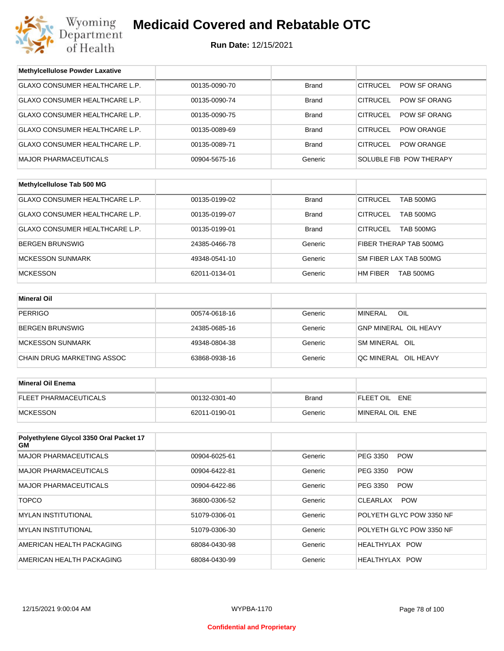

| <b>Methylcellulose Powder Laxative</b>         |               |              |                                      |  |
|------------------------------------------------|---------------|--------------|--------------------------------------|--|
| GLAXO CONSUMER HEALTHCARE L.P.                 | 00135-0090-70 | <b>Brand</b> | <b>CITRUCEL</b><br>POW SF ORANG      |  |
| GLAXO CONSUMER HEALTHCARE L.P.                 | 00135-0090-74 | <b>Brand</b> | <b>CITRUCEL</b><br>POW SF ORANG      |  |
| <b>GLAXO CONSUMER HEALTHCARE L.P.</b>          | 00135-0090-75 | <b>Brand</b> | <b>CITRUCEL</b><br>POW SF ORANG      |  |
| GLAXO CONSUMER HEALTHCARE L.P.                 | 00135-0089-69 | <b>Brand</b> | <b>CITRUCEL</b><br>POW ORANGE        |  |
| GLAXO CONSUMER HEALTHCARE L.P.                 | 00135-0089-71 | <b>Brand</b> | <b>CITRUCEL</b><br><b>POW ORANGE</b> |  |
| <b>MAJOR PHARMACEUTICALS</b>                   | 00904-5675-16 | Generic      | SOLUBLE FIB POW THERAPY              |  |
|                                                |               |              |                                      |  |
| Methylcellulose Tab 500 MG                     |               |              |                                      |  |
| GLAXO CONSUMER HEALTHCARE L.P.                 | 00135-0199-02 | <b>Brand</b> | <b>CITRUCEL</b><br><b>TAB 500MG</b>  |  |
| GLAXO CONSUMER HEALTHCARE L.P.                 | 00135-0199-07 | <b>Brand</b> | <b>CITRUCEL</b><br><b>TAB 500MG</b>  |  |
| GLAXO CONSUMER HEALTHCARE L.P.                 | 00135-0199-01 | <b>Brand</b> | <b>CITRUCEL</b><br>TAB 500MG         |  |
| <b>BERGEN BRUNSWIG</b>                         | 24385-0466-78 | Generic      | FIBER THERAP TAB 500MG               |  |
| <b>MCKESSON SUNMARK</b>                        | 49348-0541-10 | Generic      | SM FIBER LAX TAB 500MG               |  |
| <b>MCKESSON</b>                                | 62011-0134-01 | Generic      | HM FIBER<br><b>TAB 500MG</b>         |  |
|                                                |               |              |                                      |  |
| <b>Mineral Oil</b>                             |               |              |                                      |  |
| <b>PERRIGO</b>                                 | 00574-0618-16 | Generic      | <b>MINERAL</b><br>OIL                |  |
| BERGEN BRUNSWIG                                | 24385-0685-16 | Generic      | <b>GNP MINERAL OIL HEAVY</b>         |  |
| <b>MCKESSON SUNMARK</b>                        | 49348-0804-38 | Generic      | SM MINERAL OIL                       |  |
| CHAIN DRUG MARKETING ASSOC                     | 63868-0938-16 | Generic      | QC MINERAL OIL HEAVY                 |  |
|                                                |               |              |                                      |  |
| <b>Mineral Oil Enema</b>                       |               |              |                                      |  |
| FLEET PHARMACEUTICALS                          | 00132-0301-40 | Brand        | FLEET OIL ENE                        |  |
| <b>MCKESSON</b>                                | 62011-0190-01 | Generic      | MINERAL OIL ENE                      |  |
|                                                |               |              |                                      |  |
| Polyethylene Glycol 3350 Oral Packet 17<br>GM. |               |              |                                      |  |
| <b>MAJOR PHARMACEUTICALS</b>                   | 00904-6025-61 | Generic      | PEG 3350<br><b>POW</b>               |  |
| <b>MAJOR PHARMACEUTICALS</b>                   | 00904-6422-81 | Generic      | PEG 3350<br><b>POW</b>               |  |
| <b>MAJOR PHARMACEUTICALS</b>                   | 00904-6422-86 | Generic      | PEG 3350<br><b>POW</b>               |  |
| <b>TOPCO</b>                                   | 36800-0306-52 | Generic      | <b>POW</b><br>CLEARLAX               |  |
| <b>MYLAN INSTITUTIONAL</b>                     | 51079-0306-01 | Generic      | POLYETH GLYC POW 3350 NF             |  |
| <b>MYLAN INSTITUTIONAL</b>                     | 51079-0306-30 | Generic      | POLYETH GLYC POW 3350 NF             |  |
| AMERICAN HEALTH PACKAGING                      | 68084-0430-98 | Generic      | HEALTHYLAX POW                       |  |
| AMERICAN HEALTH PACKAGING                      | 68084-0430-99 | Generic      | HEALTHYLAX POW                       |  |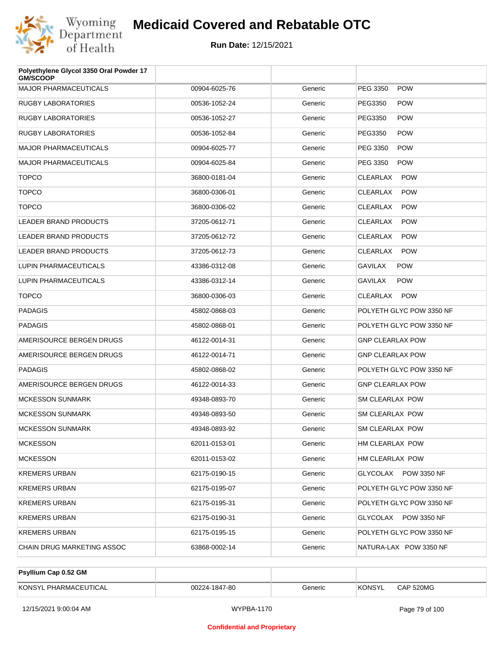

| Polyethylene Glycol 3350 Oral Powder 17<br><b>GM/SCOOP</b> |               |         |                               |
|------------------------------------------------------------|---------------|---------|-------------------------------|
| <b>MAJOR PHARMACEUTICALS</b>                               | 00904-6025-76 | Generic | PEG 3350<br><b>POW</b>        |
| <b>RUGBY LABORATORIES</b>                                  | 00536-1052-24 | Generic | PEG3350<br><b>POW</b>         |
| <b>RUGBY LABORATORIES</b>                                  | 00536-1052-27 | Generic | PEG3350<br><b>POW</b>         |
| <b>RUGBY LABORATORIES</b>                                  | 00536-1052-84 | Generic | PEG3350<br><b>POW</b>         |
| <b>MAJOR PHARMACEUTICALS</b>                               | 00904-6025-77 | Generic | PEG 3350<br><b>POW</b>        |
| <b>MAJOR PHARMACEUTICALS</b>                               | 00904-6025-84 | Generic | PEG 3350<br><b>POW</b>        |
| <b>TOPCO</b>                                               | 36800-0181-04 | Generic | <b>CLEARLAX</b><br><b>POW</b> |
| <b>TOPCO</b>                                               | 36800-0306-01 | Generic | <b>CLEARLAX</b><br><b>POW</b> |
| <b>TOPCO</b>                                               | 36800-0306-02 | Generic | CLEARLAX<br><b>POW</b>        |
| <b>LEADER BRAND PRODUCTS</b>                               | 37205-0612-71 | Generic | <b>CLEARLAX</b><br><b>POW</b> |
| <b>LEADER BRAND PRODUCTS</b>                               | 37205-0612-72 | Generic | CLEARLAX<br><b>POW</b>        |
| <b>LEADER BRAND PRODUCTS</b>                               | 37205-0612-73 | Generic | CLEARLAX<br><b>POW</b>        |
| LUPIN PHARMACEUTICALS                                      | 43386-0312-08 | Generic | <b>GAVILAX</b><br><b>POW</b>  |
| LUPIN PHARMACEUTICALS                                      | 43386-0312-14 | Generic | <b>GAVILAX</b><br><b>POW</b>  |
| <b>TOPCO</b>                                               | 36800-0306-03 | Generic | CLEARLAX<br><b>POW</b>        |
| <b>PADAGIS</b>                                             | 45802-0868-03 | Generic | POLYETH GLYC POW 3350 NF      |
| <b>PADAGIS</b>                                             | 45802-0868-01 | Generic | POLYETH GLYC POW 3350 NF      |
| AMERISOURCE BERGEN DRUGS                                   | 46122-0014-31 | Generic | <b>GNP CLEARLAX POW</b>       |
| AMERISOURCE BERGEN DRUGS                                   | 46122-0014-71 | Generic | <b>GNP CLEARLAX POW</b>       |
| <b>PADAGIS</b>                                             | 45802-0868-02 | Generic | POLYETH GLYC POW 3350 NF      |
| AMERISOURCE BERGEN DRUGS                                   | 46122-0014-33 | Generic | <b>GNP CLEARLAX POW</b>       |
| <b>MCKESSON SUNMARK</b>                                    | 49348-0893-70 | Generic | <b>SM CLEARLAX POW</b>        |
| <b>MCKESSON SUNMARK</b>                                    | 49348-0893-50 | Generic | SM CLEARLAX POW               |
| <b>MCKESSON SUNMARK</b>                                    | 49348-0893-92 | Generic | <b>SM CLEARLAX POW</b>        |
| <b>MCKESSON</b>                                            | 62011-0153-01 | Generic | HM CLEARLAX POW               |
| <b>MCKESSON</b>                                            | 62011-0153-02 | Generic | HM CLEARLAX POW               |
| <b>KREMERS URBAN</b>                                       | 62175-0190-15 | Generic | GLYCOLAX POW 3350 NF          |
| <b>KREMERS URBAN</b>                                       | 62175-0195-07 | Generic | POLYETH GLYC POW 3350 NF      |
| <b>KREMERS URBAN</b>                                       | 62175-0195-31 | Generic | POLYETH GLYC POW 3350 NF      |
| <b>KREMERS URBAN</b>                                       | 62175-0190-31 | Generic | GLYCOLAX POW 3350 NF          |
| <b>KREMERS URBAN</b>                                       | 62175-0195-15 | Generic | POLYETH GLYC POW 3350 NF      |
| CHAIN DRUG MARKETING ASSOC                                 | 63868-0002-14 | Generic | NATURA-LAX POW 3350 NF        |

| <b>Psyllium Cap 0.52 GM</b> |               |         |         |           |
|-----------------------------|---------------|---------|---------|-----------|
| KONSYL PHARMACEUTICAL       | 00224-1847-80 | Generic | 'KONSYL | CAP 520MG |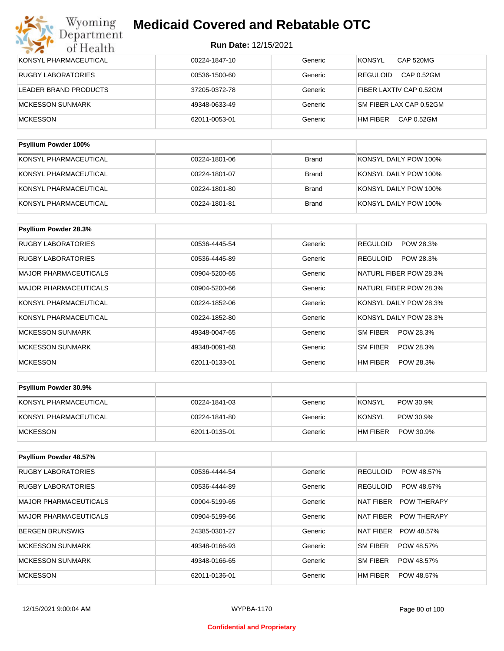| <b>Psyllium Powder 100%</b> |               |         |                               |
|-----------------------------|---------------|---------|-------------------------------|
| <b>MCKESSON</b>             | 62011-0053-01 | Generic | HM FIBER<br>CAP 0.52GM        |
| MCKESSON SUNMARK            | 49348-0633-49 | Generic | SM FIBER LAX CAP 0.52GM       |
| LEADER BRAND PRODUCTS       | 37205-0372-78 | Generic | FIBER LAXTIV CAP 0.52GM       |
| <b>RUGBY LABORATORIES</b>   | 00536-1500-60 | Generic | CAP 0.52GM<br><b>REGULOID</b> |
| KONSYL PHARMACEUTICAL       | 00224-1847-10 | Generic | <b>KONSYL</b><br>CAP 520MG    |

| KONSYL PHARMACEUTICAL | 00224-1801-06 | Brand        | KONSYL DAILY POW 100% |
|-----------------------|---------------|--------------|-----------------------|
| KONSYL PHARMACEUTICAL | 00224-1801-07 | Brand        | KONSYL DAILY POW 100% |
| KONSYL PHARMACEUTICAL | 00224-1801-80 | Brand        | KONSYL DAILY POW 100% |
| KONSYL PHARMACEUTICAL | 00224-1801-81 | <b>Brand</b> | KONSYL DAILY POW 100% |

| Psyllium Powder 28.3%        |               |         |                              |
|------------------------------|---------------|---------|------------------------------|
| <b>RUGBY LABORATORIES</b>    | 00536-4445-54 | Generic | <b>REGULOID</b><br>POW 28.3% |
| <b>RUGBY LABORATORIES</b>    | 00536-4445-89 | Generic | POW 28.3%<br><b>REGULOID</b> |
| <b>MAJOR PHARMACEUTICALS</b> | 00904-5200-65 | Generic | NATURL FIBER POW 28.3%       |
| <b>MAJOR PHARMACEUTICALS</b> | 00904-5200-66 | Generic | NATURL FIBER POW 28.3%       |
| KONSYL PHARMACEUTICAL        | 00224-1852-06 | Generic | KONSYL DAILY POW 28.3%       |
| KONSYL PHARMACEUTICAL        | 00224-1852-80 | Generic | KONSYL DAILY POW 28.3%       |
| <b>MCKESSON SUNMARK</b>      | 49348-0047-65 | Generic | POW 28.3%<br>SM FIBER        |
| <b>MCKESSON SUNMARK</b>      | 49348-0091-68 | Generic | SM FIBER<br>POW 28.3%        |
| <b>MCKESSON</b>              | 62011-0133-01 | Generic | HM FIBER<br>POW 28.3%        |

| <b>Psyllium Powder 30.9%</b> |               |         |                            |
|------------------------------|---------------|---------|----------------------------|
| KONSYL PHARMACEUTICAL        | 00224-1841-03 | Generic | <b>KONSYL</b><br>POW 30.9% |
| KONSYL PHARMACEUTICAL        | 00224-1841-80 | Generic | KONSYL<br>POW 30.9%        |
| <b>IMCKESSON</b>             | 62011-0135-01 | Generic | HM FIBER<br>POW 30.9%      |

| Psyllium Powder 48.57%    |               |         |                                 |
|---------------------------|---------------|---------|---------------------------------|
| <b>RUGBY LABORATORIES</b> | 00536-4444-54 | Generic | <b>REGULOID</b><br>POW 48.57%   |
| <b>RUGBY LABORATORIES</b> | 00536-4444-89 | Generic | <b>REGULOID</b><br>POW 48.57%   |
| MAJOR PHARMACEUTICALS     | 00904-5199-65 | Generic | NAT FIBER<br><b>POW THERAPY</b> |
| MAJOR PHARMACEUTICALS     | 00904-5199-66 | Generic | NAT FIBER<br><b>POW THERAPY</b> |
| BERGEN BRUNSWIG           | 24385-0301-27 | Generic | <b>NAT FIBER</b><br>POW 48.57%  |
| MCKESSON SUNMARK          | 49348-0166-93 | Generic | SM FIBER<br>POW 48.57%          |
| MCKESSON SUNMARK          | 49348-0166-65 | Generic | SM FIBER<br>POW 48.57%          |
| <b>MCKESSON</b>           | 62011-0136-01 | Generic | HM FIBER<br>POW 48.57%          |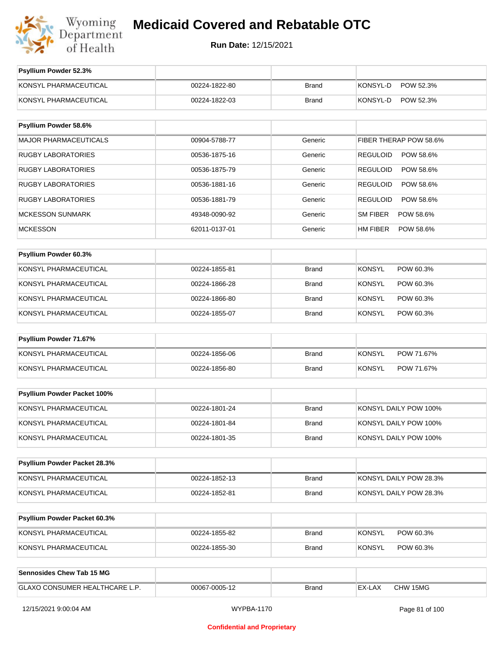

| Psyllium Powder 52.3%          |               |              |                              |
|--------------------------------|---------------|--------------|------------------------------|
| KONSYL PHARMACEUTICAL          | 00224-1822-80 | <b>Brand</b> | KONSYL-D<br>POW 52.3%        |
| KONSYL PHARMACEUTICAL          | 00224-1822-03 | <b>Brand</b> | KONSYL-D<br>POW 52.3%        |
|                                |               |              |                              |
| Psyllium Powder 58.6%          |               |              |                              |
| <b>MAJOR PHARMACEUTICALS</b>   | 00904-5788-77 | Generic      | FIBER THERAP POW 58.6%       |
| <b>RUGBY LABORATORIES</b>      | 00536-1875-16 | Generic      | <b>REGULOID</b><br>POW 58.6% |
| RUGBY LABORATORIES             | 00536-1875-79 | Generic      | <b>REGULOID</b><br>POW 58.6% |
| <b>RUGBY LABORATORIES</b>      | 00536-1881-16 | Generic      | <b>REGULOID</b><br>POW 58.6% |
| <b>RUGBY LABORATORIES</b>      | 00536-1881-79 | Generic      | <b>REGULOID</b><br>POW 58.6% |
| <b>MCKESSON SUNMARK</b>        | 49348-0090-92 | Generic      | SM FIBER<br>POW 58.6%        |
| <b>MCKESSON</b>                | 62011-0137-01 | Generic      | HM FIBER<br>POW 58.6%        |
|                                |               |              |                              |
| Psyllium Powder 60.3%          |               |              |                              |
| KONSYL PHARMACEUTICAL          | 00224-1855-81 | <b>Brand</b> | <b>KONSYL</b><br>POW 60.3%   |
| KONSYL PHARMACEUTICAL          | 00224-1866-28 | <b>Brand</b> | <b>KONSYL</b><br>POW 60.3%   |
| KONSYL PHARMACEUTICAL          | 00224-1866-80 | <b>Brand</b> | <b>KONSYL</b><br>POW 60.3%   |
| KONSYL PHARMACEUTICAL          | 00224-1855-07 | <b>Brand</b> | <b>KONSYL</b><br>POW 60.3%   |
| Psyllium Powder 71.67%         |               |              |                              |
| KONSYL PHARMACEUTICAL          | 00224-1856-06 | <b>Brand</b> | <b>KONSYL</b><br>POW 71.67%  |
| KONSYL PHARMACEUTICAL          | 00224-1856-80 | <b>Brand</b> | KONSYL<br>POW 71.67%         |
|                                |               |              |                              |
| Psyllium Powder Packet 100%    |               |              |                              |
| KONSYL PHARMACEUTICAL          | 00224-1801-24 | <b>Brand</b> | KONSYL DAILY POW 100%        |
| KONSYL PHARMACEUTICAL          | 00224-1801-84 | <b>Brand</b> | KONSYL DAILY POW 100%        |
| KONSYL PHARMACEUTICAL          | 00224-1801-35 | <b>Brand</b> | KONSYL DAILY POW 100%        |
|                                |               |              |                              |
| Psyllium Powder Packet 28.3%   |               |              |                              |
| KONSYL PHARMACEUTICAL          | 00224-1852-13 | <b>Brand</b> | KONSYL DAILY POW 28.3%       |
| KONSYL PHARMACEUTICAL          | 00224-1852-81 | <b>Brand</b> | KONSYL DAILY POW 28.3%       |
|                                |               |              |                              |
| Psyllium Powder Packet 60.3%   |               |              |                              |
| KONSYL PHARMACEUTICAL          | 00224-1855-82 | <b>Brand</b> | <b>KONSYL</b><br>POW 60.3%   |
| KONSYL PHARMACEUTICAL          | 00224-1855-30 | <b>Brand</b> | <b>KONSYL</b><br>POW 60.3%   |
|                                |               |              |                              |
| Sennosides Chew Tab 15 MG      |               |              |                              |
| GLAXO CONSUMER HEALTHCARE L.P. | 00067-0005-12 | <b>Brand</b> | CHW 15MG<br>EX-LAX           |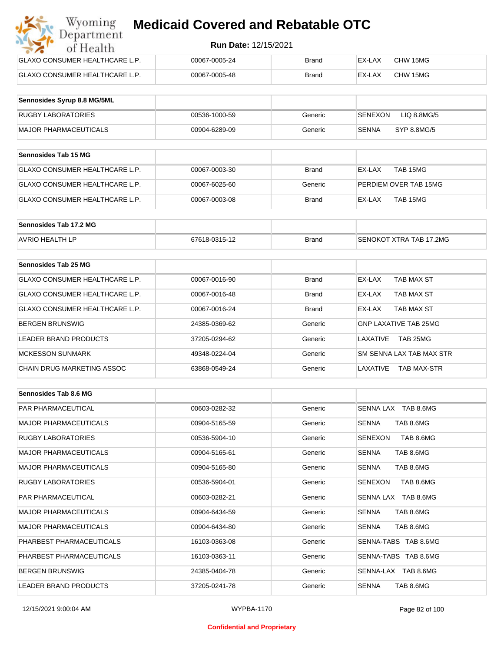| Wyoming<br><b>Medicaid Covered and Rebatable OTC</b><br>Department |                             |              |        |          |  |
|--------------------------------------------------------------------|-----------------------------|--------------|--------|----------|--|
| of Health                                                          | <b>Run Date: 12/15/2021</b> |              |        |          |  |
| <b>GLAXO CONSUMER HEALTHCARE L.P.</b>                              | 00067-0005-24               | Brand        | EX-LAX | CHW 15MG |  |
| <b>GLAXO CONSUMER HEALTHCARE L.P.</b>                              | 00067-0005-48               | <b>Brand</b> | EX-LAX | CHW 15MG |  |

| Sennosides Syrup 8.8 MG/5ML |               |         |                        |
|-----------------------------|---------------|---------|------------------------|
| <b>RUGBY LABORATORIES</b>   | 00536-1000-59 | Generic | SENEXON<br>LIQ 8.8MG/5 |
| MAJOR PHARMACEUTICALS       | 00904-6289-09 | Generic | SYP 8.8MG/5<br>SENNA   |

| <b>Sennosides Tab 15 MG</b>    |               |              |                       |
|--------------------------------|---------------|--------------|-----------------------|
| GLAXO CONSUMER HEALTHCARE L.P. | 00067-0003-30 | <b>Brand</b> | TAB 15MG<br>EX-LAX    |
| GLAXO CONSUMER HEALTHCARE L.P. | 00067-6025-60 | Generic      | PERDIEM OVER TAB 15MG |
| GLAXO CONSUMER HEALTHCARE L.P. | 00067-0003-08 | <b>Brand</b> | TAB 15MG<br>EX-LAX    |

| Sennosides Tab 17.2 MG |               |              |                                |
|------------------------|---------------|--------------|--------------------------------|
| <b>AVRIO HEALTH LP</b> | 67618-0315-12 | <b>Brand</b> | <b>SENOKOT XTRA TAB 17,2MG</b> |

| Sennosides Tab 25 MG           |               |              |                                |
|--------------------------------|---------------|--------------|--------------------------------|
| GLAXO CONSUMER HEALTHCARE L.P. | 00067-0016-90 | <b>Brand</b> | EX-LAX<br>TAB MAX ST           |
| GLAXO CONSUMER HEALTHCARE L.P. | 00067-0016-48 | <b>Brand</b> | TAB MAX ST<br>EX-LAX           |
| GLAXO CONSUMER HEALTHCARE L.P. | 00067-0016-24 | <b>Brand</b> | TAB MAX ST<br>EX-LAX           |
| <b>BERGEN BRUNSWIG</b>         | 24385-0369-62 | Generic      | <b>GNP LAXATIVE TAB 25MG</b>   |
| LEADER BRAND PRODUCTS          | 37205-0294-62 | Generic      | TAB 25MG<br>LAXATIVE           |
| <b>MCKESSON SUNMARK</b>        | 49348-0224-04 | Generic      | SM SENNA LAX TAB MAX STR       |
| CHAIN DRUG MARKETING ASSOC     | 63868-0549-24 | Generic      | LAXATIVE<br><b>TAB MAX-STR</b> |

| Sennosides Tab 8.6 MG        |               |         |                           |
|------------------------------|---------------|---------|---------------------------|
| <b>PAR PHARMACEUTICAL</b>    | 00603-0282-32 | Generic | SENNA LAX TAB 8.6MG       |
| <b>MAJOR PHARMACEUTICALS</b> | 00904-5165-59 | Generic | <b>SENNA</b><br>TAB 8.6MG |
| <b>RUGBY LABORATORIES</b>    | 00536-5904-10 | Generic | TAB 8.6MG<br>SENEXON      |
| <b>MAJOR PHARMACEUTICALS</b> | 00904-5165-61 | Generic | TAB 8.6MG<br><b>SENNA</b> |
| <b>MAJOR PHARMACEUTICALS</b> | 00904-5165-80 | Generic | TAB 8.6MG<br><b>SENNA</b> |
| <b>RUGBY LABORATORIES</b>    | 00536-5904-01 | Generic | SENEXON<br>TAB 8.6MG      |
| <b>PAR PHARMACEUTICAL</b>    | 00603-0282-21 | Generic | SENNA LAX TAB 8.6MG       |
| <b>MAJOR PHARMACEUTICALS</b> | 00904-6434-59 | Generic | <b>SENNA</b><br>TAB 8.6MG |
| <b>MAJOR PHARMACEUTICALS</b> | 00904-6434-80 | Generic | TAB 8.6MG<br><b>SENNA</b> |
| PHARBEST PHARMACEUTICALS     | 16103-0363-08 | Generic | SENNA-TABS TAB 8.6MG      |
| PHARBEST PHARMACEUTICALS     | 16103-0363-11 | Generic | SENNA-TABS TAB 8.6MG      |
| <b>BERGEN BRUNSWIG</b>       | 24385-0404-78 | Generic | SENNA-LAX TAB 8.6MG       |
| <b>LEADER BRAND PRODUCTS</b> | 37205-0241-78 | Generic | <b>SENNA</b><br>TAB 8.6MG |

#### **Confidential and Proprietary**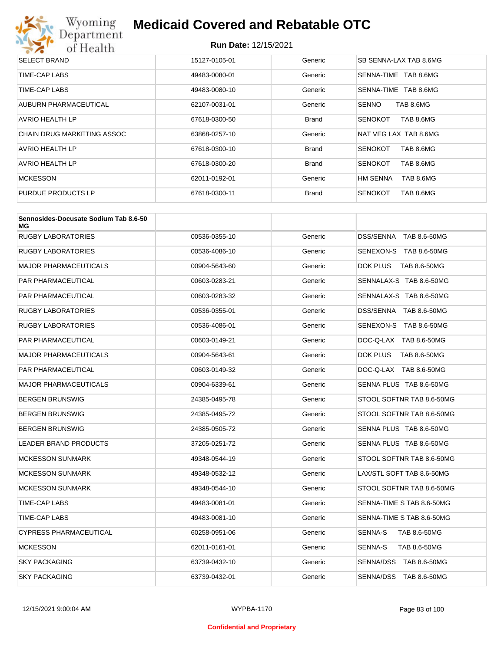

| <b>SELECT BRAND</b>        | 15127-0105-01 | Generic      | SB SENNA-LAX TAB 8.6MG       |
|----------------------------|---------------|--------------|------------------------------|
| TIME-CAP LABS              | 49483-0080-01 | Generic      | SENNA-TIME TAB 8.6MG         |
| TIME-CAP LABS              | 49483-0080-10 | Generic      | SENNA-TIME<br>TAB 8.6MG      |
| AUBURN PHARMACEUTICAL      | 62107-0031-01 | Generic      | <b>SENNO</b><br>TAB 8.6MG    |
| AVRIO HEALTH LP            | 67618-0300-50 | <b>Brand</b> | TAB 8.6MG<br><b>SENOKOT</b>  |
| CHAIN DRUG MARKETING ASSOC | 63868-0257-10 | Generic      | NAT VEG LAX TAB 8.6MG        |
| AVRIO HEALTH LP            | 67618-0300-10 | <b>Brand</b> | TAB 8.6MG<br><b>SENOKOT</b>  |
| AVRIO HEALTH LP            | 67618-0300-20 | <b>Brand</b> | TAB 8.6MG<br><b>SENOKOT</b>  |
| <b>MCKESSON</b>            | 62011-0192-01 | Generic      | <b>HM SENNA</b><br>TAB 8.6MG |
| PURDUE PRODUCTS LP         | 67618-0300-11 | <b>Brand</b> | <b>SENOKOT</b><br>TAB 8.6MG  |

| Sennosides-Docusate Sodium Tab 8.6-50<br>МG |               |         |                                  |
|---------------------------------------------|---------------|---------|----------------------------------|
| <b>RUGBY LABORATORIES</b>                   | 00536-0355-10 | Generic | <b>DSS/SENNA</b><br>TAB 8.6-50MG |
| RUGBY LABORATORIES                          | 00536-4086-10 | Generic | SENEXON-S TAB 8.6-50MG           |
| MAJOR PHARMACEUTICALS                       | 00904-5643-60 | Generic | DOK PLUS<br>TAB 8.6-50MG         |
| PAR PHARMACEUTICAL                          | 00603-0283-21 | Generic | SENNALAX-S TAB 8.6-50MG          |
| PAR PHARMACEUTICAL                          | 00603-0283-32 | Generic | SENNALAX-S TAB 8.6-50MG          |
| RUGBY LABORATORIES                          | 00536-0355-01 | Generic | DSS/SENNA TAB 8.6-50MG           |
| <b>RUGBY LABORATORIES</b>                   | 00536-4086-01 | Generic | SENEXON-S TAB 8.6-50MG           |
| PAR PHARMACEUTICAL                          | 00603-0149-21 | Generic | DOC-Q-LAX TAB 8.6-50MG           |
| MAJOR PHARMACEUTICALS                       | 00904-5643-61 | Generic | DOK PLUS<br>TAB 8.6-50MG         |
| PAR PHARMACEUTICAL                          | 00603-0149-32 | Generic | DOC-Q-LAX TAB 8.6-50MG           |
| <b>MAJOR PHARMACEUTICALS</b>                | 00904-6339-61 | Generic | SENNA PLUS TAB 8.6-50MG          |
| BERGEN BRUNSWIG                             | 24385-0495-78 | Generic | STOOL SOFTNR TAB 8.6-50MG        |
| BERGEN BRUNSWIG                             | 24385-0495-72 | Generic | STOOL SOFTNR TAB 8.6-50MG        |
| BERGEN BRUNSWIG                             | 24385-0505-72 | Generic | SENNA PLUS TAB 8.6-50MG          |
| <b>LEADER BRAND PRODUCTS</b>                | 37205-0251-72 | Generic | SENNA PLUS TAB 8.6-50MG          |
| <b>MCKESSON SUNMARK</b>                     | 49348-0544-19 | Generic | STOOL SOFTNR TAB 8.6-50MG        |
| <b>MCKESSON SUNMARK</b>                     | 49348-0532-12 | Generic | LAX/STL SOFT TAB 8.6-50MG        |
| <b>MCKESSON SUNMARK</b>                     | 49348-0544-10 | Generic | STOOL SOFTNR TAB 8.6-50MG        |
| TIME-CAP LABS                               | 49483-0081-01 | Generic | SENNA-TIME S TAB 8.6-50MG        |
| TIME-CAP LABS                               | 49483-0081-10 | Generic | SENNA-TIME S TAB 8.6-50MG        |
| <b>CYPRESS PHARMACEUTICAL</b>               | 60258-0951-06 | Generic | SENNA-S<br><b>TAB 8.6-50MG</b>   |
| <b>MCKESSON</b>                             | 62011-0161-01 | Generic | SENNA-S<br>TAB 8.6-50MG          |
| SKY PACKAGING                               | 63739-0432-10 | Generic | SENNA/DSS TAB 8.6-50MG           |
| <b>SKY PACKAGING</b>                        | 63739-0432-01 | Generic | SENNA/DSS TAB 8.6-50MG           |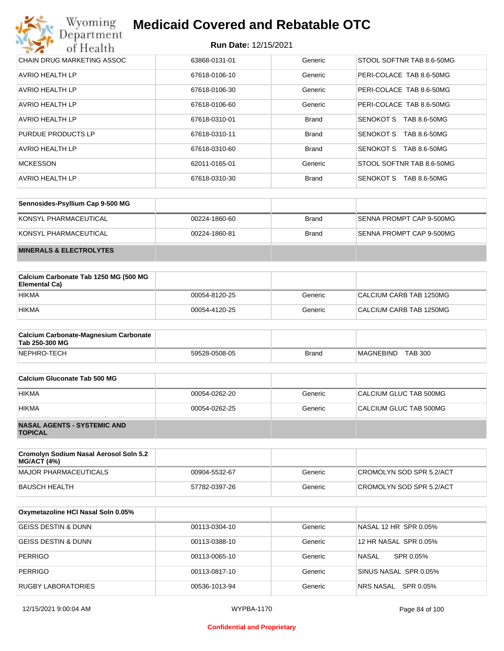| Wyoming<br><b>Medicaid Covered and Rebatable OTC</b><br>Department |                             |              |                           |
|--------------------------------------------------------------------|-----------------------------|--------------|---------------------------|
| of Health                                                          | <b>Run Date: 12/15/2021</b> |              |                           |
| CHAIN DRUG MARKETING ASSOC                                         | 63868-0131-01               | Generic      | STOOL SOFTNR TAB 8.6-50MG |
| AVRIO HEALTH LP                                                    | 67618-0106-10               | Generic      | PERI-COLACE TAB 8.6-50MG  |
| AVRIO HEALTH LP                                                    | 67618-0106-30               | Generic      | PERI-COLACE TAB 8.6-50MG  |
| AVRIO HEALTH LP                                                    | 67618-0106-60               | Generic      | PERI-COLACE TAB 8.6-50MG  |
| AVRIO HEALTH LP                                                    | 67618-0310-01               | <b>Brand</b> | SENOKOT S<br>TAB 8.6-50MG |
| PURDUE PRODUCTS LP                                                 | 67618-0310-11               | <b>Brand</b> | SENOKOT S<br>TAB 8.6-50MG |
| AVRIO HEALTH LP                                                    | 67618-0310-60               | <b>Brand</b> | SENOKOT S<br>TAB 8.6-50MG |
| <b>MCKESSON</b>                                                    | 62011-0165-01               | Generic      | STOOL SOFTNR TAB 8.6-50MG |
| AVRIO HEALTH LP                                                    | 67618-0310-30               | <b>Brand</b> | SENOKOT S<br>TAB 8.6-50MG |

| Sennosides-Psyllium Cap 9-500 MG   |               |              |                          |
|------------------------------------|---------------|--------------|--------------------------|
| KONSYL PHARMACEUTICAL              | 00224-1860-60 | <b>Brand</b> | SENNA PROMPT CAP 9-500MG |
| KONSYL PHARMACEUTICAL              | 00224-1860-81 | <b>Brand</b> | SENNA PROMPT CAP 9-500MG |
| <b>MINERALS &amp; ELECTROLYTES</b> |               |              |                          |

| Calcium Carbonate Tab 1250 MG (500 MG<br>Elemental Ca) |               |         |                         |
|--------------------------------------------------------|---------------|---------|-------------------------|
| <b>HIKMA</b>                                           | 00054-8120-25 | Generic | CALCIUM CARB TAB 1250MG |
| <b>HIKMA</b>                                           | 00054-4120-25 | Generic | CALCIUM CARB TAB 1250MG |

| <b>Calcium Carbonate-Magnesium Carbonate</b><br>Tab 250-300 MG |               |              |                                    |
|----------------------------------------------------------------|---------------|--------------|------------------------------------|
| NEPHRO-TECH                                                    | 59528-0508-05 | <b>Brand</b> | <b>TAB 300</b><br><b>MAGNEBIND</b> |

| Calcium Gluconate Tab 500 MG                         |               |         |                        |
|------------------------------------------------------|---------------|---------|------------------------|
| <b>HIKMA</b>                                         | 00054-0262-20 | Generic | CALCIUM GLUC TAB 500MG |
| <b>HIKMA</b>                                         | 00054-0262-25 | Generic | CALCIUM GLUC TAB 500MG |
| <b>NASAL AGENTS - SYSTEMIC AND</b><br><b>TOPICAL</b> |               |         |                        |

| Cromolyn Sodium Nasal Aerosol Soln 5.2<br><b>MG/ACT (4%)</b> |               |         |                          |
|--------------------------------------------------------------|---------------|---------|--------------------------|
| MAJOR PHARMACEUTICALS                                        | 00904-5532-67 | Generic | CROMOLYN SOD SPR 5.2/ACT |
| BAUSCH HEALTH                                                | 57782-0397-26 | Generic | CROMOLYN SOD SPR 5.2/ACT |

| Oxymetazoline HCI Nasal Soln 0.05% |               |         |                       |
|------------------------------------|---------------|---------|-----------------------|
| <b>GEISS DESTIN &amp; DUNN</b>     | 00113-0304-10 | Generic | NASAL 12 HR SPR 0.05% |
| <b>GEISS DESTIN &amp; DUNN</b>     | 00113-0388-10 | Generic | 12 HR NASAL SPR 0.05% |
| <b>PERRIGO</b>                     | 00113-0065-10 | Generic | NASAL<br>SPR 0.05%    |
| <b>PERRIGO</b>                     | 00113-0817-10 | Generic | SINUS NASAL SPR 0.05% |
| <b>RUGBY LABORATORIES</b>          | 00536-1013-94 | Generic | NRS NASAL SPR 0.05%   |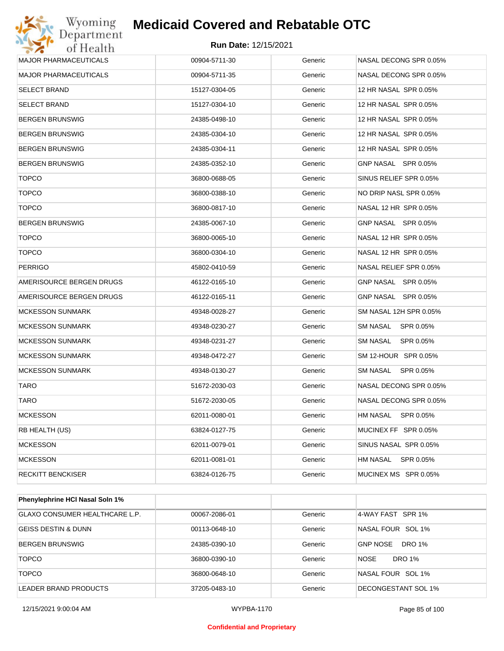

| <b>MAJOR PHARMACEUTICALS</b> | 00904-5711-30 | Generic | NASAL DECONG SPR 0.05% |
|------------------------------|---------------|---------|------------------------|
| <b>MAJOR PHARMACEUTICALS</b> | 00904-5711-35 | Generic | NASAL DECONG SPR 0.05% |
| <b>SELECT BRAND</b>          | 15127-0304-05 | Generic | 12 HR NASAL SPR 0.05%  |
| <b>SELECT BRAND</b>          | 15127-0304-10 | Generic | 12 HR NASAL SPR 0.05%  |
| <b>BERGEN BRUNSWIG</b>       | 24385-0498-10 | Generic | 12 HR NASAL SPR 0.05%  |
| <b>BERGEN BRUNSWIG</b>       | 24385-0304-10 | Generic | 12 HR NASAL SPR 0.05%  |
| <b>BERGEN BRUNSWIG</b>       | 24385-0304-11 | Generic | 12 HR NASAL SPR 0.05%  |
| <b>BERGEN BRUNSWIG</b>       | 24385-0352-10 | Generic | GNP NASAL SPR 0.05%    |
| <b>TOPCO</b>                 | 36800-0688-05 | Generic | SINUS RELIEF SPR 0.05% |
| <b>TOPCO</b>                 | 36800-0388-10 | Generic | NO DRIP NASL SPR 0.05% |
| <b>TOPCO</b>                 | 36800-0817-10 | Generic | NASAL 12 HR SPR 0.05%  |
| <b>BERGEN BRUNSWIG</b>       | 24385-0067-10 | Generic | GNP NASAL SPR 0.05%    |
| <b>TOPCO</b>                 | 36800-0065-10 | Generic | NASAL 12 HR SPR 0.05%  |
| <b>TOPCO</b>                 | 36800-0304-10 | Generic | NASAL 12 HR SPR 0.05%  |
| <b>PERRIGO</b>               | 45802-0410-59 | Generic | NASAL RELIEF SPR 0.05% |
| AMERISOURCE BERGEN DRUGS     | 46122-0165-10 | Generic | GNP NASAL SPR 0.05%    |
| AMERISOURCE BERGEN DRUGS     | 46122-0165-11 | Generic | GNP NASAL SPR 0.05%    |
| <b>MCKESSON SUNMARK</b>      | 49348-0028-27 | Generic | SM NASAL 12H SPR 0.05% |
| <b>MCKESSON SUNMARK</b>      | 49348-0230-27 | Generic | SM NASAL SPR 0.05%     |
| <b>MCKESSON SUNMARK</b>      | 49348-0231-27 | Generic | SM NASAL SPR 0.05%     |
| <b>MCKESSON SUNMARK</b>      | 49348-0472-27 | Generic | SM 12-HOUR SPR 0.05%   |
| <b>MCKESSON SUNMARK</b>      | 49348-0130-27 | Generic | SM NASAL SPR 0.05%     |
| <b>TARO</b>                  | 51672-2030-03 | Generic | NASAL DECONG SPR 0.05% |
| <b>TARO</b>                  | 51672-2030-05 | Generic | NASAL DECONG SPR 0.05% |
| <b>MCKESSON</b>              | 62011-0080-01 | Generic | HM NASAL SPR 0.05%     |
| RB HEALTH (US)               | 63824-0127-75 | Generic | MUCINEX FF SPR 0.05%   |
| <b>MCKESSON</b>              | 62011-0079-01 | Generic | SINUS NASAL SPR 0.05%  |
| <b>MCKESSON</b>              | 62011-0081-01 | Generic | HM NASAL SPR 0.05%     |
| <b>RECKITT BENCKISER</b>     | 63824-0126-75 | Generic | MUCINEX MS SPR 0.05%   |
|                              |               |         |                        |

| <b>Phenylephrine HCI Nasal Soln 1%</b> |               |         |                                  |
|----------------------------------------|---------------|---------|----------------------------------|
| <b>GLAXO CONSUMER HEALTHCARE L.P.</b>  | 00067-2086-01 | Generic | 4-WAY FAST SPR 1%                |
| <b>GEISS DESTIN &amp; DUNN</b>         | 00113-0648-10 | Generic | NASAL FOUR SOL 1%                |
| <b>BERGEN BRUNSWIG</b>                 | 24385-0390-10 | Generic | <b>GNP NOSE</b><br><b>DRO 1%</b> |
| <b>TOPCO</b>                           | 36800-0390-10 | Generic | <b>NOSE</b><br><b>DRO 1%</b>     |
| <b>TOPCO</b>                           | 36800-0648-10 | Generic | NASAL FOUR SOL 1%                |
| LEADER BRAND PRODUCTS                  | 37205-0483-10 | Generic | DECONGESTANT SOL 1%              |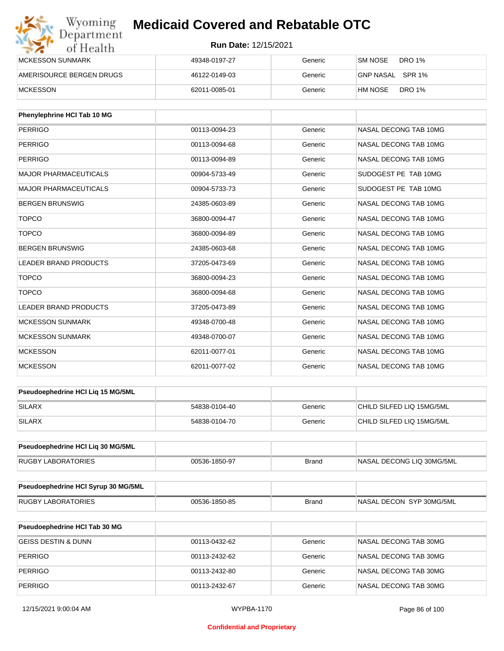| Wyoming<br>Department    | <b>Medicaid Covered and Rebatable OTC</b> |         |                           |  |
|--------------------------|-------------------------------------------|---------|---------------------------|--|
| of Health                | <b>Run Date: 12/15/2021</b>               |         |                           |  |
| <b>MCKESSON SUNMARK</b>  | 49348-0197-27                             | Generic | DRO 1%<br>SM NOSE         |  |
| AMERISOURCE BERGEN DRUGS | 46122-0149-03                             | Generic | GNP NASAL<br>SPR 1%       |  |
| <b>MCKESSON</b>          | 62011-0085-01                             | Generic | <b>DRO 1%</b><br>'HM NOSE |  |

| Phenylephrine HCI Tab 10 MG  |               |         |                       |
|------------------------------|---------------|---------|-----------------------|
| <b>PERRIGO</b>               | 00113-0094-23 | Generic | NASAL DECONG TAB 10MG |
| <b>PERRIGO</b>               | 00113-0094-68 | Generic | NASAL DECONG TAB 10MG |
| <b>PERRIGO</b>               | 00113-0094-89 | Generic | NASAL DECONG TAB 10MG |
| <b>MAJOR PHARMACEUTICALS</b> | 00904-5733-49 | Generic | SUDOGEST PE TAB 10MG  |
| <b>MAJOR PHARMACEUTICALS</b> | 00904-5733-73 | Generic | SUDOGEST PE TAB 10MG  |
| <b>BERGEN BRUNSWIG</b>       | 24385-0603-89 | Generic | NASAL DECONG TAB 10MG |
| <b>TOPCO</b>                 | 36800-0094-47 | Generic | NASAL DECONG TAB 10MG |
| <b>TOPCO</b>                 | 36800-0094-89 | Generic | NASAL DECONG TAB 10MG |
| <b>BERGEN BRUNSWIG</b>       | 24385-0603-68 | Generic | NASAL DECONG TAB 10MG |
| <b>LEADER BRAND PRODUCTS</b> | 37205-0473-69 | Generic | NASAL DECONG TAB 10MG |
| <b>TOPCO</b>                 | 36800-0094-23 | Generic | NASAL DECONG TAB 10MG |
| <b>TOPCO</b>                 | 36800-0094-68 | Generic | NASAL DECONG TAB 10MG |
| <b>LEADER BRAND PRODUCTS</b> | 37205-0473-89 | Generic | NASAL DECONG TAB 10MG |
| <b>MCKESSON SUNMARK</b>      | 49348-0700-48 | Generic | NASAL DECONG TAB 10MG |
| <b>MCKESSON SUNMARK</b>      | 49348-0700-07 | Generic | NASAL DECONG TAB 10MG |
| <b>MCKESSON</b>              | 62011-0077-01 | Generic | NASAL DECONG TAB 10MG |
| <b>MCKESSON</b>              | 62011-0077-02 | Generic | NASAL DECONG TAB 10MG |

| <b>Pseudoephedrine HCI Lig 15 MG/5ML</b> |               |         |                           |
|------------------------------------------|---------------|---------|---------------------------|
| <b>SILARX</b>                            | 54838-0104-40 | Generic | CHILD SILFED LIQ 15MG/5ML |
| SILARX                                   | 54838-0104-70 | Generic | CHILD SILFED LIQ 15MG/5ML |

| <b>Pseudoephedrine HCI Lig 30 MG/5ML</b> |               |       |                            |
|------------------------------------------|---------------|-------|----------------------------|
| <b>RUGBY LABORATORIES</b>                | 00536-1850-97 | Brand | INASAL DECONG LIQ 30MG/5ML |

| Pseudoephedrine HCI Syrup 30 MG/5ML |               |       |                           |
|-------------------------------------|---------------|-------|---------------------------|
| LABORATORIES<br>RUGBY               | 00536-1850-85 | Brand | INASAL DECON SYP 30MG/5ML |

| <b>Pseudoephedrine HCI Tab 30 MG</b> |               |         |                       |
|--------------------------------------|---------------|---------|-----------------------|
| GEISS DESTIN & DUNN                  | 00113-0432-62 | Generic | NASAL DECONG TAB 30MG |
| PERRIGO                              | 00113-2432-62 | Generic | NASAL DECONG TAB 30MG |
| PERRIGO                              | 00113-2432-80 | Generic | NASAL DECONG TAB 30MG |
| PERRIGO                              | 00113-2432-67 | Generic | NASAL DECONG TAB 30MG |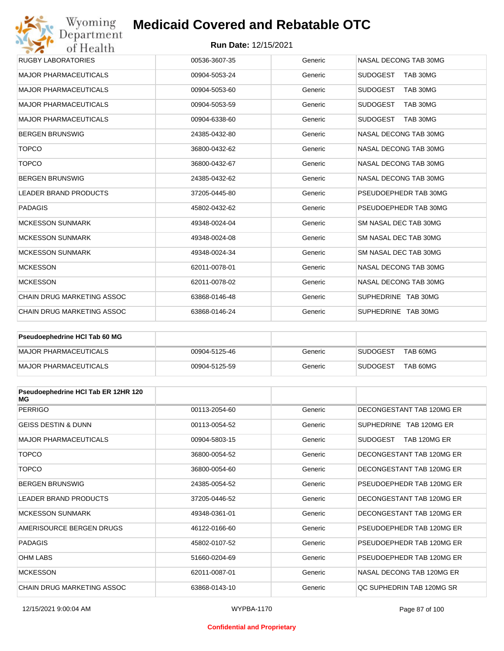## **Run Date:** 12/15/2021

| Wyoming<br>Department             | <b>Medicaid Covered and Rebatable OTC</b> |         |                             |
|-----------------------------------|-------------------------------------------|---------|-----------------------------|
| of Health                         | <b>Run Date: 12/15/2021</b>               |         |                             |
| <b>RUGBY LABORATORIES</b>         | 00536-3607-35                             | Generic | NASAL DECONG TAB 30MG       |
| <b>MAJOR PHARMACEUTICALS</b>      | 00904-5053-24                             | Generic | <b>SUDOGEST</b><br>TAB 30MG |
| <b>MAJOR PHARMACEUTICALS</b>      | 00904-5053-60                             | Generic | <b>SUDOGEST</b><br>TAB 30MG |
| <b>MAJOR PHARMACEUTICALS</b>      | 00904-5053-59                             | Generic | <b>SUDOGEST</b><br>TAB 30MG |
| <b>MAJOR PHARMACEUTICALS</b>      | 00904-6338-60                             | Generic | <b>SUDOGEST</b><br>TAB 30MG |
| <b>BERGEN BRUNSWIG</b>            | 24385-0432-80                             | Generic | NASAL DECONG TAB 30MG       |
| <b>TOPCO</b>                      | 36800-0432-62                             | Generic | NASAL DECONG TAB 30MG       |
| <b>TOPCO</b>                      | 36800-0432-67                             | Generic | NASAL DECONG TAB 30MG       |
| <b>BERGEN BRUNSWIG</b>            | 24385-0432-62                             | Generic | NASAL DECONG TAB 30MG       |
| <b>LEADER BRAND PRODUCTS</b>      | 37205-0445-80                             | Generic | PSEUDOEPHEDR TAB 30MG       |
| <b>PADAGIS</b>                    | 45802-0432-62                             | Generic | PSEUDOEPHEDR TAB 30MG       |
| <b>MCKESSON SUNMARK</b>           | 49348-0024-04                             | Generic | SM NASAL DEC TAB 30MG       |
| <b>MCKESSON SUNMARK</b>           | 49348-0024-08                             | Generic | SM NASAL DEC TAB 30MG       |
| <b>MCKESSON SUNMARK</b>           | 49348-0024-34                             | Generic | SM NASAL DEC TAB 30MG       |
| <b>MCKESSON</b>                   | 62011-0078-01                             | Generic | NASAL DECONG TAB 30MG       |
| <b>MCKESSON</b>                   | 62011-0078-02                             | Generic | NASAL DECONG TAB 30MG       |
| CHAIN DRUG MARKETING ASSOC        | 63868-0146-48                             | Generic | SUPHEDRINE TAB 30MG         |
| <b>CHAIN DRUG MARKETING ASSOC</b> | 63868-0146-24                             | Generic | SUPHEDRINE TAB 30MG         |

| <b>Pseudoephedrine HCI Tab 60 MG</b> |               |         |                             |
|--------------------------------------|---------------|---------|-----------------------------|
| MAJOR PHARMACEUTICALS                | 00904-5125-46 | Generic | TAB 60MG<br><b>SUDOGEST</b> |
| MAJOR PHARMACEUTICALS                | 00904-5125-59 | Generic | TAB 60MG<br><b>SUDOGEST</b> |

| Pseudoephedrine HCI Tab ER 12HR 120<br>MG |               |         |                                 |
|-------------------------------------------|---------------|---------|---------------------------------|
| <b>PERRIGO</b>                            | 00113-2054-60 | Generic | DECONGESTANT TAB 120MG ER       |
| <b>GEISS DESTIN &amp; DUNN</b>            | 00113-0054-52 | Generic | SUPHEDRINE TAB 120MG ER         |
| <b>MAJOR PHARMACEUTICALS</b>              | 00904-5803-15 | Generic | <b>SUDOGEST</b><br>TAB 120MG ER |
| <b>TOPCO</b>                              | 36800-0054-52 | Generic | DECONGESTANT TAB 120MG ER       |
| <b>TOPCO</b>                              | 36800-0054-60 | Generic | DECONGESTANT TAB 120MG ER       |
| <b>BERGEN BRUNSWIG</b>                    | 24385-0054-52 | Generic | PSEUDOEPHEDR TAB 120MG ER       |
| <b>LEADER BRAND PRODUCTS</b>              | 37205-0446-52 | Generic | DECONGESTANT TAB 120MG ER       |
| <b>MCKESSON SUNMARK</b>                   | 49348-0361-01 | Generic | DECONGESTANT TAB 120MG ER       |
| AMERISOURCE BERGEN DRUGS                  | 46122-0166-60 | Generic | PSEUDOEPHEDR TAB 120MG ER       |
| <b>PADAGIS</b>                            | 45802-0107-52 | Generic | PSEUDOEPHEDR TAB 120MG ER       |
| <b>OHM LABS</b>                           | 51660-0204-69 | Generic | PSEUDOEPHEDR TAB 120MG ER       |
| <b>MCKESSON</b>                           | 62011-0087-01 | Generic | NASAL DECONG TAB 120MG ER       |
| CHAIN DRUG MARKETING ASSOC                | 63868-0143-10 | Generic | OC SUPHEDRIN TAB 120MG SR       |

#### **Confidential and Proprietary**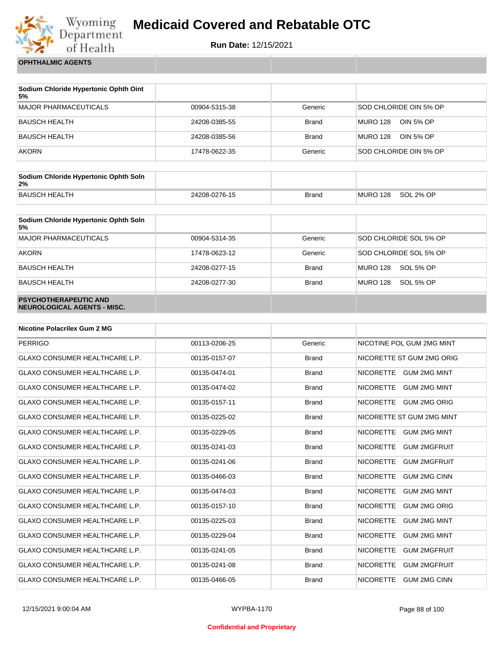

**Run Date:** 12/15/2021

**OPHTHALMIC AGENTS**

| Sodium Chloride Hypertonic Ophth Oint<br>5% |               |              |                              |
|---------------------------------------------|---------------|--------------|------------------------------|
| <b>MAJOR PHARMACEUTICALS</b>                | 00904-5315-38 | Generic      | SOD CHLORIDE OIN 5% OP       |
| <b>BAUSCH HEALTH</b>                        | 24208-0385-55 | <b>Brand</b> | <b>MURO 128</b><br>OIN 5% OP |
| <b>BAUSCH HEALTH</b>                        | 24208-0385-56 | <b>Brand</b> | <b>MURO 128</b><br>OIN 5% OP |
| <b>AKORN</b>                                | 17478-0622-35 | Generic      | SOD CHLORIDE OIN 5% OP       |

| Sodium Chloride Hypertonic Ophth Soln<br>2% |               |              |          |           |
|---------------------------------------------|---------------|--------------|----------|-----------|
| <b>BAUSCH HEALTH</b>                        | 24208-0276-15 | <b>Brand</b> | MURO 128 | SOL 2% OP |

| Sodium Chloride Hypertonic Ophth Soln<br>5%                 |               |              |                              |
|-------------------------------------------------------------|---------------|--------------|------------------------------|
| <b>MAJOR PHARMACEUTICALS</b>                                | 00904-5314-35 | Generic      | SOD CHLORIDE SOL 5% OP       |
| <b>AKORN</b>                                                | 17478-0623-12 | Generic      | SOD CHLORIDE SOL 5% OP       |
| <b>BAUSCH HEALTH</b>                                        | 24208-0277-15 | <b>Brand</b> | <b>MURO 128</b><br>SOL 5% OP |
| <b>BAUSCH HEALTH</b>                                        | 24208-0277-30 | <b>Brand</b> | <b>MURO 128</b><br>SOL 5% OP |
| <b>PSYCHOTHERAPEUTIC AND</b><br>NEUROLOGICAL AGENTS - MISC. |               |              |                              |

| <b>Nicotine Polacrilex Gum 2 MG</b>   |               |              |                                         |
|---------------------------------------|---------------|--------------|-----------------------------------------|
| <b>PERRIGO</b>                        | 00113-0206-25 | Generic      | NICOTINE POL GUM 2MG MINT               |
| <b>GLAXO CONSUMER HEALTHCARE L.P.</b> | 00135-0157-07 | <b>Brand</b> | NICORETTE ST GUM 2MG ORIG               |
| <b>GLAXO CONSUMER HEALTHCARE L.P.</b> | 00135-0474-01 | <b>Brand</b> | <b>NICORETTE</b><br><b>GUM 2MG MINT</b> |
| <b>GLAXO CONSUMER HEALTHCARE L.P.</b> | 00135-0474-02 | <b>Brand</b> | <b>NICORETTE</b><br><b>GUM 2MG MINT</b> |
| <b>GLAXO CONSUMER HEALTHCARE L.P.</b> | 00135-0157-11 | <b>Brand</b> | <b>NICORETTE</b><br><b>GUM 2MG ORIG</b> |
| <b>GLAXO CONSUMER HEALTHCARE L.P.</b> | 00135-0225-02 | <b>Brand</b> | NICORETTE ST GUM 2MG MINT               |
| <b>GLAXO CONSUMER HEALTHCARE L.P.</b> | 00135-0229-05 | <b>Brand</b> | <b>NICORETTE</b><br><b>GUM 2MG MINT</b> |
| <b>GLAXO CONSUMER HEALTHCARE L.P.</b> | 00135-0241-03 | <b>Brand</b> | <b>NICORETTE</b><br><b>GUM 2MGFRUIT</b> |
| <b>GLAXO CONSUMER HEALTHCARE L.P.</b> | 00135-0241-06 | <b>Brand</b> | <b>NICORETTE</b><br><b>GUM 2MGFRUIT</b> |
| <b>GLAXO CONSUMER HEALTHCARE L.P.</b> | 00135-0466-03 | <b>Brand</b> | <b>NICORETTE</b><br><b>GUM 2MG CINN</b> |
| <b>GLAXO CONSUMER HEALTHCARE L.P.</b> | 00135-0474-03 | <b>Brand</b> | <b>NICORETTE</b><br><b>GUM 2MG MINT</b> |
| <b>GLAXO CONSUMER HEALTHCARE L.P.</b> | 00135-0157-10 | <b>Brand</b> | <b>GUM 2MG ORIG</b><br><b>NICORETTE</b> |
| <b>GLAXO CONSUMER HEALTHCARE L.P.</b> | 00135-0225-03 | <b>Brand</b> | <b>NICORETTE</b><br><b>GUM 2MG MINT</b> |
| <b>GLAXO CONSUMER HEALTHCARE L.P.</b> | 00135-0229-04 | <b>Brand</b> | <b>NICORETTE</b><br><b>GUM 2MG MINT</b> |
| <b>GLAXO CONSUMER HEALTHCARE L.P.</b> | 00135-0241-05 | <b>Brand</b> | <b>NICORETTE</b><br><b>GUM 2MGFRUIT</b> |
| <b>GLAXO CONSUMER HEALTHCARE L.P.</b> | 00135-0241-08 | <b>Brand</b> | <b>NICORETTE</b><br><b>GUM 2MGFRUIT</b> |
| <b>GLAXO CONSUMER HEALTHCARE L.P.</b> | 00135-0466-05 | <b>Brand</b> | <b>NICORETTE</b><br><b>GUM 2MG CINN</b> |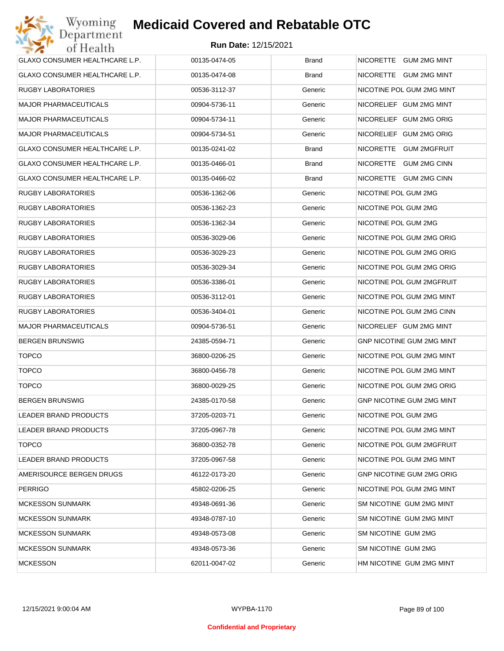| GLAXO CONSUMER HEALTHCARE L.P.        | 00135-0474-05 | <b>Brand</b> | NICORETTE GUM 2MG MINT           |
|---------------------------------------|---------------|--------------|----------------------------------|
| <b>GLAXO CONSUMER HEALTHCARE L.P.</b> | 00135-0474-08 | <b>Brand</b> | NICORETTE GUM 2MG MINT           |
| RUGBY LABORATORIES                    | 00536-3112-37 | Generic      | NICOTINE POL GUM 2MG MINT        |
| <b>MAJOR PHARMACEUTICALS</b>          | 00904-5736-11 | Generic      | NICORELIEF GUM 2MG MINT          |
| <b>MAJOR PHARMACEUTICALS</b>          | 00904-5734-11 | Generic      | NICORELIEF GUM 2MG ORIG          |
| <b>MAJOR PHARMACEUTICALS</b>          | 00904-5734-51 | Generic      | NICORELIEF GUM 2MG ORIG          |
| GLAXO CONSUMER HEALTHCARE L.P.        | 00135-0241-02 | <b>Brand</b> | NICORETTE GUM 2MGFRUIT           |
| <b>GLAXO CONSUMER HEALTHCARE L.P.</b> | 00135-0466-01 | <b>Brand</b> | NICORETTE GUM 2MG CINN           |
| GLAXO CONSUMER HEALTHCARE L.P.        | 00135-0466-02 | <b>Brand</b> | NICORETTE GUM 2MG CINN           |
| RUGBY LABORATORIES                    | 00536-1362-06 | Generic      | NICOTINE POL GUM 2MG             |
| RUGBY LABORATORIES                    | 00536-1362-23 | Generic      | NICOTINE POL GUM 2MG             |
| <b>RUGBY LABORATORIES</b>             | 00536-1362-34 | Generic      | NICOTINE POL GUM 2MG             |
| RUGBY LABORATORIES                    | 00536-3029-06 | Generic      | NICOTINE POL GUM 2MG ORIG        |
| <b>RUGBY LABORATORIES</b>             | 00536-3029-23 | Generic      | NICOTINE POL GUM 2MG ORIG        |
| <b>RUGBY LABORATORIES</b>             | 00536-3029-34 | Generic      | NICOTINE POL GUM 2MG ORIG        |
| <b>RUGBY LABORATORIES</b>             | 00536-3386-01 | Generic      | NICOTINE POL GUM 2MGFRUIT        |
| <b>RUGBY LABORATORIES</b>             | 00536-3112-01 | Generic      | NICOTINE POL GUM 2MG MINT        |
| <b>RUGBY LABORATORIES</b>             | 00536-3404-01 | Generic      | NICOTINE POL GUM 2MG CINN        |
| <b>MAJOR PHARMACEUTICALS</b>          | 00904-5736-51 | Generic      | NICORELIEF GUM 2MG MINT          |
| <b>BERGEN BRUNSWIG</b>                | 24385-0594-71 | Generic      | <b>GNP NICOTINE GUM 2MG MINT</b> |
| <b>TOPCO</b>                          | 36800-0206-25 | Generic      | NICOTINE POL GUM 2MG MINT        |
| <b>TOPCO</b>                          | 36800-0456-78 | Generic      | NICOTINE POL GUM 2MG MINT        |
| <b>TOPCO</b>                          | 36800-0029-25 | Generic      | NICOTINE POL GUM 2MG ORIG        |
| <b>BERGEN BRUNSWIG</b>                | 24385-0170-58 | Generic      | <b>GNP NICOTINE GUM 2MG MINT</b> |
| <b>LEADER BRAND PRODUCTS</b>          | 37205-0203-71 | Generic      | NICOTINE POL GUM 2MG             |
| LEADER BRAND PRODUCTS                 | 37205-0967-78 | Generic      | NICOTINE POL GUM 2MG MINT        |
| <b>TOPCO</b>                          | 36800-0352-78 | Generic      | NICOTINE POL GUM 2MGFRUIT        |
| LEADER BRAND PRODUCTS                 | 37205-0967-58 | Generic      | NICOTINE POL GUM 2MG MINT        |
| AMERISOURCE BERGEN DRUGS              | 46122-0173-20 | Generic      | <b>GNP NICOTINE GUM 2MG ORIG</b> |
| <b>PERRIGO</b>                        | 45802-0206-25 | Generic      | NICOTINE POL GUM 2MG MINT        |
| <b>MCKESSON SUNMARK</b>               | 49348-0691-36 | Generic      | SM NICOTINE GUM 2MG MINT         |
| <b>MCKESSON SUNMARK</b>               | 49348-0787-10 | Generic      | SM NICOTINE GUM 2MG MINT         |
| <b>MCKESSON SUNMARK</b>               | 49348-0573-08 | Generic      | SM NICOTINE GUM 2MG              |
| <b>MCKESSON SUNMARK</b>               | 49348-0573-36 | Generic      | SM NICOTINE GUM 2MG              |
| <b>MCKESSON</b>                       | 62011-0047-02 | Generic      | HM NICOTINE GUM 2MG MINT         |
|                                       |               |              |                                  |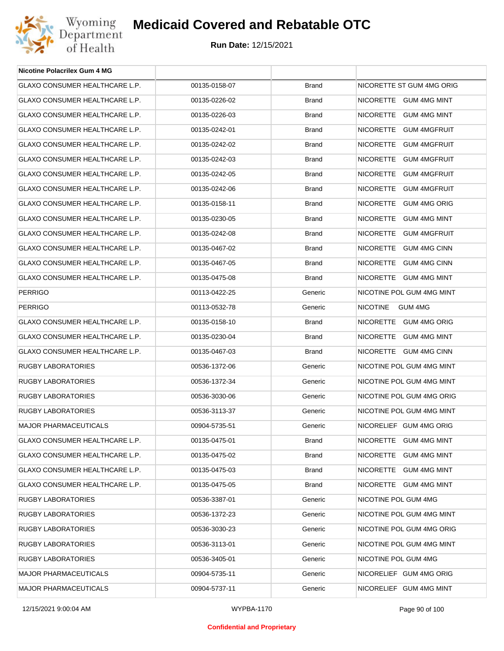

| <b>Nicotine Polacrilex Gum 4 MG</b>   |               |              |                            |
|---------------------------------------|---------------|--------------|----------------------------|
| GLAXO CONSUMER HEALTHCARE L.P.        | 00135-0158-07 | <b>Brand</b> | NICORETTE ST GUM 4MG ORIG  |
| GLAXO CONSUMER HEALTHCARE L.P.        | 00135-0226-02 | <b>Brand</b> | NICORETTE GUM 4MG MINT     |
| GLAXO CONSUMER HEALTHCARE L.P.        | 00135-0226-03 | <b>Brand</b> | NICORETTE GUM 4MG MINT     |
| GLAXO CONSUMER HEALTHCARE L.P.        | 00135-0242-01 | <b>Brand</b> | NICORETTE GUM 4MGFRUIT     |
| GLAXO CONSUMER HEALTHCARE L.P.        | 00135-0242-02 | <b>Brand</b> | NICORETTE GUM 4MGFRUIT     |
| <b>GLAXO CONSUMER HEALTHCARE L.P.</b> | 00135-0242-03 | <b>Brand</b> | NICORETTE GUM 4MGFRUIT     |
| GLAXO CONSUMER HEALTHCARE L.P.        | 00135-0242-05 | <b>Brand</b> | NICORETTE GUM 4MGFRUIT     |
| GLAXO CONSUMER HEALTHCARE L.P.        | 00135-0242-06 | <b>Brand</b> | NICORETTE GUM 4MGFRUIT     |
| GLAXO CONSUMER HEALTHCARE L.P.        | 00135-0158-11 | <b>Brand</b> | NICORETTE GUM 4MG ORIG     |
| GLAXO CONSUMER HEALTHCARE L.P.        | 00135-0230-05 | <b>Brand</b> | NICORETTE GUM 4MG MINT     |
| GLAXO CONSUMER HEALTHCARE L.P.        | 00135-0242-08 | <b>Brand</b> | NICORETTE GUM 4MGFRUIT     |
| <b>GLAXO CONSUMER HEALTHCARE L.P.</b> | 00135-0467-02 | <b>Brand</b> | NICORETTE GUM 4MG CINN     |
| GLAXO CONSUMER HEALTHCARE L.P.        | 00135-0467-05 | <b>Brand</b> | NICORETTE GUM 4MG CINN     |
| GLAXO CONSUMER HEALTHCARE L.P.        | 00135-0475-08 | <b>Brand</b> | NICORETTE GUM 4MG MINT     |
| <b>PERRIGO</b>                        | 00113-0422-25 | Generic      | NICOTINE POL GUM 4MG MINT  |
| <b>PERRIGO</b>                        | 00113-0532-78 | Generic      | <b>NICOTINE</b><br>GUM 4MG |
| GLAXO CONSUMER HEALTHCARE L.P.        | 00135-0158-10 | <b>Brand</b> | NICORETTE GUM 4MG ORIG     |
| GLAXO CONSUMER HEALTHCARE L.P.        | 00135-0230-04 | <b>Brand</b> | NICORETTE GUM 4MG MINT     |
| GLAXO CONSUMER HEALTHCARE L.P.        | 00135-0467-03 | <b>Brand</b> | NICORETTE GUM 4MG CINN     |
| <b>RUGBY LABORATORIES</b>             | 00536-1372-06 | Generic      | NICOTINE POL GUM 4MG MINT  |
| <b>RUGBY LABORATORIES</b>             | 00536-1372-34 | Generic      | NICOTINE POL GUM 4MG MINT  |
| <b>RUGBY LABORATORIES</b>             | 00536-3030-06 | Generic      | NICOTINE POL GUM 4MG ORIG  |
| <b>RUGBY LABORATORIES</b>             | 00536-3113-37 | Generic      | NICOTINE POL GUM 4MG MINT  |
| <b>MAJOR PHARMACEUTICALS</b>          | 00904-5735-51 | Generic      | NICORELIEF GUM 4MG ORIG    |
| <b>GLAXO CONSUMER HEALTHCARE L.P.</b> | 00135-0475-01 | <b>Brand</b> | NICORETTE GUM 4MG MINT     |
| GLAXO CONSUMER HEALTHCARE L.P.        | 00135-0475-02 | <b>Brand</b> | NICORETTE GUM 4MG MINT     |
| GLAXO CONSUMER HEALTHCARE L.P.        | 00135-0475-03 | <b>Brand</b> | NICORETTE GUM 4MG MINT     |
| GLAXO CONSUMER HEALTHCARE L.P.        | 00135-0475-05 | <b>Brand</b> | NICORETTE GUM 4MG MINT     |
| <b>RUGBY LABORATORIES</b>             | 00536-3387-01 | Generic      | NICOTINE POL GUM 4MG       |
| <b>RUGBY LABORATORIES</b>             | 00536-1372-23 | Generic      | NICOTINE POL GUM 4MG MINT  |
| <b>RUGBY LABORATORIES</b>             | 00536-3030-23 | Generic      | NICOTINE POL GUM 4MG ORIG  |
| RUGBY LABORATORIES                    | 00536-3113-01 | Generic      | NICOTINE POL GUM 4MG MINT  |
| <b>RUGBY LABORATORIES</b>             | 00536-3405-01 | Generic      | NICOTINE POL GUM 4MG       |
| <b>MAJOR PHARMACEUTICALS</b>          | 00904-5735-11 | Generic      | NICORELIEF GUM 4MG ORIG    |
| <b>MAJOR PHARMACEUTICALS</b>          | 00904-5737-11 | Generic      | NICORELIEF GUM 4MG MINT    |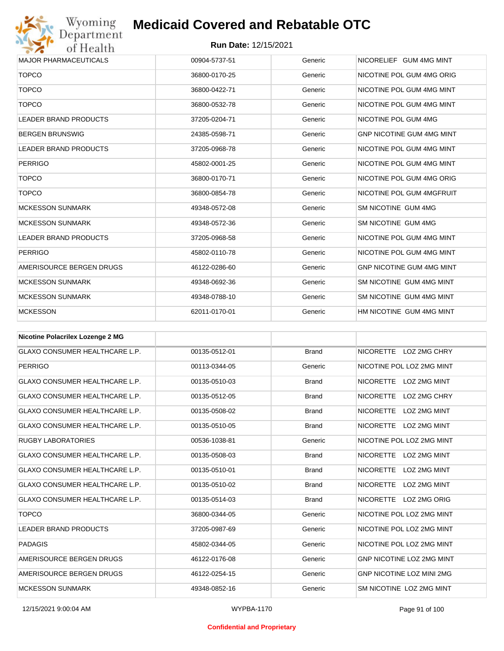

| <b>MAJOR PHARMACEUTICALS</b>     | 00904-5737-51 | Generic | NICORELIEF GUM 4MG MINT          |
|----------------------------------|---------------|---------|----------------------------------|
| <b>TOPCO</b>                     | 36800-0170-25 | Generic | NICOTINE POL GUM 4MG ORIG        |
| <b>TOPCO</b>                     | 36800-0422-71 | Generic | NICOTINE POL GUM 4MG MINT        |
| <b>TOPCO</b>                     | 36800-0532-78 | Generic | NICOTINE POL GUM 4MG MINT        |
| <b>LEADER BRAND PRODUCTS</b>     | 37205-0204-71 | Generic | NICOTINE POL GUM 4MG             |
| <b>BERGEN BRUNSWIG</b>           | 24385-0598-71 | Generic | <b>GNP NICOTINE GUM 4MG MINT</b> |
| <b>LEADER BRAND PRODUCTS</b>     | 37205-0968-78 | Generic | NICOTINE POL GUM 4MG MINT        |
| <b>PERRIGO</b>                   | 45802-0001-25 | Generic | NICOTINE POL GUM 4MG MINT        |
| <b>TOPCO</b>                     | 36800-0170-71 | Generic | NICOTINE POL GUM 4MG ORIG        |
| <b>TOPCO</b>                     | 36800-0854-78 | Generic | NICOTINE POL GUM 4MGFRUIT        |
| <b>MCKESSON SUNMARK</b>          | 49348-0572-08 | Generic | SM NICOTINE GUM 4MG              |
| <b>MCKESSON SUNMARK</b>          | 49348-0572-36 | Generic | SM NICOTINE GUM 4MG              |
| <b>LEADER BRAND PRODUCTS</b>     | 37205-0968-58 | Generic | NICOTINE POL GUM 4MG MINT        |
| <b>PERRIGO</b>                   | 45802-0110-78 | Generic | NICOTINE POL GUM 4MG MINT        |
| AMERISOURCE BERGEN DRUGS         | 46122-0286-60 | Generic | <b>GNP NICOTINE GUM 4MG MINT</b> |
| <b>MCKESSON SUNMARK</b>          | 49348-0692-36 | Generic | SM NICOTINE GUM 4MG MINT         |
| <b>MCKESSON SUNMARK</b>          | 49348-0788-10 | Generic | SM NICOTINE GUM 4MG MINT         |
| <b>MCKESSON</b>                  | 62011-0170-01 | Generic | HM NICOTINE GUM 4MG MINT         |
| Nicotine Pelseriler Lezenge 2 MC |               |         |                                  |

| NICOTING POIACTIEX LOZENGE 2 MG       |               |              |                                         |
|---------------------------------------|---------------|--------------|-----------------------------------------|
| <b>GLAXO CONSUMER HEALTHCARE L.P.</b> | 00135-0512-01 | <b>Brand</b> | NICORETTE LOZ 2MG CHRY                  |
| <b>PERRIGO</b>                        | 00113-0344-05 | Generic      | NICOTINE POL LOZ 2MG MINT               |
| <b>GLAXO CONSUMER HEALTHCARE L.P.</b> | 00135-0510-03 | <b>Brand</b> | NICORETTE LOZ 2MG MINT                  |
| <b>GLAXO CONSUMER HEALTHCARE L.P.</b> | 00135-0512-05 | <b>Brand</b> | <b>NICORETTE</b><br>LOZ 2MG CHRY        |
| <b>GLAXO CONSUMER HEALTHCARE L.P.</b> | 00135-0508-02 | <b>Brand</b> | <b>NICORETTE</b><br><b>LOZ 2MG MINT</b> |
| <b>GLAXO CONSUMER HEALTHCARE L.P.</b> | 00135-0510-05 | <b>Brand</b> | NICORETTE LOZ 2MG MINT                  |
| <b>RUGBY LABORATORIES</b>             | 00536-1038-81 | Generic      | NICOTINE POL LOZ 2MG MINT               |
| <b>GLAXO CONSUMER HEALTHCARE L.P.</b> | 00135-0508-03 | <b>Brand</b> | NICORETTE LOZ 2MG MINT                  |
| <b>GLAXO CONSUMER HEALTHCARE L.P.</b> | 00135-0510-01 | <b>Brand</b> | <b>NICORETTE</b><br>LOZ 2MG MINT        |
| <b>GLAXO CONSUMER HEALTHCARE L.P.</b> | 00135-0510-02 | <b>Brand</b> | <b>NICORETTE</b><br>LOZ 2MG MINT        |
| <b>GLAXO CONSUMER HEALTHCARE L.P.</b> | 00135-0514-03 | <b>Brand</b> | NICORETTE LOZ 2MG ORIG                  |
| <b>TOPCO</b>                          | 36800-0344-05 | Generic      | NICOTINE POL LOZ 2MG MINT               |
| <b>LEADER BRAND PRODUCTS</b>          | 37205-0987-69 | Generic      | NICOTINE POL LOZ 2MG MINT               |
| <b>PADAGIS</b>                        | 45802-0344-05 | Generic      | NICOTINE POL LOZ 2MG MINT               |
| AMERISOURCE BERGEN DRUGS              | 46122-0176-08 | Generic      | <b>GNP NICOTINE LOZ 2MG MINT</b>        |
| AMERISOURCE BERGEN DRUGS              | 46122-0254-15 | Generic      | <b>GNP NICOTINE LOZ MINI 2MG</b>        |
| <b>MCKESSON SUNMARK</b>               | 49348-0852-16 | Generic      | SM NICOTINE LOZ 2MG MINT                |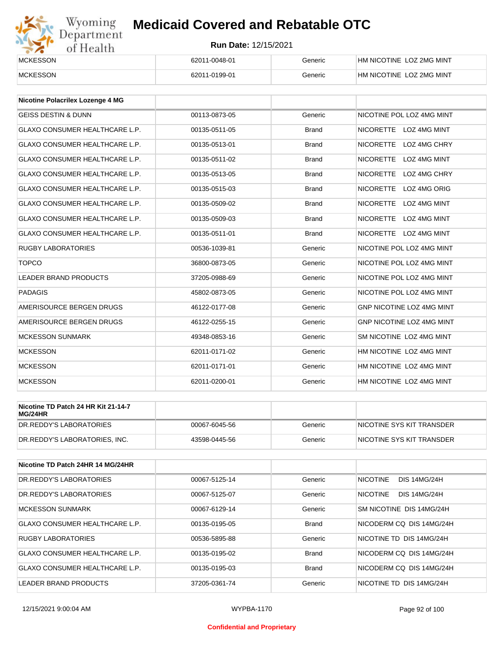# Wyoming<br>Department<br>of Health

## **Medicaid Covered and Rebatable OTC**

| <b>MCKESSON</b> | 62011-0048-01 | Generic | HM NICOTINE LOZ 2MG MINT |
|-----------------|---------------|---------|--------------------------|
| <b>MCKESSON</b> | 62011-0199-01 | Generic | HM NICOTINE LOZ 2MG MINT |

| <b>Nicotine Polacrilex Lozenge 4 MG</b> |               |              |                                  |
|-----------------------------------------|---------------|--------------|----------------------------------|
| <b>GEISS DESTIN &amp; DUNN</b>          | 00113-0873-05 | Generic      | NICOTINE POL LOZ 4MG MINT        |
| <b>GLAXO CONSUMER HEALTHCARE L.P.</b>   | 00135-0511-05 | <b>Brand</b> | NICORETTE LOZ 4MG MINT           |
| <b>GLAXO CONSUMER HEALTHCARE L.P.</b>   | 00135-0513-01 | <b>Brand</b> | <b>NICORETTE</b><br>LOZ 4MG CHRY |
| <b>GLAXO CONSUMER HEALTHCARE L.P.</b>   | 00135-0511-02 | <b>Brand</b> | <b>NICORETTE</b><br>LOZ 4MG MINT |
| <b>GLAXO CONSUMER HEALTHCARE L.P.</b>   | 00135-0513-05 | <b>Brand</b> | NICORETTE LOZ 4MG CHRY           |
| <b>GLAXO CONSUMER HEALTHCARE L.P.</b>   | 00135-0515-03 | <b>Brand</b> | <b>NICORETTE</b><br>LOZ 4MG ORIG |
| <b>GLAXO CONSUMER HEALTHCARE L.P.</b>   | 00135-0509-02 | <b>Brand</b> | <b>NICORETTE</b><br>LOZ 4MG MINT |
| <b>GLAXO CONSUMER HEALTHCARE L.P.</b>   | 00135-0509-03 | <b>Brand</b> | <b>NICORETTE</b><br>LOZ 4MG MINT |
| <b>GLAXO CONSUMER HEALTHCARE L.P.</b>   | 00135-0511-01 | <b>Brand</b> | NICORETTE LOZ 4MG MINT           |
| <b>RUGBY LABORATORIES</b>               | 00536-1039-81 | Generic      | NICOTINE POL LOZ 4MG MINT        |
| <b>TOPCO</b>                            | 36800-0873-05 | Generic      | NICOTINE POL LOZ 4MG MINT        |
| <b>LEADER BRAND PRODUCTS</b>            | 37205-0988-69 | Generic      | NICOTINE POL LOZ 4MG MINT        |
| <b>PADAGIS</b>                          | 45802-0873-05 | Generic      | NICOTINE POL LOZ 4MG MINT        |
| AMERISOURCE BERGEN DRUGS                | 46122-0177-08 | Generic      | GNP NICOTINE LOZ 4MG MINT        |
| AMERISOURCE BERGEN DRUGS                | 46122-0255-15 | Generic      | GNP NICOTINE LOZ 4MG MINT        |
| <b>MCKESSON SUNMARK</b>                 | 49348-0853-16 | Generic      | SM NICOTINE LOZ 4MG MINT         |
| <b>MCKESSON</b>                         | 62011-0171-02 | Generic      | HM NICOTINE LOZ 4MG MINT         |
| <b>MCKESSON</b>                         | 62011-0171-01 | Generic      | HM NICOTINE LOZ 4MG MINT         |
| <b>MCKESSON</b>                         | 62011-0200-01 | Generic      | HM NICOTINE LOZ 4MG MINT         |

| Nicotine TD Patch 24 HR Kit 21-14-7<br>MG/24HR |               |         |                            |
|------------------------------------------------|---------------|---------|----------------------------|
| IDR.REDDY'S LABORATORIES                       | 00067-6045-56 | Generic | INICOTINE SYS KIT TRANSDER |
| DR.REDDY'S LABORATORIES. INC.                  | 43598-0445-56 | Generic | INICOTINE SYS KIT TRANSDER |

| Nicotine TD Patch 24HR 14 MG/24HR |               |              |                                        |
|-----------------------------------|---------------|--------------|----------------------------------------|
| DR.REDDY'S LABORATORIES           | 00067-5125-14 | Generic      | <b>NICOTINE</b><br><b>DIS 14MG/24H</b> |
| DR.REDDY'S LABORATORIES           | 00067-5125-07 | Generic      | <b>NICOTINE</b><br><b>DIS 14MG/24H</b> |
| <b>MCKESSON SUNMARK</b>           | 00067-6129-14 | Generic      | SM NICOTINE DIS 14MG/24H               |
| GLAXO CONSUMER HEALTHCARE L.P.    | 00135-0195-05 | <b>Brand</b> | NICODERM CO DIS 14MG/24H               |
| <b>RUGBY LABORATORIES</b>         | 00536-5895-88 | Generic      | NICOTINE TD DIS 14MG/24H               |
| GLAXO CONSUMER HEALTHCARE L.P.    | 00135-0195-02 | <b>Brand</b> | NICODERM CO DIS 14MG/24H               |
| GLAXO CONSUMER HEALTHCARE L.P.    | 00135-0195-03 | <b>Brand</b> | NICODERM CO DIS 14MG/24H               |
| LEADER BRAND PRODUCTS             | 37205-0361-74 | Generic      | NICOTINE TD DIS 14MG/24H               |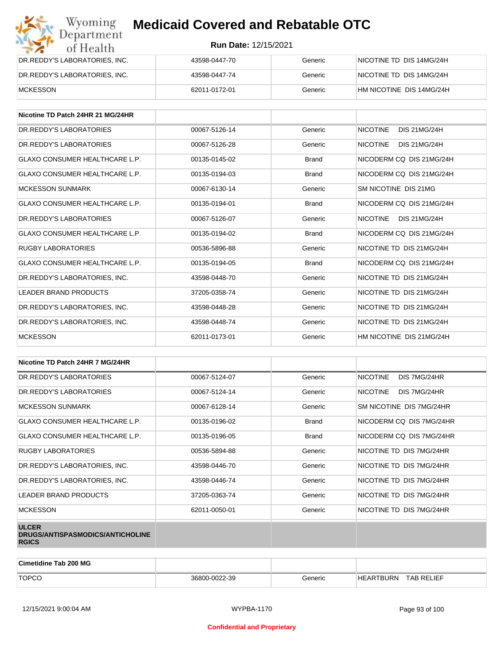

| Wyoming<br><b>Medicaid Covered and Rebatable OTC</b><br>Department |                             |         |                          |  |
|--------------------------------------------------------------------|-----------------------------|---------|--------------------------|--|
| of Health                                                          | <b>Run Date: 12/15/2021</b> |         |                          |  |
| DR.REDDY'S LABORATORIES, INC.                                      | 43598-0447-70               | Generic | NICOTINE TD DIS 14MG/24H |  |
| DR.REDDY'S LABORATORIES, INC.                                      | 43598-0447-74               | Generic | NICOTINE TD DIS 14MG/24H |  |
| <b>MCKESSON</b>                                                    | 62011-0172-01               | Generic | HM NICOTINE DIS 14MG/24H |  |

| Nicotine TD Patch 24HR 21 MG/24HR     |               |              |                                        |
|---------------------------------------|---------------|--------------|----------------------------------------|
| DR. REDDY'S LABORATORIES              | 00067-5126-14 | Generic      | <b>NICOTINE</b><br><b>DIS 21MG/24H</b> |
| DR. REDDY'S LABORATORIES              | 00067-5126-28 | Generic      | <b>NICOTINE</b><br><b>DIS 21MG/24H</b> |
| <b>GLAXO CONSUMER HEALTHCARE L.P.</b> | 00135-0145-02 | <b>Brand</b> | NICODERM CQ DIS 21MG/24H               |
| <b>GLAXO CONSUMER HEALTHCARE L.P.</b> | 00135-0194-03 | <b>Brand</b> | NICODERM CO DIS 21MG/24H               |
| <b>MCKESSON SUNMARK</b>               | 00067-6130-14 | Generic      | SM NICOTINE DIS 21MG                   |
| <b>GLAXO CONSUMER HEALTHCARE L.P.</b> | 00135-0194-01 | <b>Brand</b> | NICODERM CO DIS 21MG/24H               |
| DR.REDDY'S LABORATORIES               | 00067-5126-07 | Generic      | <b>NICOTINE</b><br><b>DIS 21MG/24H</b> |
| <b>GLAXO CONSUMER HEALTHCARE L.P.</b> | 00135-0194-02 | <b>Brand</b> | NICODERM CQ DIS 21MG/24H               |
| <b>RUGBY LABORATORIES</b>             | 00536-5896-88 | Generic      | NICOTINE TD DIS 21MG/24H               |
| <b>GLAXO CONSUMER HEALTHCARE L.P.</b> | 00135-0194-05 | <b>Brand</b> | NICODERM CO DIS 21MG/24H               |
| DR.REDDY'S LABORATORIES, INC.         | 43598-0448-70 | Generic      | NICOTINE TD DIS 21MG/24H               |
| <b>LEADER BRAND PRODUCTS</b>          | 37205-0358-74 | Generic      | NICOTINE TD DIS 21MG/24H               |
| DR.REDDY'S LABORATORIES, INC.         | 43598-0448-28 | Generic      | NICOTINE TD DIS 21MG/24H               |
| DR.REDDY'S LABORATORIES, INC.         | 43598-0448-74 | Generic      | NICOTINE TD DIS 21MG/24H               |
| <b>MCKESSON</b>                       | 62011-0173-01 | Generic      | HM NICOTINE DIS 21MG/24H               |

| Nicotine TD Patch 24HR 7 MG/24HR                                 |               |              |                                 |
|------------------------------------------------------------------|---------------|--------------|---------------------------------|
| DR. REDDY'S LABORATORIES                                         | 00067-5124-07 | Generic      | <b>NICOTINE</b><br>DIS 7MG/24HR |
| DR. REDDY'S LABORATORIES                                         | 00067-5124-14 | Generic      | <b>NICOTINE</b><br>DIS 7MG/24HR |
| <b>MCKESSON SUNMARK</b>                                          | 00067-6128-14 | Generic      | SM NICOTINE DIS 7MG/24HR        |
| <b>GLAXO CONSUMER HEALTHCARE L.P.</b>                            | 00135-0196-02 | <b>Brand</b> | NICODERM CQ DIS 7MG/24HR        |
| <b>GLAXO CONSUMER HEALTHCARE L.P.</b>                            | 00135-0196-05 | <b>Brand</b> | NICODERM CQ DIS 7MG/24HR        |
| RUGBY LABORATORIES                                               | 00536-5894-88 | Generic      | NICOTINE TD DIS 7MG/24HR        |
| DR.REDDY'S LABORATORIES, INC.                                    | 43598-0446-70 | Generic      | NICOTINE TD DIS 7MG/24HR        |
| DR.REDDY'S LABORATORIES, INC.                                    | 43598-0446-74 | Generic      | NICOTINE TD DIS 7MG/24HR        |
| LEADER BRAND PRODUCTS                                            | 37205-0363-74 | Generic      | NICOTINE TD DIS 7MG/24HR        |
| <b>MCKESSON</b>                                                  | 62011-0050-01 | Generic      | NICOTINE TD DIS 7MG/24HR        |
| <b>ULCER</b><br>DRUGS/ANTISPASMODICS/ANTICHOLINE<br><b>RGICS</b> |               |              |                                 |

| <b>Cimetidine Tab 200 MG</b> |                    |         |             |                   |
|------------------------------|--------------------|---------|-------------|-------------------|
| <b>TOPCO</b>                 | 0-0022-39<br>36800 | Generic | 'BURN<br>нF | <b>TAB RELIEF</b> |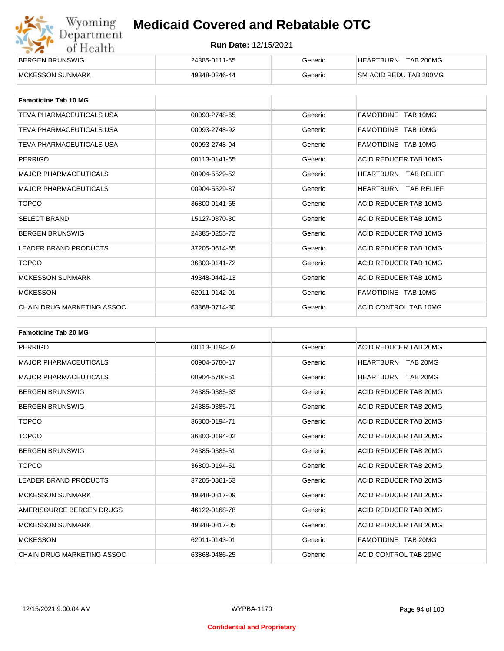| Wyoming    |
|------------|
| Department |
| of Health  |

| <b>BERGEN BRUNSWIG</b> | 24385-0111-65 | Generic | <b>TAB 200MG</b><br>HEARTBURN |
|------------------------|---------------|---------|-------------------------------|
| MCKESSON SUNMARK       | 49348-0246-44 | Generic | <b>SM ACID REDU TAB 200MG</b> |

| <b>Famotidine Tab 10 MG</b>       |               |         |                             |
|-----------------------------------|---------------|---------|-----------------------------|
| TEVA PHARMACEUTICALS USA          | 00093-2748-65 | Generic | FAMOTIDINE TAB 10MG         |
| TEVA PHARMACEUTICALS USA          | 00093-2748-92 | Generic | FAMOTIDINE TAB 10MG         |
| TEVA PHARMACEUTICALS USA          | 00093-2748-94 | Generic | FAMOTIDINE TAB 10MG         |
| PERRIGO                           | 00113-0141-65 | Generic | ACID REDUCER TAB 10MG       |
| <b>MAJOR PHARMACEUTICALS</b>      | 00904-5529-52 | Generic | <b>HEARTBURN TAB RELIEF</b> |
| <b>MAJOR PHARMACEUTICALS</b>      | 00904-5529-87 | Generic | <b>HEARTBURN TAB RELIEF</b> |
| <b>TOPCO</b>                      | 36800-0141-65 | Generic | ACID REDUCER TAB 10MG       |
| <b>SELECT BRAND</b>               | 15127-0370-30 | Generic | ACID REDUCER TAB 10MG       |
| <b>BERGEN BRUNSWIG</b>            | 24385-0255-72 | Generic | ACID REDUCER TAB 10MG       |
| <b>LEADER BRAND PRODUCTS</b>      | 37205-0614-65 | Generic | ACID REDUCER TAB 10MG       |
| <b>TOPCO</b>                      | 36800-0141-72 | Generic | ACID REDUCER TAB 10MG       |
| <b>MCKESSON SUNMARK</b>           | 49348-0442-13 | Generic | ACID REDUCER TAB 10MG       |
| <b>MCKESSON</b>                   | 62011-0142-01 | Generic | FAMOTIDINE TAB 10MG         |
| <b>CHAIN DRUG MARKETING ASSOC</b> | 63868-0714-30 | Generic | ACID CONTROL TAB 10MG       |

| <b>Famotidine Tab 20 MG</b>  |               |         |                              |
|------------------------------|---------------|---------|------------------------------|
| PERRIGO                      | 00113-0194-02 | Generic | ACID REDUCER TAB 20MG        |
| <b>MAJOR PHARMACEUTICALS</b> | 00904-5780-17 | Generic | HEARTBURN<br>TAB 20MG        |
| <b>MAJOR PHARMACEUTICALS</b> | 00904-5780-51 | Generic | <b>HEARTBURN</b><br>TAB 20MG |
| <b>BERGEN BRUNSWIG</b>       | 24385-0385-63 | Generic | ACID REDUCER TAB 20MG        |
| <b>BERGEN BRUNSWIG</b>       | 24385-0385-71 | Generic | ACID REDUCER TAB 20MG        |
| <b>TOPCO</b>                 | 36800-0194-71 | Generic | ACID REDUCER TAB 20MG        |
| <b>TOPCO</b>                 | 36800-0194-02 | Generic | ACID REDUCER TAB 20MG        |
| <b>BERGEN BRUNSWIG</b>       | 24385-0385-51 | Generic | ACID REDUCER TAB 20MG        |
| <b>TOPCO</b>                 | 36800-0194-51 | Generic | ACID REDUCER TAB 20MG        |
| <b>LEADER BRAND PRODUCTS</b> | 37205-0861-63 | Generic | ACID REDUCER TAB 20MG        |
| <b>MCKESSON SUNMARK</b>      | 49348-0817-09 | Generic | ACID REDUCER TAB 20MG        |
| AMERISOURCE BERGEN DRUGS     | 46122-0168-78 | Generic | ACID REDUCER TAB 20MG        |
| <b>MCKESSON SUNMARK</b>      | 49348-0817-05 | Generic | ACID REDUCER TAB 20MG        |
| <b>MCKESSON</b>              | 62011-0143-01 | Generic | FAMOTIDINE TAB 20MG          |
| CHAIN DRUG MARKETING ASSOC   | 63868-0486-25 | Generic | ACID CONTROL TAB 20MG        |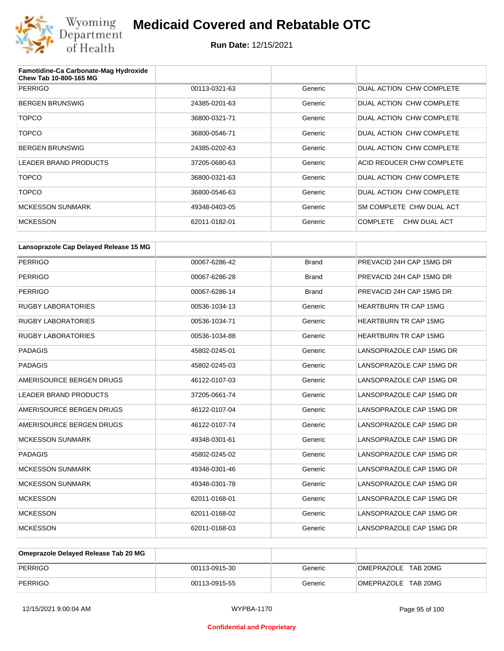

| Famotidine-Ca Carbonate-Mag Hydroxide<br>Chew Tab 10-800-165 MG |               |         |                                 |
|-----------------------------------------------------------------|---------------|---------|---------------------------------|
| <b>PERRIGO</b>                                                  | 00113-0321-63 | Generic | DUAL ACTION CHW COMPLETE        |
| <b>BERGEN BRUNSWIG</b>                                          | 24385-0201-63 | Generic | DUAL ACTION CHW COMPLETE        |
| <b>TOPCO</b>                                                    | 36800-0321-71 | Generic | DUAL ACTION CHW COMPLETE        |
| <b>TOPCO</b>                                                    | 36800-0546-71 | Generic | DUAL ACTION CHW COMPLETE        |
| <b>BERGEN BRUNSWIG</b>                                          | 24385-0202-63 | Generic | DUAL ACTION CHW COMPLETE        |
| <b>LEADER BRAND PRODUCTS</b>                                    | 37205-0680-63 | Generic | ACID REDUCER CHW COMPLETE       |
| <b>TOPCO</b>                                                    | 36800-0321-63 | Generic | DUAL ACTION CHW COMPLETE        |
| <b>TOPCO</b>                                                    | 36800-0546-63 | Generic | DUAL ACTION CHW COMPLETE        |
| <b>MCKESSON SUNMARK</b>                                         | 49348-0403-05 | Generic | SM COMPLETE CHW DUAL ACT        |
| <b>MCKESSON</b>                                                 | 62011-0182-01 | Generic | <b>COMPLETE</b><br>CHW DUAL ACT |

| Lansoprazole Cap Delayed Release 15 MG |               |              |                              |
|----------------------------------------|---------------|--------------|------------------------------|
| <b>PERRIGO</b>                         | 00067-6286-42 | <b>Brand</b> | PREVACID 24H CAP 15MG DR     |
| <b>PERRIGO</b>                         | 00067-6286-28 | <b>Brand</b> | PREVACID 24H CAP 15MG DR     |
| <b>PERRIGO</b>                         | 00067-6286-14 | <b>Brand</b> | PREVACID 24H CAP 15MG DR     |
| <b>RUGBY LABORATORIES</b>              | 00536-1034-13 | Generic      | <b>HEARTBURN TR CAP 15MG</b> |
| <b>RUGBY LABORATORIES</b>              | 00536-1034-71 | Generic      | <b>HEARTBURN TR CAP 15MG</b> |
| <b>RUGBY LABORATORIES</b>              | 00536-1034-88 | Generic      | <b>HEARTBURN TR CAP 15MG</b> |
| <b>PADAGIS</b>                         | 45802-0245-01 | Generic      | LANSOPRAZOLE CAP 15MG DR     |
| <b>PADAGIS</b>                         | 45802-0245-03 | Generic      | LANSOPRAZOLE CAP 15MG DR     |
| AMERISOURCE BERGEN DRUGS               | 46122-0107-03 | Generic      | LANSOPRAZOLE CAP 15MG DR     |
| <b>LEADER BRAND PRODUCTS</b>           | 37205-0661-74 | Generic      | LANSOPRAZOLE CAP 15MG DR     |
| AMERISOURCE BERGEN DRUGS               | 46122-0107-04 | Generic      | LANSOPRAZOLE CAP 15MG DR     |
| AMERISOURCE BERGEN DRUGS               | 46122-0107-74 | Generic      | LANSOPRAZOLE CAP 15MG DR     |
| <b>MCKESSON SUNMARK</b>                | 49348-0301-61 | Generic      | LANSOPRAZOLE CAP 15MG DR     |
| <b>PADAGIS</b>                         | 45802-0245-02 | Generic      | LANSOPRAZOLE CAP 15MG DR     |
| <b>MCKESSON SUNMARK</b>                | 49348-0301-46 | Generic      | LANSOPRAZOLE CAP 15MG DR     |
| <b>MCKESSON SUNMARK</b>                | 49348-0301-78 | Generic      | LANSOPRAZOLE CAP 15MG DR     |
| <b>MCKESSON</b>                        | 62011-0168-01 | Generic      | LANSOPRAZOLE CAP 15MG DR     |
| <b>MCKESSON</b>                        | 62011-0168-02 | Generic      | LANSOPRAZOLE CAP 15MG DR     |
| <b>MCKESSON</b>                        | 62011-0168-03 | Generic      | LANSOPRAZOLE CAP 15MG DR     |

| Omeprazole Delaved Release Tab 20 MG |               |         |                     |
|--------------------------------------|---------------|---------|---------------------|
| PERRIGO                              | 00113-0915-30 | Generic | OMEPRAZOLE TAB 20MG |
| PERRIGO                              | 00113-0915-55 | Generic | OMEPRAZOLE TAB 20MG |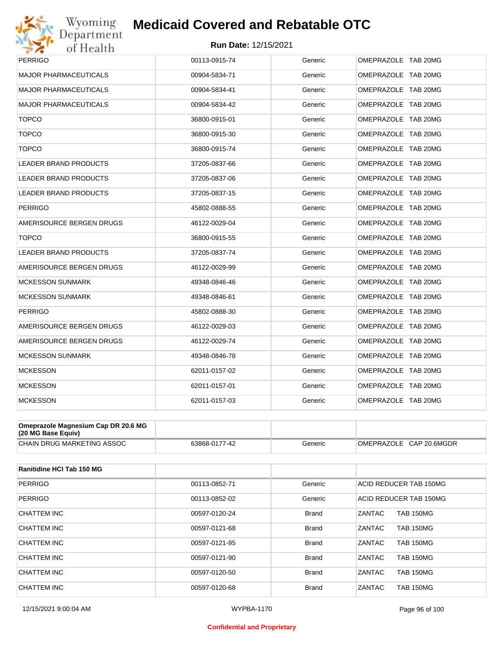

## **Run Date:** 12/15/2021

| <b>PERRIGO</b>               | 00113-0915-74 | Generic | OMEPRAZOLE TAB 20MG |
|------------------------------|---------------|---------|---------------------|
| <b>MAJOR PHARMACEUTICALS</b> | 00904-5834-71 | Generic | OMEPRAZOLE TAB 20MG |
| <b>MAJOR PHARMACEUTICALS</b> | 00904-5834-41 | Generic | OMEPRAZOLE TAB 20MG |
| <b>MAJOR PHARMACEUTICALS</b> | 00904-5834-42 | Generic | OMEPRAZOLE TAB 20MG |
| <b>TOPCO</b>                 | 36800-0915-01 | Generic | OMEPRAZOLE TAB 20MG |
| <b>TOPCO</b>                 | 36800-0915-30 | Generic | OMEPRAZOLE TAB 20MG |
| <b>TOPCO</b>                 | 36800-0915-74 | Generic | OMEPRAZOLE TAB 20MG |
| LEADER BRAND PRODUCTS        | 37205-0837-66 | Generic | OMEPRAZOLE TAB 20MG |
| <b>LEADER BRAND PRODUCTS</b> | 37205-0837-06 | Generic | OMEPRAZOLE TAB 20MG |
| <b>LEADER BRAND PRODUCTS</b> | 37205-0837-15 | Generic | OMEPRAZOLE TAB 20MG |
| <b>PERRIGO</b>               | 45802-0888-55 | Generic | OMEPRAZOLE TAB 20MG |
| AMERISOURCE BERGEN DRUGS     | 46122-0029-04 | Generic | OMEPRAZOLE TAB 20MG |
| <b>TOPCO</b>                 | 36800-0915-55 | Generic | OMEPRAZOLE TAB 20MG |
| <b>LEADER BRAND PRODUCTS</b> | 37205-0837-74 | Generic | OMEPRAZOLE TAB 20MG |
| AMERISOURCE BERGEN DRUGS     | 46122-0029-99 | Generic | OMEPRAZOLE TAB 20MG |
| <b>MCKESSON SUNMARK</b>      | 49348-0846-46 | Generic | OMEPRAZOLE TAB 20MG |
| <b>MCKESSON SUNMARK</b>      | 49348-0846-61 | Generic | OMEPRAZOLE TAB 20MG |
| <b>PERRIGO</b>               | 45802-0888-30 | Generic | OMEPRAZOLE TAB 20MG |
| AMERISOURCE BERGEN DRUGS     | 46122-0029-03 | Generic | OMEPRAZOLE TAB 20MG |
| AMERISOURCE BERGEN DRUGS     | 46122-0029-74 | Generic | OMEPRAZOLE TAB 20MG |
| <b>MCKESSON SUNMARK</b>      | 49348-0846-78 | Generic | OMEPRAZOLE TAB 20MG |
| <b>MCKESSON</b>              | 62011-0157-02 | Generic | OMEPRAZOLE TAB 20MG |
| <b>MCKESSON</b>              | 62011-0157-01 | Generic | OMEPRAZOLE TAB 20MG |
| <b>MCKESSON</b>              | 62011-0157-03 | Generic | OMEPRAZOLE TAB 20MG |

| Omeprazole Magnesium Cap DR 20.6 MG<br>(20 MG Base Equiv) |               |         |                         |
|-----------------------------------------------------------|---------------|---------|-------------------------|
| CHAIN DRUG MARKETING ASSOC                                | 63868-0177-42 | Generic | OMEPRAZOLE CAP 20.6MGDR |

| <b>Ranitidine HCI Tab 150 MG</b> |               |              |                            |
|----------------------------------|---------------|--------------|----------------------------|
| <b>PERRIGO</b>                   | 00113-0852-71 | Generic      | ACID REDUCER TAB 150MG     |
| <b>PERRIGO</b>                   | 00113-0852-02 | Generic      | ACID REDUCER TAB 150MG     |
| CHATTEM INC                      | 00597-0120-24 | <b>Brand</b> | <b>TAB 150MG</b><br>ZANTAC |
| CHATTEM INC                      | 00597-0121-68 | <b>Brand</b> | ZANTAC<br><b>TAB 150MG</b> |
| <b>CHATTEM INC</b>               | 00597-0121-95 | <b>Brand</b> | ZANTAC<br><b>TAB 150MG</b> |
| CHATTEM INC                      | 00597-0121-90 | <b>Brand</b> | ZANTAC<br><b>TAB 150MG</b> |
| CHATTEM INC                      | 00597-0120-50 | <b>Brand</b> | ZANTAC<br><b>TAB 150MG</b> |
| CHATTEM INC                      | 00597-0120-68 | <b>Brand</b> | ZANTAC<br><b>TAB 150MG</b> |

#### **Confidential and Proprietary**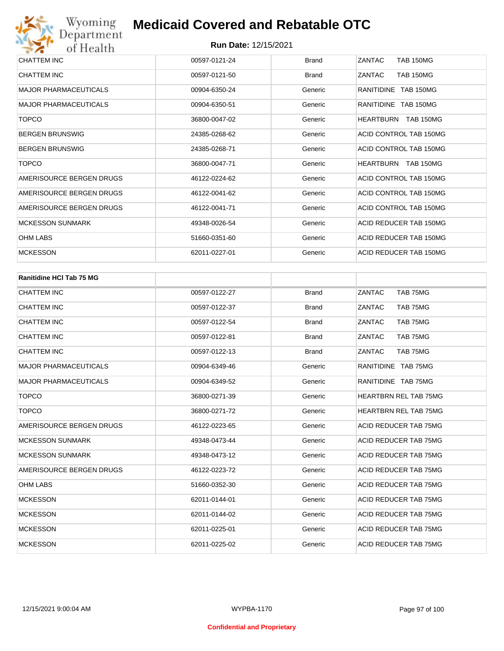| Department<br>of Health      | <b>Run Date: 12/15/2021</b> |              |                                      |
|------------------------------|-----------------------------|--------------|--------------------------------------|
| CHATTEM INC                  | 00597-0121-24               | <b>Brand</b> | ZANTAC<br><b>TAB 150MG</b>           |
| <b>CHATTEM INC</b>           | 00597-0121-50               | <b>Brand</b> | ZANTAC<br><b>TAB 150MG</b>           |
| <b>MAJOR PHARMACEUTICALS</b> | 00904-6350-24               | Generic      | RANITIDINE TAB 150MG                 |
| <b>MAJOR PHARMACEUTICALS</b> | 00904-6350-51               | Generic      | RANITIDINE TAB 150MG                 |
| <b>TOPCO</b>                 | 36800-0047-02               | Generic      | <b>HEARTBURN</b><br><b>TAB 150MG</b> |
| <b>BERGEN BRUNSWIG</b>       | 24385-0268-62               | Generic      | ACID CONTROL TAB 150MG               |
| <b>BERGEN BRUNSWIG</b>       | 24385-0268-71               | Generic      | ACID CONTROL TAB 150MG               |
| <b>TOPCO</b>                 | 36800-0047-71               | Generic      | HEARTBURN<br>TAB 150MG               |
| AMERISOURCE BERGEN DRUGS     | 46122-0224-62               | Generic      | ACID CONTROL TAB 150MG               |
| AMERISOURCE BERGEN DRUGS     | 46122-0041-62               | Generic      | ACID CONTROL TAB 150MG               |
| AMERISOURCE BERGEN DRUGS     | 46122-0041-71               | Generic      | ACID CONTROL TAB 150MG               |
| <b>MCKESSON SUNMARK</b>      | 49348-0026-54               | Generic      | ACID REDUCER TAB 150MG               |
| <b>OHM LABS</b>              | 51660-0351-60               | Generic      | ACID REDUCER TAB 150MG               |
| <b>MCKESSON</b>              | 62011-0227-01               | Generic      | ACID REDUCER TAB 150MG               |

| Ranitidine HCI Tab 75 MG     |               |              |                              |
|------------------------------|---------------|--------------|------------------------------|
| <b>CHATTEM INC</b>           | 00597-0122-27 | <b>Brand</b> | TAB 75MG<br>ZANTAC           |
| <b>CHATTEM INC</b>           | 00597-0122-37 | <b>Brand</b> | ZANTAC<br>TAB 75MG           |
| CHATTEM INC                  | 00597-0122-54 | <b>Brand</b> | ZANTAC<br>TAB 75MG           |
| CHATTEM INC                  | 00597-0122-81 | <b>Brand</b> | ZANTAC<br>TAB 75MG           |
| <b>CHATTEM INC</b>           | 00597-0122-13 | <b>Brand</b> | ZANTAC<br>TAB 75MG           |
| <b>MAJOR PHARMACEUTICALS</b> | 00904-6349-46 | Generic      | RANITIDINE TAB 75MG          |
| <b>MAJOR PHARMACEUTICALS</b> | 00904-6349-52 | Generic      | RANITIDINE TAB 75MG          |
| <b>TOPCO</b>                 | 36800-0271-39 | Generic      | <b>HEARTBRN REL TAB 75MG</b> |
| <b>TOPCO</b>                 | 36800-0271-72 | Generic      | <b>HEARTBRN REL TAB 75MG</b> |
| AMERISOURCE BERGEN DRUGS     | 46122-0223-65 | Generic      | ACID REDUCER TAB 75MG        |
| <b>MCKESSON SUNMARK</b>      | 49348-0473-44 | Generic      | ACID REDUCER TAB 75MG        |
| <b>MCKESSON SUNMARK</b>      | 49348-0473-12 | Generic      | ACID REDUCER TAB 75MG        |
| AMERISOURCE BERGEN DRUGS     | 46122-0223-72 | Generic      | ACID REDUCER TAB 75MG        |
| <b>OHM LABS</b>              | 51660-0352-30 | Generic      | ACID REDUCER TAB 75MG        |
| <b>MCKESSON</b>              | 62011-0144-01 | Generic      | ACID REDUCER TAB 75MG        |
| <b>MCKESSON</b>              | 62011-0144-02 | Generic      | ACID REDUCER TAB 75MG        |
| <b>MCKESSON</b>              | 62011-0225-01 | Generic      | ACID REDUCER TAB 75MG        |
| <b>MCKESSON</b>              | 62011-0225-02 | Generic      | <b>ACID REDUCER TAB 75MG</b> |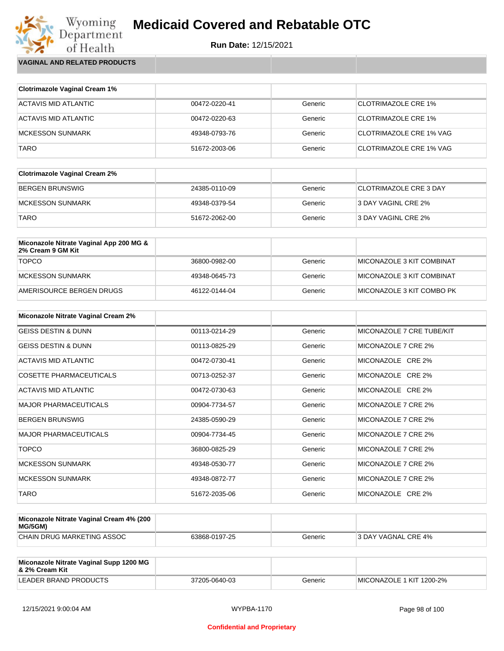

**VAGINAL AND RELATED PRODUCTS**

Wyoming<br>Department<br>of Health

| <b>Clotrimazole Vaginal Cream 1%</b> |               |         |                                |
|--------------------------------------|---------------|---------|--------------------------------|
| ACTAVIS MID ATLANTIC                 | 00472-0220-41 | Generic | <b>CLOTRIMAZOLE CRE 1%</b>     |
| ACTAVIS MID ATLANTIC                 | 00472-0220-63 | Generic | <b>CLOTRIMAZOLE CRE 1%</b>     |
| <b>MCKESSON SUNMARK</b>              | 49348-0793-76 | Generic | CLOTRIMAZOLE CRE 1% VAG        |
| <b>TARO</b>                          | 51672-2003-06 | Generic | <b>CLOTRIMAZOLE CRE 1% VAG</b> |

| <b>Clotrimazole Vaginal Cream 2%</b> |               |         |                               |
|--------------------------------------|---------------|---------|-------------------------------|
| BERGEN BRUNSWIG                      | 24385-0110-09 | Generic | <b>CLOTRIMAZOLE CRE 3 DAY</b> |
| IMCKESSON SUNMARK                    | 49348-0379-54 | Generic | 3 DAY VAGINL CRE 2%           |
| <b>TARO</b>                          | 51672-2062-00 | Generic | 3 DAY VAGINL CRE 2%           |

| Miconazole Nitrate Vaginal App 200 MG &<br>2% Cream 9 GM Kit |               |         |                           |
|--------------------------------------------------------------|---------------|---------|---------------------------|
| <b>TOPCO</b>                                                 | 36800-0982-00 | Generic | MICONAZOLE 3 KIT COMBINAT |
| MCKESSON SUNMARK                                             | 49348-0645-73 | Generic | MICONAZOLE 3 KIT COMBINAT |
| AMERISOURCE BERGEN DRUGS                                     | 46122-0144-04 | Generic | MICONAZOLE 3 KIT COMBO PK |

| <b>Miconazole Nitrate Vaginal Cream 2%</b> |               |         |                           |
|--------------------------------------------|---------------|---------|---------------------------|
| <b>GEISS DESTIN &amp; DUNN</b>             | 00113-0214-29 | Generic | MICONAZOLE 7 CRE TUBE/KIT |
| <b>GEISS DESTIN &amp; DUNN</b>             | 00113-0825-29 | Generic | MICONAZOLE 7 CRE 2%       |
| ACTAVIS MID ATLANTIC                       | 00472-0730-41 | Generic | MICONAZOLE CRE 2%         |
| <b>COSETTE PHARMACEUTICALS</b>             | 00713-0252-37 | Generic | MICONAZOLE CRE 2%         |
| ACTAVIS MID ATLANTIC                       | 00472-0730-63 | Generic | MICONAZOLE CRE 2%         |
| <b>MAJOR PHARMACEUTICALS</b>               | 00904-7734-57 | Generic | MICONAZOLE 7 CRE 2%       |
| <b>BERGEN BRUNSWIG</b>                     | 24385-0590-29 | Generic | MICONAZOLE 7 CRE 2%       |
| <b>MAJOR PHARMACEUTICALS</b>               | 00904-7734-45 | Generic | MICONAZOLE 7 CRE 2%       |
| <b>TOPCO</b>                               | 36800-0825-29 | Generic | MICONAZOLE 7 CRE 2%       |
| <b>MCKESSON SUNMARK</b>                    | 49348-0530-77 | Generic | MICONAZOLE 7 CRE 2%       |
| <b>MCKESSON SUNMARK</b>                    | 49348-0872-77 | Generic | MICONAZOLE 7 CRE 2%       |
| <b>TARO</b>                                | 51672-2035-06 | Generic | MICONAZOLE CRE 2%         |

| Miconazole Nitrate Vaginal Cream 4% (200<br>MG/5GM) |               |         |                     |
|-----------------------------------------------------|---------------|---------|---------------------|
| CHAIN DRUG MARKETING ASSOC                          | 63868-0197-25 | Generic | 3 DAY VAGNAL CRE 4% |

| Miconazole Nitrate Vaginal Supp 1200 MG<br>∣& 2% Cream Kit |               |         |                          |
|------------------------------------------------------------|---------------|---------|--------------------------|
| LEADER BRAND PRODUCTS                                      | 37205-0640-03 | Generic | MICONAZOLE 1 KIT 1200-2% |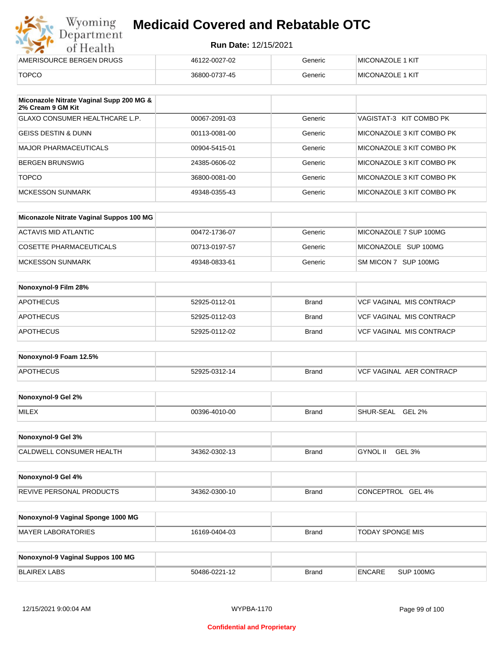| Wyoming<br>Department    | <b>Medicaid Covered and Rebatable OTC</b> |         |                  |  |
|--------------------------|-------------------------------------------|---------|------------------|--|
| of Health                | <b>Run Date: 12/15/2021</b>               |         |                  |  |
| AMERISOURCE BERGEN DRUGS | 46122-0027-02                             | Generic | MICONAZOLE 1 KIT |  |
| <b>TOPCO</b>             | 36800-0737-45                             | Generic | MICONAZOLE 1 KIT |  |

| Miconazole Nitrate Vaginal Supp 200 MG &<br>2% Cream 9 GM Kit |               |         |                           |
|---------------------------------------------------------------|---------------|---------|---------------------------|
| GLAXO CONSUMER HEALTHCARE L.P.                                | 00067-2091-03 | Generic | VAGISTAT-3 KIT COMBO PK   |
| IGEISS DESTIN & DUNN                                          | 00113-0081-00 | Generic | MICONAZOLE 3 KIT COMBO PK |
| MAJOR PHARMACEUTICALS                                         | 00904-5415-01 | Generic | MICONAZOLE 3 KIT COMBO PK |
| <b>BERGEN BRUNSWIG</b>                                        | 24385-0606-02 | Generic | MICONAZOLE 3 KIT COMBO PK |
| <b>TOPCO</b>                                                  | 36800-0081-00 | Generic | MICONAZOLE 3 KIT COMBO PK |
| MCKESSON SUNMARK                                              | 49348-0355-43 | Generic | MICONAZOLE 3 KIT COMBO PK |

| Miconazole Nitrate Vaginal Suppos 100 MG |               |         |                        |
|------------------------------------------|---------------|---------|------------------------|
| ACTAVIS MID ATLANTIC                     | 00472-1736-07 | Generic | MICONAZOLE 7 SUP 100MG |
| COSETTE PHARMACEUTICALS                  | 00713-0197-57 | Generic | MICONAZOLE SUP 100MG   |
| IMCKESSON SUNMARK                        | 49348-0833-61 | Generic | SM MICON 7 SUP 100MG   |

| Nonoxynol-9 Film 28% |               |              |                          |
|----------------------|---------------|--------------|--------------------------|
| <b>APOTHECUS</b>     | 52925-0112-01 | <b>Brand</b> | VCF VAGINAL MIS CONTRACP |
| <b>APOTHECUS</b>     | 52925-0112-03 | <b>Brand</b> | VCF VAGINAL MIS CONTRACP |
| <b>APOTHECUS</b>     | 52925-0112-02 | <b>Brand</b> | VCF VAGINAL MIS CONTRACP |

| Nonoxynol-9 Foam 12.5% |               |              |                               |
|------------------------|---------------|--------------|-------------------------------|
| <b>APOTHECUS</b>       | 52925-0312-14 | <b>Brand</b> | . AER CONTRACP<br>VCF VAGINAL |

| Nonoxynol-9 Gel 2% |               |       |                            |
|--------------------|---------------|-------|----------------------------|
| <b>MILEX</b>       | 00396-4010-00 | Brand | GEL 2%<br><b>SHUR-SEAL</b> |

| Nonoxynol-9 Gel 3%              |               |       |                    |  |
|---------------------------------|---------------|-------|--------------------|--|
| <b>CALDWELL CONSUMER HEALTH</b> | 34362-0302-13 | Brand | GEL 3%<br>GYNOL II |  |

| Nonoxynol-9 Gel 4%              |               |       |                   |
|---------------------------------|---------------|-------|-------------------|
| <b>REVIVE PERSONAL PRODUCTS</b> | 34362-0300-10 | Brand | CONCEPTROL GEL 4% |

| Nonoxynol-9 Vaginal Sponge 1000 MG |               |       |                  |
|------------------------------------|---------------|-------|------------------|
| MAYER LABORATORIES                 | 16169-0404-03 | Brand | TODAY SPONGE MIS |

| Nonoxynol-9 Vaginal Suppos 100 MG |               |              |               |           |
|-----------------------------------|---------------|--------------|---------------|-----------|
| <b>BLAIREX LABS</b>               | 50486-0221-12 | <b>Brand</b> | <b>ENCARE</b> | SUP 100MG |